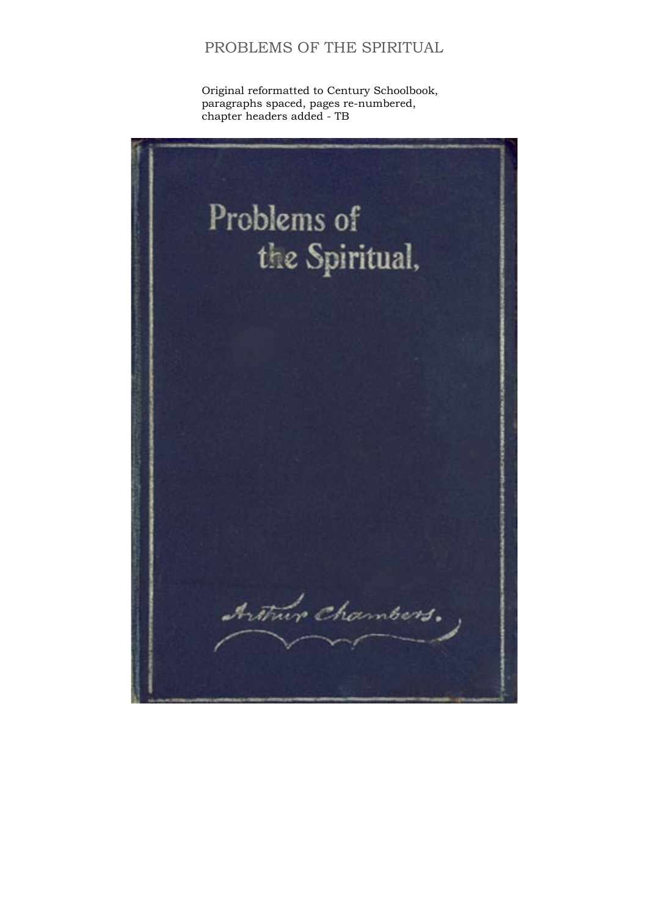Original reformatted to Century Schoolbook, paragraphs spaced, pages re-numbered, chapter headers added - TB

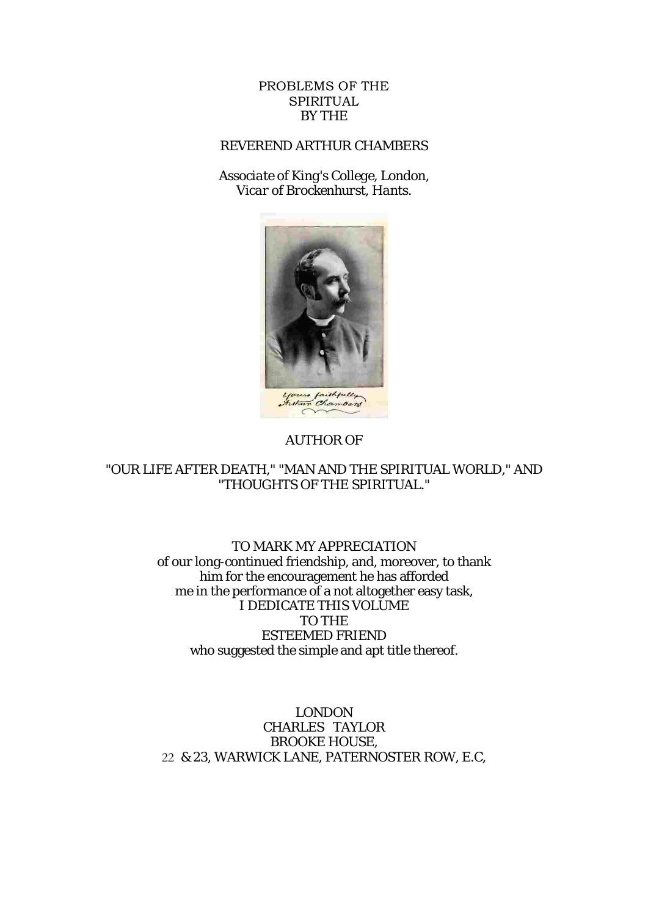#### PROBLEMS OF THE SPIRITUAL BY THE

# REVEREND ARTHUR CHAMBERS

*Associate of King's College, London, Vicar of Brockenhurst, Hants.*



#### AUTHOR OF

#### "OUR LIFE AFTER DEATH," "MAN AND THE SPIRITUAL WORLD," AND "THOUGHTS OF THE SPIRITUAL."

#### TO MARK MY APPRECIATION of our long-continued friendship, and, moreover, to thank him for the encouragement he has afforded me in the performance of a not altogether easy task, I DEDICATE THIS VOLUME TO THE ESTEEMED FRIEND who suggested the simple and apt title thereof.

LONDON CHARLES TAYLOR BROOKE HOUSE, 22 & 23, WARWICK LANE, PATERNOSTER ROW, E.C,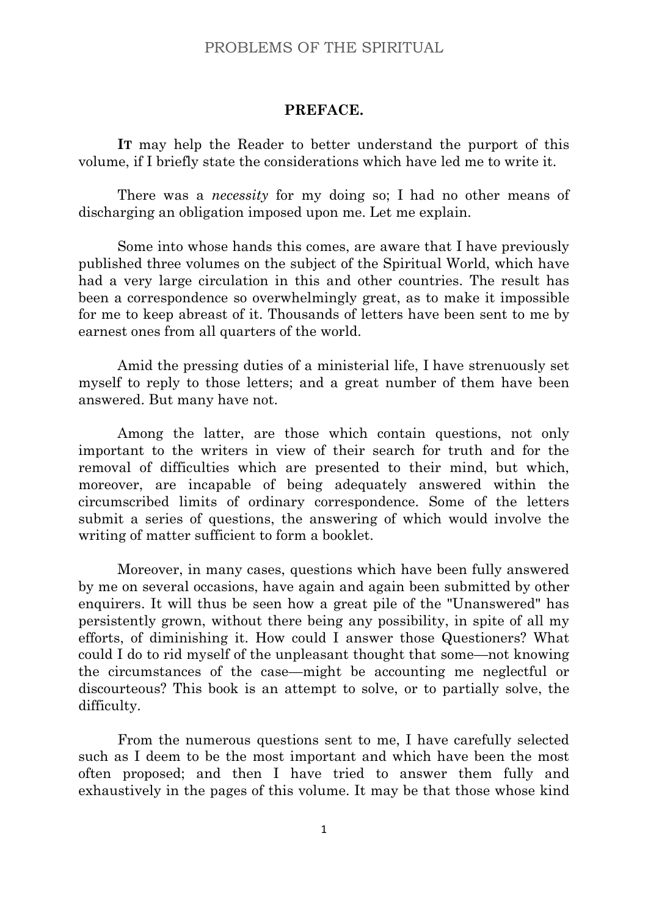#### **PREFACE.**

**IT** may help the Reader to better understand the purport of this volume, if I briefly state the considerations which have led me to write it.

There was a *necessity* for my doing so; I had no other means of discharging an obligation imposed upon me. Let me explain.

Some into whose hands this comes, are aware that I have previously published three volumes on the subject of the Spiritual World, which have had a very large circulation in this and other countries. The result has been a correspondence so overwhelmingly great, as to make it impossible for me to keep abreast of it. Thousands of letters have been sent to me by earnest ones from all quarters of the world.

Amid the pressing duties of a ministerial life, I have strenuously set myself to reply to those letters; and a great number of them have been answered. But many have not.

Among the latter, are those which contain questions, not only important to the writers in view of their search for truth and for the removal of difficulties which are presented to their mind, but which, moreover, are incapable of being adequately answered within the circumscribed limits of ordinary correspondence. Some of the letters submit a series of questions, the answering of which would involve the writing of matter sufficient to form a booklet.

Moreover, in many cases, questions which have been fully answered by me on several occasions, have again and again been submitted by other enquirers. It will thus be seen how a great pile of the "Unanswered" has persistently grown, without there being any possibility, in spite of all my efforts, of diminishing it. How could I answer those Questioners? What could I do to rid myself of the unpleasant thought that some—not knowing the circumstances of the case—might be accounting me neglectful or discourteous? This book is an attempt to solve, or to partially solve, the difficulty.

From the numerous questions sent to me, I have carefully selected such as I deem to be the most important and which have been the most often proposed; and then I have tried to answer them fully and exhaustively in the pages of this volume. It may be that those whose kind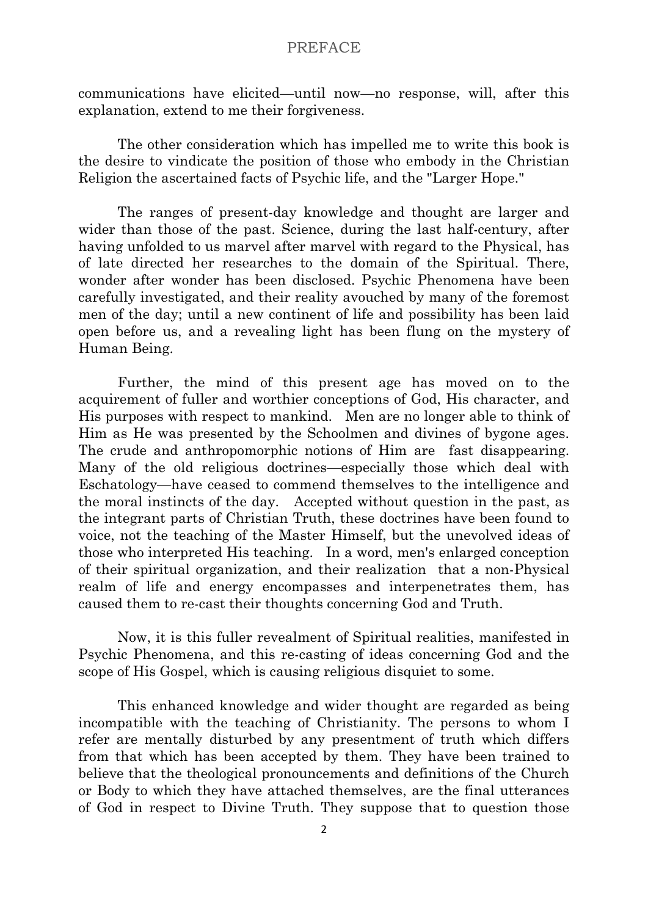communications have elicited—until now—no response, will, after this explanation, extend to me their forgiveness.

The other consideration which has impelled me to write this book is the desire to vindicate the position of those who embody in the Christian Religion the ascertained facts of Psychic life, and the "Larger Hope."

The ranges of present-day knowledge and thought are larger and wider than those of the past. Science, during the last half-century, after having unfolded to us marvel after marvel with regard to the Physical, has of late directed her researches to the domain of the Spiritual. There, wonder after wonder has been disclosed. Psychic Phenomena have been carefully investigated, and their reality avouched by many of the foremost men of the day; until a new continent of life and possibility has been laid open before us, and a revealing light has been flung on the mystery of Human Being.

Further, the mind of this present age has moved on to the acquirement of fuller and worthier conceptions of God, His character, and His purposes with respect to mankind. Men are no longer able to think of Him as He was presented by the Schoolmen and divines of bygone ages. The crude and anthropomorphic notions of Him are fast disappearing. Many of the old religious doctrines—especially those which deal with Eschatology—have ceased to commend themselves to the intelligence and the moral instincts of the day. Accepted without question in the past, as the integrant parts of Christian Truth, these doctrines have been found to voice, not the teaching of the Master Himself, but the unevolved ideas of those who interpreted His teaching. In a word, men's enlarged conception of their spiritual organization, and their realization that a non-Physical realm of life and energy encompasses and interpenetrates them, has caused them to re-cast their thoughts concerning God and Truth.

Now, it is this fuller revealment of Spiritual realities, manifested in Psychic Phenomena, and this re-casting of ideas concerning God and the scope of His Gospel, which is causing religious disquiet to some.

This enhanced knowledge and wider thought are regarded as being incompatible with the teaching of Christianity. The persons to whom I refer are mentally disturbed by any presentment of truth which differs from that which has been accepted by them. They have been trained to believe that the theological pronouncements and definitions of the Church or Body to which they have attached themselves, are the final utterances of God in respect to Divine Truth. They suppose that to question those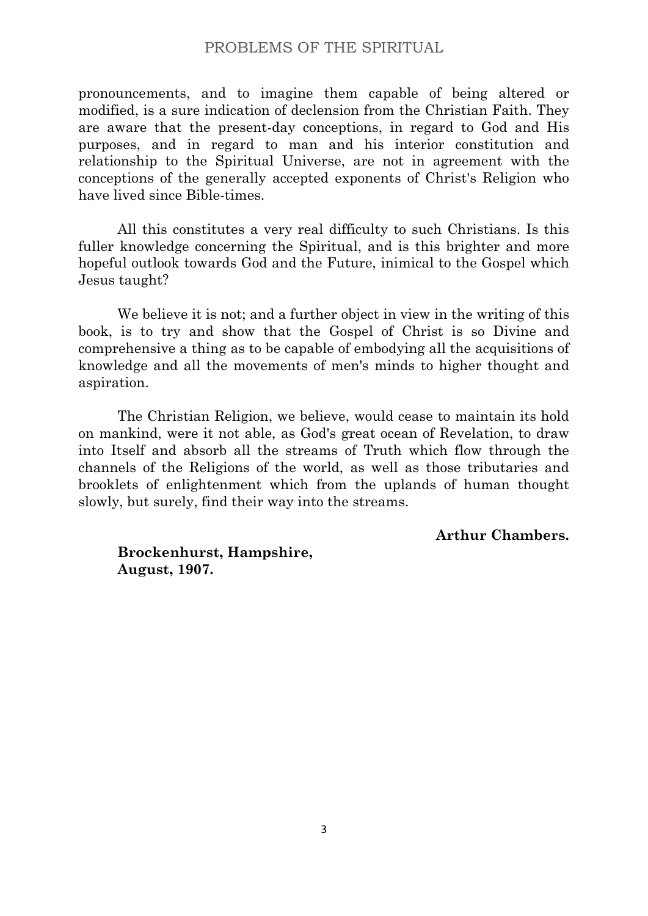pronouncements, and to imagine them capable of being altered or modified, is a sure indication of declension from the Christian Faith. They are aware that the present-day conceptions, in regard to God and His purposes, and in regard to man and his interior constitution and relationship to the Spiritual Universe, are not in agreement with the conceptions of the generally accepted exponents of Christ's Religion who have lived since Bible-times.

All this constitutes a very real difficulty to such Christians. Is this fuller knowledge concerning the Spiritual, and is this brighter and more hopeful outlook towards God and the Future, inimical to the Gospel which Jesus taught?

We believe it is not; and a further object in view in the writing of this book, is to try and show that the Gospel of Christ is so Divine and comprehensive a thing as to be capable of embodying all the acquisitions of knowledge and all the movements of men's minds to higher thought and aspiration.

The Christian Religion, we believe, would cease to maintain its hold on mankind, were it not able, as God's great ocean of Revelation, to draw into Itself and absorb all the streams of Truth which flow through the channels of the Religions of the world, as well as those tributaries and brooklets of enlightenment which from the uplands of human thought slowly, but surely, find their way into the streams.

**Arthur Chambers.**

**Brockenhurst, Hampshire, August, 1907.**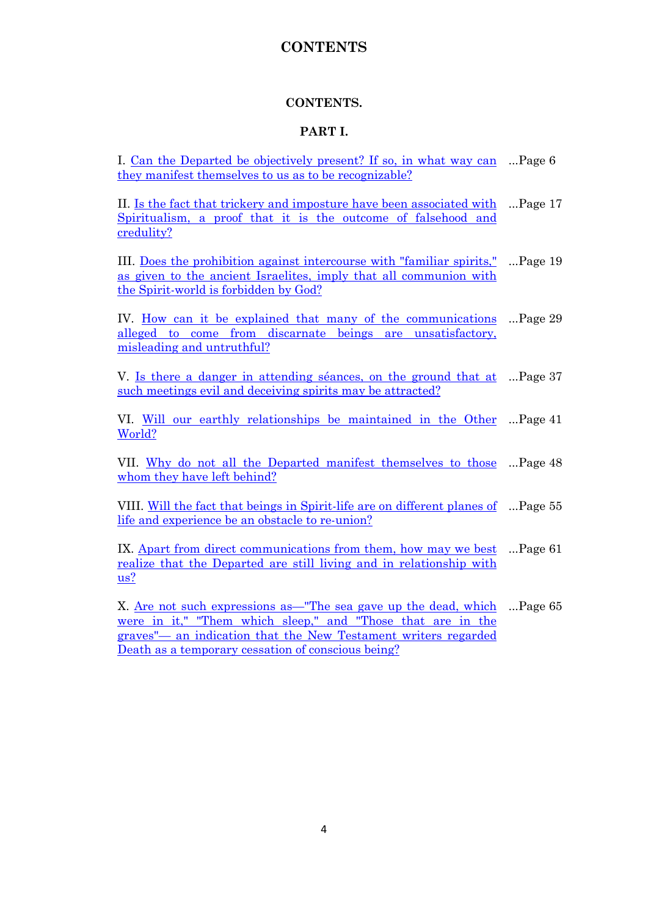# **CONTENTS**

#### **CONTENTS.**

#### **PART I.**

I. [Can the Departed be objectively present? If](#page-7-0) so, in what way can ... Page 6 [they manifest themselves to us as to be recognizable?](#page-7-0) 

II. [Is the fact that trickery and imposture have been associated with](#page-18-0) ...Page 17 [Spiritualism, a proof that it is the outcome of falsehood and](#page-18-0)  [credulity?](#page-18-0) 

III. [Does the prohibition against intercourse with "familiar spirits,"](#page-20-0)  [as given to the ancient Israelites, imply that all communion with](#page-20-0)  [the Spirit-world is forbidden by God?](#page-20-0)  ...Page 19

IV. How can it be explained that many of the communications alleged to come from discarnate beings are unsatisfactory, misleading and untruthful? ...Page 29

V. [Is there a danger in attending séances, on the ground that at](#page-38-0) ...Page 37 [such meetings evil and deceiving spirits may be attracted?](#page-38-0) 

VI. [Will our earthly relationships be maintained in the Other](#page-42-0) ...Page 41 [World?](#page-42-0)

VII. Why do not all the Departed manifest themselves to those ...Page 48 whom they have left behind?

VIII. <u>Will the fact that beings in Spirit-life are on different planes of</u> …Page 55 life and experience be an obstacle to re-union?

IX. [Apart from direct communications from them, how may we best](#page-62-0) ... Page 61 [realize that the Departed are still living and in relationship with](#page-62-0)  [us?](#page-62-0)

X. <u>Are not such expressions as—"The sea gave up the dead, which</u> ...Page 65 [were in it," "Them which sleep," and "Those that are in the](#page-66-0)  graves"— [an indication that the New Testament writers regarded](#page-66-0)  [Death as a temporary cessation of conscious being?](#page-66-0)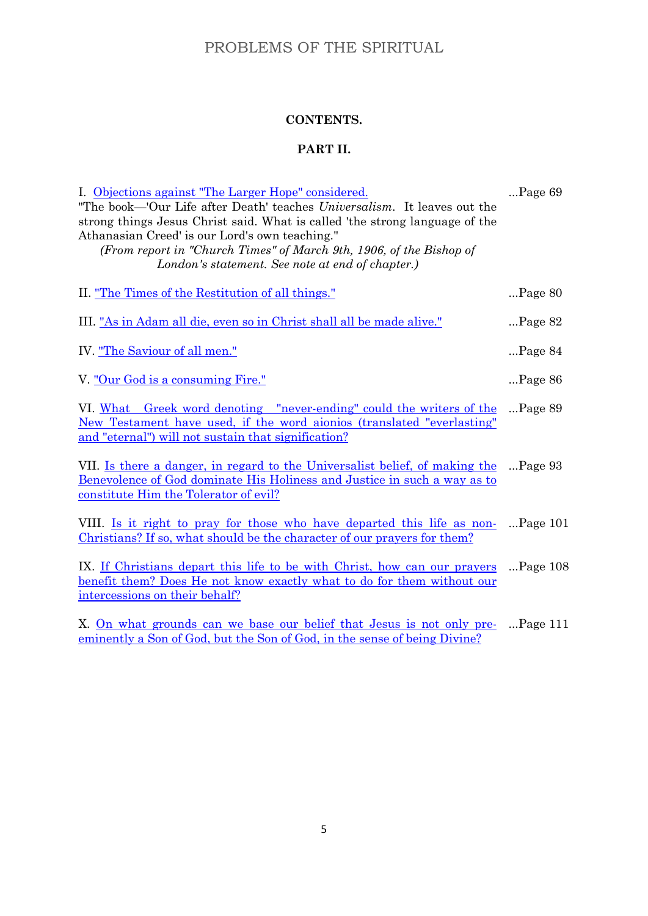# **CONTENTS.**

# **PART II.**

| I. Objections against "The Larger Hope" considered.<br>"The book—'Our Life after Death' teaches <i>Universalism</i> . It leaves out the<br>strong things Jesus Christ said. What is called 'the strong language of the<br>Athanasian Creed' is our Lord's own teaching."<br>(From report in "Church Times" of March 9th, 1906, of the Bishop of<br>London's statement. See note at end of chapter.) | $\ldots$ Page 69  |
|-----------------------------------------------------------------------------------------------------------------------------------------------------------------------------------------------------------------------------------------------------------------------------------------------------------------------------------------------------------------------------------------------------|-------------------|
| II. <u>"The Times of the Restitution of all things."</u>                                                                                                                                                                                                                                                                                                                                            | $\ldots$ Page 80  |
| III. "As in Adam all die, even so in Christ shall all be made alive."                                                                                                                                                                                                                                                                                                                               | $$ Page 82        |
| IV. "The Saviour of all men."                                                                                                                                                                                                                                                                                                                                                                       | $\ldots$ Page 84  |
| V. "Our God is a consuming Fire."                                                                                                                                                                                                                                                                                                                                                                   | $\ldots$ Page 86  |
| VI. What Greek word denoting "never-ending" could the writers of the<br>New Testament have used, if the word aionios (translated "everlasting"<br>and "eternal") will not sustain that signification?                                                                                                                                                                                               | $\ldots$ Page 89  |
| VII. Is there a danger, in regard to the Universalist belief, of making the<br>Benevolence of God dominate His Holiness and Justice in such a way as to<br>constitute Him the Tolerator of evil?                                                                                                                                                                                                    | $\ldots$ Page 93  |
| VIII. <u>Is it right to pray for those who have departed this life as non-</u><br><u>Christians? If so, what should be the character of our prayers for them?</u>                                                                                                                                                                                                                                   | $\ldots$ Page 101 |
| IX. If Christians depart this life to be with Christ, how can our prayers<br>benefit them? Does He not know exactly what to do for them without our<br>intercessions on their behalf?                                                                                                                                                                                                               | $$ Page $108$     |
| X. On what grounds can we base our belief that Jesus is not only pre-<br>eminently a Son of God, but the Son of God, in the sense of being Divine?                                                                                                                                                                                                                                                  | $$ Page 111       |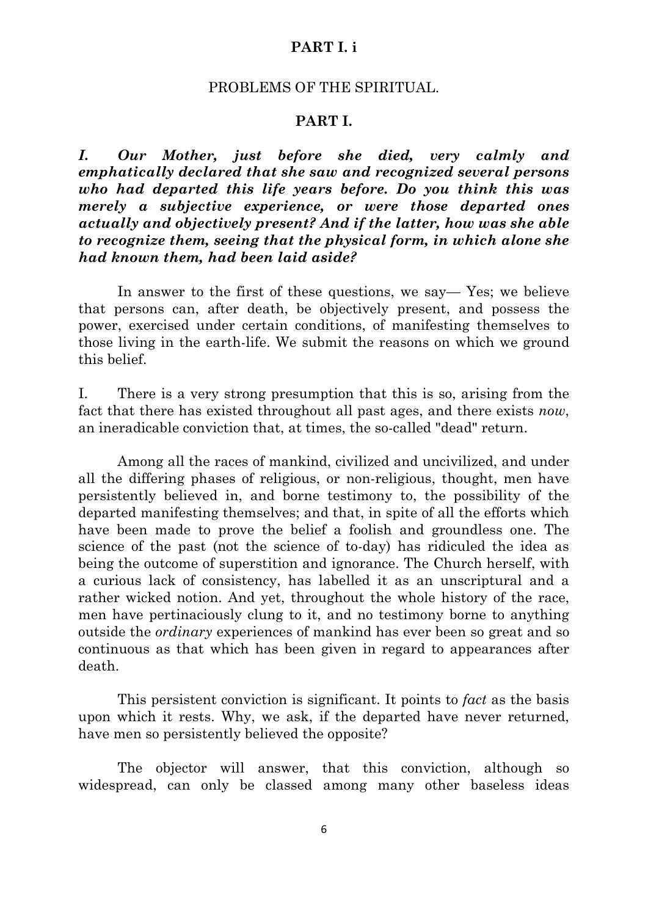# **PART I. i**

#### PROBLEMS OF THE SPIRITUAL.

#### **PART I.**

<span id="page-7-0"></span>*I. Our Mother, just before she died, very calmly and emphatically declared that she saw and recognized several persons who had departed this life years before. Do you think this was merely a subjective experience, or were those departed ones actually and objectively present? And if the latter, how was she able to recognize them, seeing that the physical form, in which alone she had known them, had been laid aside?*

In answer to the first of these questions, we say— Yes; we believe that persons can, after death, be objectively present, and possess the power, exercised under certain conditions, of manifesting themselves to those living in the earth-life. We submit the reasons on which we ground this belief.

I. There is a very strong presumption that this is so, arising from the fact that there has existed throughout all past ages, and there exists *now*, an ineradicable conviction that, at times, the so-called "dead" return.

Among all the races of mankind, civilized and uncivilized, and under all the differing phases of religious, or non-religious, thought, men have persistently believed in, and borne testimony to, the possibility of the departed manifesting themselves; and that, in spite of all the efforts which have been made to prove the belief a foolish and groundless one. The science of the past (not the science of to-day) has ridiculed the idea as being the outcome of superstition and ignorance. The Church herself, with a curious lack of consistency, has labelled it as an unscriptural and a rather wicked notion. And yet, throughout the whole history of the race, men have pertinaciously clung to it, and no testimony borne to anything outside the *ordinary* experiences of mankind has ever been so great and so continuous as that which has been given in regard to appearances after death.

This persistent conviction is significant. It points to *fact* as the basis upon which it rests. Why, we ask, if the departed have never returned, have men so persistently believed the opposite?

The objector will answer, that this conviction, although so widespread, can only be classed among many other baseless ideas

6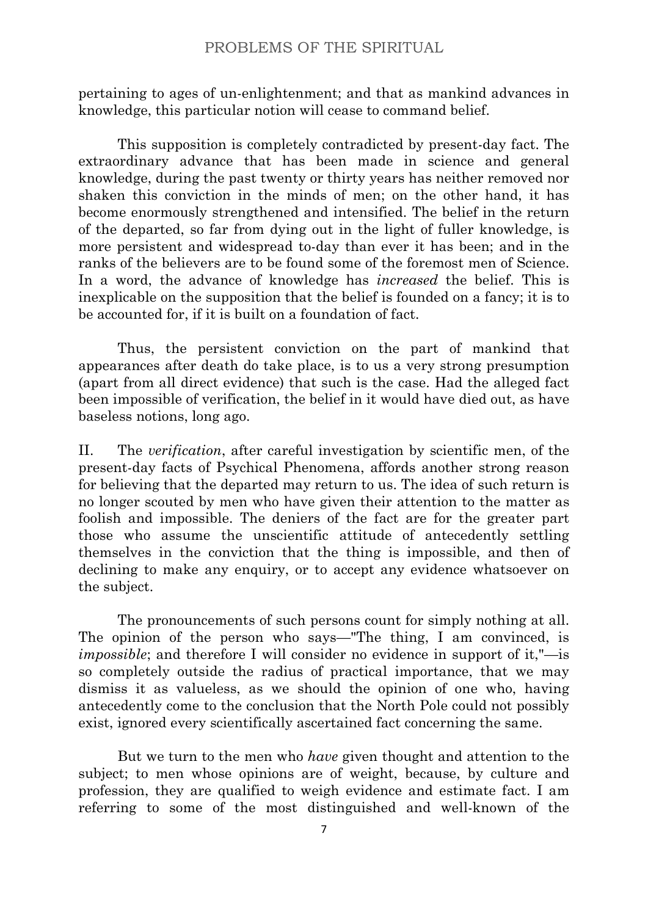pertaining to ages of un-enlightenment; and that as mankind advances in knowledge, this particular notion will cease to command belief.

This supposition is completely contradicted by present-day fact. The extraordinary advance that has been made in science and general knowledge, during the past twenty or thirty years has neither removed nor shaken this conviction in the minds of men; on the other hand, it has become enormously strengthened and intensified. The belief in the return of the departed, so far from dying out in the light of fuller knowledge, is more persistent and widespread to-day than ever it has been; and in the ranks of the believers are to be found some of the foremost men of Science. In a word, the advance of knowledge has *increased* the belief. This is inexplicable on the supposition that the belief is founded on a fancy; it is to be accounted for, if it is built on a foundation of fact.

Thus, the persistent conviction on the part of mankind that appearances after death do take place, is to us a very strong presumption (apart from all direct evidence) that such is the case. Had the alleged fact been impossible of verification, the belief in it would have died out, as have baseless notions, long ago.

II. The *verification*, after careful investigation by scientific men, of the present-day facts of Psychical Phenomena, affords another strong reason for believing that the departed may return to us. The idea of such return is no longer scouted by men who have given their attention to the matter as foolish and impossible. The deniers of the fact are for the greater part those who assume the unscientific attitude of antecedently settling themselves in the conviction that the thing is impossible, and then of declining to make any enquiry, or to accept any evidence whatsoever on the subject.

The pronouncements of such persons count for simply nothing at all. The opinion of the person who says—"The thing, I am convinced, is *impossible*; and therefore I will consider no evidence in support of it,"—is so completely outside the radius of practical importance, that we may dismiss it as valueless, as we should the opinion of one who, having antecedently come to the conclusion that the North Pole could not possibly exist, ignored every scientifically ascertained fact concerning the same.

But we turn to the men who *have* given thought and attention to the subject; to men whose opinions are of weight, because, by culture and profession, they are qualified to weigh evidence and estimate fact. I am referring to some of the most distinguished and well-known of the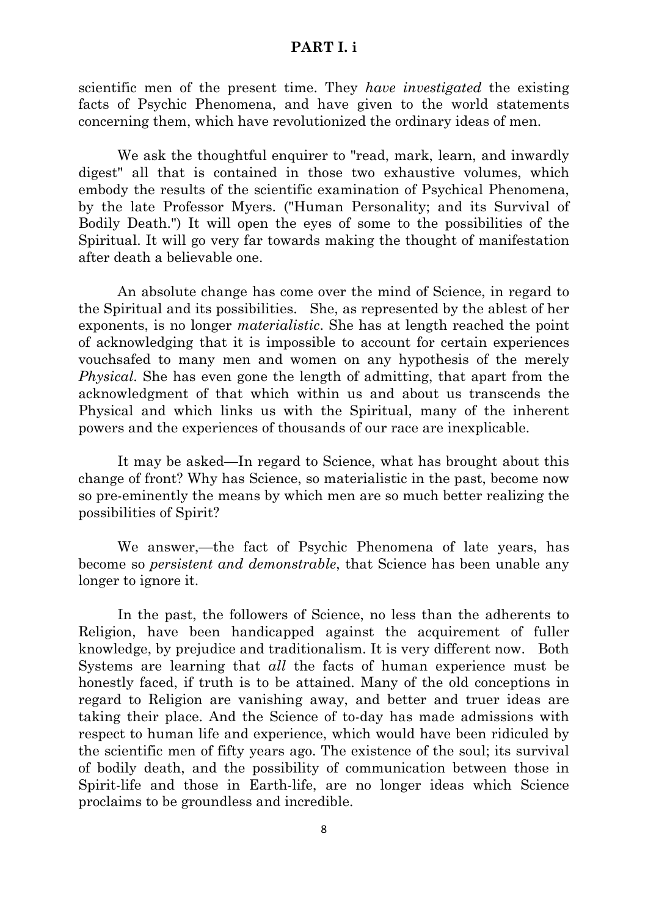# **PART I. i**

scientific men of the present time. They *have investigated* the existing facts of Psychic Phenomena, and have given to the world statements concerning them, which have revolutionized the ordinary ideas of men.

We ask the thoughtful enquirer to "read, mark, learn, and inwardly digest" all that is contained in those two exhaustive volumes, which embody the results of the scientific examination of Psychical Phenomena, by the late Professor Myers. ("Human Personality; and its Survival of Bodily Death.") It will open the eyes of some to the possibilities of the Spiritual. It will go very far towards making the thought of manifestation after death a believable one.

An absolute change has come over the mind of Science, in regard to the Spiritual and its possibilities. She, as represented by the ablest of her exponents, is no longer *materialistic*. She has at length reached the point of acknowledging that it is impossible to account for certain experiences vouchsafed to many men and women on any hypothesis of the merely *Physical*. She has even gone the length of admitting, that apart from the acknowledgment of that which within us and about us transcends the Physical and which links us with the Spiritual, many of the inherent powers and the experiences of thousands of our race are inexplicable.

It may be asked—In regard to Science, what has brought about this change of front? Why has Science, so materialistic in the past, become now so pre-eminently the means by which men are so much better realizing the possibilities of Spirit?

We answer,—the fact of Psychic Phenomena of late years, has become so *persistent and demonstrable*, that Science has been unable any longer to ignore it.

In the past, the followers of Science, no less than the adherents to Religion, have been handicapped against the acquirement of fuller knowledge, by prejudice and traditionalism. It is very different now. Both Systems are learning that *all* the facts of human experience must be honestly faced, if truth is to be attained. Many of the old conceptions in regard to Religion are vanishing away, and better and truer ideas are taking their place. And the Science of to-day has made admissions with respect to human life and experience, which would have been ridiculed by the scientific men of fifty years ago. The existence of the soul; its survival of bodily death, and the possibility of communication between those in Spirit-life and those in Earth-life, are no longer ideas which Science proclaims to be groundless and incredible.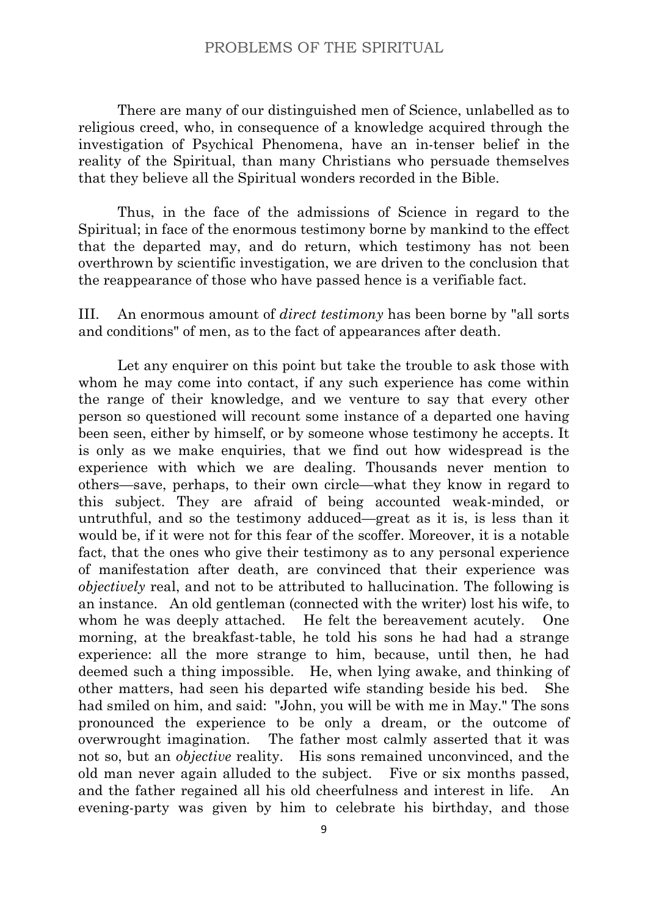There are many of our distinguished men of Science, unlabelled as to religious creed, who, in consequence of a knowledge acquired through the investigation of Psychical Phenomena, have an in-tenser belief in the reality of the Spiritual, than many Christians who persuade themselves that they believe all the Spiritual wonders recorded in the Bible.

Thus, in the face of the admissions of Science in regard to the Spiritual; in face of the enormous testimony borne by mankind to the effect that the departed may, and do return, which testimony has not been overthrown by scientific investigation, we are driven to the conclusion that the reappearance of those who have passed hence is a verifiable fact.

III. An enormous amount of *direct testimony* has been borne by "all sorts and conditions" of men, as to the fact of appearances after death.

Let any enquirer on this point but take the trouble to ask those with whom he may come into contact, if any such experience has come within the range of their knowledge, and we venture to say that every other person so questioned will recount some instance of a departed one having been seen, either by himself, or by someone whose testimony he accepts. It is only as we make enquiries, that we find out how widespread is the experience with which we are dealing. Thousands never mention to others—save, perhaps, to their own circle—what they know in regard to this subject. They are afraid of being accounted weak-minded, or untruthful, and so the testimony adduced—great as it is, is less than it would be, if it were not for this fear of the scoffer. Moreover, it is a notable fact, that the ones who give their testimony as to any personal experience of manifestation after death, are convinced that their experience was *objectively* real, and not to be attributed to hallucination. The following is an instance. An old gentleman (connected with the writer) lost his wife, to whom he was deeply attached. He felt the bereavement acutely. One morning, at the breakfast-table, he told his sons he had had a strange experience: all the more strange to him, because, until then, he had deemed such a thing impossible. He, when lying awake, and thinking of other matters, had seen his departed wife standing beside his bed. She had smiled on him, and said: "John, you will be with me in May." The sons pronounced the experience to be only a dream, or the outcome of overwrought imagination. The father most calmly asserted that it was not so, but an *objective* reality. His sons remained unconvinced, and the old man never again alluded to the subject. Five or six months passed, and the father regained all his old cheerfulness and interest in life. An evening-party was given by him to celebrate his birthday, and those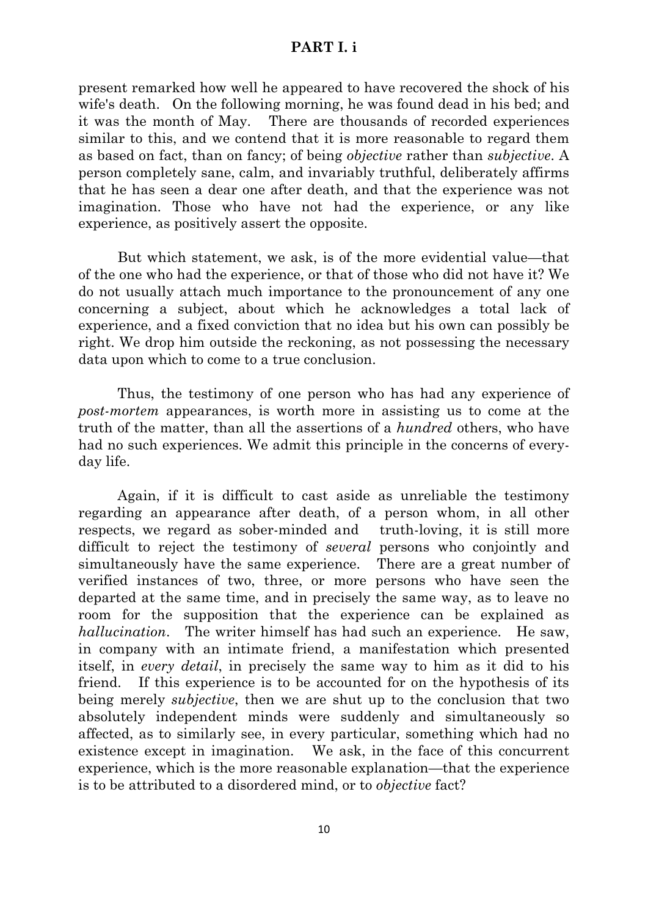# **PART I. i**

present remarked how well he appeared to have recovered the shock of his wife's death. On the following morning, he was found dead in his bed; and it was the month of May. There are thousands of recorded experiences similar to this, and we contend that it is more reasonable to regard them as based on fact, than on fancy; of being *objective* rather than *subjective*. A person completely sane, calm, and invariably truthful, deliberately affirms that he has seen a dear one after death, and that the experience was not imagination. Those who have not had the experience, or any like experience, as positively assert the opposite.

But which statement, we ask, is of the more evidential value—that of the one who had the experience, or that of those who did not have it? We do not usually attach much importance to the pronouncement of any one concerning a subject, about which he acknowledges a total lack of experience, and a fixed conviction that no idea but his own can possibly be right. We drop him outside the reckoning, as not possessing the necessary data upon which to come to a true conclusion.

Thus, the testimony of one person who has had any experience of *post-mortem* appearances, is worth more in assisting us to come at the truth of the matter, than all the assertions of a *hundred* others, who have had no such experiences. We admit this principle in the concerns of everyday life.

Again, if it is difficult to cast aside as unreliable the testimony regarding an appearance after death, of a person whom, in all other respects, we regard as sober-minded and truth-loving, it is still more difficult to reject the testimony of *several* persons who conjointly and simultaneously have the same experience. There are a great number of verified instances of two, three, or more persons who have seen the departed at the same time, and in precisely the same way, as to leave no room for the supposition that the experience can be explained as *hallucination*. The writer himself has had such an experience. He saw, in company with an intimate friend, a manifestation which presented itself, in *every detail*, in precisely the same way to him as it did to his friend. If this experience is to be accounted for on the hypothesis of its being merely *subjective*, then we are shut up to the conclusion that two absolutely independent minds were suddenly and simultaneously so affected, as to similarly see, in every particular, something which had no existence except in imagination. We ask, in the face of this concurrent experience, which is the more reasonable explanation—that the experience is to be attributed to a disordered mind, or to *objective* fact?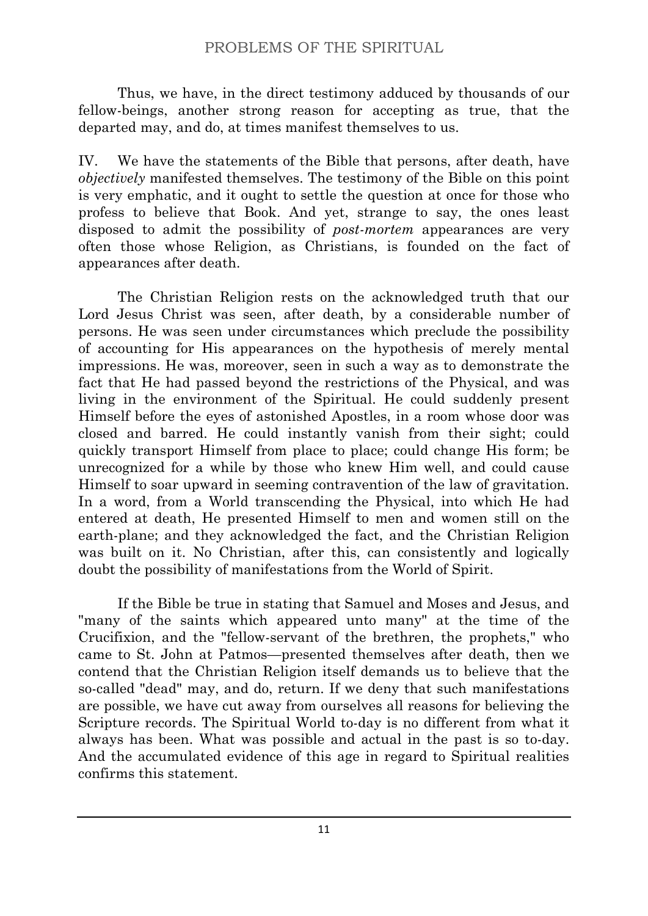Thus, we have, in the direct testimony adduced by thousands of our fellow-beings, another strong reason for accepting as true, that the departed may, and do, at times manifest themselves to us.

IV. We have the statements of the Bible that persons, after death, have *objectively* manifested themselves. The testimony of the Bible on this point is very emphatic, and it ought to settle the question at once for those who profess to believe that Book. And yet, strange to say, the ones least disposed to admit the possibility of *post-mortem* appearances are very often those whose Religion, as Christians, is founded on the fact of appearances after death.

The Christian Religion rests on the acknowledged truth that our Lord Jesus Christ was seen, after death, by a considerable number of persons. He was seen under circumstances which preclude the possibility of accounting for His appearances on the hypothesis of merely mental impressions. He was, moreover, seen in such a way as to demonstrate the fact that He had passed beyond the restrictions of the Physical, and was living in the environment of the Spiritual. He could suddenly present Himself before the eyes of astonished Apostles, in a room whose door was closed and barred. He could instantly vanish from their sight; could quickly transport Himself from place to place; could change His form; be unrecognized for a while by those who knew Him well, and could cause Himself to soar upward in seeming contravention of the law of gravitation. In a word, from a World transcending the Physical, into which He had entered at death, He presented Himself to men and women still on the earth-plane; and they acknowledged the fact, and the Christian Religion was built on it. No Christian, after this, can consistently and logically doubt the possibility of manifestations from the World of Spirit.

If the Bible be true in stating that Samuel and Moses and Jesus, and "many of the saints which appeared unto many" at the time of the Crucifixion, and the "fellow-servant of the brethren, the prophets," who came to St. John at Patmos—presented themselves after death, then we contend that the Christian Religion itself demands us to believe that the so-called "dead" may, and do, return. If we deny that such manifestations are possible, we have cut away from ourselves all reasons for believing the Scripture records. The Spiritual World to-day is no different from what it always has been. What was possible and actual in the past is so to-day. And the accumulated evidence of this age in regard to Spiritual realities confirms this statement.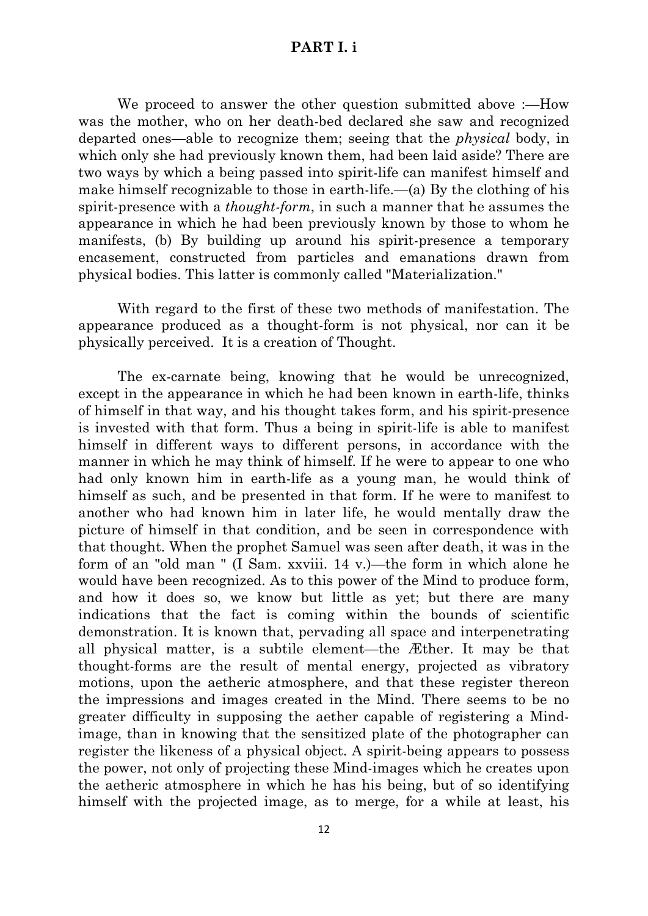# **PART I. i**

We proceed to answer the other question submitted above :—How was the mother, who on her death-bed declared she saw and recognized departed ones—able to recognize them; seeing that the *physical* body, in which only she had previously known them, had been laid aside? There are two ways by which a being passed into spirit-life can manifest himself and make himself recognizable to those in earth-life.—(a) By the clothing of his spirit-presence with a *thought-form*, in such a manner that he assumes the appearance in which he had been previously known by those to whom he manifests, (b) By building up around his spirit-presence a temporary encasement, constructed from particles and emanations drawn from physical bodies. This latter is commonly called "Materialization."

With regard to the first of these two methods of manifestation. The appearance produced as a thought-form is not physical, nor can it be physically perceived. It is a creation of Thought.

The ex-carnate being, knowing that he would be unrecognized, except in the appearance in which he had been known in earth-life, thinks of himself in that way, and his thought takes form, and his spirit-presence is invested with that form. Thus a being in spirit-life is able to manifest himself in different ways to different persons, in accordance with the manner in which he may think of himself. If he were to appear to one who had only known him in earth-life as a young man, he would think of himself as such, and be presented in that form. If he were to manifest to another who had known him in later life, he would mentally draw the picture of himself in that condition, and be seen in correspondence with that thought. When the prophet Samuel was seen after death, it was in the form of an "old man " (I Sam. xxviii. 14 v.)—the form in which alone he would have been recognized. As to this power of the Mind to produce form, and how it does so, we know but little as yet; but there are many indications that the fact is coming within the bounds of scientific demonstration. It is known that, pervading all space and interpenetrating all physical matter, is a subtile element—the Æther. It may be that thought-forms are the result of mental energy, projected as vibratory motions, upon the aetheric atmosphere, and that these register thereon the impressions and images created in the Mind. There seems to be no greater difficulty in supposing the aether capable of registering a Mindimage, than in knowing that the sensitized plate of the photographer can register the likeness of a physical object. A spirit-being appears to possess the power, not only of projecting these Mind-images which he creates upon the aetheric atmosphere in which he has his being, but of so identifying himself with the projected image, as to merge, for a while at least, his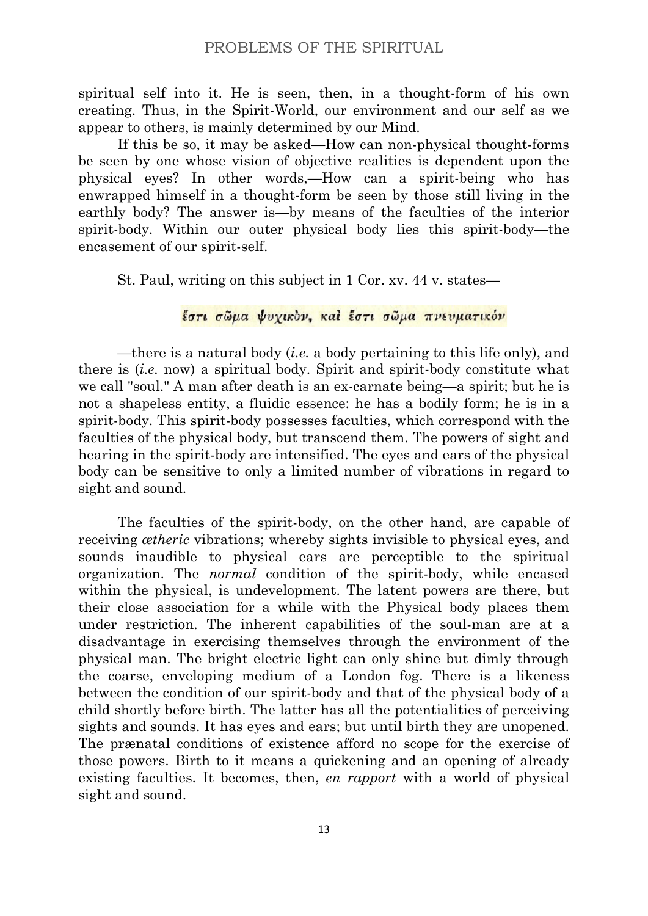spiritual self into it. He is seen, then, in a thought-form of his own creating. Thus, in the Spirit-World, our environment and our self as we appear to others, is mainly determined by our Mind.

If this be so, it may be asked—How can non-physical thought-forms be seen by one whose vision of objective realities is dependent upon the physical eyes? In other words,—How can a spirit-being who has enwrapped himself in a thought-form be seen by those still living in the earthly body? The answer is—by means of the faculties of the interior spirit-body. Within our outer physical body lies this spirit-body—the encasement of our spirit-self.

St. Paul, writing on this subject in 1 Cor. xv. 44 v. states—

# έστι σώμα ψυγικόν, καί έστι σώμα πνευματικόν

—there is a natural body (*i.e.* a body pertaining to this life only), and there is (*i.e.* now) a spiritual body. Spirit and spirit-body constitute what we call "soul." A man after death is an ex-carnate being—a spirit; but he is not a shapeless entity, a fluidic essence: he has a bodily form; he is in a spirit-body. This spirit-body possesses faculties, which correspond with the faculties of the physical body, but transcend them. The powers of sight and hearing in the spirit-body are intensified. The eyes and ears of the physical body can be sensitive to only a limited number of vibrations in regard to sight and sound.

The faculties of the spirit-body, on the other hand, are capable of receiving *ætheric* vibrations; whereby sights invisible to physical eyes, and sounds inaudible to physical ears are perceptible to the spiritual organization. The *normal* condition of the spirit-body, while encased within the physical, is undevelopment. The latent powers are there, but their close association for a while with the Physical body places them under restriction. The inherent capabilities of the soul-man are at a disadvantage in exercising themselves through the environment of the physical man. The bright electric light can only shine but dimly through the coarse, enveloping medium of a London fog. There is a likeness between the condition of our spirit-body and that of the physical body of a child shortly before birth. The latter has all the potentialities of perceiving sights and sounds. It has eyes and ears; but until birth they are unopened. The prænatal conditions of existence afford no scope for the exercise of those powers. Birth to it means a quickening and an opening of already existing faculties. It becomes, then, *en rapport* with a world of physical sight and sound.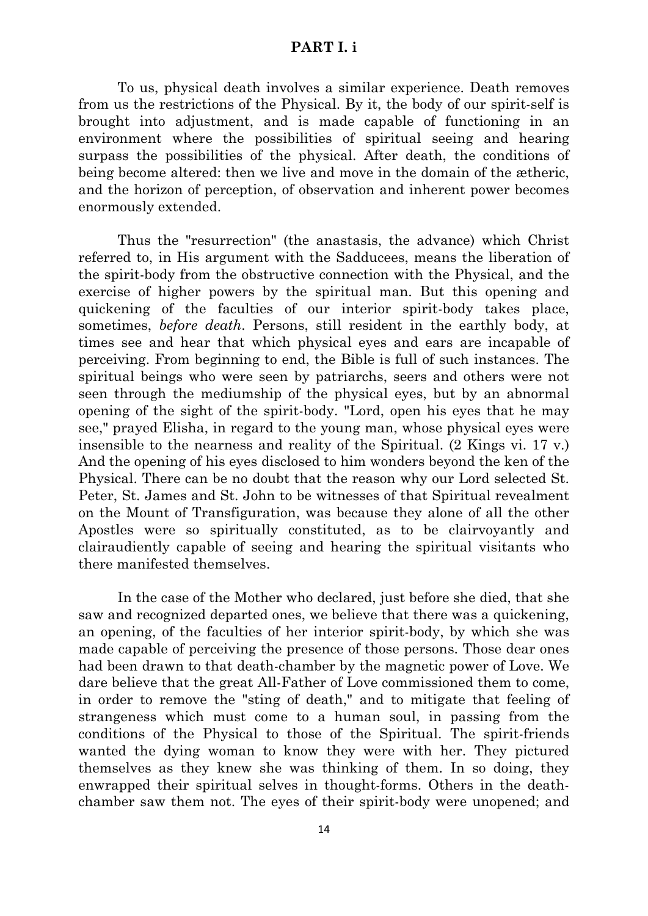#### **PART I. i**

To us, physical death involves a similar experience. Death removes from us the restrictions of the Physical. By it, the body of our spirit-self is brought into adjustment, and is made capable of functioning in an environment where the possibilities of spiritual seeing and hearing surpass the possibilities of the physical. After death, the conditions of being become altered: then we live and move in the domain of the ætheric, and the horizon of perception, of observation and inherent power becomes enormously extended.

Thus the "resurrection" (the anastasis, the advance) which Christ referred to, in His argument with the Sadducees, means the liberation of the spirit-body from the obstructive connection with the Physical, and the exercise of higher powers by the spiritual man. But this opening and quickening of the faculties of our interior spirit-body takes place, sometimes, *before death*. Persons, still resident in the earthly body, at times see and hear that which physical eyes and ears are incapable of perceiving. From beginning to end, the Bible is full of such instances. The spiritual beings who were seen by patriarchs, seers and others were not seen through the mediumship of the physical eyes, but by an abnormal opening of the sight of the spirit-body. "Lord, open his eyes that he may see," prayed Elisha, in regard to the young man, whose physical eyes were insensible to the nearness and reality of the Spiritual. (2 Kings vi. 17 v.) And the opening of his eyes disclosed to him wonders beyond the ken of the Physical. There can be no doubt that the reason why our Lord selected St. Peter, St. James and St. John to be witnesses of that Spiritual revealment on the Mount of Transfiguration, was because they alone of all the other Apostles were so spiritually constituted, as to be clairvoyantly and clairaudiently capable of seeing and hearing the spiritual visitants who there manifested themselves.

In the case of the Mother who declared, just before she died, that she saw and recognized departed ones, we believe that there was a quickening, an opening, of the faculties of her interior spirit-body, by which she was made capable of perceiving the presence of those persons. Those dear ones had been drawn to that death-chamber by the magnetic power of Love. We dare believe that the great All-Father of Love commissioned them to come, in order to remove the "sting of death," and to mitigate that feeling of strangeness which must come to a human soul, in passing from the conditions of the Physical to those of the Spiritual. The spirit-friends wanted the dying woman to know they were with her. They pictured themselves as they knew she was thinking of them. In so doing, they enwrapped their spiritual selves in thought-forms. Others in the deathchamber saw them not. The eyes of their spirit-body were unopened; and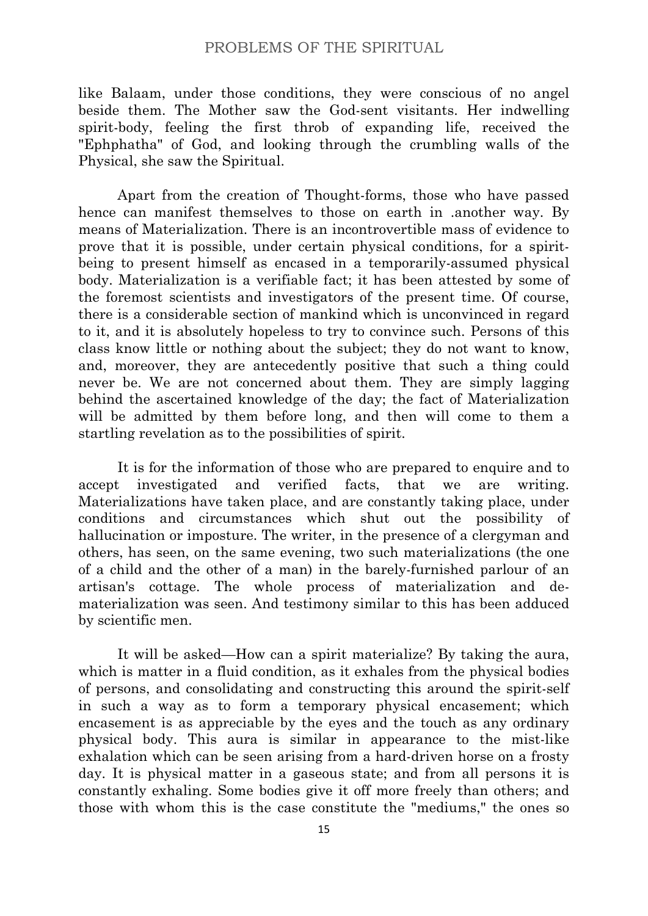like Balaam, under those conditions, they were conscious of no angel beside them. The Mother saw the God-sent visitants. Her indwelling spirit-body, feeling the first throb of expanding life, received the "Ephphatha" of God, and looking through the crumbling walls of the Physical, she saw the Spiritual.

Apart from the creation of Thought-forms, those who have passed hence can manifest themselves to those on earth in .another way. By means of Materialization. There is an incontrovertible mass of evidence to prove that it is possible, under certain physical conditions, for a spiritbeing to present himself as encased in a temporarily-assumed physical body. Materialization is a verifiable fact; it has been attested by some of the foremost scientists and investigators of the present time. Of course, there is a considerable section of mankind which is unconvinced in regard to it, and it is absolutely hopeless to try to convince such. Persons of this class know little or nothing about the subject; they do not want to know, and, moreover, they are antecedently positive that such a thing could never be. We are not concerned about them. They are simply lagging behind the ascertained knowledge of the day; the fact of Materialization will be admitted by them before long, and then will come to them a startling revelation as to the possibilities of spirit.

It is for the information of those who are prepared to enquire and to accept investigated and verified facts, that we are writing. Materializations have taken place, and are constantly taking place, under conditions and circumstances which shut out the possibility of hallucination or imposture. The writer, in the presence of a clergyman and others, has seen, on the same evening, two such materializations (the one of a child and the other of a man) in the barely-furnished parlour of an artisan's cottage. The whole process of materialization and dematerialization was seen. And testimony similar to this has been adduced by scientific men.

It will be asked—How can a spirit materialize? By taking the aura, which is matter in a fluid condition, as it exhales from the physical bodies of persons, and consolidating and constructing this around the spirit-self in such a way as to form a temporary physical encasement; which encasement is as appreciable by the eyes and the touch as any ordinary physical body. This aura is similar in appearance to the mist-like exhalation which can be seen arising from a hard-driven horse on a frosty day. It is physical matter in a gaseous state; and from all persons it is constantly exhaling. Some bodies give it off more freely than others; and those with whom this is the case constitute the "mediums," the ones so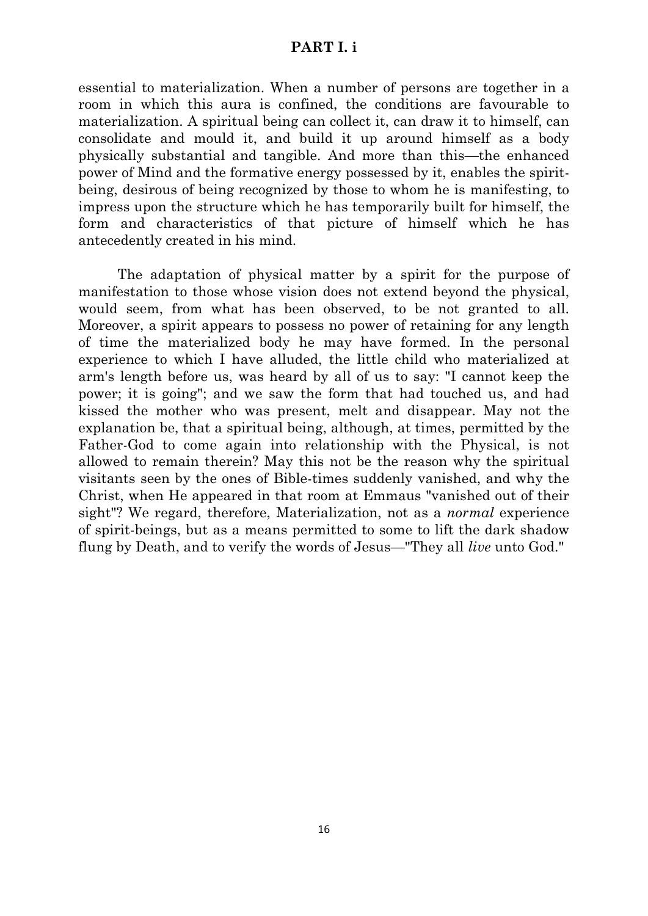#### **PART I. i**

essential to materialization. When a number of persons are together in a room in which this aura is confined, the conditions are favourable to materialization. A spiritual being can collect it, can draw it to himself, can consolidate and mould it, and build it up around himself as a body physically substantial and tangible. And more than this—the enhanced power of Mind and the formative energy possessed by it, enables the spiritbeing, desirous of being recognized by those to whom he is manifesting, to impress upon the structure which he has temporarily built for himself, the form and characteristics of that picture of himself which he has antecedently created in his mind.

The adaptation of physical matter by a spirit for the purpose of manifestation to those whose vision does not extend beyond the physical, would seem, from what has been observed, to be not granted to all. Moreover, a spirit appears to possess no power of retaining for any length of time the materialized body he may have formed. In the personal experience to which I have alluded, the little child who materialized at arm's length before us, was heard by all of us to say: "I cannot keep the power; it is going"; and we saw the form that had touched us, and had kissed the mother who was present, melt and disappear. May not the explanation be, that a spiritual being, although, at times, permitted by the Father-God to come again into relationship with the Physical, is not allowed to remain therein? May this not be the reason why the spiritual visitants seen by the ones of Bible-times suddenly vanished, and why the Christ, when He appeared in that room at Emmaus "vanished out of their sight"? We regard, therefore, Materialization, not as a *normal* experience of spirit-beings, but as a means permitted to some to lift the dark shadow flung by Death, and to verify the words of Jesus—"They all *live* unto God."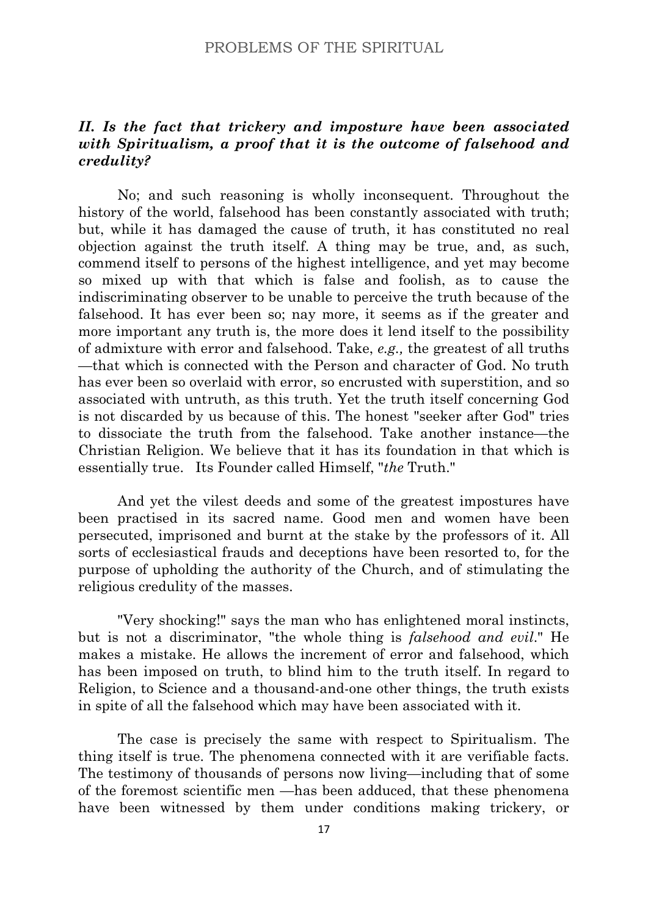# <span id="page-18-0"></span>*II. Is the fact that trickery and imposture have been associated with Spiritualism, a proof that it is the outcome of falsehood and credulity?*

No; and such reasoning is wholly inconsequent. Throughout the history of the world, falsehood has been constantly associated with truth; but, while it has damaged the cause of truth, it has constituted no real objection against the truth itself. A thing may be true, and, as such, commend itself to persons of the highest intelligence, and yet may become so mixed up with that which is false and foolish, as to cause the indiscriminating observer to be unable to perceive the truth because of the falsehood. It has ever been so; nay more, it seems as if the greater and more important any truth is, the more does it lend itself to the possibility of admixture with error and falsehood. Take, *e.g.,* the greatest of all truths —that which is connected with the Person and character of God. No truth has ever been so overlaid with error, so encrusted with superstition, and so associated with untruth, as this truth. Yet the truth itself concerning God is not discarded by us because of this. The honest "seeker after God" tries to dissociate the truth from the falsehood. Take another instance—the Christian Religion. We believe that it has its foundation in that which is essentially true. Its Founder called Himself, "*the* Truth."

And yet the vilest deeds and some of the greatest impostures have been practised in its sacred name. Good men and women have been persecuted, imprisoned and burnt at the stake by the professors of it. All sorts of ecclesiastical frauds and deceptions have been resorted to, for the purpose of upholding the authority of the Church, and of stimulating the religious credulity of the masses.

"Very shocking!" says the man who has enlightened moral instincts, but is not a discriminator, "the whole thing is *falsehood and evil*." He makes a mistake. He allows the increment of error and falsehood, which has been imposed on truth, to blind him to the truth itself. In regard to Religion, to Science and a thousand-and-one other things, the truth exists in spite of all the falsehood which may have been associated with it.

The case is precisely the same with respect to Spiritualism. The thing itself is true. The phenomena connected with it are verifiable facts. The testimony of thousands of persons now living—including that of some of the foremost scientific men —has been adduced, that these phenomena have been witnessed by them under conditions making trickery, or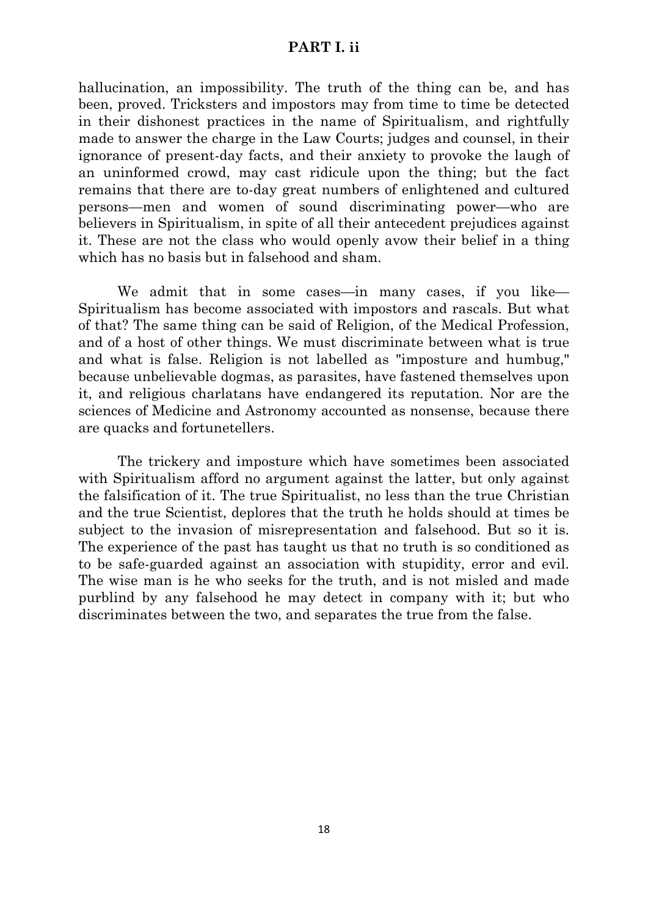#### **PART I. ii**

hallucination, an impossibility. The truth of the thing can be, and has been, proved. Tricksters and impostors may from time to time be detected in their dishonest practices in the name of Spiritualism, and rightfully made to answer the charge in the Law Courts; judges and counsel, in their ignorance of present-day facts, and their anxiety to provoke the laugh of an uninformed crowd, may cast ridicule upon the thing; but the fact remains that there are to-day great numbers of enlightened and cultured persons—men and women of sound discriminating power—who are believers in Spiritualism, in spite of all their antecedent prejudices against it. These are not the class who would openly avow their belief in a thing which has no basis but in falsehood and sham.

We admit that in some cases—in many cases, if you like— Spiritualism has become associated with impostors and rascals. But what of that? The same thing can be said of Religion, of the Medical Profession, and of a host of other things. We must discriminate between what is true and what is false. Religion is not labelled as "imposture and humbug," because unbelievable dogmas, as parasites, have fastened themselves upon it, and religious charlatans have endangered its reputation. Nor are the sciences of Medicine and Astronomy accounted as nonsense, because there are quacks and fortunetellers.

The trickery and imposture which have sometimes been associated with Spiritualism afford no argument against the latter, but only against the falsification of it. The true Spiritualist, no less than the true Christian and the true Scientist, deplores that the truth he holds should at times be subject to the invasion of misrepresentation and falsehood. But so it is. The experience of the past has taught us that no truth is so conditioned as to be safe-guarded against an association with stupidity, error and evil. The wise man is he who seeks for the truth, and is not misled and made purblind by any falsehood he may detect in company with it; but who discriminates between the two, and separates the true from the false.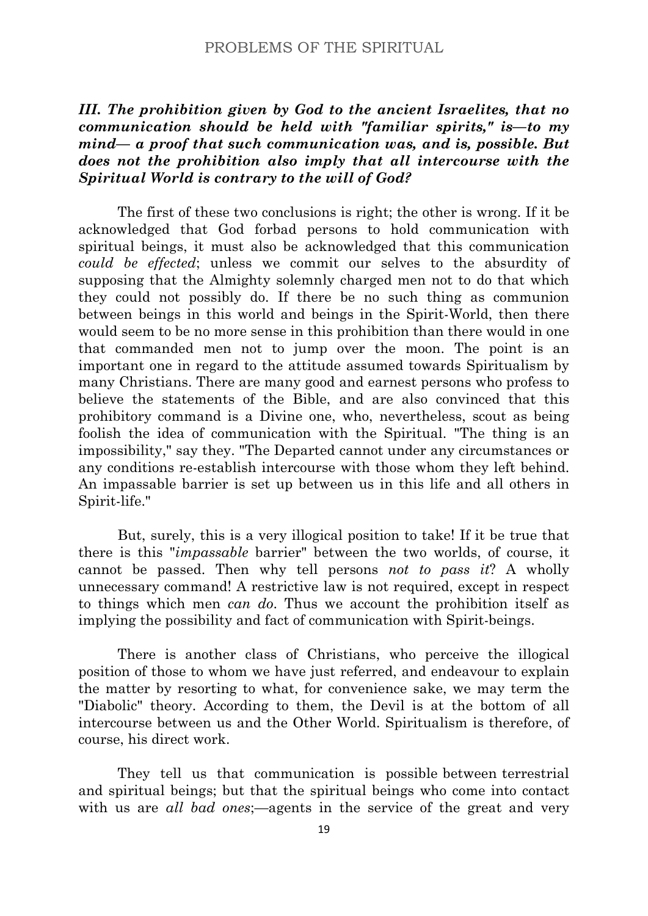# <span id="page-20-0"></span>*III. The prohibition given by God to the ancient Israelites, that no communication should be held with "familiar spirits," is—to my mind— a proof that such communication was, and is, possible. But does not the prohibition also imply that all intercourse with the Spiritual World is contrary to the will of God?*

The first of these two conclusions is right; the other is wrong. If it be acknowledged that God forbad persons to hold communication with spiritual beings, it must also be acknowledged that this communication *could be effected*; unless we commit our selves to the absurdity of supposing that the Almighty solemnly charged men not to do that which they could not possibly do. If there be no such thing as communion between beings in this world and beings in the Spirit-World, then there would seem to be no more sense in this prohibition than there would in one that commanded men not to jump over the moon. The point is an important one in regard to the attitude assumed towards Spiritualism by many Christians. There are many good and earnest persons who profess to believe the statements of the Bible, and are also convinced that this prohibitory command is a Divine one, who, nevertheless, scout as being foolish the idea of communication with the Spiritual. "The thing is an impossibility," say they. "The Departed cannot under any circumstances or any conditions re-establish intercourse with those whom they left behind. An impassable barrier is set up between us in this life and all others in Spirit-life."

But, surely, this is a very illogical position to take! If it be true that there is this "*impassable* barrier" between the two worlds, of course, it cannot be passed. Then why tell persons *not to pass it*? A wholly unnecessary command! A restrictive law is not required, except in respect to things which men *can do*. Thus we account the prohibition itself as implying the possibility and fact of communication with Spirit-beings.

There is another class of Christians, who perceive the illogical position of those to whom we have just referred, and endeavour to explain the matter by resorting to what, for convenience sake, we may term the "Diabolic" theory. According to them, the Devil is at the bottom of all intercourse between us and the Other World. Spiritualism is therefore, of course, his direct work.

They tell us that communication is possible between terrestrial and spiritual beings; but that the spiritual beings who come into contact with us are *all bad ones*;—agents in the service of the great and very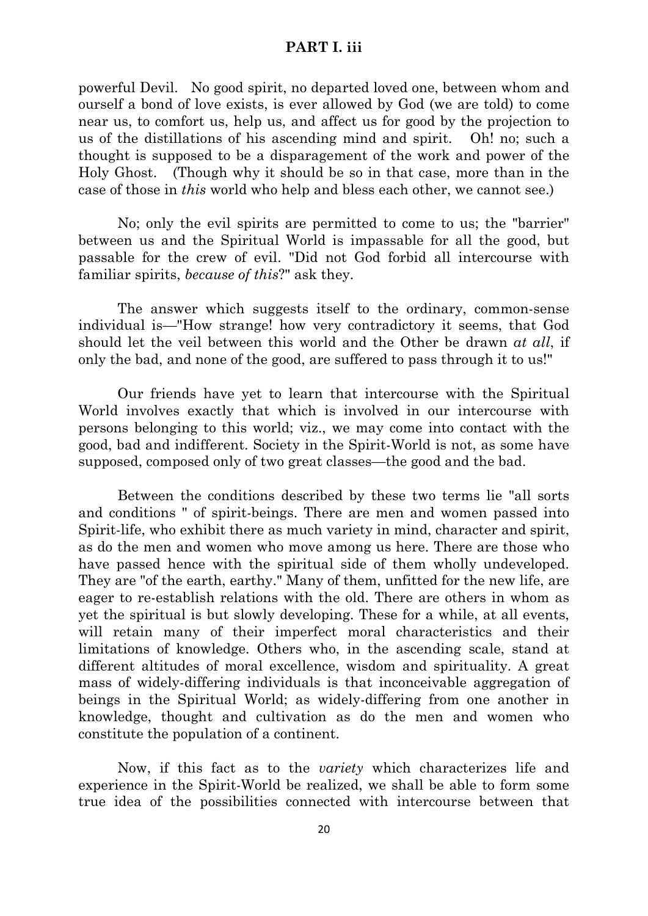# **PART I. iii**

powerful Devil. No good spirit, no departed loved one, between whom and ourself a bond of love exists, is ever allowed by God (we are told) to come near us, to comfort us, help us, and affect us for good by the projection to us of the distillations of his ascending mind and spirit. Oh! no; such a thought is supposed to be a disparagement of the work and power of the Holy Ghost. (Though why it should be so in that case, more than in the case of those in *this* world who help and bless each other, we cannot see.)

No; only the evil spirits are permitted to come to us; the "barrier" between us and the Spiritual World is impassable for all the good, but passable for the crew of evil. "Did not God forbid all intercourse with familiar spirits, *because of this*?" ask they.

The answer which suggests itself to the ordinary, common-sense individual is—"How strange! how very contradictory it seems, that God should let the veil between this world and the Other be drawn *at all*, if only the bad, and none of the good, are suffered to pass through it to us!"

Our friends have yet to learn that intercourse with the Spiritual World involves exactly that which is involved in our intercourse with persons belonging to this world; viz., we may come into contact with the good, bad and indifferent. Society in the Spirit-World is not, as some have supposed, composed only of two great classes—the good and the bad.

Between the conditions described by these two terms lie "all sorts and conditions " of spirit-beings. There are men and women passed into Spirit-life, who exhibit there as much variety in mind, character and spirit, as do the men and women who move among us here. There are those who have passed hence with the spiritual side of them wholly undeveloped. They are "of the earth, earthy." Many of them, unfitted for the new life, are eager to re-establish relations with the old. There are others in whom as yet the spiritual is but slowly developing. These for a while, at all events, will retain many of their imperfect moral characteristics and their limitations of knowledge. Others who, in the ascending scale, stand at different altitudes of moral excellence, wisdom and spirituality. A great mass of widely-differing individuals is that inconceivable aggregation of beings in the Spiritual World; as widely-differing from one another in knowledge, thought and cultivation as do the men and women who constitute the population of a continent.

Now, if this fact as to the *variety* which characterizes life and experience in the Spirit-World be realized, we shall be able to form some true idea of the possibilities connected with intercourse between that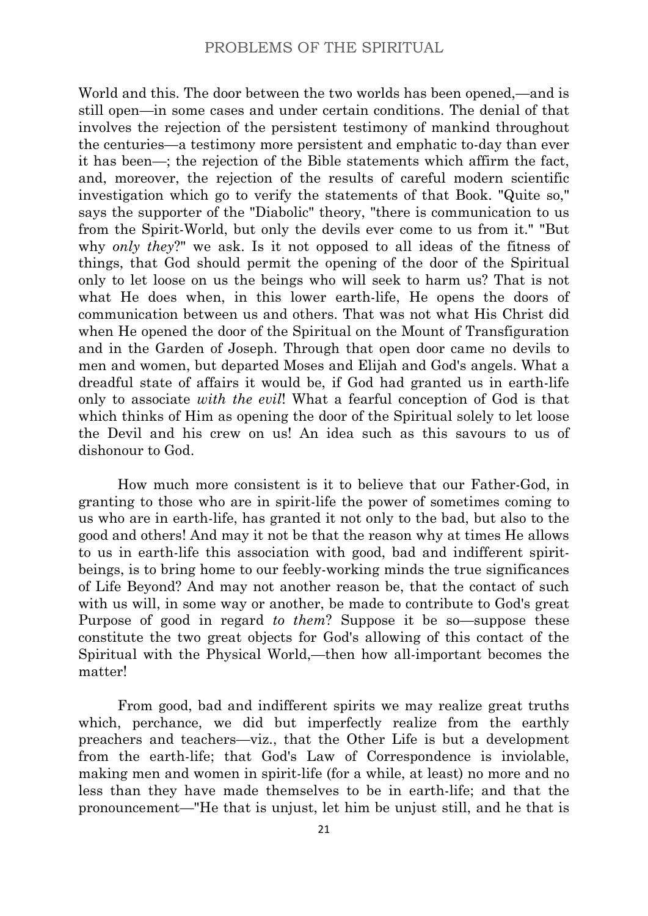World and this. The door between the two worlds has been opened,—and is still open—in some cases and under certain conditions. The denial of that involves the rejection of the persistent testimony of mankind throughout the centuries—a testimony more persistent and emphatic to-day than ever it has been—; the rejection of the Bible statements which affirm the fact, and, moreover, the rejection of the results of careful modern scientific investigation which go to verify the statements of that Book. "Quite so," says the supporter of the "Diabolic" theory, "there is communication to us from the Spirit-World, but only the devils ever come to us from it." "But why *only they*?" we ask. Is it not opposed to all ideas of the fitness of things, that God should permit the opening of the door of the Spiritual only to let loose on us the beings who will seek to harm us? That is not what He does when, in this lower earth-life, He opens the doors of communication between us and others. That was not what His Christ did when He opened the door of the Spiritual on the Mount of Transfiguration and in the Garden of Joseph. Through that open door came no devils to men and women, but departed Moses and Elijah and God's angels. What a dreadful state of affairs it would be, if God had granted us in earth-life only to associate *with the evil*! What a fearful conception of God is that which thinks of Him as opening the door of the Spiritual solely to let loose the Devil and his crew on us! An idea such as this savours to us of dishonour to God.

How much more consistent is it to believe that our Father-God, in granting to those who are in spirit-life the power of sometimes coming to us who are in earth-life, has granted it not only to the bad, but also to the good and others! And may it not be that the reason why at times He allows to us in earth-life this association with good, bad and indifferent spiritbeings, is to bring home to our feebly-working minds the true significances of Life Beyond? And may not another reason be, that the contact of such with us will, in some way or another, be made to contribute to God's great Purpose of good in regard *to them*? Suppose it be so—suppose these constitute the two great objects for God's allowing of this contact of the Spiritual with the Physical World,—then how all-important becomes the matter!

From good, bad and indifferent spirits we may realize great truths which, perchance, we did but imperfectly realize from the earthly preachers and teachers—viz., that the Other Life is but a development from the earth-life; that God's Law of Correspondence is inviolable, making men and women in spirit-life (for a while, at least) no more and no less than they have made themselves to be in earth-life; and that the pronouncement—"He that is unjust, let him be unjust still, and he that is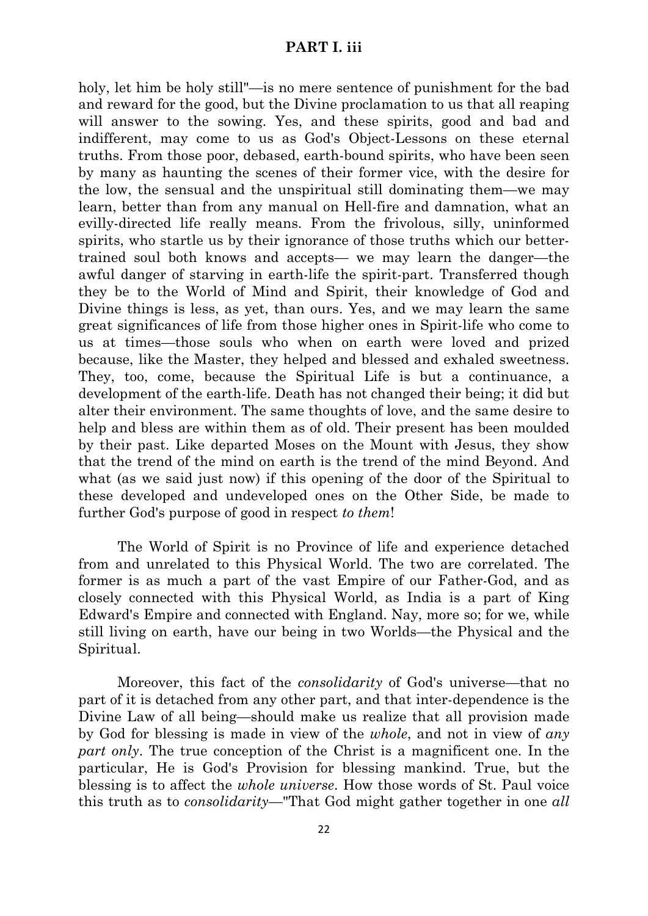#### **PART I. iii**

holy, let him be holy still"—is no mere sentence of punishment for the bad and reward for the good, but the Divine proclamation to us that all reaping will answer to the sowing. Yes, and these spirits, good and bad and indifferent, may come to us as God's Object-Lessons on these eternal truths. From those poor, debased, earth-bound spirits, who have been seen by many as haunting the scenes of their former vice, with the desire for the low, the sensual and the unspiritual still dominating them—we may learn, better than from any manual on Hell-fire and damnation, what an evilly-directed life really means. From the frivolous, silly, uninformed spirits, who startle us by their ignorance of those truths which our bettertrained soul both knows and accepts— we may learn the danger—the awful danger of starving in earth-life the spirit-part. Transferred though they be to the World of Mind and Spirit, their knowledge of God and Divine things is less, as yet, than ours. Yes, and we may learn the same great significances of life from those higher ones in Spirit-life who come to us at times—those souls who when on earth were loved and prized because, like the Master, they helped and blessed and exhaled sweetness. They, too, come, because the Spiritual Life is but a continuance, a development of the earth-life. Death has not changed their being; it did but alter their environment. The same thoughts of love, and the same desire to help and bless are within them as of old. Their present has been moulded by their past. Like departed Moses on the Mount with Jesus, they show that the trend of the mind on earth is the trend of the mind Beyond. And what (as we said just now) if this opening of the door of the Spiritual to these developed and undeveloped ones on the Other Side, be made to further God's purpose of good in respect *to them*!

The World of Spirit is no Province of life and experience detached from and unrelated to this Physical World. The two are correlated. The former is as much a part of the vast Empire of our Father-God, and as closely connected with this Physical World, as India is a part of King Edward's Empire and connected with England. Nay, more so; for we, while still living on earth, have our being in two Worlds—the Physical and the Spiritual.

Moreover, this fact of the *consolidarity* of God's universe—that no part of it is detached from any other part, and that inter-dependence is the Divine Law of all being—should make us realize that all provision made by God for blessing is made in view of the *whole*, and not in view of *any part only*. The true conception of the Christ is a magnificent one. In the particular, He is God's Provision for blessing mankind. True, but the blessing is to affect the *whole universe*. How those words of St. Paul voice this truth as to *consolidarity*—"That God might gather together in one *all*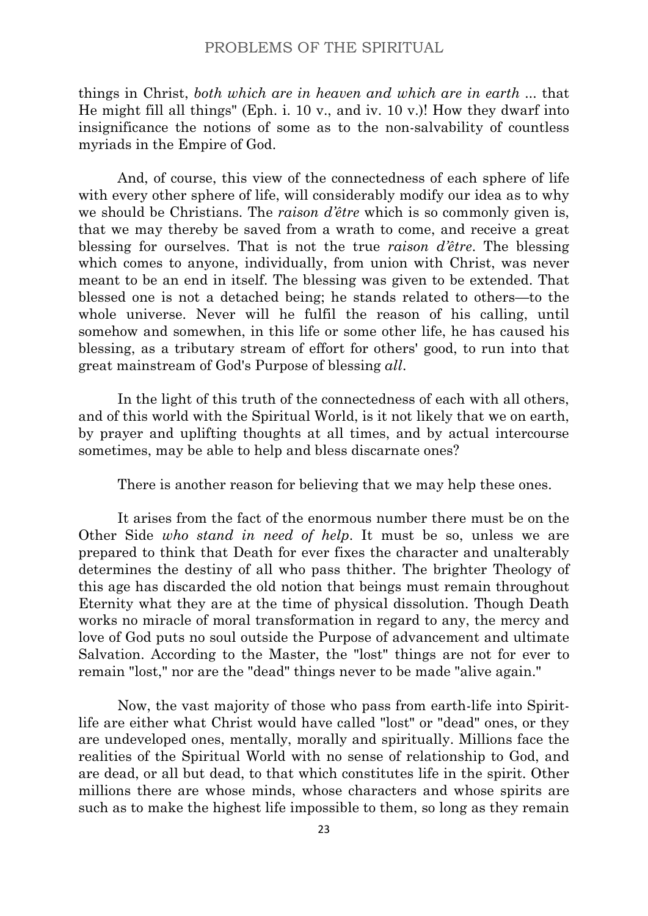things in Christ, *both which are in heaven and which are in earth* ... that He might fill all things" (Eph. i. 10 v., and iv. 10 v.)! How they dwarf into insignificance the notions of some as to the non-salvability of countless myriads in the Empire of God.

And, of course, this view of the connectedness of each sphere of life with every other sphere of life, will considerably modify our idea as to why we should be Christians. The *raison d'être* which is so commonly given is, that we may thereby be saved from a wrath to come, and receive a great blessing for ourselves. That is not the true *raison d'être*. The blessing which comes to anyone, individually, from union with Christ, was never meant to be an end in itself. The blessing was given to be extended. That blessed one is not a detached being; he stands related to others—to the whole universe. Never will he fulfil the reason of his calling, until somehow and somewhen, in this life or some other life, he has caused his blessing, as a tributary stream of effort for others' good, to run into that great mainstream of God's Purpose of blessing *all*.

In the light of this truth of the connectedness of each with all others, and of this world with the Spiritual World, is it not likely that we on earth, by prayer and uplifting thoughts at all times, and by actual intercourse sometimes, may be able to help and bless discarnate ones?

There is another reason for believing that we may help these ones.

It arises from the fact of the enormous number there must be on the Other Side *who stand in need of help*. It must be so, unless we are prepared to think that Death for ever fixes the character and unalterably determines the destiny of all who pass thither. The brighter Theology of this age has discarded the old notion that beings must remain throughout Eternity what they are at the time of physical dissolution. Though Death works no miracle of moral transformation in regard to any, the mercy and love of God puts no soul outside the Purpose of advancement and ultimate Salvation. According to the Master, the "lost" things are not for ever to remain "lost," nor are the "dead" things never to be made "alive again."

Now, the vast majority of those who pass from earth-life into Spiritlife are either what Christ would have called "lost" or "dead" ones, or they are undeveloped ones, mentally, morally and spiritually. Millions face the realities of the Spiritual World with no sense of relationship to God, and are dead, or all but dead, to that which constitutes life in the spirit. Other millions there are whose minds, whose characters and whose spirits are such as to make the highest life impossible to them, so long as they remain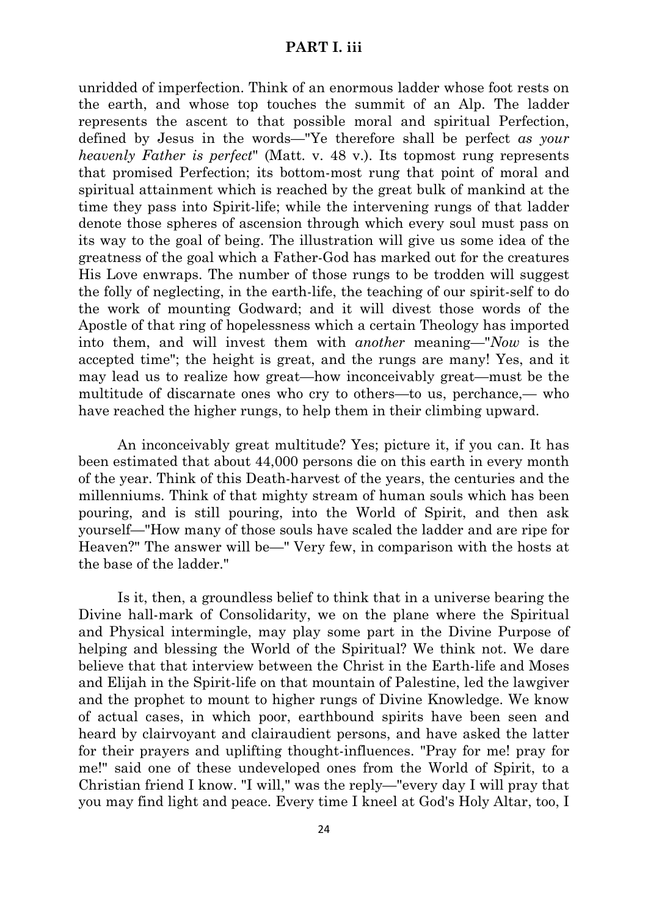#### **PART I. iii**

unridded of imperfection. Think of an enormous ladder whose foot rests on the earth, and whose top touches the summit of an Alp. The ladder represents the ascent to that possible moral and spiritual Perfection, defined by Jesus in the words—"Ye therefore shall be perfect *as your heavenly Father is perfect*" (Matt. v. 48 v.). Its topmost rung represents that promised Perfection; its bottom-most rung that point of moral and spiritual attainment which is reached by the great bulk of mankind at the time they pass into Spirit-life; while the intervening rungs of that ladder denote those spheres of ascension through which every soul must pass on its way to the goal of being. The illustration will give us some idea of the greatness of the goal which a Father-God has marked out for the creatures His Love enwraps. The number of those rungs to be trodden will suggest the folly of neglecting, in the earth-life, the teaching of our spirit-self to do the work of mounting Godward; and it will divest those words of the Apostle of that ring of hopelessness which a certain Theology has imported into them, and will invest them with *another* meaning—"*Now* is the accepted time"; the height is great, and the rungs are many! Yes, and it may lead us to realize how great—how inconceivably great—must be the multitude of discarnate ones who cry to others—to us, perchance,— who have reached the higher rungs, to help them in their climbing upward.

An inconceivably great multitude? Yes; picture it, if you can. It has been estimated that about 44,000 persons die on this earth in every month of the year. Think of this Death-harvest of the years, the centuries and the millenniums. Think of that mighty stream of human souls which has been pouring, and is still pouring, into the World of Spirit, and then ask yourself—"How many of those souls have scaled the ladder and are ripe for Heaven?" The answer will be—" Very few, in comparison with the hosts at the base of the ladder."

Is it, then, a groundless belief to think that in a universe bearing the Divine hall-mark of Consolidarity, we on the plane where the Spiritual and Physical intermingle, may play some part in the Divine Purpose of helping and blessing the World of the Spiritual? We think not. We dare believe that that interview between the Christ in the Earth-life and Moses and Elijah in the Spirit-life on that mountain of Palestine, led the lawgiver and the prophet to mount to higher rungs of Divine Knowledge. We know of actual cases, in which poor, earthbound spirits have been seen and heard by clairvoyant and clairaudient persons, and have asked the latter for their prayers and uplifting thought-influences. "Pray for me! pray for me!" said one of these undeveloped ones from the World of Spirit, to a Christian friend I know. "I will," was the reply—"every day I will pray that you may find light and peace. Every time I kneel at God's Holy Altar, too, I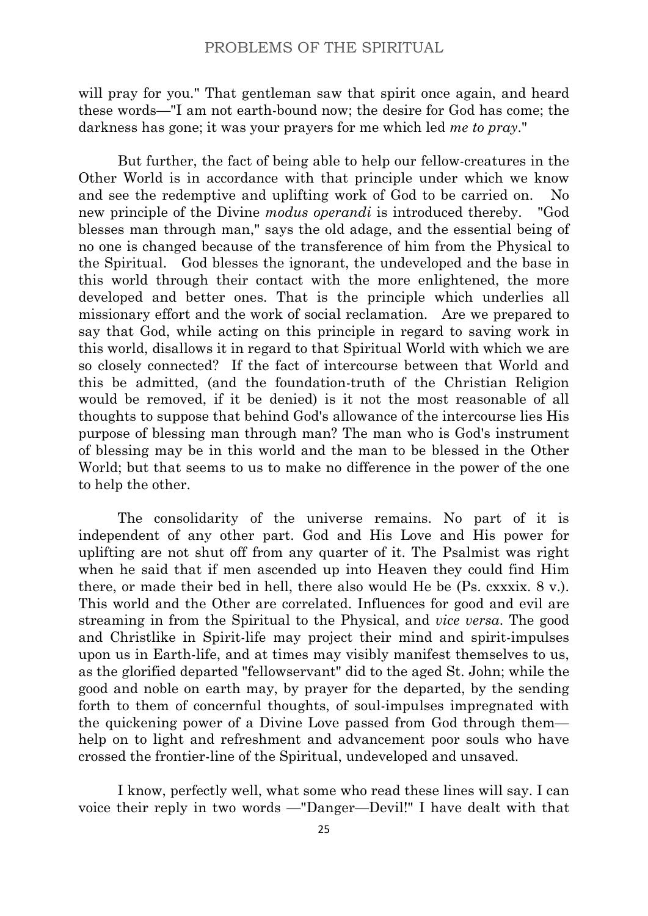will pray for you." That gentleman saw that spirit once again, and heard these words—"I am not earth-bound now; the desire for God has come; the darkness has gone; it was your prayers for me which led *me to pray*."

But further, the fact of being able to help our fellow-creatures in the Other World is in accordance with that principle under which we know and see the redemptive and uplifting work of God to be carried on. No new principle of the Divine *modus operandi* is introduced thereby. "God blesses man through man," says the old adage, and the essential being of no one is changed because of the transference of him from the Physical to the Spiritual. God blesses the ignorant, the undeveloped and the base in this world through their contact with the more enlightened, the more developed and better ones. That is the principle which underlies all missionary effort and the work of social reclamation. Are we prepared to say that God, while acting on this principle in regard to saving work in this world, disallows it in regard to that Spiritual World with which we are so closely connected? If the fact of intercourse between that World and this be admitted, (and the foundation-truth of the Christian Religion would be removed, if it be denied) is it not the most reasonable of all thoughts to suppose that behind God's allowance of the intercourse lies His purpose of blessing man through man? The man who is God's instrument of blessing may be in this world and the man to be blessed in the Other World; but that seems to us to make no difference in the power of the one to help the other.

The consolidarity of the universe remains. No part of it is independent of any other part. God and His Love and His power for uplifting are not shut off from any quarter of it. The Psalmist was right when he said that if men ascended up into Heaven they could find Him there, or made their bed in hell, there also would He be (Ps. cxxxix. 8 v.). This world and the Other are correlated. Influences for good and evil are streaming in from the Spiritual to the Physical, and *vice versa*. The good and Christlike in Spirit-life may project their mind and spirit-impulses upon us in Earth-life, and at times may visibly manifest themselves to us, as the glorified departed "fellowservant" did to the aged St. John; while the good and noble on earth may, by prayer for the departed, by the sending forth to them of concernful thoughts, of soul-impulses impregnated with the quickening power of a Divine Love passed from God through them help on to light and refreshment and advancement poor souls who have crossed the frontier-line of the Spiritual, undeveloped and unsaved.

I know, perfectly well, what some who read these lines will say. I can voice their reply in two words —"Danger—Devil!" I have dealt with that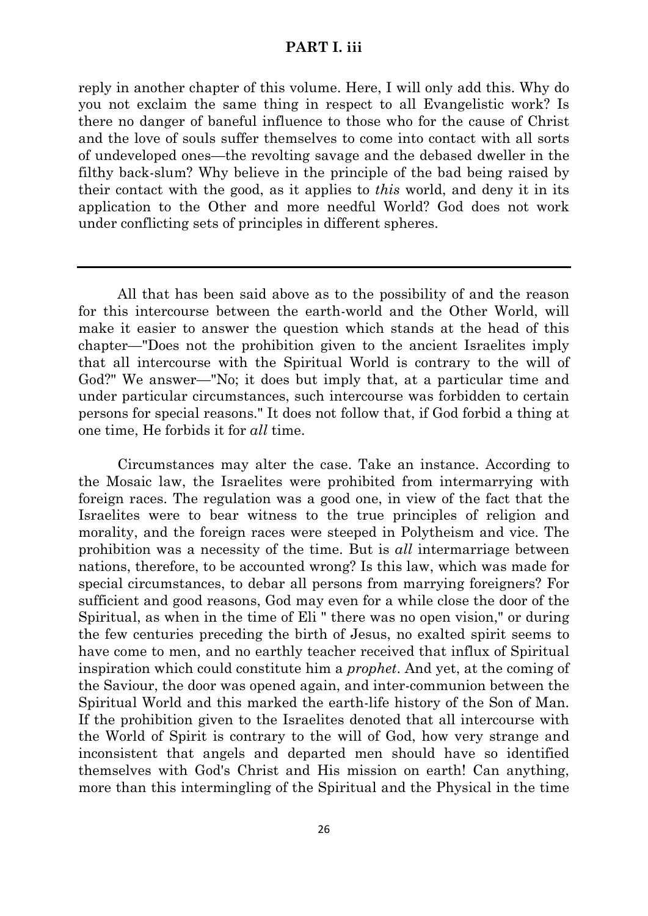# **PART I. iii**

reply in another chapter of this volume. Here, I will only add this. Why do you not exclaim the same thing in respect to all Evangelistic work? Is there no danger of baneful influence to those who for the cause of Christ and the love of souls suffer themselves to come into contact with all sorts of undeveloped ones—the revolting savage and the debased dweller in the filthy back-slum? Why believe in the principle of the bad being raised by their contact with the good, as it applies to *this* world, and deny it in its application to the Other and more needful World? God does not work under conflicting sets of principles in different spheres.

All that has been said above as to the possibility of and the reason for this intercourse between the earth-world and the Other World, will make it easier to answer the question which stands at the head of this chapter—"Does not the prohibition given to the ancient Israelites imply that all intercourse with the Spiritual World is contrary to the will of God?" We answer—"No; it does but imply that, at a particular time and under particular circumstances, such intercourse was forbidden to certain persons for special reasons." It does not follow that, if God forbid a thing at one time, He forbids it for *all* time.

Circumstances may alter the case. Take an instance. According to the Mosaic law, the Israelites were prohibited from intermarrying with foreign races. The regulation was a good one, in view of the fact that the Israelites were to bear witness to the true principles of religion and morality, and the foreign races were steeped in Polytheism and vice. The prohibition was a necessity of the time. But is *all* intermarriage between nations, therefore, to be accounted wrong? Is this law, which was made for special circumstances, to debar all persons from marrying foreigners? For sufficient and good reasons, God may even for a while close the door of the Spiritual, as when in the time of Eli " there was no open vision," or during the few centuries preceding the birth of Jesus, no exalted spirit seems to have come to men, and no earthly teacher received that influx of Spiritual inspiration which could constitute him a *prophet*. And yet, at the coming of the Saviour, the door was opened again, and inter-communion between the Spiritual World and this marked the earth-life history of the Son of Man. If the prohibition given to the Israelites denoted that all intercourse with the World of Spirit is contrary to the will of God, how very strange and inconsistent that angels and departed men should have so identified themselves with God's Christ and His mission on earth! Can anything, more than this intermingling of the Spiritual and the Physical in the time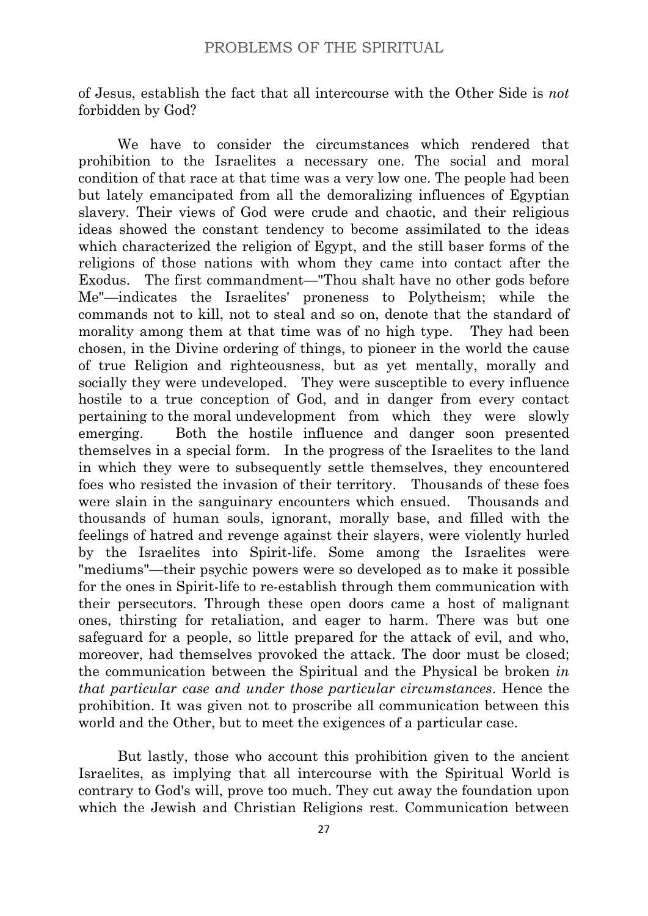of Jesus, establish the fact that all intercourse with the Other Side is *not* forbidden by God?

We have to consider the circumstances which rendered that prohibition to the Israelites a necessary one. The social and moral condition of that race at that time was a very low one. The people had been but lately emancipated from all the demoralizing influences of Egyptian slavery. Their views of God were crude and chaotic, and their religious ideas showed the constant tendency to become assimilated to the ideas which characterized the religion of Egypt, and the still baser forms of the religions of those nations with whom they came into contact after the Exodus. The first commandment—"Thou shalt have no other gods before Me"—indicates the Israelites' proneness to Polytheism; while the commands not to kill, not to steal and so on, denote that the standard of morality among them at that time was of no high type. They had been chosen, in the Divine ordering of things, to pioneer in the world the cause of true Religion and righteousness, but as yet mentally, morally and socially they were undeveloped. They were susceptible to every influence hostile to a true conception of God, and in danger from every contact pertaining to the moral undevelopment from which they were slowly emerging. Both the hostile influence and danger soon presented themselves in a special form. In the progress of the Israelites to the land in which they were to subsequently settle themselves, they encountered foes who resisted the invasion of their territory. Thousands of these foes were slain in the sanguinary encounters which ensued. Thousands and thousands of human souls, ignorant, morally base, and filled with the feelings of hatred and revenge against their slayers, were violently hurled by the Israelites into Spirit-life. Some among the Israelites were "mediums"—their psychic powers were so developed as to make it possible for the ones in Spirit-life to re-establish through them communication with their persecutors. Through these open doors came a host of malignant ones, thirsting for retaliation, and eager to harm. There was but one safeguard for a people, so little prepared for the attack of evil, and who, moreover, had themselves provoked the attack. The door must be closed; the communication between the Spiritual and the Physical be broken *in that particular case and under those particular circumstances*. Hence the prohibition. It was given not to proscribe all communication between this world and the Other, but to meet the exigences of a particular case.

But lastly, those who account this prohibition given to the ancient Israelites, as implying that all intercourse with the Spiritual World is contrary to God's will, prove too much. They cut away the foundation upon which the Jewish and Christian Religions rest. Communication between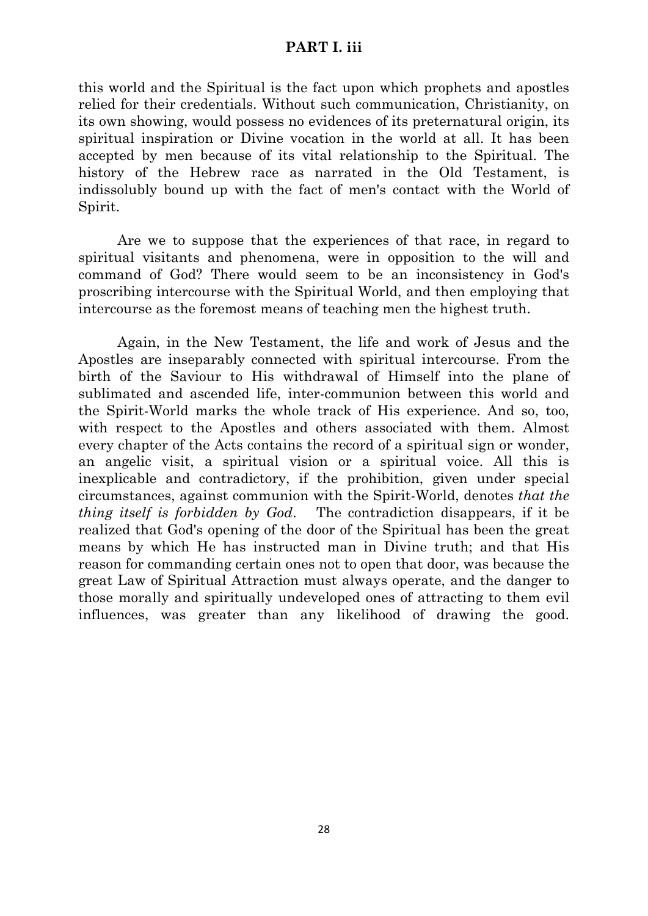#### **PART I. iii**

this world and the Spiritual is the fact upon which prophets and apostles relied for their credentials. Without such communication, Christianity, on its own showing, would possess no evidences of its preternatural origin, its spiritual inspiration or Divine vocation in the world at all. It has been accepted by men because of its vital relationship to the Spiritual. The history of the Hebrew race as narrated in the Old Testament, is indissolubly bound up with the fact of men's contact with the World of Spirit.

Are we to suppose that the experiences of that race, in regard to spiritual visitants and phenomena, were in opposition to the will and command of God? There would seem to be an inconsistency in God's proscribing intercourse with the Spiritual World, and then employing that intercourse as the foremost means of teaching men the highest truth.

Again, in the New Testament, the life and work of Jesus and the Apostles are inseparably connected with spiritual intercourse. From the birth of the Saviour to His withdrawal of Himself into the plane of sublimated and ascended life, inter-communion between this world and the Spirit-World marks the whole track of His experience. And so, too, with respect to the Apostles and others associated with them. Almost every chapter of the Acts contains the record of a spiritual sign or wonder, an angelic visit, a spiritual vision or a spiritual voice. All this is inexplicable and contradictory, if the prohibition, given under special circumstances, against communion with the Spirit-World, denotes *that the thing itself is forbidden by God*. The contradiction disappears, if it be realized that God's opening of the door of the Spiritual has been the great means by which He has instructed man in Divine truth; and that His reason for commanding certain ones not to open that door, was because the great Law of Spiritual Attraction must always operate, and the danger to those morally and spiritually undeveloped ones of attracting to them evil influences, was greater than any likelihood of drawing the good.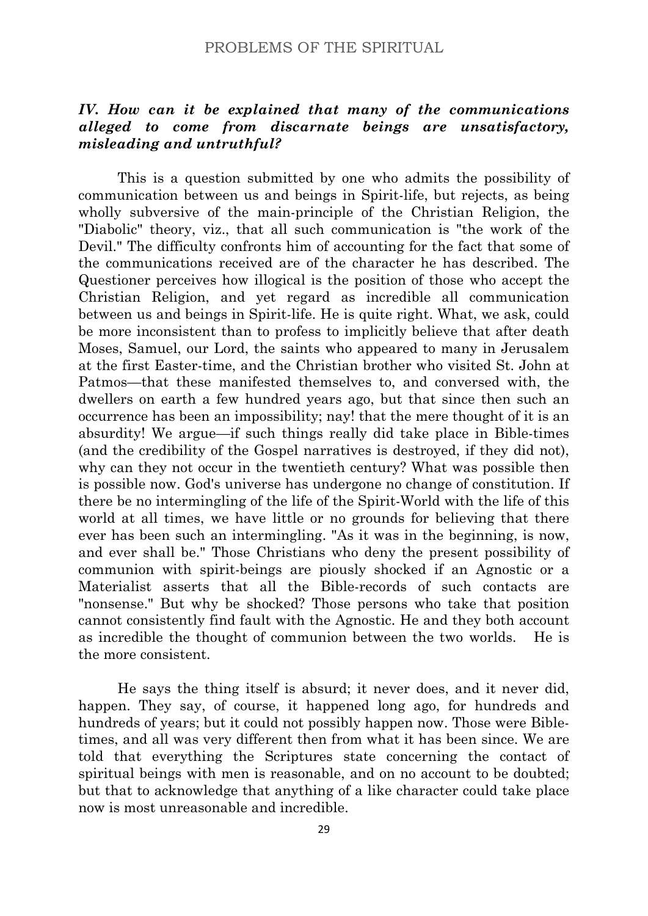# *IV. How can it be explained that many of the communications alleged to come from discarnate beings are unsatisfactory, misleading and untruthful?*

This is a question submitted by one who admits the possibility of communication between us and beings in Spirit-life, but rejects, as being wholly subversive of the main-principle of the Christian Religion, the "Diabolic" theory, viz., that all such communication is "the work of the Devil." The difficulty confronts him of accounting for the fact that some of the communications received are of the character he has described. The Questioner perceives how illogical is the position of those who accept the Christian Religion, and yet regard as incredible all communication between us and beings in Spirit-life. He is quite right. What, we ask, could be more inconsistent than to profess to implicitly believe that after death Moses, Samuel, our Lord, the saints who appeared to many in Jerusalem at the first Easter-time, and the Christian brother who visited St. John at Patmos—that these manifested themselves to, and conversed with, the dwellers on earth a few hundred years ago, but that since then such an occurrence has been an impossibility; nay! that the mere thought of it is an absurdity! We argue—if such things really did take place in Bible-times (and the credibility of the Gospel narratives is destroyed, if they did not), why can they not occur in the twentieth century? What was possible then is possible now. God's universe has undergone no change of constitution. If there be no intermingling of the life of the Spirit-World with the life of this world at all times, we have little or no grounds for believing that there ever has been such an intermingling. "As it was in the beginning, is now, and ever shall be." Those Christians who deny the present possibility of communion with spirit-beings are piously shocked if an Agnostic or a Materialist asserts that all the Bible-records of such contacts are "nonsense." But why be shocked? Those persons who take that position cannot consistently find fault with the Agnostic. He and they both account as incredible the thought of communion between the two worlds. He is the more consistent.

He says the thing itself is absurd; it never does, and it never did, happen. They say, of course, it happened long ago, for hundreds and hundreds of years; but it could not possibly happen now. Those were Bibletimes, and all was very different then from what it has been since. We are told that everything the Scriptures state concerning the contact of spiritual beings with men is reasonable, and on no account to be doubted; but that to acknowledge that anything of a like character could take place now is most unreasonable and incredible.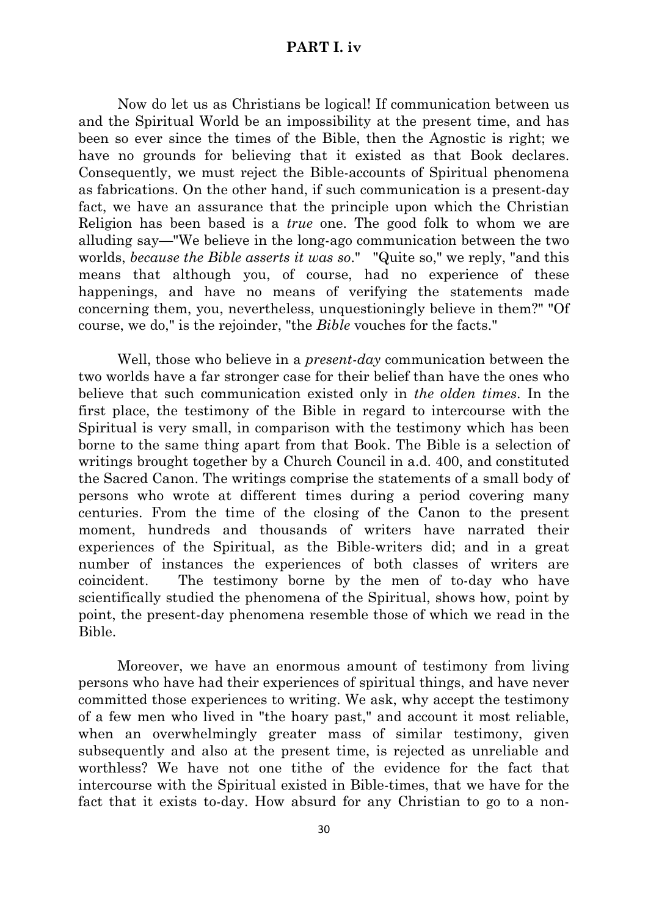# **PART I. iv**

Now do let us as Christians be logical! If communication between us and the Spiritual World be an impossibility at the present time, and has been so ever since the times of the Bible, then the Agnostic is right; we have no grounds for believing that it existed as that Book declares. Consequently, we must reject the Bible-accounts of Spiritual phenomena as fabrications. On the other hand, if such communication is a present-day fact, we have an assurance that the principle upon which the Christian Religion has been based is a *true* one. The good folk to whom we are alluding say—"We believe in the long-ago communication between the two worlds, *because the Bible asserts it was so*." "Quite so," we reply, "and this means that although you, of course, had no experience of these happenings, and have no means of verifying the statements made concerning them, you, nevertheless, unquestioningly believe in them?" "Of course, we do," is the rejoinder, "the *Bible* vouches for the facts."

Well, those who believe in a *present-day* communication between the two worlds have a far stronger case for their belief than have the ones who believe that such communication existed only in *the olden times*. In the first place, the testimony of the Bible in regard to intercourse with the Spiritual is very small, in comparison with the testimony which has been borne to the same thing apart from that Book. The Bible is a selection of writings brought together by a Church Council in a.d. 400, and constituted the Sacred Canon. The writings comprise the statements of a small body of persons who wrote at different times during a period covering many centuries. From the time of the closing of the Canon to the present moment, hundreds and thousands of writers have narrated their experiences of the Spiritual, as the Bible-writers did; and in a great number of instances the experiences of both classes of writers are coincident. The testimony borne by the men of to-day who have scientifically studied the phenomena of the Spiritual, shows how, point by point, the present-day phenomena resemble those of which we read in the Bible.

Moreover, we have an enormous amount of testimony from living persons who have had their experiences of spiritual things, and have never committed those experiences to writing. We ask, why accept the testimony of a few men who lived in "the hoary past," and account it most reliable, when an overwhelmingly greater mass of similar testimony, given subsequently and also at the present time, is rejected as unreliable and worthless? We have not one tithe of the evidence for the fact that intercourse with the Spiritual existed in Bible-times, that we have for the fact that it exists to-day. How absurd for any Christian to go to a non-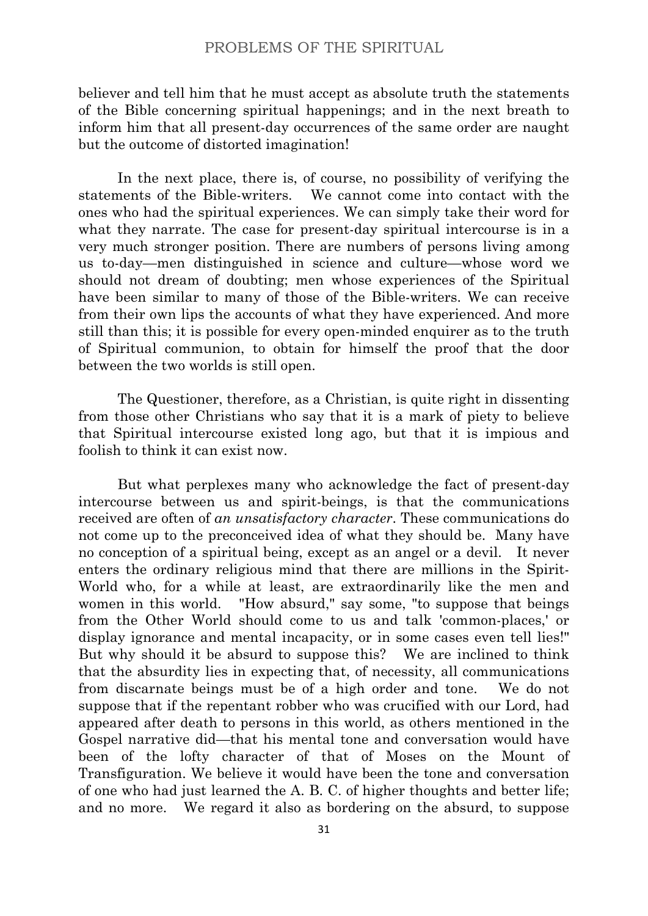believer and tell him that he must accept as absolute truth the statements of the Bible concerning spiritual happenings; and in the next breath to inform him that all present-day occurrences of the same order are naught but the outcome of distorted imagination!

In the next place, there is, of course, no possibility of verifying the statements of the Bible-writers. We cannot come into contact with the ones who had the spiritual experiences. We can simply take their word for what they narrate. The case for present-day spiritual intercourse is in a very much stronger position. There are numbers of persons living among us to-day—men distinguished in science and culture—whose word we should not dream of doubting; men whose experiences of the Spiritual have been similar to many of those of the Bible-writers. We can receive from their own lips the accounts of what they have experienced. And more still than this; it is possible for every open-minded enquirer as to the truth of Spiritual communion, to obtain for himself the proof that the door between the two worlds is still open.

The Questioner, therefore, as a Christian, is quite right in dissenting from those other Christians who say that it is a mark of piety to believe that Spiritual intercourse existed long ago, but that it is impious and foolish to think it can exist now.

But what perplexes many who acknowledge the fact of present-day intercourse between us and spirit-beings, is that the communications received are often of *an unsatisfactory character*. These communications do not come up to the preconceived idea of what they should be. Many have no conception of a spiritual being, except as an angel or a devil. It never enters the ordinary religious mind that there are millions in the Spirit-World who, for a while at least, are extraordinarily like the men and women in this world. "How absurd," say some, "to suppose that beings from the Other World should come to us and talk 'common-places,' or display ignorance and mental incapacity, or in some cases even tell lies!" But why should it be absurd to suppose this? We are inclined to think that the absurdity lies in expecting that, of necessity, all communications from discarnate beings must be of a high order and tone. We do not suppose that if the repentant robber who was crucified with our Lord, had appeared after death to persons in this world, as others mentioned in the Gospel narrative did—that his mental tone and conversation would have been of the lofty character of that of Moses on the Mount of Transfiguration. We believe it would have been the tone and conversation of one who had just learned the A. B. C. of higher thoughts and better life; and no more. We regard it also as bordering on the absurd, to suppose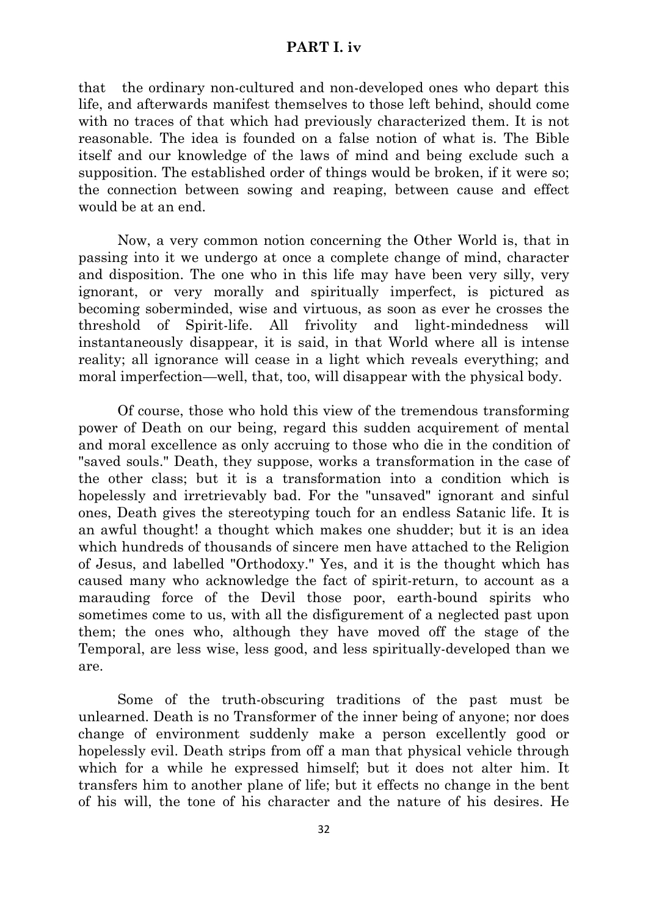#### **PART I. iv**

that the ordinary non-cultured and non-developed ones who depart this life, and afterwards manifest themselves to those left behind, should come with no traces of that which had previously characterized them. It is not reasonable. The idea is founded on a false notion of what is. The Bible itself and our knowledge of the laws of mind and being exclude such a supposition. The established order of things would be broken, if it were so; the connection between sowing and reaping, between cause and effect would be at an end.

Now, a very common notion concerning the Other World is, that in passing into it we undergo at once a complete change of mind, character and disposition. The one who in this life may have been very silly, very ignorant, or very morally and spiritually imperfect, is pictured as becoming soberminded, wise and virtuous, as soon as ever he crosses the threshold of Spirit-life. All frivolity and light-mindedness will instantaneously disappear, it is said, in that World where all is intense reality; all ignorance will cease in a light which reveals everything; and moral imperfection—well, that, too, will disappear with the physical body.

Of course, those who hold this view of the tremendous transforming power of Death on our being, regard this sudden acquirement of mental and moral excellence as only accruing to those who die in the condition of "saved souls." Death, they suppose, works a transformation in the case of the other class; but it is a transformation into a condition which is hopelessly and irretrievably bad. For the "unsaved" ignorant and sinful ones, Death gives the stereotyping touch for an endless Satanic life. It is an awful thought! a thought which makes one shudder; but it is an idea which hundreds of thousands of sincere men have attached to the Religion of Jesus, and labelled "Orthodoxy." Yes, and it is the thought which has caused many who acknowledge the fact of spirit-return, to account as a marauding force of the Devil those poor, earth-bound spirits who sometimes come to us, with all the disfigurement of a neglected past upon them; the ones who, although they have moved off the stage of the Temporal, are less wise, less good, and less spiritually-developed than we are.

Some of the truth-obscuring traditions of the past must be unlearned. Death is no Transformer of the inner being of anyone; nor does change of environment suddenly make a person excellently good or hopelessly evil. Death strips from off a man that physical vehicle through which for a while he expressed himself; but it does not alter him. It transfers him to another plane of life; but it effects no change in the bent of his will, the tone of his character and the nature of his desires. He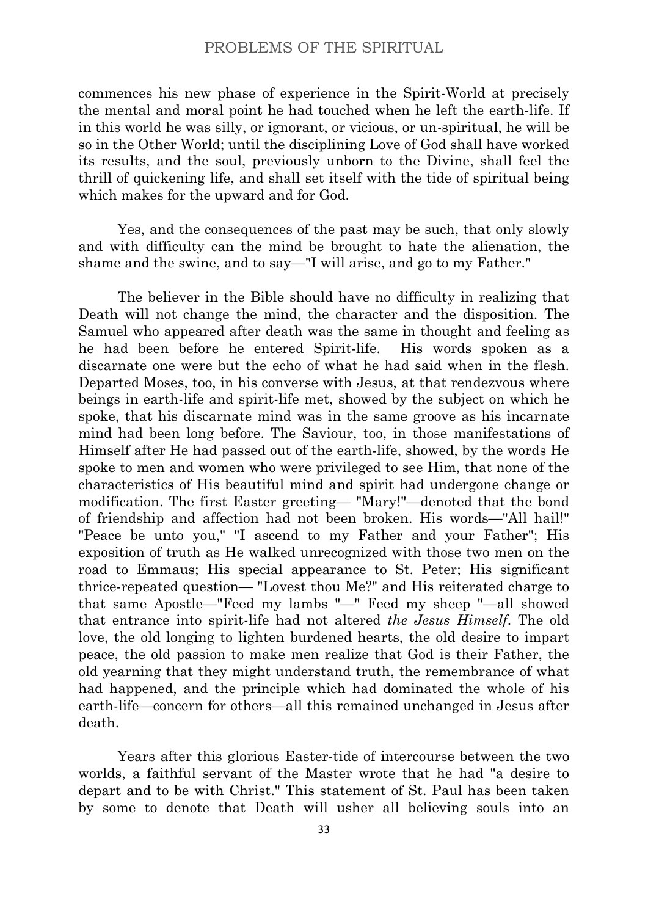commences his new phase of experience in the Spirit-World at precisely the mental and moral point he had touched when he left the earth-life. If in this world he was silly, or ignorant, or vicious, or un-spiritual, he will be so in the Other World; until the disciplining Love of God shall have worked its results, and the soul, previously unborn to the Divine, shall feel the thrill of quickening life, and shall set itself with the tide of spiritual being which makes for the upward and for God.

Yes, and the consequences of the past may be such, that only slowly and with difficulty can the mind be brought to hate the alienation, the shame and the swine, and to say—"I will arise, and go to my Father."

The believer in the Bible should have no difficulty in realizing that Death will not change the mind, the character and the disposition. The Samuel who appeared after death was the same in thought and feeling as he had been before he entered Spirit-life. His words spoken as a discarnate one were but the echo of what he had said when in the flesh. Departed Moses, too, in his converse with Jesus, at that rendezvous where beings in earth-life and spirit-life met, showed by the subject on which he spoke, that his discarnate mind was in the same groove as his incarnate mind had been long before. The Saviour, too, in those manifestations of Himself after He had passed out of the earth-life, showed, by the words He spoke to men and women who were privileged to see Him, that none of the characteristics of His beautiful mind and spirit had undergone change or modification. The first Easter greeting— "Mary!"—denoted that the bond of friendship and affection had not been broken. His words—"All hail!" "Peace be unto you," "I ascend to my Father and your Father"; His exposition of truth as He walked unrecognized with those two men on the road to Emmaus; His special appearance to St. Peter; His significant thrice-repeated question— "Lovest thou Me?" and His reiterated charge to that same Apostle—"Feed my lambs "—" Feed my sheep "—all showed that entrance into spirit-life had not altered *the Jesus Himself*. The old love, the old longing to lighten burdened hearts, the old desire to impart peace, the old passion to make men realize that God is their Father, the old yearning that they might understand truth, the remembrance of what had happened, and the principle which had dominated the whole of his earth-life—concern for others—all this remained unchanged in Jesus after death.

Years after this glorious Easter-tide of intercourse between the two worlds, a faithful servant of the Master wrote that he had "a desire to depart and to be with Christ." This statement of St. Paul has been taken by some to denote that Death will usher all believing souls into an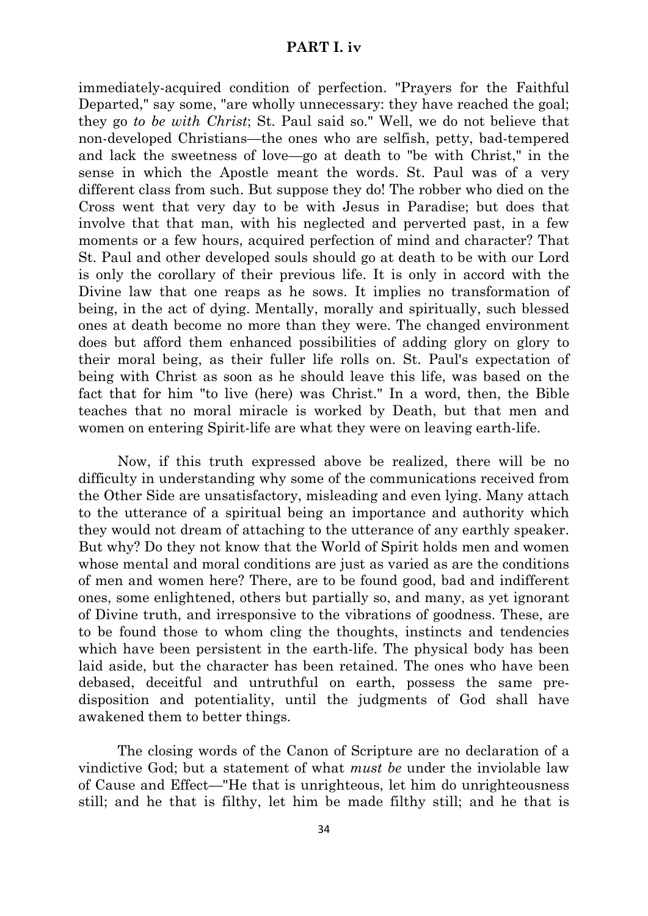#### **PART I. iv**

immediately-acquired condition of perfection. "Prayers for the Faithful Departed," say some, "are wholly unnecessary: they have reached the goal; they go *to be with Christ*; St. Paul said so." Well, we do not believe that non-developed Christians—the ones who are selfish, petty, bad-tempered and lack the sweetness of love—go at death to "be with Christ," in the sense in which the Apostle meant the words. St. Paul was of a very different class from such. But suppose they do! The robber who died on the Cross went that very day to be with Jesus in Paradise; but does that involve that that man, with his neglected and perverted past, in a few moments or a few hours, acquired perfection of mind and character? That St. Paul and other developed souls should go at death to be with our Lord is only the corollary of their previous life. It is only in accord with the Divine law that one reaps as he sows. It implies no transformation of being, in the act of dying. Mentally, morally and spiritually, such blessed ones at death become no more than they were. The changed environment does but afford them enhanced possibilities of adding glory on glory to their moral being, as their fuller life rolls on. St. Paul's expectation of being with Christ as soon as he should leave this life, was based on the fact that for him "to live (here) was Christ." In a word, then, the Bible teaches that no moral miracle is worked by Death, but that men and women on entering Spirit-life are what they were on leaving earth-life.

Now, if this truth expressed above be realized, there will be no difficulty in understanding why some of the communications received from the Other Side are unsatisfactory, misleading and even lying. Many attach to the utterance of a spiritual being an importance and authority which they would not dream of attaching to the utterance of any earthly speaker. But why? Do they not know that the World of Spirit holds men and women whose mental and moral conditions are just as varied as are the conditions of men and women here? There, are to be found good, bad and indifferent ones, some enlightened, others but partially so, and many, as yet ignorant of Divine truth, and irresponsive to the vibrations of goodness. These, are to be found those to whom cling the thoughts, instincts and tendencies which have been persistent in the earth-life. The physical body has been laid aside, but the character has been retained. The ones who have been debased, deceitful and untruthful on earth, possess the same predisposition and potentiality, until the judgments of God shall have awakened them to better things.

The closing words of the Canon of Scripture are no declaration of a vindictive God; but a statement of what *must be* under the inviolable law of Cause and Effect—"He that is unrighteous, let him do unrighteousness still; and he that is filthy, let him be made filthy still; and he that is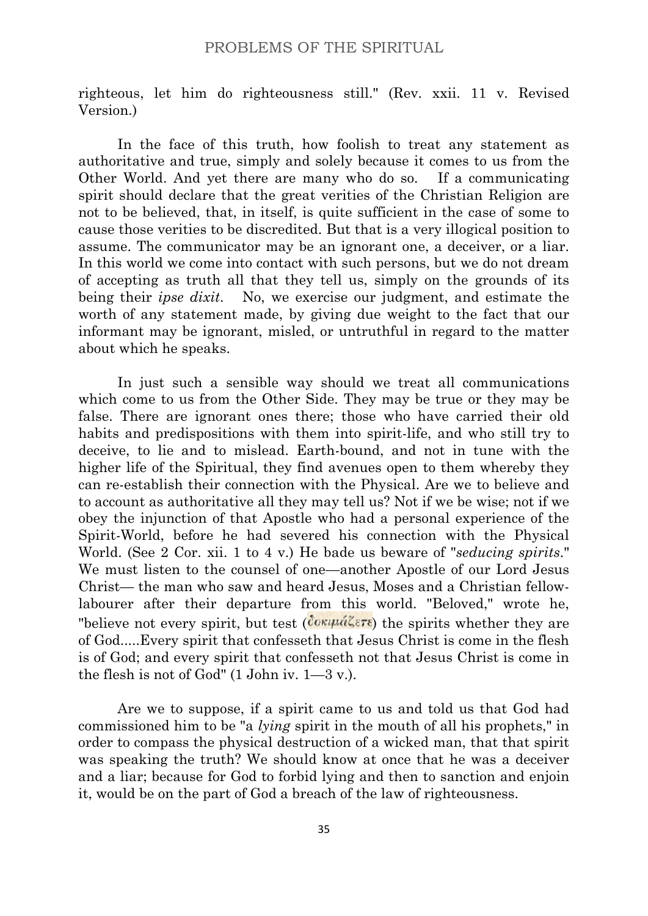righteous, let him do righteousness still." (Rev. xxii. 11 v. Revised Version.)

In the face of this truth, how foolish to treat any statement as authoritative and true, simply and solely because it comes to us from the Other World. And yet there are many who do so. If a communicating spirit should declare that the great verities of the Christian Religion are not to be believed, that, in itself, is quite sufficient in the case of some to cause those verities to be discredited. But that is a very illogical position to assume. The communicator may be an ignorant one, a deceiver, or a liar. In this world we come into contact with such persons, but we do not dream of accepting as truth all that they tell us, simply on the grounds of its being their *ipse dixit*. No, we exercise our judgment, and estimate the worth of any statement made, by giving due weight to the fact that our informant may be ignorant, misled, or untruthful in regard to the matter about which he speaks.

In just such a sensible way should we treat all communications which come to us from the Other Side. They may be true or they may be false. There are ignorant ones there; those who have carried their old habits and predispositions with them into spirit-life, and who still try to deceive, to lie and to mislead. Earth-bound, and not in tune with the higher life of the Spiritual, they find avenues open to them whereby they can re-establish their connection with the Physical. Are we to believe and to account as authoritative all they may tell us? Not if we be wise; not if we obey the injunction of that Apostle who had a personal experience of the Spirit-World, before he had severed his connection with the Physical World. (See 2 Cor. xii. 1 to 4 v.) He bade us beware of "*seducing spirits*." We must listen to the counsel of one—another Apostle of our Lord Jesus Christ— the man who saw and heard Jesus, Moses and a Christian fellowlabourer after their departure from this world. "Beloved," wrote he, "believe not every spirit, but test ( $\overline{Cov\mu\hat{a}\zeta\epsilon r\epsilon}$ ) the spirits whether they are of God.....Every spirit that confesseth that Jesus Christ is come in the flesh is of God; and every spirit that confesseth not that Jesus Christ is come in the flesh is not of God" (1 John iv. 1—3 v.).

Are we to suppose, if a spirit came to us and told us that God had commissioned him to be "a *lying* spirit in the mouth of all his prophets," in order to compass the physical destruction of a wicked man, that that spirit was speaking the truth? We should know at once that he was a deceiver and a liar; because for God to forbid lying and then to sanction and enjoin it, would be on the part of God a breach of the law of righteousness.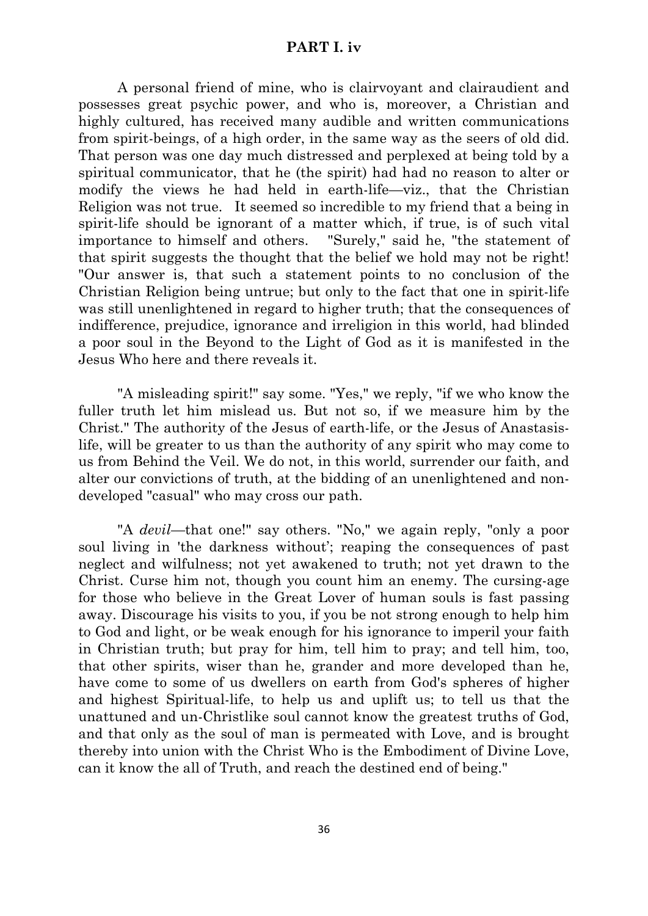#### **PART I. iv**

A personal friend of mine, who is clairvoyant and clairaudient and possesses great psychic power, and who is, moreover, a Christian and highly cultured, has received many audible and written communications from spirit-beings, of a high order, in the same way as the seers of old did. That person was one day much distressed and perplexed at being told by a spiritual communicator, that he (the spirit) had had no reason to alter or modify the views he had held in earth-life—viz., that the Christian Religion was not true. It seemed so incredible to my friend that a being in spirit-life should be ignorant of a matter which, if true, is of such vital importance to himself and others. "Surely," said he, "the statement of that spirit suggests the thought that the belief we hold may not be right! "Our answer is, that such a statement points to no conclusion of the Christian Religion being untrue; but only to the fact that one in spirit-life was still unenlightened in regard to higher truth; that the consequences of indifference, prejudice, ignorance and irreligion in this world, had blinded a poor soul in the Beyond to the Light of God as it is manifested in the Jesus Who here and there reveals it.

"A misleading spirit!" say some. "Yes," we reply, "if we who know the fuller truth let him mislead us. But not so, if we measure him by the Christ." The authority of the Jesus of earth-life, or the Jesus of Anastasislife, will be greater to us than the authority of any spirit who may come to us from Behind the Veil. We do not, in this world, surrender our faith, and alter our convictions of truth, at the bidding of an unenlightened and nondeveloped "casual" who may cross our path.

"A *devil*—that one!" say others. "No," we again reply, "only a poor soul living in 'the darkness without'; reaping the consequences of past neglect and wilfulness; not yet awakened to truth; not yet drawn to the Christ. Curse him not, though you count him an enemy. The cursing-age for those who believe in the Great Lover of human souls is fast passing away. Discourage his visits to you, if you be not strong enough to help him to God and light, or be weak enough for his ignorance to imperil your faith in Christian truth; but pray for him, tell him to pray; and tell him, too, that other spirits, wiser than he, grander and more developed than he, have come to some of us dwellers on earth from God's spheres of higher and highest Spiritual-life, to help us and uplift us; to tell us that the unattuned and un-Christlike soul cannot know the greatest truths of God, and that only as the soul of man is permeated with Love, and is brought thereby into union with the Christ Who is the Embodiment of Divine Love, can it know the all of Truth, and reach the destined end of being."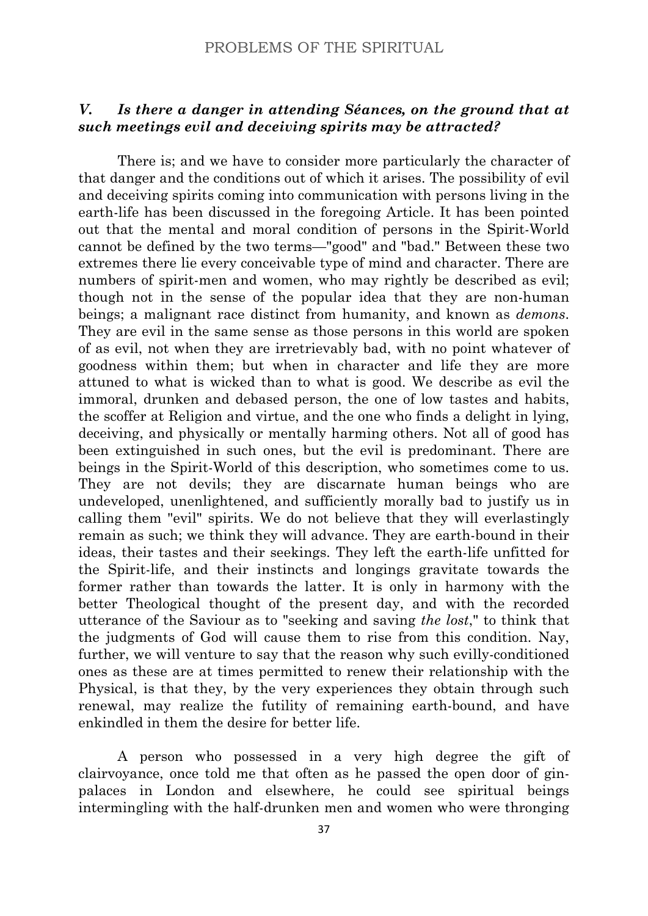# *V. Is there a danger in attending Séances, on the ground that at such meetings evil and deceiving spirits may be attracted?*

There is; and we have to consider more particularly the character of that danger and the conditions out of which it arises. The possibility of evil and deceiving spirits coming into communication with persons living in the earth-life has been discussed in the foregoing Article. It has been pointed out that the mental and moral condition of persons in the Spirit-World cannot be defined by the two terms—"good" and "bad." Between these two extremes there lie every conceivable type of mind and character. There are numbers of spirit-men and women, who may rightly be described as evil; though not in the sense of the popular idea that they are non-human beings; a malignant race distinct from humanity, and known as *demons*. They are evil in the same sense as those persons in this world are spoken of as evil, not when they are irretrievably bad, with no point whatever of goodness within them; but when in character and life they are more attuned to what is wicked than to what is good. We describe as evil the immoral, drunken and debased person, the one of low tastes and habits, the scoffer at Religion and virtue, and the one who finds a delight in lying, deceiving, and physically or mentally harming others. Not all of good has been extinguished in such ones, but the evil is predominant. There are beings in the Spirit-World of this description, who sometimes come to us. They are not devils; they are discarnate human beings who are undeveloped, unenlightened, and sufficiently morally bad to justify us in calling them "evil" spirits. We do not believe that they will everlastingly remain as such; we think they will advance. They are earth-bound in their ideas, their tastes and their seekings. They left the earth-life unfitted for the Spirit-life, and their instincts and longings gravitate towards the former rather than towards the latter. It is only in harmony with the better Theological thought of the present day, and with the recorded utterance of the Saviour as to "seeking and saving *the lost*," to think that the judgments of God will cause them to rise from this condition. Nay, further, we will venture to say that the reason why such evilly-conditioned ones as these are at times permitted to renew their relationship with the Physical, is that they, by the very experiences they obtain through such renewal, may realize the futility of remaining earth-bound, and have enkindled in them the desire for better life.

A person who possessed in a very high degree the gift of clairvoyance, once told me that often as he passed the open door of ginpalaces in London and elsewhere, he could see spiritual beings intermingling with the half-drunken men and women who were thronging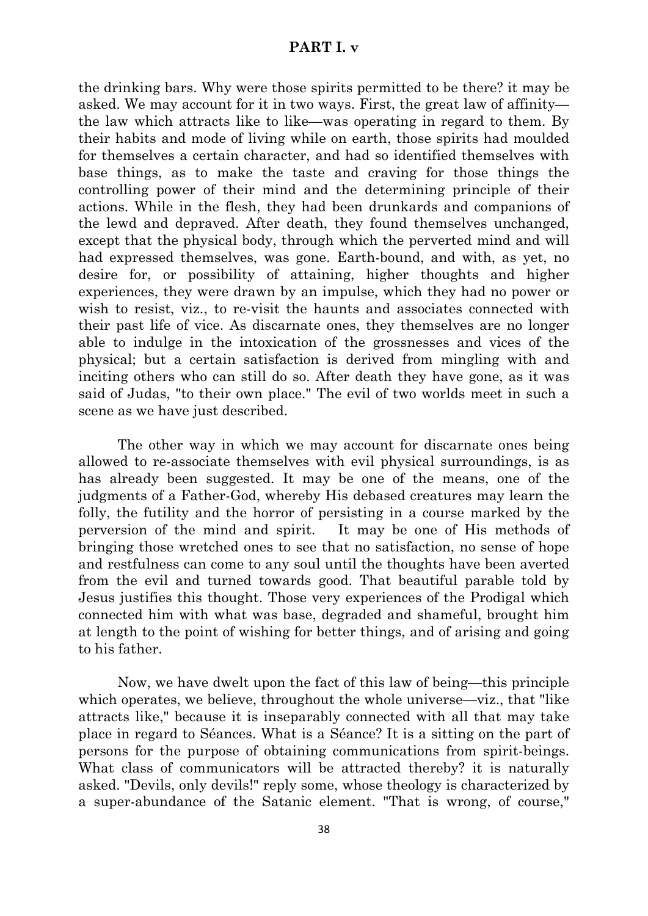#### **PART I. v**

the drinking bars. Why were those spirits permitted to be there? it may be asked. We may account for it in two ways. First, the great law of affinity the law which attracts like to like—was operating in regard to them. By their habits and mode of living while on earth, those spirits had moulded for themselves a certain character, and had so identified themselves with base things, as to make the taste and craving for those things the controlling power of their mind and the determining principle of their actions. While in the flesh, they had been drunkards and companions of the lewd and depraved. After death, they found themselves unchanged, except that the physical body, through which the perverted mind and will had expressed themselves, was gone. Earth-bound, and with, as yet, no desire for, or possibility of attaining, higher thoughts and higher experiences, they were drawn by an impulse, which they had no power or wish to resist, viz., to re-visit the haunts and associates connected with their past life of vice. As discarnate ones, they themselves are no longer able to indulge in the intoxication of the grossnesses and vices of the physical; but a certain satisfaction is derived from mingling with and inciting others who can still do so. After death they have gone, as it was said of Judas, "to their own place." The evil of two worlds meet in such a scene as we have just described.

The other way in which we may account for discarnate ones being allowed to re-associate themselves with evil physical surroundings, is as has already been suggested. It may be one of the means, one of the judgments of a Father-God, whereby His debased creatures may learn the folly, the futility and the horror of persisting in a course marked by the perversion of the mind and spirit. It may be one of His methods of bringing those wretched ones to see that no satisfaction, no sense of hope and restfulness can come to any soul until the thoughts have been averted from the evil and turned towards good. That beautiful parable told by Jesus justifies this thought. Those very experiences of the Prodigal which connected him with what was base, degraded and shameful, brought him at length to the point of wishing for better things, and of arising and going to his father.

Now, we have dwelt upon the fact of this law of being—this principle which operates, we believe, throughout the whole universe—viz., that "like" attracts like," because it is inseparably connected with all that may take place in regard to Séances. What is a Séance? It is a sitting on the part of persons for the purpose of obtaining communications from spirit-beings. What class of communicators will be attracted thereby? it is naturally asked. "Devils, only devils!" reply some, whose theology is characterized by a super-abundance of the Satanic element. "That is wrong, of course,"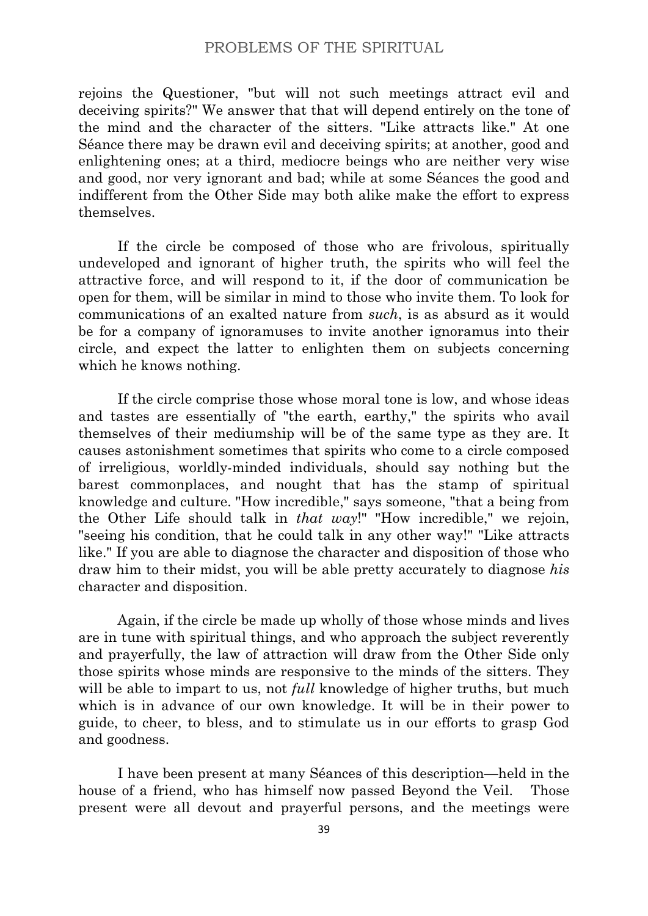rejoins the Questioner, "but will not such meetings attract evil and deceiving spirits?" We answer that that will depend entirely on the tone of the mind and the character of the sitters. "Like attracts like." At one Séance there may be drawn evil and deceiving spirits; at another, good and enlightening ones; at a third, mediocre beings who are neither very wise and good, nor very ignorant and bad; while at some Séances the good and indifferent from the Other Side may both alike make the effort to express themselves.

If the circle be composed of those who are frivolous, spiritually undeveloped and ignorant of higher truth, the spirits who will feel the attractive force, and will respond to it, if the door of communication be open for them, will be similar in mind to those who invite them. To look for communications of an exalted nature from *such*, is as absurd as it would be for a company of ignoramuses to invite another ignoramus into their circle, and expect the latter to enlighten them on subjects concerning which he knows nothing.

If the circle comprise those whose moral tone is low, and whose ideas and tastes are essentially of "the earth, earthy," the spirits who avail themselves of their mediumship will be of the same type as they are. It causes astonishment sometimes that spirits who come to a circle composed of irreligious, worldly-minded individuals, should say nothing but the barest commonplaces, and nought that has the stamp of spiritual knowledge and culture. "How incredible," says someone, "that a being from the Other Life should talk in *that way*!" "How incredible," we rejoin, "seeing his condition, that he could talk in any other way!" "Like attracts like." If you are able to diagnose the character and disposition of those who draw him to their midst, you will be able pretty accurately to diagnose *his* character and disposition.

Again, if the circle be made up wholly of those whose minds and lives are in tune with spiritual things, and who approach the subject reverently and prayerfully, the law of attraction will draw from the Other Side only those spirits whose minds are responsive to the minds of the sitters. They will be able to impart to us, not *full* knowledge of higher truths, but much which is in advance of our own knowledge. It will be in their power to guide, to cheer, to bless, and to stimulate us in our efforts to grasp God and goodness.

I have been present at many Séances of this description—held in the house of a friend, who has himself now passed Beyond the Veil. Those present were all devout and prayerful persons, and the meetings were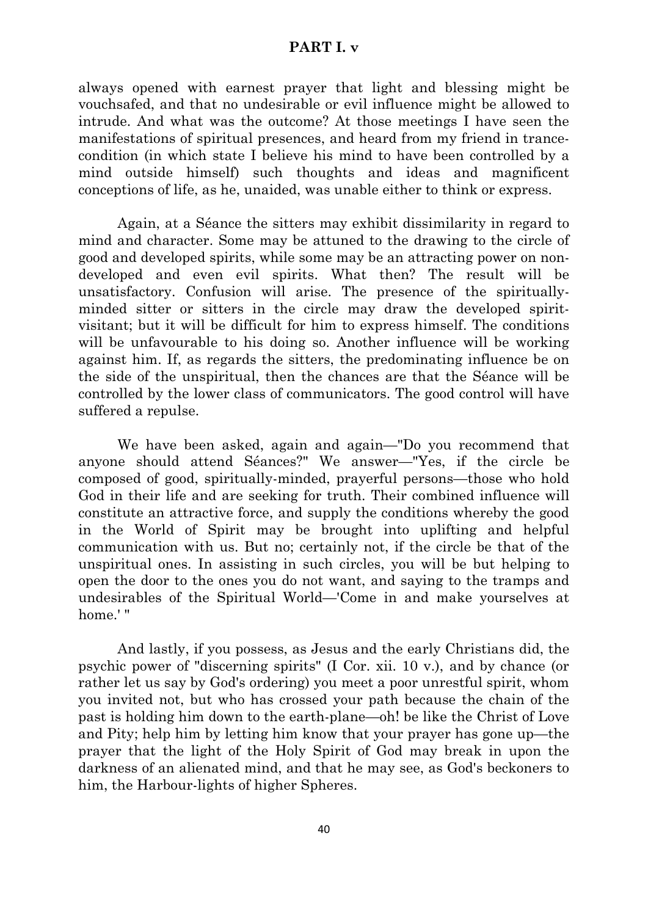#### **PART I. v**

always opened with earnest prayer that light and blessing might be vouchsafed, and that no undesirable or evil influence might be allowed to intrude. And what was the outcome? At those meetings I have seen the manifestations of spiritual presences, and heard from my friend in trancecondition (in which state I believe his mind to have been controlled by a mind outside himself) such thoughts and ideas and magnificent conceptions of life, as he, unaided, was unable either to think or express.

Again, at a Séance the sitters may exhibit dissimilarity in regard to mind and character. Some may be attuned to the drawing to the circle of good and developed spirits, while some may be an attracting power on nondeveloped and even evil spirits. What then? The result will be unsatisfactory. Confusion will arise. The presence of the spirituallyminded sitter or sitters in the circle may draw the developed spiritvisitant; but it will be difficult for him to express himself. The conditions will be unfavourable to his doing so. Another influence will be working against him. If, as regards the sitters, the predominating influence be on the side of the unspiritual, then the chances are that the Séance will be controlled by the lower class of communicators. The good control will have suffered a repulse.

We have been asked, again and again—"Do you recommend that anyone should attend Séances?" We answer—"Yes, if the circle be composed of good, spiritually-minded, prayerful persons—those who hold God in their life and are seeking for truth. Their combined influence will constitute an attractive force, and supply the conditions whereby the good in the World of Spirit may be brought into uplifting and helpful communication with us. But no; certainly not, if the circle be that of the unspiritual ones. In assisting in such circles, you will be but helping to open the door to the ones you do not want, and saying to the tramps and undesirables of the Spiritual World—'Come in and make yourselves at home!"

And lastly, if you possess, as Jesus and the early Christians did, the psychic power of "discerning spirits" (I Cor. xii. 10 v.), and by chance (or rather let us say by God's ordering) you meet a poor unrestful spirit, whom you invited not, but who has crossed your path because the chain of the past is holding him down to the earth-plane—oh! be like the Christ of Love and Pity; help him by letting him know that your prayer has gone up—the prayer that the light of the Holy Spirit of God may break in upon the darkness of an alienated mind, and that he may see, as God's beckoners to him, the Harbour-lights of higher Spheres.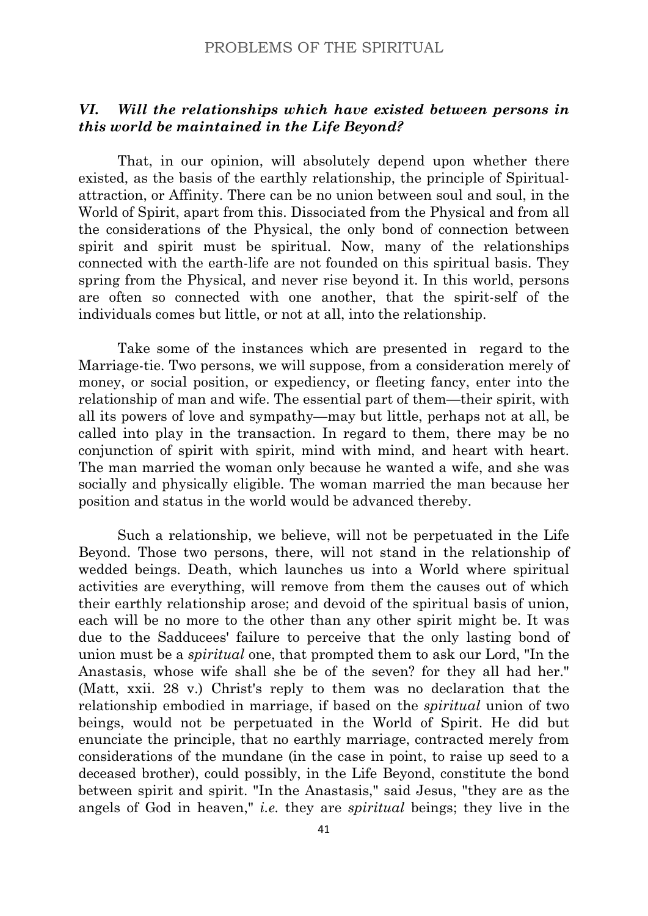# *VI. Will the relationships which have existed between persons in this world be maintained in the Life Beyond?*

That, in our opinion, will absolutely depend upon whether there existed, as the basis of the earthly relationship, the principle of Spiritualattraction, or Affinity. There can be no union between soul and soul, in the World of Spirit, apart from this. Dissociated from the Physical and from all the considerations of the Physical, the only bond of connection between spirit and spirit must be spiritual. Now, many of the relationships connected with the earth-life are not founded on this spiritual basis. They spring from the Physical, and never rise beyond it. In this world, persons are often so connected with one another, that the spirit-self of the individuals comes but little, or not at all, into the relationship.

Take some of the instances which are presented in regard to the Marriage-tie. Two persons, we will suppose, from a consideration merely of money, or social position, or expediency, or fleeting fancy, enter into the relationship of man and wife. The essential part of them—their spirit, with all its powers of love and sympathy—may but little, perhaps not at all, be called into play in the transaction. In regard to them, there may be no conjunction of spirit with spirit, mind with mind, and heart with heart. The man married the woman only because he wanted a wife, and she was socially and physically eligible. The woman married the man because her position and status in the world would be advanced thereby.

Such a relationship, we believe, will not be perpetuated in the Life Beyond. Those two persons, there, will not stand in the relationship of wedded beings. Death, which launches us into a World where spiritual activities are everything, will remove from them the causes out of which their earthly relationship arose; and devoid of the spiritual basis of union, each will be no more to the other than any other spirit might be. It was due to the Sadducees' failure to perceive that the only lasting bond of union must be a *spiritual* one, that prompted them to ask our Lord, "In the Anastasis, whose wife shall she be of the seven? for they all had her." (Matt, xxii. 28 v.) Christ's reply to them was no declaration that the relationship embodied in marriage, if based on the *spiritual* union of two beings, would not be perpetuated in the World of Spirit. He did but enunciate the principle, that no earthly marriage, contracted merely from considerations of the mundane (in the case in point, to raise up seed to a deceased brother), could possibly, in the Life Beyond, constitute the bond between spirit and spirit. "In the Anastasis," said Jesus, "they are as the angels of God in heaven," *i.e.* they are *spiritual* beings; they live in the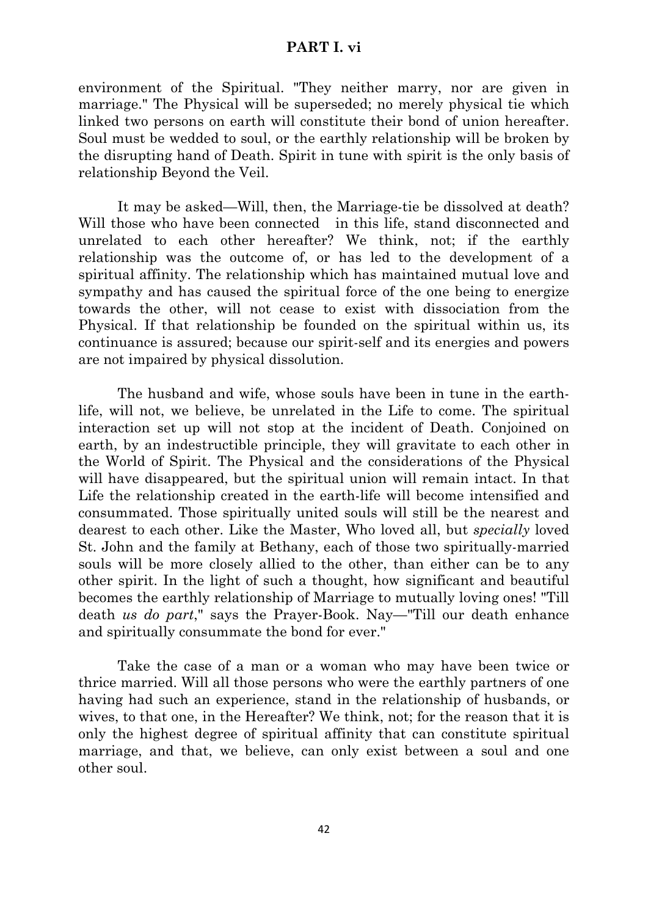#### **PART I. vi**

environment of the Spiritual. "They neither marry, nor are given in marriage." The Physical will be superseded; no merely physical tie which linked two persons on earth will constitute their bond of union hereafter. Soul must be wedded to soul, or the earthly relationship will be broken by the disrupting hand of Death. Spirit in tune with spirit is the only basis of relationship Beyond the Veil.

It may be asked—Will, then, the Marriage-tie be dissolved at death? Will those who have been connected in this life, stand disconnected and unrelated to each other hereafter? We think, not; if the earthly relationship was the outcome of, or has led to the development of a spiritual affinity. The relationship which has maintained mutual love and sympathy and has caused the spiritual force of the one being to energize towards the other, will not cease to exist with dissociation from the Physical. If that relationship be founded on the spiritual within us, its continuance is assured; because our spirit-self and its energies and powers are not impaired by physical dissolution.

The husband and wife, whose souls have been in tune in the earthlife, will not, we believe, be unrelated in the Life to come. The spiritual interaction set up will not stop at the incident of Death. Conjoined on earth, by an indestructible principle, they will gravitate to each other in the World of Spirit. The Physical and the considerations of the Physical will have disappeared, but the spiritual union will remain intact. In that Life the relationship created in the earth-life will become intensified and consummated. Those spiritually united souls will still be the nearest and dearest to each other. Like the Master, Who loved all, but *specially* loved St. John and the family at Bethany, each of those two spiritually-married souls will be more closely allied to the other, than either can be to any other spirit. In the light of such a thought, how significant and beautiful becomes the earthly relationship of Marriage to mutually loving ones! "Till death *us do part*," says the Prayer-Book. Nay—"Till our death enhance and spiritually consummate the bond for ever."

Take the case of a man or a woman who may have been twice or thrice married. Will all those persons who were the earthly partners of one having had such an experience, stand in the relationship of husbands, or wives, to that one, in the Hereafter? We think, not; for the reason that it is only the highest degree of spiritual affinity that can constitute spiritual marriage, and that, we believe, can only exist between a soul and one other soul.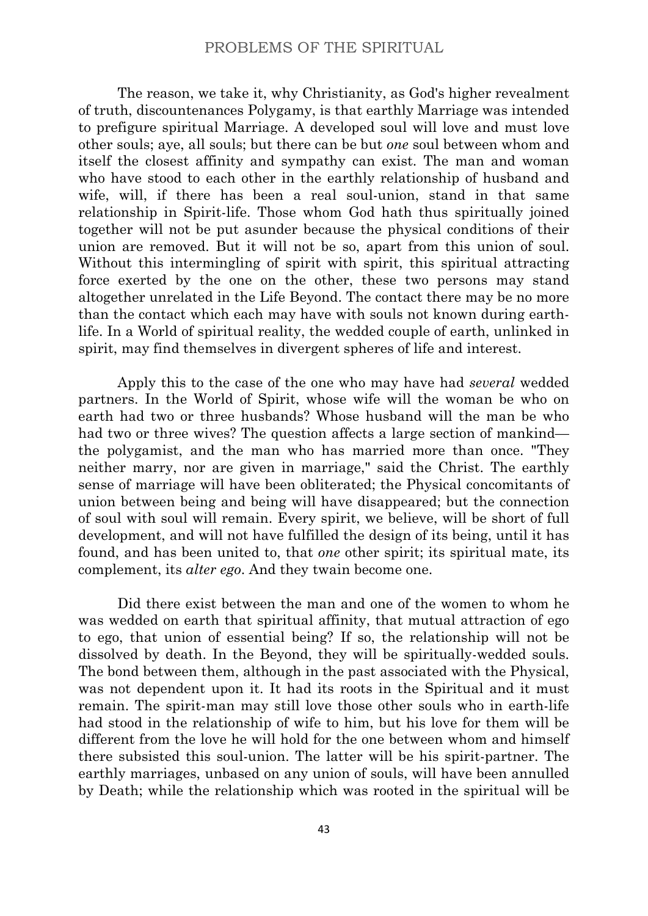The reason, we take it, why Christianity, as God's higher revealment of truth, discountenances Polygamy, is that earthly Marriage was intended to prefigure spiritual Marriage. A developed soul will love and must love other souls; aye, all souls; but there can be but *one* soul between whom and itself the closest affinity and sympathy can exist. The man and woman who have stood to each other in the earthly relationship of husband and wife, will, if there has been a real soul-union, stand in that same relationship in Spirit-life. Those whom God hath thus spiritually joined together will not be put asunder because the physical conditions of their union are removed. But it will not be so, apart from this union of soul. Without this intermingling of spirit with spirit, this spiritual attracting force exerted by the one on the other, these two persons may stand altogether unrelated in the Life Beyond. The contact there may be no more than the contact which each may have with souls not known during earthlife. In a World of spiritual reality, the wedded couple of earth, unlinked in spirit, may find themselves in divergent spheres of life and interest.

Apply this to the case of the one who may have had *several* wedded partners. In the World of Spirit, whose wife will the woman be who on earth had two or three husbands? Whose husband will the man be who had two or three wives? The question affects a large section of mankind the polygamist, and the man who has married more than once. "They neither marry, nor are given in marriage," said the Christ. The earthly sense of marriage will have been obliterated; the Physical concomitants of union between being and being will have disappeared; but the connection of soul with soul will remain. Every spirit, we believe, will be short of full development, and will not have fulfilled the design of its being, until it has found, and has been united to, that *one* other spirit; its spiritual mate, its complement, its *alter ego*. And they twain become one.

Did there exist between the man and one of the women to whom he was wedded on earth that spiritual affinity, that mutual attraction of ego to ego, that union of essential being? If so, the relationship will not be dissolved by death. In the Beyond, they will be spiritually-wedded souls. The bond between them, although in the past associated with the Physical, was not dependent upon it. It had its roots in the Spiritual and it must remain. The spirit-man may still love those other souls who in earth-life had stood in the relationship of wife to him, but his love for them will be different from the love he will hold for the one between whom and himself there subsisted this soul-union. The latter will be his spirit-partner. The earthly marriages, unbased on any union of souls, will have been annulled by Death; while the relationship which was rooted in the spiritual will be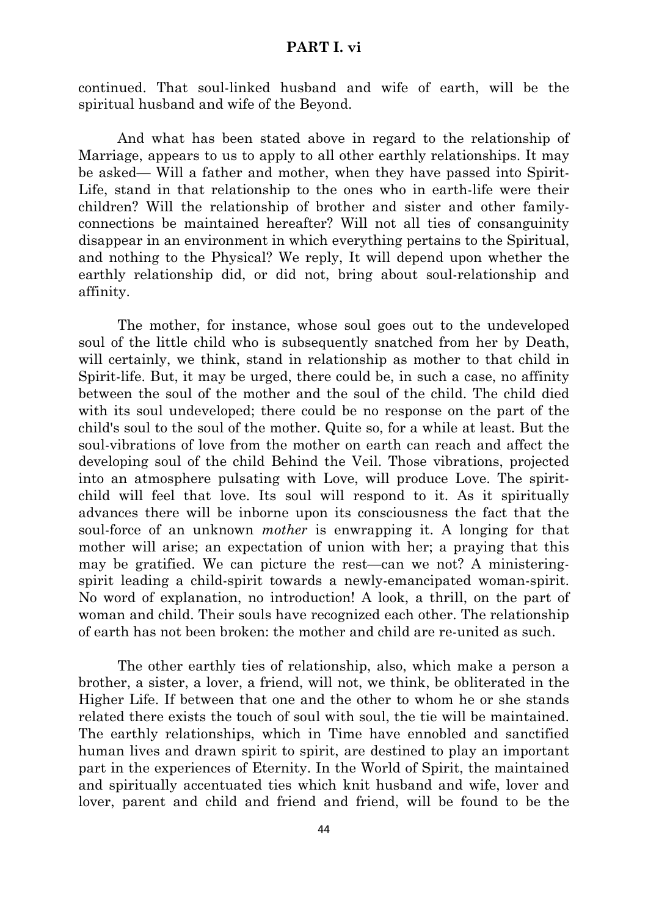#### **PART I. vi**

continued. That soul-linked husband and wife of earth, will be the spiritual husband and wife of the Beyond.

And what has been stated above in regard to the relationship of Marriage, appears to us to apply to all other earthly relationships. It may be asked— Will a father and mother, when they have passed into Spirit-Life, stand in that relationship to the ones who in earth-life were their children? Will the relationship of brother and sister and other familyconnections be maintained hereafter? Will not all ties of consanguinity disappear in an environment in which everything pertains to the Spiritual, and nothing to the Physical? We reply, It will depend upon whether the earthly relationship did, or did not, bring about soul-relationship and affinity.

The mother, for instance, whose soul goes out to the undeveloped soul of the little child who is subsequently snatched from her by Death, will certainly, we think, stand in relationship as mother to that child in Spirit-life. But, it may be urged, there could be, in such a case, no affinity between the soul of the mother and the soul of the child. The child died with its soul undeveloped; there could be no response on the part of the child's soul to the soul of the mother. Quite so, for a while at least. But the soul-vibrations of love from the mother on earth can reach and affect the developing soul of the child Behind the Veil. Those vibrations, projected into an atmosphere pulsating with Love, will produce Love. The spiritchild will feel that love. Its soul will respond to it. As it spiritually advances there will be inborne upon its consciousness the fact that the soul-force of an unknown *mother* is enwrapping it. A longing for that mother will arise; an expectation of union with her; a praying that this may be gratified. We can picture the rest—can we not? A ministeringspirit leading a child-spirit towards a newly-emancipated woman-spirit. No word of explanation, no introduction! A look, a thrill, on the part of woman and child. Their souls have recognized each other. The relationship of earth has not been broken: the mother and child are re-united as such.

The other earthly ties of relationship, also, which make a person a brother, a sister, a lover, a friend, will not, we think, be obliterated in the Higher Life. If between that one and the other to whom he or she stands related there exists the touch of soul with soul, the tie will be maintained. The earthly relationships, which in Time have ennobled and sanctified human lives and drawn spirit to spirit, are destined to play an important part in the experiences of Eternity. In the World of Spirit, the maintained and spiritually accentuated ties which knit husband and wife, lover and lover, parent and child and friend and friend, will be found to be the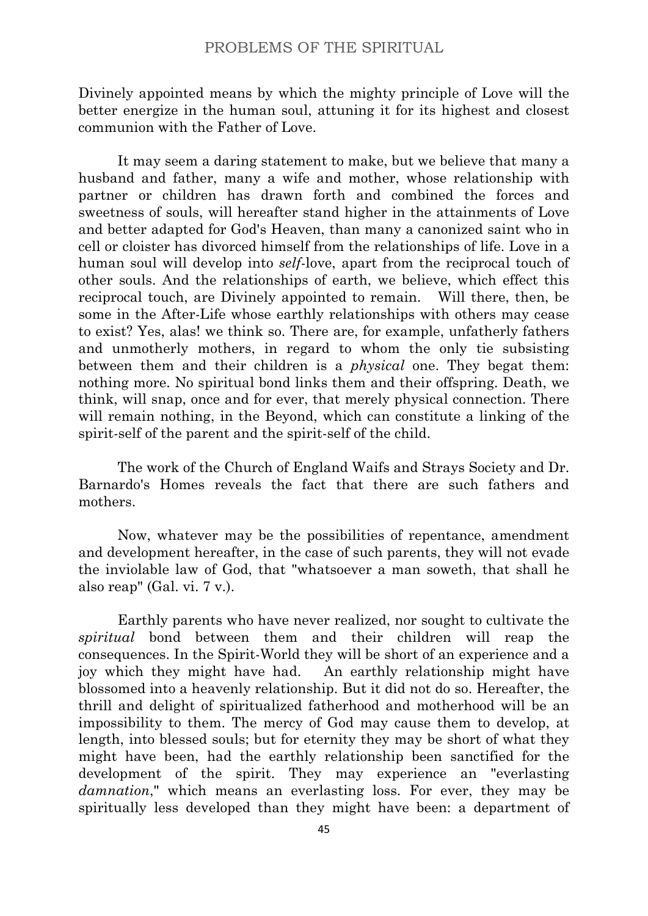Divinely appointed means by which the mighty principle of Love will the better energize in the human soul, attuning it for its highest and closest communion with the Father of Love.

It may seem a daring statement to make, but we believe that many a husband and father, many a wife and mother, whose relationship with partner or children has drawn forth and combined the forces and sweetness of souls, will hereafter stand higher in the attainments of Love and better adapted for God's Heaven, than many a canonized saint who in cell or cloister has divorced himself from the relationships of life. Love in a human soul will develop into *self*-love, apart from the reciprocal touch of other souls. And the relationships of earth, we believe, which effect this reciprocal touch, are Divinely appointed to remain. Will there, then, be some in the After-Life whose earthly relationships with others may cease to exist? Yes, alas! we think so. There are, for example, unfatherly fathers and unmotherly mothers, in regard to whom the only tie subsisting between them and their children is a *physical* one. They begat them: nothing more. No spiritual bond links them and their offspring. Death, we think, will snap, once and for ever, that merely physical connection. There will remain nothing, in the Beyond, which can constitute a linking of the spirit-self of the parent and the spirit-self of the child.

The work of the Church of England Waifs and Strays Society and Dr. Barnardo's Homes reveals the fact that there are such fathers and mothers.

Now, whatever may be the possibilities of repentance, amendment and development hereafter, in the case of such parents, they will not evade the inviolable law of God, that "whatsoever a man soweth, that shall he also reap" (Gal. vi. 7 v.).

Earthly parents who have never realized, nor sought to cultivate the *spiritual* bond between them and their children will reap the consequences. In the Spirit-World they will be short of an experience and a joy which they might have had. An earthly relationship might have blossomed into a heavenly relationship. But it did not do so. Hereafter, the thrill and delight of spiritualized fatherhood and motherhood will be an impossibility to them. The mercy of God may cause them to develop, at length, into blessed souls; but for eternity they may be short of what they might have been, had the earthly relationship been sanctified for the development of the spirit. They may experience an "everlasting *damnation*," which means an everlasting loss. For ever, they may be spiritually less developed than they might have been: a department of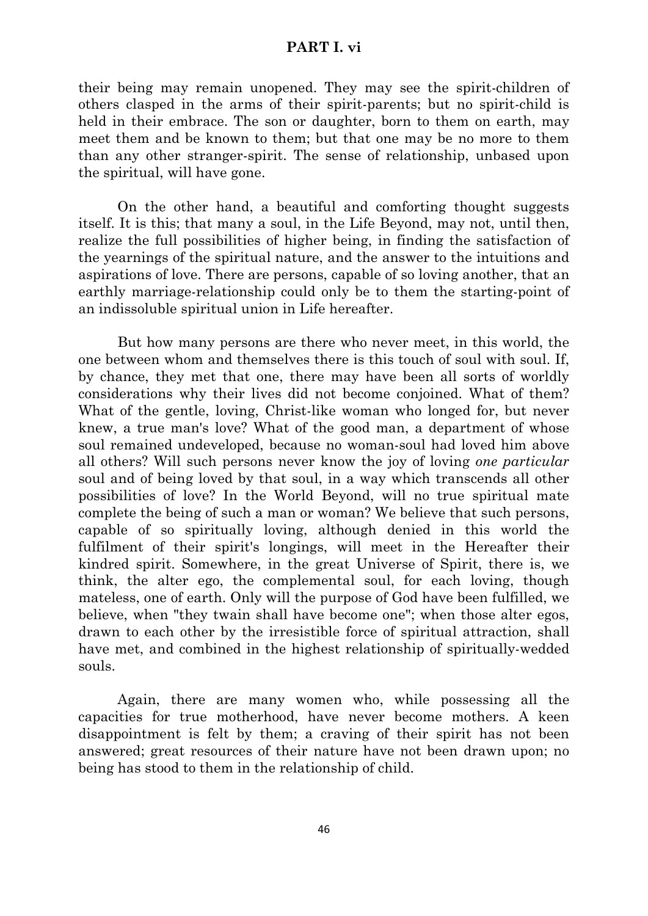## **PART I. vi**

their being may remain unopened. They may see the spirit-children of others clasped in the arms of their spirit-parents; but no spirit-child is held in their embrace. The son or daughter, born to them on earth, may meet them and be known to them; but that one may be no more to them than any other stranger-spirit. The sense of relationship, unbased upon the spiritual, will have gone.

On the other hand, a beautiful and comforting thought suggests itself. It is this; that many a soul, in the Life Beyond, may not, until then, realize the full possibilities of higher being, in finding the satisfaction of the yearnings of the spiritual nature, and the answer to the intuitions and aspirations of love. There are persons, capable of so loving another, that an earthly marriage-relationship could only be to them the starting-point of an indissoluble spiritual union in Life hereafter.

But how many persons are there who never meet, in this world, the one between whom and themselves there is this touch of soul with soul. If, by chance, they met that one, there may have been all sorts of worldly considerations why their lives did not become conjoined. What of them? What of the gentle, loving, Christ-like woman who longed for, but never knew, a true man's love? What of the good man, a department of whose soul remained undeveloped, because no woman-soul had loved him above all others? Will such persons never know the joy of loving *one particular* soul and of being loved by that soul, in a way which transcends all other possibilities of love? In the World Beyond, will no true spiritual mate complete the being of such a man or woman? We believe that such persons, capable of so spiritually loving, although denied in this world the fulfilment of their spirit's longings, will meet in the Hereafter their kindred spirit. Somewhere, in the great Universe of Spirit, there is, we think, the alter ego, the complemental soul, for each loving, though mateless, one of earth. Only will the purpose of God have been fulfilled, we believe, when "they twain shall have become one"; when those alter egos, drawn to each other by the irresistible force of spiritual attraction, shall have met, and combined in the highest relationship of spiritually-wedded souls.

Again, there are many women who, while possessing all the capacities for true motherhood, have never become mothers. A keen disappointment is felt by them; a craving of their spirit has not been answered; great resources of their nature have not been drawn upon; no being has stood to them in the relationship of child.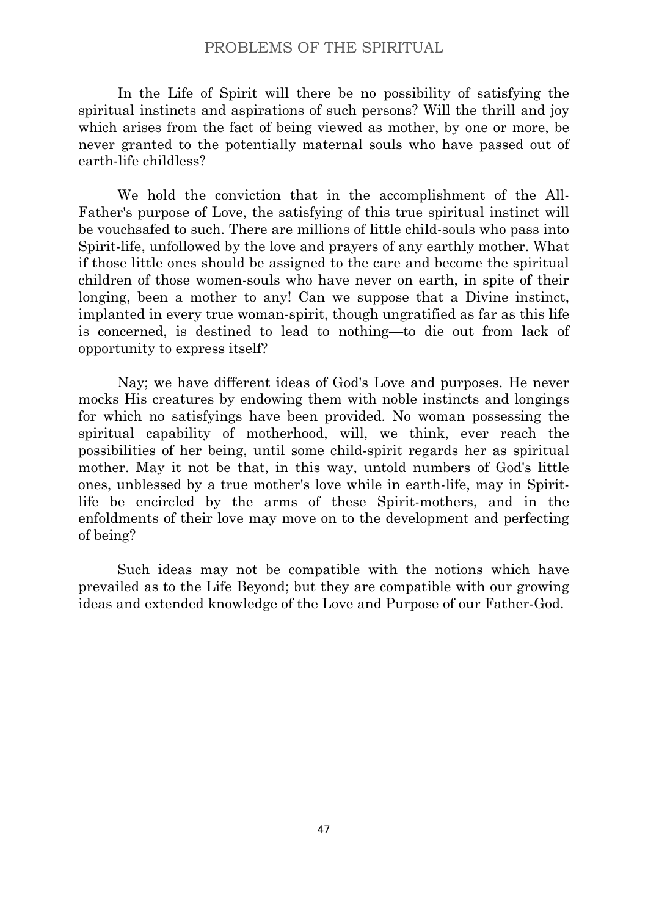In the Life of Spirit will there be no possibility of satisfying the spiritual instincts and aspirations of such persons? Will the thrill and joy which arises from the fact of being viewed as mother, by one or more, be never granted to the potentially maternal souls who have passed out of earth-life childless?

We hold the conviction that in the accomplishment of the All-Father's purpose of Love, the satisfying of this true spiritual instinct will be vouchsafed to such. There are millions of little child-souls who pass into Spirit-life, unfollowed by the love and prayers of any earthly mother. What if those little ones should be assigned to the care and become the spiritual children of those women-souls who have never on earth, in spite of their longing, been a mother to any! Can we suppose that a Divine instinct, implanted in every true woman-spirit, though ungratified as far as this life is concerned, is destined to lead to nothing—to die out from lack of opportunity to express itself?

Nay; we have different ideas of God's Love and purposes. He never mocks His creatures by endowing them with noble instincts and longings for which no satisfyings have been provided. No woman possessing the spiritual capability of motherhood, will, we think, ever reach the possibilities of her being, until some child-spirit regards her as spiritual mother. May it not be that, in this way, untold numbers of God's little ones, unblessed by a true mother's love while in earth-life, may in Spiritlife be encircled by the arms of these Spirit-mothers, and in the enfoldments of their love may move on to the development and perfecting of being?

Such ideas may not be compatible with the notions which have prevailed as to the Life Beyond; but they are compatible with our growing ideas and extended knowledge of the Love and Purpose of our Father-God.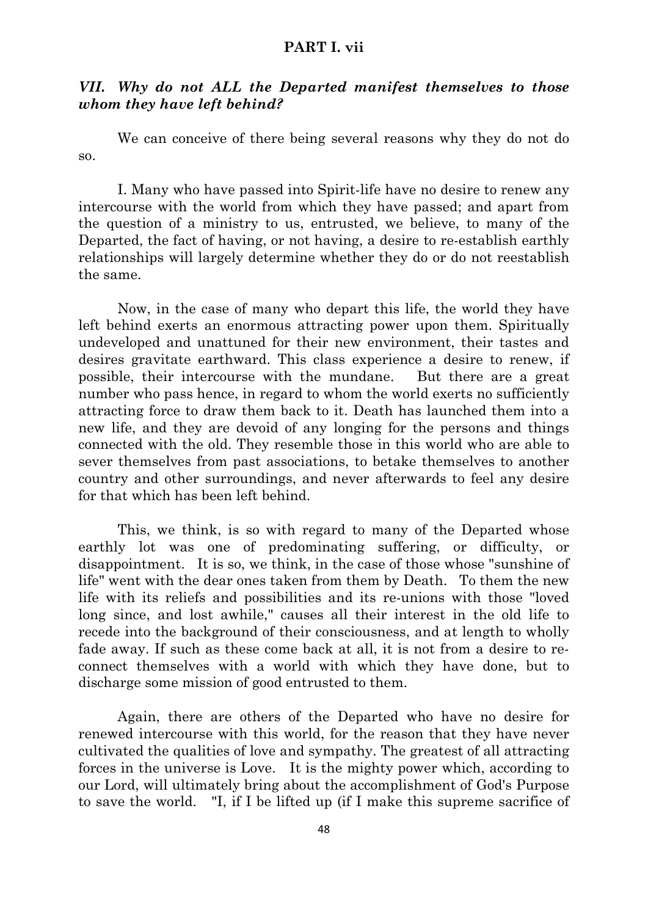# **PART I. vii**

# *VII. Why do not ALL the Departed manifest themselves to those whom they have left behind?*

We can conceive of there being several reasons why they do not do so.

I. Many who have passed into Spirit-life have no desire to renew any intercourse with the world from which they have passed; and apart from the question of a ministry to us, entrusted, we believe, to many of the Departed, the fact of having, or not having, a desire to re-establish earthly relationships will largely determine whether they do or do not reestablish the same.

Now, in the case of many who depart this life, the world they have left behind exerts an enormous attracting power upon them. Spiritually undeveloped and unattuned for their new environment, their tastes and desires gravitate earthward. This class experience a desire to renew, if possible, their intercourse with the mundane. But there are a great number who pass hence, in regard to whom the world exerts no sufficiently attracting force to draw them back to it. Death has launched them into a new life, and they are devoid of any longing for the persons and things connected with the old. They resemble those in this world who are able to sever themselves from past associations, to betake themselves to another country and other surroundings, and never afterwards to feel any desire for that which has been left behind.

This, we think, is so with regard to many of the Departed whose earthly lot was one of predominating suffering, or difficulty, or disappointment. It is so, we think, in the case of those whose "sunshine of life" went with the dear ones taken from them by Death. To them the new life with its reliefs and possibilities and its re-unions with those "loved long since, and lost awhile," causes all their interest in the old life to recede into the background of their consciousness, and at length to wholly fade away. If such as these come back at all, it is not from a desire to reconnect themselves with a world with which they have done, but to discharge some mission of good entrusted to them.

Again, there are others of the Departed who have no desire for renewed intercourse with this world, for the reason that they have never cultivated the qualities of love and sympathy. The greatest of all attracting forces in the universe is Love. It is the mighty power which, according to our Lord, will ultimately bring about the accomplishment of God's Purpose to save the world. "I, if I be lifted up (if I make this supreme sacrifice of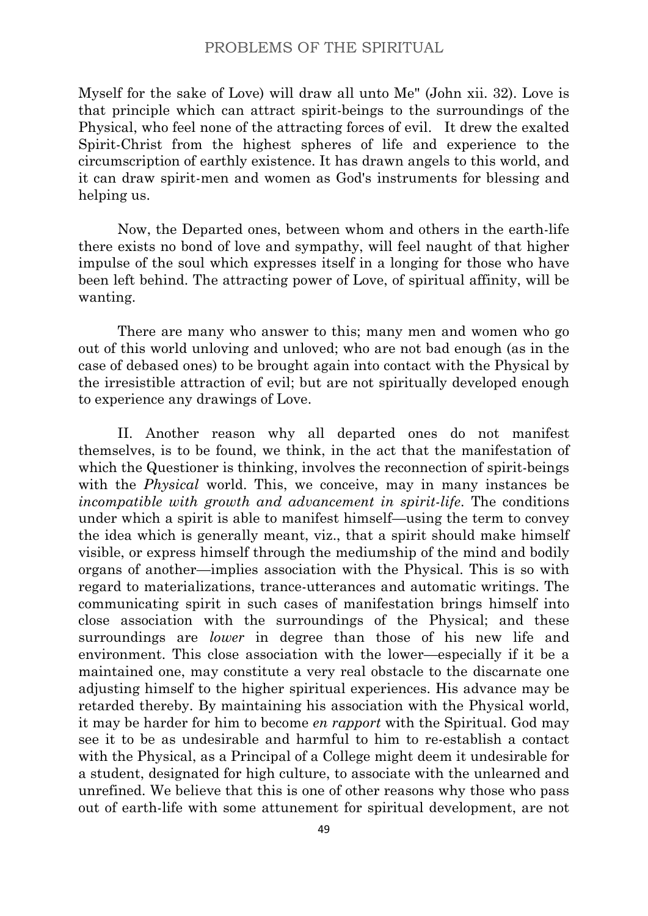Myself for the sake of Love) will draw all unto Me" (John xii. 32). Love is that principle which can attract spirit-beings to the surroundings of the Physical, who feel none of the attracting forces of evil. It drew the exalted Spirit-Christ from the highest spheres of life and experience to the circumscription of earthly existence. It has drawn angels to this world, and it can draw spirit-men and women as God's instruments for blessing and helping us.

Now, the Departed ones, between whom and others in the earth-life there exists no bond of love and sympathy, will feel naught of that higher impulse of the soul which expresses itself in a longing for those who have been left behind. The attracting power of Love, of spiritual affinity, will be wanting.

There are many who answer to this; many men and women who go out of this world unloving and unloved; who are not bad enough (as in the case of debased ones) to be brought again into contact with the Physical by the irresistible attraction of evil; but are not spiritually developed enough to experience any drawings of Love.

II. Another reason why all departed ones do not manifest themselves, is to be found, we think, in the act that the manifestation of which the Questioner is thinking, involves the reconnection of spirit-beings with the *Physical* world. This, we conceive, may in many instances be *incompatible with growth and advancement in spirit-life*. The conditions under which a spirit is able to manifest himself—using the term to convey the idea which is generally meant, viz., that a spirit should make himself visible, or express himself through the mediumship of the mind and bodily organs of another—implies association with the Physical. This is so with regard to materializations, trance-utterances and automatic writings. The communicating spirit in such cases of manifestation brings himself into close association with the surroundings of the Physical; and these surroundings are *lower* in degree than those of his new life and environment. This close association with the lower—especially if it be a maintained one, may constitute a very real obstacle to the discarnate one adjusting himself to the higher spiritual experiences. His advance may be retarded thereby. By maintaining his association with the Physical world, it may be harder for him to become *en rapport* with the Spiritual. God may see it to be as undesirable and harmful to him to re-establish a contact with the Physical, as a Principal of a College might deem it undesirable for a student, designated for high culture, to associate with the unlearned and unrefined. We believe that this is one of other reasons why those who pass out of earth-life with some attunement for spiritual development, are not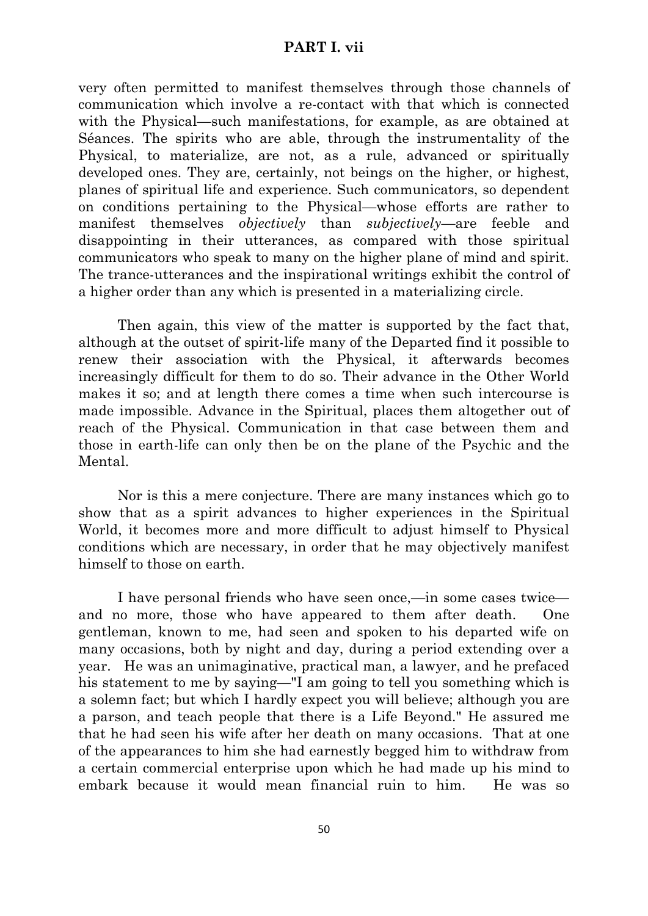# **PART I. vii**

very often permitted to manifest themselves through those channels of communication which involve a re-contact with that which is connected with the Physical—such manifestations, for example, as are obtained at Séances. The spirits who are able, through the instrumentality of the Physical, to materialize, are not, as a rule, advanced or spiritually developed ones. They are, certainly, not beings on the higher, or highest, planes of spiritual life and experience. Such communicators, so dependent on conditions pertaining to the Physical—whose efforts are rather to manifest themselves *objectively* than *subjectively*—are feeble and disappointing in their utterances, as compared with those spiritual communicators who speak to many on the higher plane of mind and spirit. The trance-utterances and the inspirational writings exhibit the control of a higher order than any which is presented in a materializing circle.

Then again, this view of the matter is supported by the fact that, although at the outset of spirit-life many of the Departed find it possible to renew their association with the Physical, it afterwards becomes increasingly difficult for them to do so. Their advance in the Other World makes it so; and at length there comes a time when such intercourse is made impossible. Advance in the Spiritual, places them altogether out of reach of the Physical. Communication in that case between them and those in earth-life can only then be on the plane of the Psychic and the Mental.

Nor is this a mere conjecture. There are many instances which go to show that as a spirit advances to higher experiences in the Spiritual World, it becomes more and more difficult to adjust himself to Physical conditions which are necessary, in order that he may objectively manifest himself to those on earth.

I have personal friends who have seen once,—in some cases twice and no more, those who have appeared to them after death. One gentleman, known to me, had seen and spoken to his departed wife on many occasions, both by night and day, during a period extending over a year. He was an unimaginative, practical man, a lawyer, and he prefaced his statement to me by saying—"I am going to tell you something which is a solemn fact; but which I hardly expect you will believe; although you are a parson, and teach people that there is a Life Beyond." He assured me that he had seen his wife after her death on many occasions. That at one of the appearances to him she had earnestly begged him to withdraw from a certain commercial enterprise upon which he had made up his mind to embark because it would mean financial ruin to him. He was so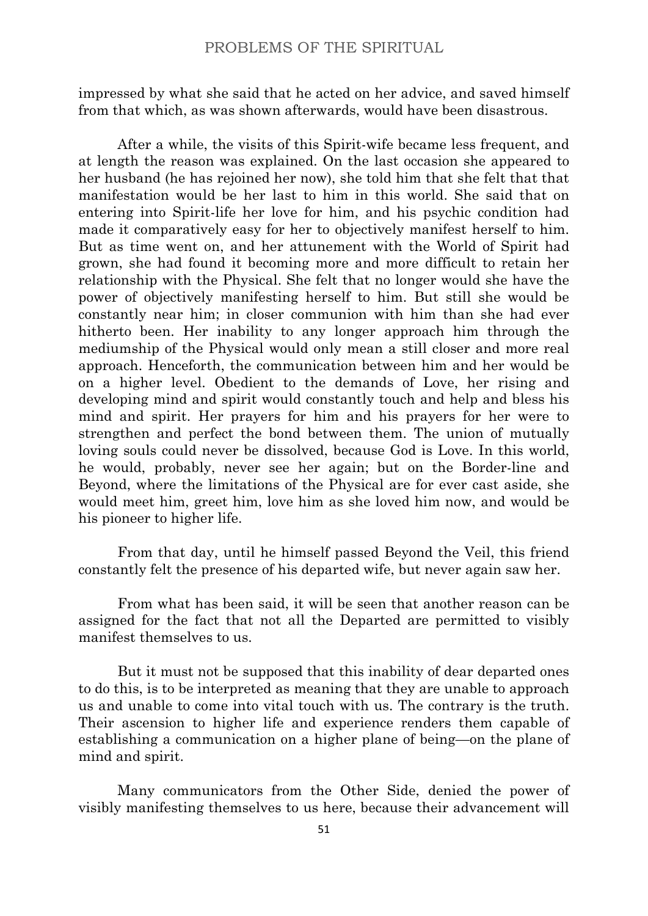impressed by what she said that he acted on her advice, and saved himself from that which, as was shown afterwards, would have been disastrous.

After a while, the visits of this Spirit-wife became less frequent, and at length the reason was explained. On the last occasion she appeared to her husband (he has rejoined her now), she told him that she felt that that manifestation would be her last to him in this world. She said that on entering into Spirit-life her love for him, and his psychic condition had made it comparatively easy for her to objectively manifest herself to him. But as time went on, and her attunement with the World of Spirit had grown, she had found it becoming more and more difficult to retain her relationship with the Physical. She felt that no longer would she have the power of objectively manifesting herself to him. But still she would be constantly near him; in closer communion with him than she had ever hitherto been. Her inability to any longer approach him through the mediumship of the Physical would only mean a still closer and more real approach. Henceforth, the communication between him and her would be on a higher level. Obedient to the demands of Love, her rising and developing mind and spirit would constantly touch and help and bless his mind and spirit. Her prayers for him and his prayers for her were to strengthen and perfect the bond between them. The union of mutually loving souls could never be dissolved, because God is Love. In this world, he would, probably, never see her again; but on the Border-line and Beyond, where the limitations of the Physical are for ever cast aside, she would meet him, greet him, love him as she loved him now, and would be his pioneer to higher life.

From that day, until he himself passed Beyond the Veil, this friend constantly felt the presence of his departed wife, but never again saw her.

From what has been said, it will be seen that another reason can be assigned for the fact that not all the Departed are permitted to visibly manifest themselves to us.

But it must not be supposed that this inability of dear departed ones to do this, is to be interpreted as meaning that they are unable to approach us and unable to come into vital touch with us. The contrary is the truth. Their ascension to higher life and experience renders them capable of establishing a communication on a higher plane of being—on the plane of mind and spirit.

Many communicators from the Other Side, denied the power of visibly manifesting themselves to us here, because their advancement will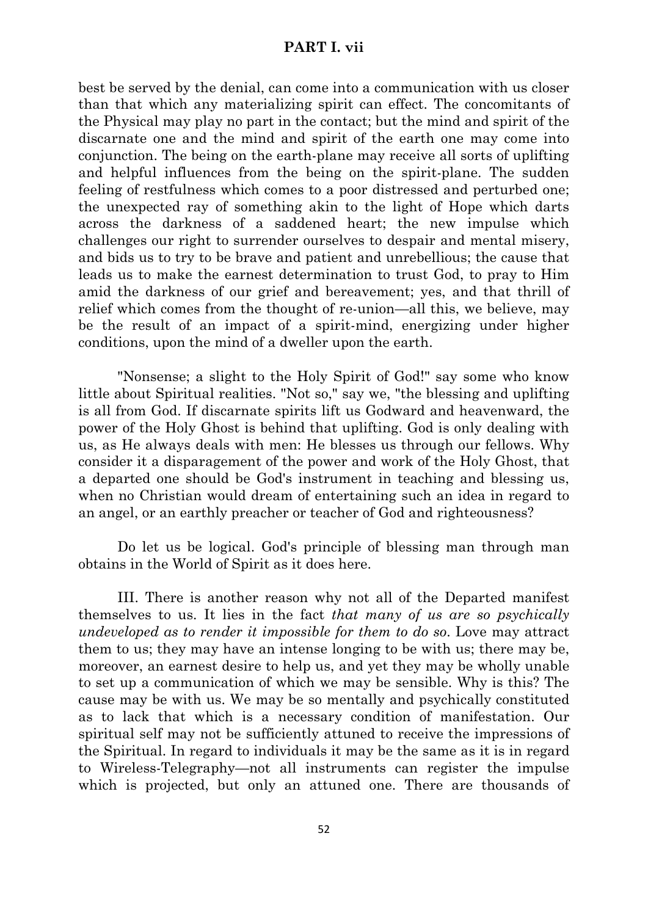# **PART I. vii**

best be served by the denial, can come into a communication with us closer than that which any materializing spirit can effect. The concomitants of the Physical may play no part in the contact; but the mind and spirit of the discarnate one and the mind and spirit of the earth one may come into conjunction. The being on the earth-plane may receive all sorts of uplifting and helpful influences from the being on the spirit-plane. The sudden feeling of restfulness which comes to a poor distressed and perturbed one; the unexpected ray of something akin to the light of Hope which darts across the darkness of a saddened heart; the new impulse which challenges our right to surrender ourselves to despair and mental misery, and bids us to try to be brave and patient and unrebellious; the cause that leads us to make the earnest determination to trust God, to pray to Him amid the darkness of our grief and bereavement; yes, and that thrill of relief which comes from the thought of re-union—all this, we believe, may be the result of an impact of a spirit-mind, energizing under higher conditions, upon the mind of a dweller upon the earth.

"Nonsense; a slight to the Holy Spirit of God!" say some who know little about Spiritual realities. "Not so," say we, "the blessing and uplifting is all from God. If discarnate spirits lift us Godward and heavenward, the power of the Holy Ghost is behind that uplifting. God is only dealing with us, as He always deals with men: He blesses us through our fellows. Why consider it a disparagement of the power and work of the Holy Ghost, that a departed one should be God's instrument in teaching and blessing us, when no Christian would dream of entertaining such an idea in regard to an angel, or an earthly preacher or teacher of God and righteousness?

Do let us be logical. God's principle of blessing man through man obtains in the World of Spirit as it does here.

III. There is another reason why not all of the Departed manifest themselves to us. It lies in the fact *that many of us are so psychically undeveloped as to render it impossible for them to do so*. Love may attract them to us; they may have an intense longing to be with us; there may be, moreover, an earnest desire to help us, and yet they may be wholly unable to set up a communication of which we may be sensible. Why is this? The cause may be with us. We may be so mentally and psychically constituted as to lack that which is a necessary condition of manifestation. Our spiritual self may not be sufficiently attuned to receive the impressions of the Spiritual. In regard to individuals it may be the same as it is in regard to Wireless-Telegraphy—not all instruments can register the impulse which is projected, but only an attuned one. There are thousands of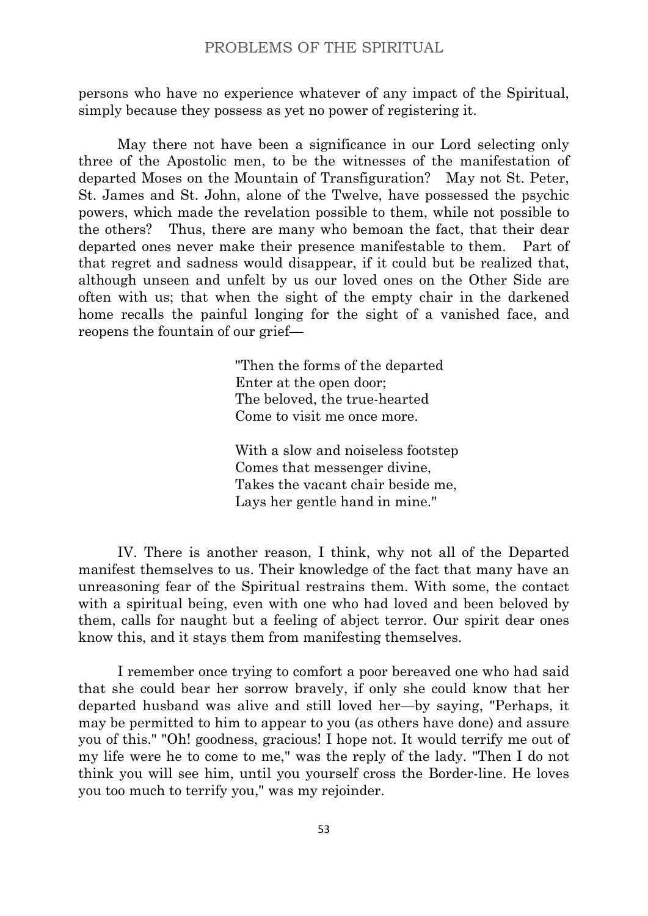persons who have no experience whatever of any impact of the Spiritual, simply because they possess as yet no power of registering it.

May there not have been a significance in our Lord selecting only three of the Apostolic men, to be the witnesses of the manifestation of departed Moses on the Mountain of Transfiguration? May not St. Peter, St. James and St. John, alone of the Twelve, have possessed the psychic powers, which made the revelation possible to them, while not possible to the others? Thus, there are many who bemoan the fact, that their dear departed ones never make their presence manifestable to them. Part of that regret and sadness would disappear, if it could but be realized that, although unseen and unfelt by us our loved ones on the Other Side are often with us; that when the sight of the empty chair in the darkened home recalls the painful longing for the sight of a vanished face, and reopens the fountain of our grief—

> "Then the forms of the departed Enter at the open door; The beloved, the true-hearted Come to visit me once more.

With a slow and noiseless footstep Comes that messenger divine, Takes the vacant chair beside me, Lays her gentle hand in mine."

IV. There is another reason, I think, why not all of the Departed manifest themselves to us. Their knowledge of the fact that many have an unreasoning fear of the Spiritual restrains them. With some, the contact with a spiritual being, even with one who had loved and been beloved by them, calls for naught but a feeling of abject terror. Our spirit dear ones know this, and it stays them from manifesting themselves.

I remember once trying to comfort a poor bereaved one who had said that she could bear her sorrow bravely, if only she could know that her departed husband was alive and still loved her—by saying, "Perhaps, it may be permitted to him to appear to you (as others have done) and assure you of this." "Oh! goodness, gracious! I hope not. It would terrify me out of my life were he to come to me," was the reply of the lady. "Then I do not think you will see him, until you yourself cross the Border-line. He loves you too much to terrify you," was my rejoinder.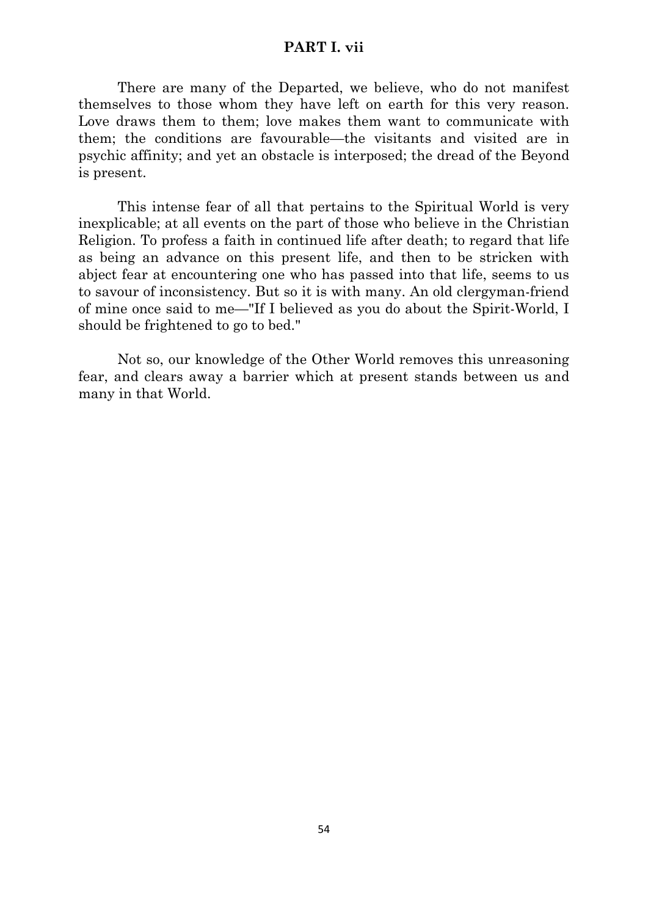# **PART I. vii**

There are many of the Departed, we believe, who do not manifest themselves to those whom they have left on earth for this very reason. Love draws them to them; love makes them want to communicate with them; the conditions are favourable—the visitants and visited are in psychic affinity; and yet an obstacle is interposed; the dread of the Beyond is present.

This intense fear of all that pertains to the Spiritual World is very inexplicable; at all events on the part of those who believe in the Christian Religion. To profess a faith in continued life after death; to regard that life as being an advance on this present life, and then to be stricken with abject fear at encountering one who has passed into that life, seems to us to savour of inconsistency. But so it is with many. An old clergyman-friend of mine once said to me—"If I believed as you do about the Spirit-World, I should be frightened to go to bed."

Not so, our knowledge of the Other World removes this unreasoning fear, and clears away a barrier which at present stands between us and many in that World.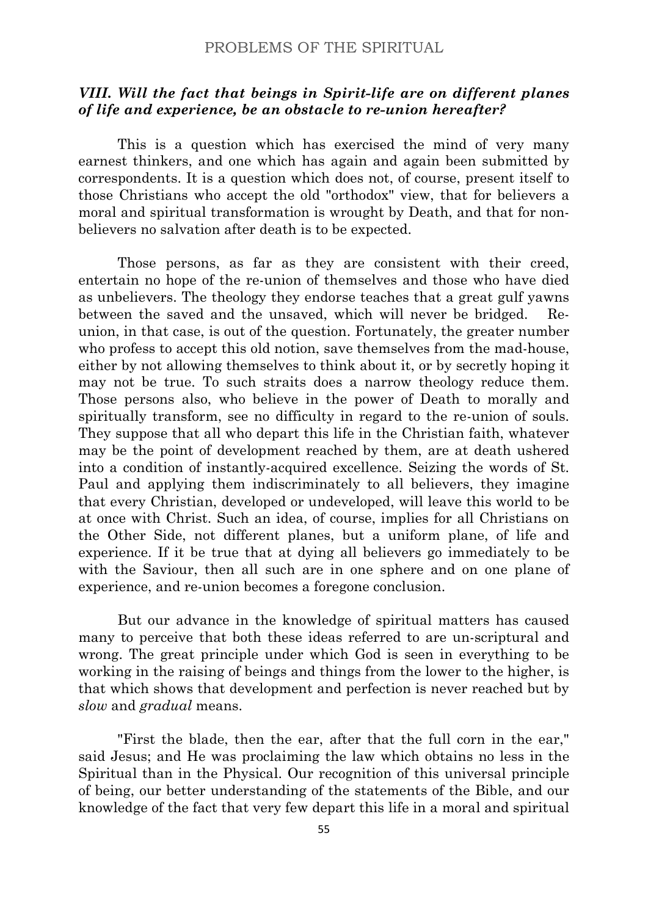# *VIII. Will the fact that beings in Spirit-life are on different planes of life and experience, be an obstacle to re-union hereafter?*

This is a question which has exercised the mind of very many earnest thinkers, and one which has again and again been submitted by correspondents. It is a question which does not, of course, present itself to those Christians who accept the old "orthodox" view, that for believers a moral and spiritual transformation is wrought by Death, and that for nonbelievers no salvation after death is to be expected.

Those persons, as far as they are consistent with their creed, entertain no hope of the re-union of themselves and those who have died as unbelievers. The theology they endorse teaches that a great gulf yawns between the saved and the unsaved, which will never be bridged. Reunion, in that case, is out of the question. Fortunately, the greater number who profess to accept this old notion, save themselves from the mad-house, either by not allowing themselves to think about it, or by secretly hoping it may not be true. To such straits does a narrow theology reduce them. Those persons also, who believe in the power of Death to morally and spiritually transform, see no difficulty in regard to the re-union of souls. They suppose that all who depart this life in the Christian faith, whatever may be the point of development reached by them, are at death ushered into a condition of instantly-acquired excellence. Seizing the words of St. Paul and applying them indiscriminately to all believers, they imagine that every Christian, developed or undeveloped, will leave this world to be at once with Christ. Such an idea, of course, implies for all Christians on the Other Side, not different planes, but a uniform plane, of life and experience. If it be true that at dying all believers go immediately to be with the Saviour, then all such are in one sphere and on one plane of experience, and re-union becomes a foregone conclusion.

But our advance in the knowledge of spiritual matters has caused many to perceive that both these ideas referred to are un-scriptural and wrong. The great principle under which God is seen in everything to be working in the raising of beings and things from the lower to the higher, is that which shows that development and perfection is never reached but by *slow* and *gradual* means.

"First the blade, then the ear, after that the full corn in the ear," said Jesus; and He was proclaiming the law which obtains no less in the Spiritual than in the Physical. Our recognition of this universal principle of being, our better understanding of the statements of the Bible, and our knowledge of the fact that very few depart this life in a moral and spiritual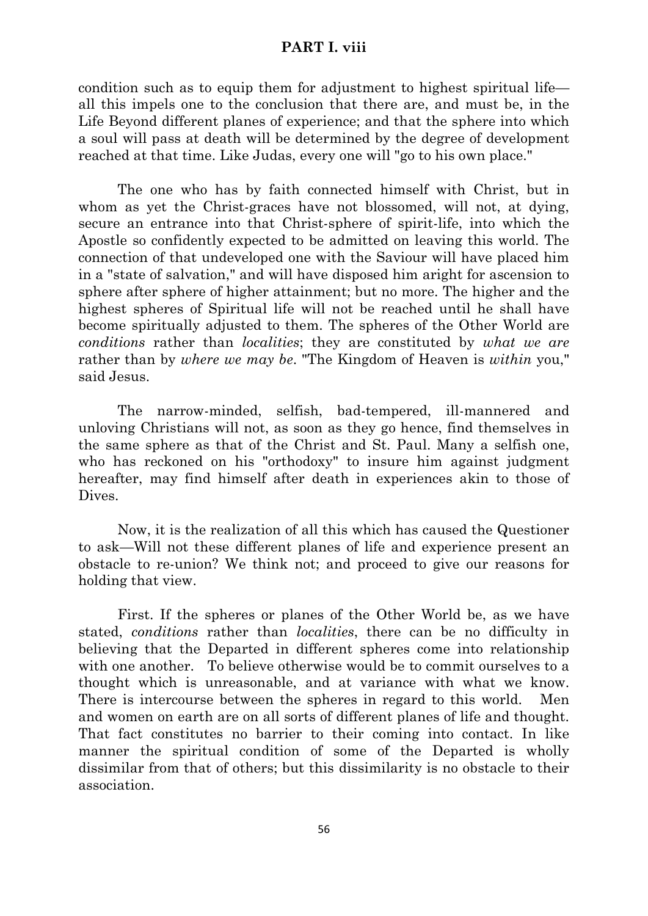#### **PART I. viii**

condition such as to equip them for adjustment to highest spiritual life all this impels one to the conclusion that there are, and must be, in the Life Beyond different planes of experience; and that the sphere into which a soul will pass at death will be determined by the degree of development reached at that time. Like Judas, every one will "go to his own place."

The one who has by faith connected himself with Christ, but in whom as yet the Christ-graces have not blossomed, will not, at dying, secure an entrance into that Christ-sphere of spirit-life, into which the Apostle so confidently expected to be admitted on leaving this world. The connection of that undeveloped one with the Saviour will have placed him in a "state of salvation," and will have disposed him aright for ascension to sphere after sphere of higher attainment; but no more. The higher and the highest spheres of Spiritual life will not be reached until he shall have become spiritually adjusted to them. The spheres of the Other World are *conditions* rather than *localities*; they are constituted by *what we are* rather than by *where we may be*. "The Kingdom of Heaven is *within* you," said Jesus.

The narrow-minded, selfish, bad-tempered, ill-mannered and unloving Christians will not, as soon as they go hence, find themselves in the same sphere as that of the Christ and St. Paul. Many a selfish one, who has reckoned on his "orthodoxy" to insure him against judgment hereafter, may find himself after death in experiences akin to those of Dives.

Now, it is the realization of all this which has caused the Questioner to ask—Will not these different planes of life and experience present an obstacle to re-union? We think not; and proceed to give our reasons for holding that view.

First. If the spheres or planes of the Other World be, as we have stated, *conditions* rather than *localities*, there can be no difficulty in believing that the Departed in different spheres come into relationship with one another. To believe otherwise would be to commit ourselves to a thought which is unreasonable, and at variance with what we know. There is intercourse between the spheres in regard to this world. Men and women on earth are on all sorts of different planes of life and thought. That fact constitutes no barrier to their coming into contact. In like manner the spiritual condition of some of the Departed is wholly dissimilar from that of others; but this dissimilarity is no obstacle to their association.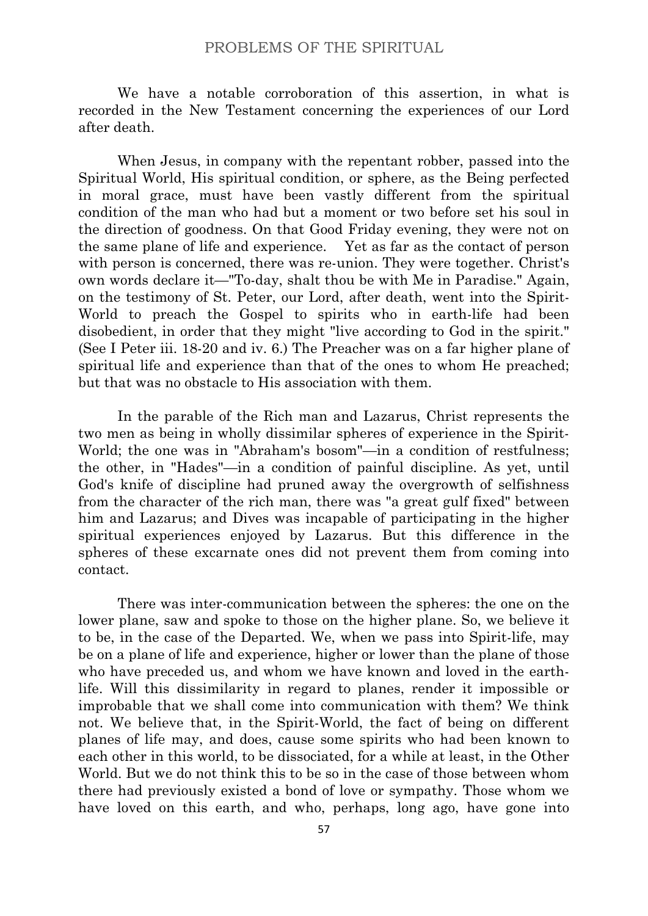We have a notable corroboration of this assertion, in what is recorded in the New Testament concerning the experiences of our Lord after death.

When Jesus, in company with the repentant robber, passed into the Spiritual World, His spiritual condition, or sphere, as the Being perfected in moral grace, must have been vastly different from the spiritual condition of the man who had but a moment or two before set his soul in the direction of goodness. On that Good Friday evening, they were not on the same plane of life and experience. Yet as far as the contact of person with person is concerned, there was re-union. They were together. Christ's own words declare it—"To-day, shalt thou be with Me in Paradise." Again, on the testimony of St. Peter, our Lord, after death, went into the Spirit-World to preach the Gospel to spirits who in earth-life had been disobedient, in order that they might "live according to God in the spirit." (See I Peter iii. 18-20 and iv. 6.) The Preacher was on a far higher plane of spiritual life and experience than that of the ones to whom He preached; but that was no obstacle to His association with them.

In the parable of the Rich man and Lazarus, Christ represents the two men as being in wholly dissimilar spheres of experience in the Spirit-World; the one was in "Abraham's bosom"—in a condition of restfulness; the other, in "Hades"—in a condition of painful discipline. As yet, until God's knife of discipline had pruned away the overgrowth of selfishness from the character of the rich man, there was "a great gulf fixed" between him and Lazarus; and Dives was incapable of participating in the higher spiritual experiences enjoyed by Lazarus. But this difference in the spheres of these excarnate ones did not prevent them from coming into contact.

There was inter-communication between the spheres: the one on the lower plane, saw and spoke to those on the higher plane. So, we believe it to be, in the case of the Departed. We, when we pass into Spirit-life, may be on a plane of life and experience, higher or lower than the plane of those who have preceded us, and whom we have known and loved in the earthlife. Will this dissimilarity in regard to planes, render it impossible or improbable that we shall come into communication with them? We think not. We believe that, in the Spirit-World, the fact of being on different planes of life may, and does, cause some spirits who had been known to each other in this world, to be dissociated, for a while at least, in the Other World. But we do not think this to be so in the case of those between whom there had previously existed a bond of love or sympathy. Those whom we have loved on this earth, and who, perhaps, long ago, have gone into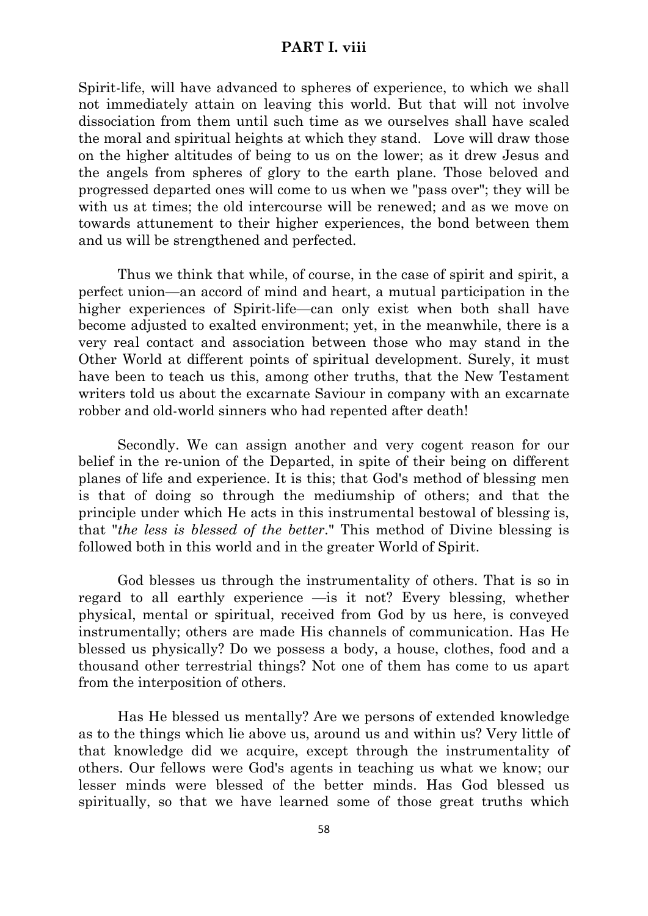# **PART I. viii**

Spirit-life, will have advanced to spheres of experience, to which we shall not immediately attain on leaving this world. But that will not involve dissociation from them until such time as we ourselves shall have scaled the moral and spiritual heights at which they stand. Love will draw those on the higher altitudes of being to us on the lower; as it drew Jesus and the angels from spheres of glory to the earth plane. Those beloved and progressed departed ones will come to us when we "pass over"; they will be with us at times; the old intercourse will be renewed; and as we move on towards attunement to their higher experiences, the bond between them and us will be strengthened and perfected.

Thus we think that while, of course, in the case of spirit and spirit, a perfect union—an accord of mind and heart, a mutual participation in the higher experiences of Spirit-life—can only exist when both shall have become adjusted to exalted environment; yet, in the meanwhile, there is a very real contact and association between those who may stand in the Other World at different points of spiritual development. Surely, it must have been to teach us this, among other truths, that the New Testament writers told us about the excarnate Saviour in company with an excarnate robber and old-world sinners who had repented after death!

Secondly. We can assign another and very cogent reason for our belief in the re-union of the Departed, in spite of their being on different planes of life and experience. It is this; that God's method of blessing men is that of doing so through the mediumship of others; and that the principle under which He acts in this instrumental bestowal of blessing is, that "*the less is blessed of the better*." This method of Divine blessing is followed both in this world and in the greater World of Spirit.

God blesses us through the instrumentality of others. That is so in regard to all earthly experience —is it not? Every blessing, whether physical, mental or spiritual, received from God by us here, is conveyed instrumentally; others are made His channels of communication. Has He blessed us physically? Do we possess a body, a house, clothes, food and a thousand other terrestrial things? Not one of them has come to us apart from the interposition of others.

Has He blessed us mentally? Are we persons of extended knowledge as to the things which lie above us, around us and within us? Very little of that knowledge did we acquire, except through the instrumentality of others. Our fellows were God's agents in teaching us what we know; our lesser minds were blessed of the better minds. Has God blessed us spiritually, so that we have learned some of those great truths which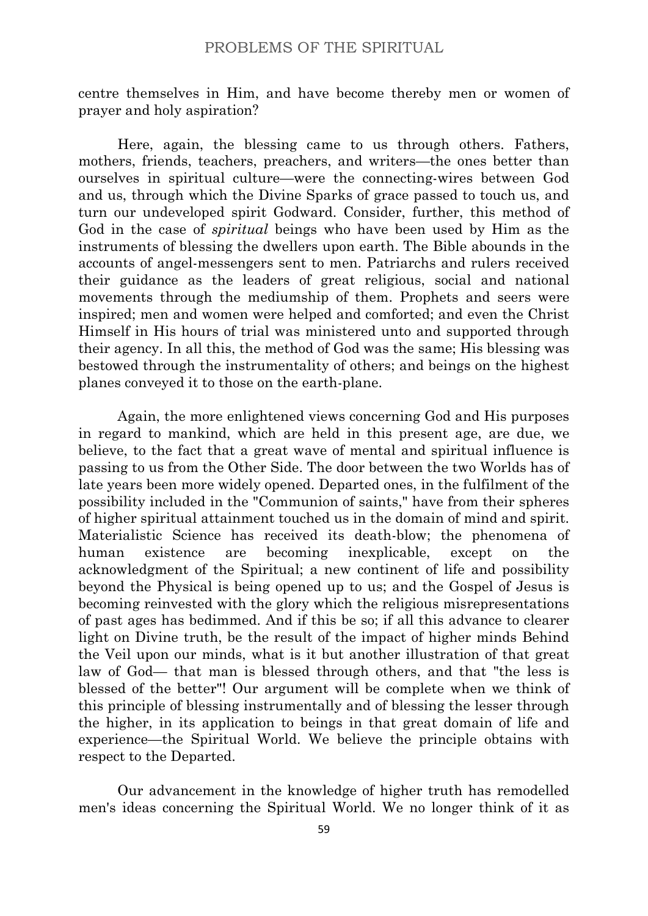centre themselves in Him, and have become thereby men or women of prayer and holy aspiration?

Here, again, the blessing came to us through others. Fathers, mothers, friends, teachers, preachers, and writers—the ones better than ourselves in spiritual culture—were the connecting-wires between God and us, through which the Divine Sparks of grace passed to touch us, and turn our undeveloped spirit Godward. Consider, further, this method of God in the case of *spiritual* beings who have been used by Him as the instruments of blessing the dwellers upon earth. The Bible abounds in the accounts of angel-messengers sent to men. Patriarchs and rulers received their guidance as the leaders of great religious, social and national movements through the mediumship of them. Prophets and seers were inspired; men and women were helped and comforted; and even the Christ Himself in His hours of trial was ministered unto and supported through their agency. In all this, the method of God was the same; His blessing was bestowed through the instrumentality of others; and beings on the highest planes conveyed it to those on the earth-plane.

Again, the more enlightened views concerning God and His purposes in regard to mankind, which are held in this present age, are due, we believe, to the fact that a great wave of mental and spiritual influence is passing to us from the Other Side. The door between the two Worlds has of late years been more widely opened. Departed ones, in the fulfilment of the possibility included in the "Communion of saints," have from their spheres of higher spiritual attainment touched us in the domain of mind and spirit. Materialistic Science has received its death-blow; the phenomena of human existence are becoming inexplicable, except on the acknowledgment of the Spiritual; a new continent of life and possibility beyond the Physical is being opened up to us; and the Gospel of Jesus is becoming reinvested with the glory which the religious misrepresentations of past ages has bedimmed. And if this be so; if all this advance to clearer light on Divine truth, be the result of the impact of higher minds Behind the Veil upon our minds, what is it but another illustration of that great law of God— that man is blessed through others, and that "the less is blessed of the better"! Our argument will be complete when we think of this principle of blessing instrumentally and of blessing the lesser through the higher, in its application to beings in that great domain of life and experience—the Spiritual World. We believe the principle obtains with respect to the Departed.

Our advancement in the knowledge of higher truth has remodelled men's ideas concerning the Spiritual World. We no longer think of it as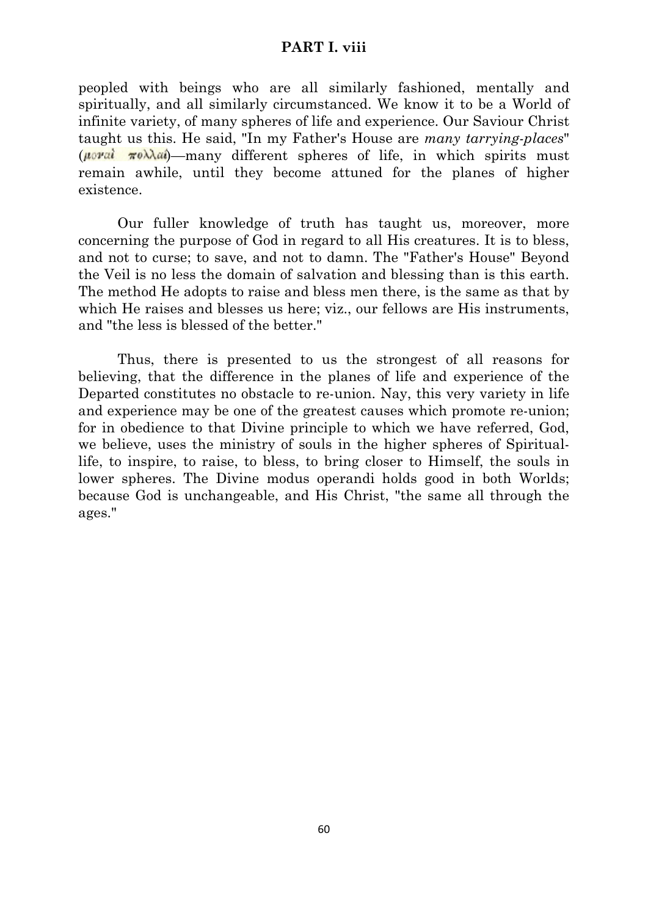# **PART I. viii**

peopled with beings who are all similarly fashioned, mentally and spiritually, and all similarly circumstanced. We know it to be a World of infinite variety, of many spheres of life and experience. Our Saviour Christ taught us this. He said, "In my Father's House are *many tarrying-places*"  $(\mu \circ \nu a \cdot \pi \circ \lambda a \cdot \mu)$  many different spheres of life, in which spirits must remain awhile, until they become attuned for the planes of higher existence.

Our fuller knowledge of truth has taught us, moreover, more concerning the purpose of God in regard to all His creatures. It is to bless, and not to curse; to save, and not to damn. The "Father's House" Beyond the Veil is no less the domain of salvation and blessing than is this earth. The method He adopts to raise and bless men there, is the same as that by which He raises and blesses us here; viz., our fellows are His instruments, and "the less is blessed of the better."

Thus, there is presented to us the strongest of all reasons for believing, that the difference in the planes of life and experience of the Departed constitutes no obstacle to re-union. Nay, this very variety in life and experience may be one of the greatest causes which promote re-union; for in obedience to that Divine principle to which we have referred, God, we believe, uses the ministry of souls in the higher spheres of Spirituallife, to inspire, to raise, to bless, to bring closer to Himself, the souls in lower spheres. The Divine modus operandi holds good in both Worlds; because God is unchangeable, and His Christ, "the same all through the ages."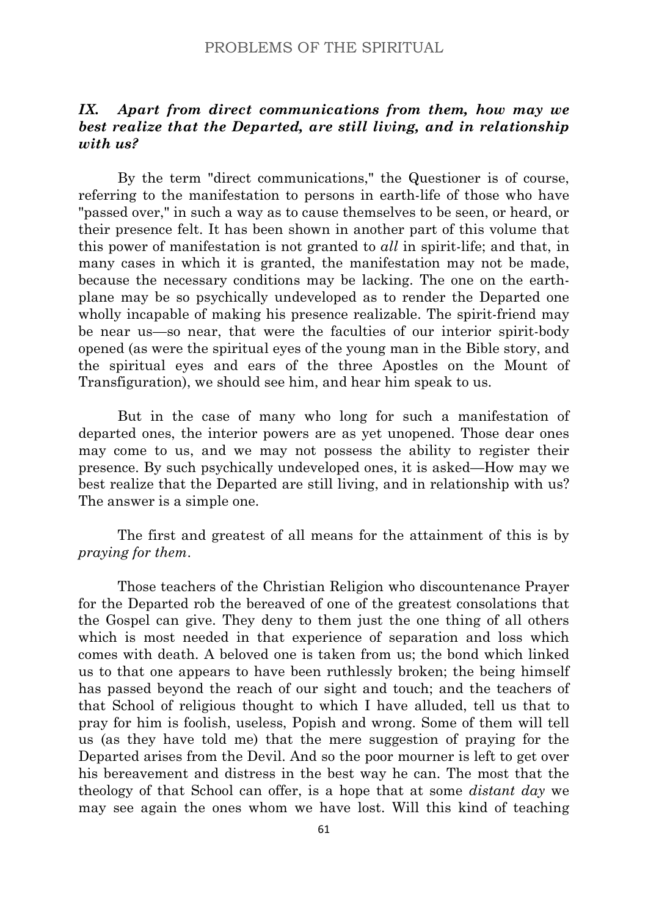# *IX. Apart from direct communications from them, how may we best realize that the Departed, are still living, and in relationship with us?*

By the term "direct communications," the Questioner is of course, referring to the manifestation to persons in earth-life of those who have "passed over," in such a way as to cause themselves to be seen, or heard, or their presence felt. It has been shown in another part of this volume that this power of manifestation is not granted to *all* in spirit-life; and that, in many cases in which it is granted, the manifestation may not be made, because the necessary conditions may be lacking. The one on the earthplane may be so psychically undeveloped as to render the Departed one wholly incapable of making his presence realizable. The spirit-friend may be near us—so near, that were the faculties of our interior spirit-body opened (as were the spiritual eyes of the young man in the Bible story, and the spiritual eyes and ears of the three Apostles on the Mount of Transfiguration), we should see him, and hear him speak to us.

But in the case of many who long for such a manifestation of departed ones, the interior powers are as yet unopened. Those dear ones may come to us, and we may not possess the ability to register their presence. By such psychically undeveloped ones, it is asked—How may we best realize that the Departed are still living, and in relationship with us? The answer is a simple one.

The first and greatest of all means for the attainment of this is by *praying for them*.

Those teachers of the Christian Religion who discountenance Prayer for the Departed rob the bereaved of one of the greatest consolations that the Gospel can give. They deny to them just the one thing of all others which is most needed in that experience of separation and loss which comes with death. A beloved one is taken from us; the bond which linked us to that one appears to have been ruthlessly broken; the being himself has passed beyond the reach of our sight and touch; and the teachers of that School of religious thought to which I have alluded, tell us that to pray for him is foolish, useless, Popish and wrong. Some of them will tell us (as they have told me) that the mere suggestion of praying for the Departed arises from the Devil. And so the poor mourner is left to get over his bereavement and distress in the best way he can. The most that the theology of that School can offer, is a hope that at some *distant day* we may see again the ones whom we have lost. Will this kind of teaching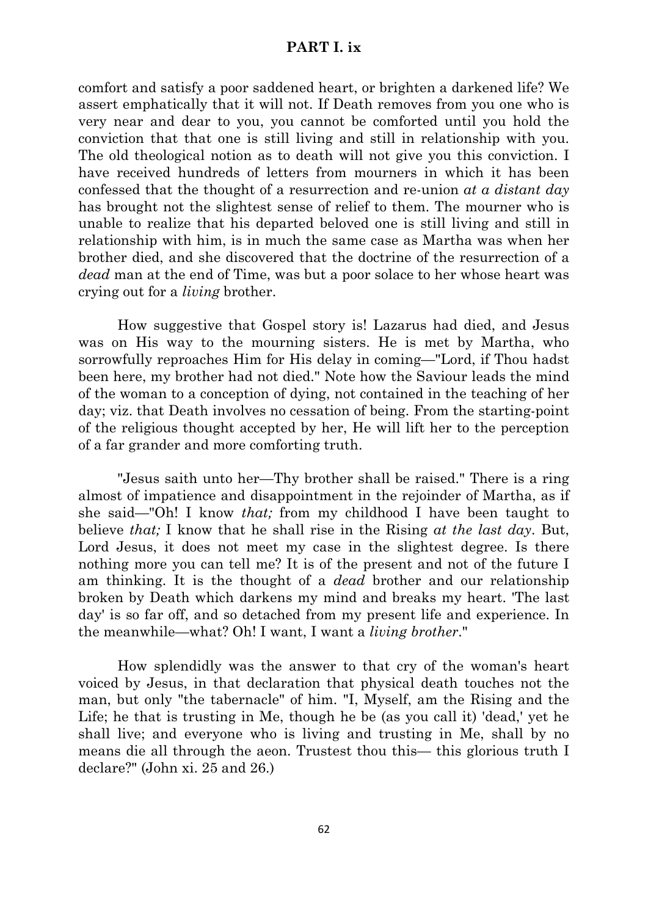#### **PART I. ix**

comfort and satisfy a poor saddened heart, or brighten a darkened life? We assert emphatically that it will not. If Death removes from you one who is very near and dear to you, you cannot be comforted until you hold the conviction that that one is still living and still in relationship with you. The old theological notion as to death will not give you this conviction. I have received hundreds of letters from mourners in which it has been confessed that the thought of a resurrection and re-union *at a distant day* has brought not the slightest sense of relief to them. The mourner who is unable to realize that his departed beloved one is still living and still in relationship with him, is in much the same case as Martha was when her brother died, and she discovered that the doctrine of the resurrection of a *dead* man at the end of Time, was but a poor solace to her whose heart was crying out for a *living* brother.

How suggestive that Gospel story is! Lazarus had died, and Jesus was on His way to the mourning sisters. He is met by Martha, who sorrowfully reproaches Him for His delay in coming—"Lord, if Thou hadst been here, my brother had not died." Note how the Saviour leads the mind of the woman to a conception of dying, not contained in the teaching of her day; viz. that Death involves no cessation of being. From the starting-point of the religious thought accepted by her, He will lift her to the perception of a far grander and more comforting truth.

"Jesus saith unto her—Thy brother shall be raised." There is a ring almost of impatience and disappointment in the rejoinder of Martha, as if she said—"Oh! I know *that;* from my childhood I have been taught to believe *that;* I know that he shall rise in the Rising *at the last day*. But, Lord Jesus, it does not meet my case in the slightest degree. Is there nothing more you can tell me? It is of the present and not of the future I am thinking. It is the thought of a *dead* brother and our relationship broken by Death which darkens my mind and breaks my heart. 'The last day' is so far off, and so detached from my present life and experience. In the meanwhile—what? Oh! I want, I want a *living brother*."

How splendidly was the answer to that cry of the woman's heart voiced by Jesus, in that declaration that physical death touches not the man, but only "the tabernacle" of him. "I, Myself, am the Rising and the Life; he that is trusting in Me, though he be (as you call it) 'dead,' yet he shall live; and everyone who is living and trusting in Me, shall by no means die all through the aeon. Trustest thou this— this glorious truth I declare?" (John xi. 25 and 26.)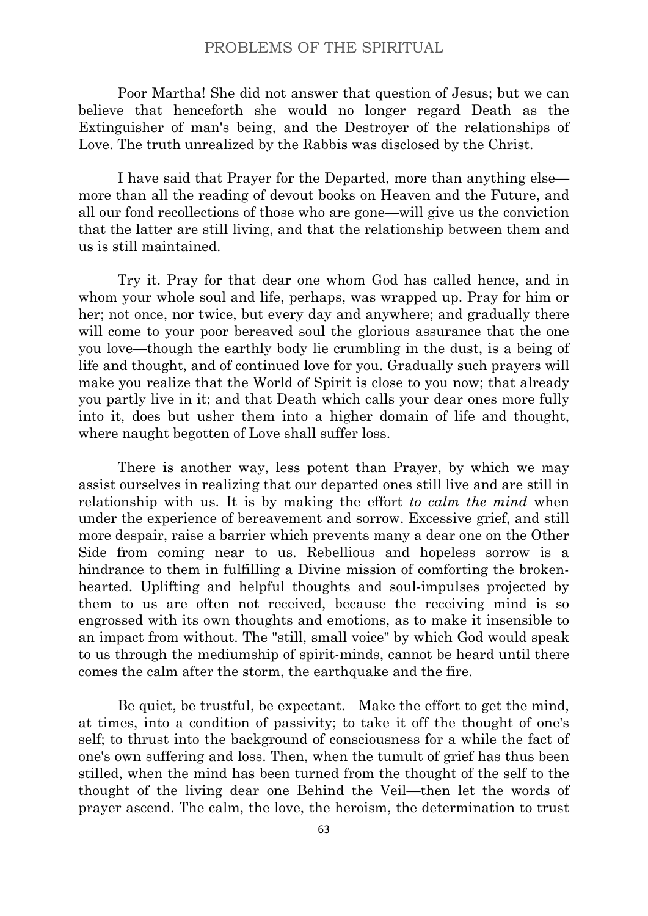Poor Martha! She did not answer that question of Jesus; but we can believe that henceforth she would no longer regard Death as the Extinguisher of man's being, and the Destroyer of the relationships of Love. The truth unrealized by the Rabbis was disclosed by the Christ.

I have said that Prayer for the Departed, more than anything else more than all the reading of devout books on Heaven and the Future, and all our fond recollections of those who are gone—will give us the conviction that the latter are still living, and that the relationship between them and us is still maintained.

Try it. Pray for that dear one whom God has called hence, and in whom your whole soul and life, perhaps, was wrapped up. Pray for him or her; not once, nor twice, but every day and anywhere; and gradually there will come to your poor bereaved soul the glorious assurance that the one you love—though the earthly body lie crumbling in the dust, is a being of life and thought, and of continued love for you. Gradually such prayers will make you realize that the World of Spirit is close to you now; that already you partly live in it; and that Death which calls your dear ones more fully into it, does but usher them into a higher domain of life and thought, where naught begotten of Love shall suffer loss.

There is another way, less potent than Prayer, by which we may assist ourselves in realizing that our departed ones still live and are still in relationship with us. It is by making the effort *to calm the mind* when under the experience of bereavement and sorrow. Excessive grief, and still more despair, raise a barrier which prevents many a dear one on the Other Side from coming near to us. Rebellious and hopeless sorrow is a hindrance to them in fulfilling a Divine mission of comforting the brokenhearted. Uplifting and helpful thoughts and soul-impulses projected by them to us are often not received, because the receiving mind is so engrossed with its own thoughts and emotions, as to make it insensible to an impact from without. The "still, small voice" by which God would speak to us through the mediumship of spirit-minds, cannot be heard until there comes the calm after the storm, the earthquake and the fire.

Be quiet, be trustful, be expectant. Make the effort to get the mind, at times, into a condition of passivity; to take it off the thought of one's self; to thrust into the background of consciousness for a while the fact of one's own suffering and loss. Then, when the tumult of grief has thus been stilled, when the mind has been turned from the thought of the self to the thought of the living dear one Behind the Veil—then let the words of prayer ascend. The calm, the love, the heroism, the determination to trust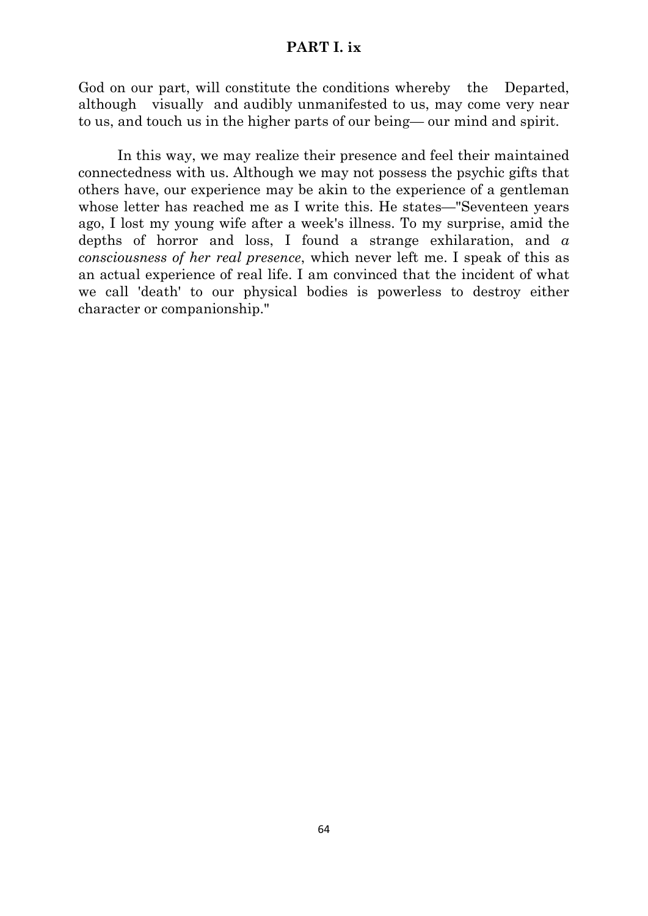# **PART I. ix**

God on our part, will constitute the conditions whereby the Departed, although visually and audibly unmanifested to us, may come very near to us, and touch us in the higher parts of our being— our mind and spirit.

In this way, we may realize their presence and feel their maintained connectedness with us. Although we may not possess the psychic gifts that others have, our experience may be akin to the experience of a gentleman whose letter has reached me as I write this. He states—"Seventeen years ago, I lost my young wife after a week's illness. To my surprise, amid the depths of horror and loss, I found a strange exhilaration, and *a consciousness of her real presence*, which never left me. I speak of this as an actual experience of real life. I am convinced that the incident of what we call 'death' to our physical bodies is powerless to destroy either character or companionship."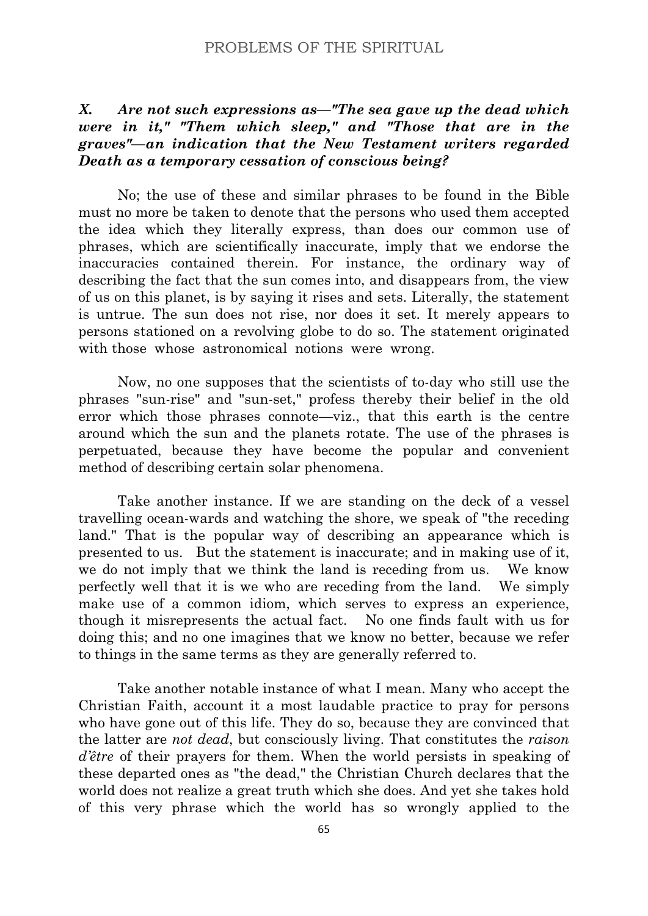# *X. Are not such expressions as—"The sea gave up the dead which were in it," "Them which sleep," and "Those that are in the graves"—an indication that the New Testament writers regarded Death as a temporary cessation of conscious being?*

No; the use of these and similar phrases to be found in the Bible must no more be taken to denote that the persons who used them accepted the idea which they literally express, than does our common use of phrases, which are scientifically inaccurate, imply that we endorse the inaccuracies contained therein. For instance, the ordinary way of describing the fact that the sun comes into, and disappears from, the view of us on this planet, is by saying it rises and sets. Literally, the statement is untrue. The sun does not rise, nor does it set. It merely appears to persons stationed on a revolving globe to do so. The statement originated with those whose astronomical notions were wrong.

Now, no one supposes that the scientists of to-day who still use the phrases "sun-rise" and "sun-set," profess thereby their belief in the old error which those phrases connote—viz., that this earth is the centre around which the sun and the planets rotate. The use of the phrases is perpetuated, because they have become the popular and convenient method of describing certain solar phenomena.

Take another instance. If we are standing on the deck of a vessel travelling ocean-wards and watching the shore, we speak of "the receding land." That is the popular way of describing an appearance which is presented to us. But the statement is inaccurate; and in making use of it, we do not imply that we think the land is receding from us. We know perfectly well that it is we who are receding from the land. We simply make use of a common idiom, which serves to express an experience, though it misrepresents the actual fact. No one finds fault with us for doing this; and no one imagines that we know no better, because we refer to things in the same terms as they are generally referred to.

Take another notable instance of what I mean. Many who accept the Christian Faith, account it a most laudable practice to pray for persons who have gone out of this life. They do so, because they are convinced that the latter are *not dead*, but consciously living. That constitutes the *raison d'être* of their prayers for them. When the world persists in speaking of these departed ones as "the dead," the Christian Church declares that the world does not realize a great truth which she does. And yet she takes hold of this very phrase which the world has so wrongly applied to the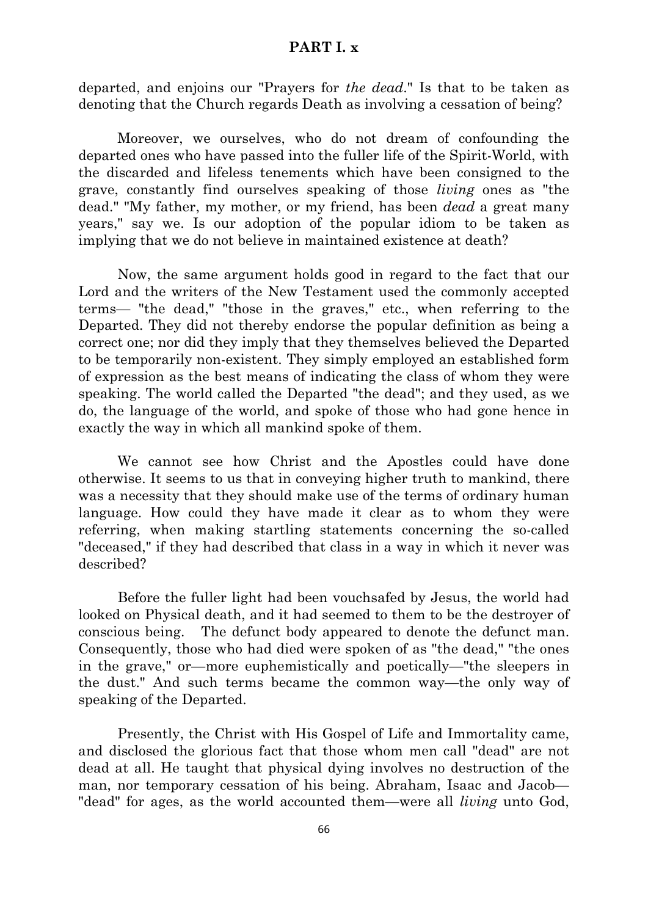# **PART I. x**

departed, and enjoins our "Prayers for *the dead*." Is that to be taken as denoting that the Church regards Death as involving a cessation of being?

Moreover, we ourselves, who do not dream of confounding the departed ones who have passed into the fuller life of the Spirit-World, with the discarded and lifeless tenements which have been consigned to the grave, constantly find ourselves speaking of those *living* ones as "the dead." "My father, my mother, or my friend, has been *dead* a great many years," say we. Is our adoption of the popular idiom to be taken as implying that we do not believe in maintained existence at death?

Now, the same argument holds good in regard to the fact that our Lord and the writers of the New Testament used the commonly accepted terms— "the dead," "those in the graves," etc., when referring to the Departed. They did not thereby endorse the popular definition as being a correct one; nor did they imply that they themselves believed the Departed to be temporarily non-existent. They simply employed an established form of expression as the best means of indicating the class of whom they were speaking. The world called the Departed "the dead"; and they used, as we do, the language of the world, and spoke of those who had gone hence in exactly the way in which all mankind spoke of them.

We cannot see how Christ and the Apostles could have done otherwise. It seems to us that in conveying higher truth to mankind, there was a necessity that they should make use of the terms of ordinary human language. How could they have made it clear as to whom they were referring, when making startling statements concerning the so-called "deceased," if they had described that class in a way in which it never was described?

Before the fuller light had been vouchsafed by Jesus, the world had looked on Physical death, and it had seemed to them to be the destroyer of conscious being. The defunct body appeared to denote the defunct man. Consequently, those who had died were spoken of as "the dead," "the ones in the grave," or—more euphemistically and poetically—"the sleepers in the dust." And such terms became the common way—the only way of speaking of the Departed.

Presently, the Christ with His Gospel of Life and Immortality came, and disclosed the glorious fact that those whom men call "dead" are not dead at all. He taught that physical dying involves no destruction of the man, nor temporary cessation of his being. Abraham, Isaac and Jacob— "dead" for ages, as the world accounted them—were all *living* unto God,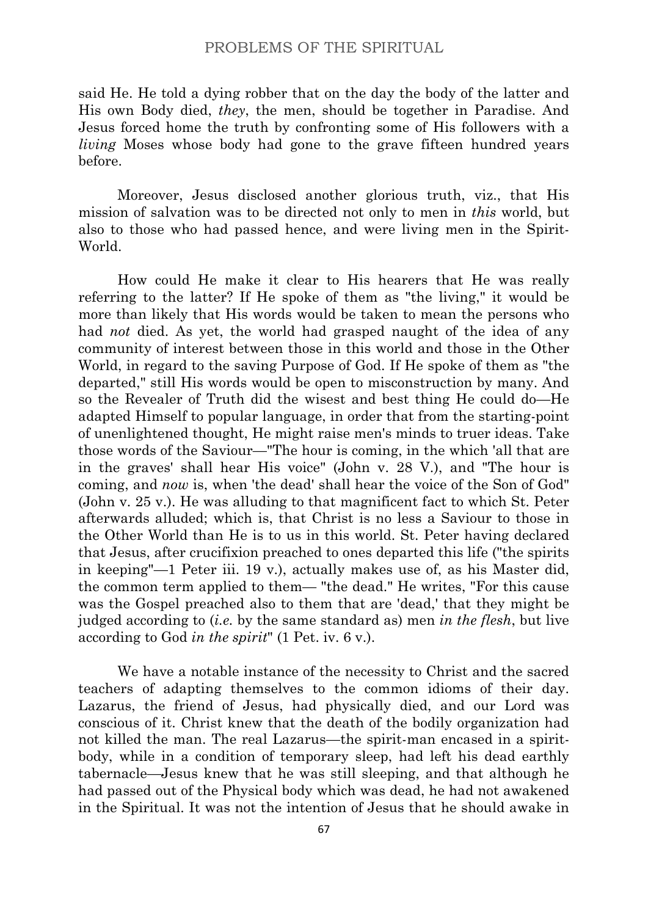said He. He told a dying robber that on the day the body of the latter and His own Body died, *they*, the men, should be together in Paradise. And Jesus forced home the truth by confronting some of His followers with a *living* Moses whose body had gone to the grave fifteen hundred years before.

Moreover, Jesus disclosed another glorious truth, viz., that His mission of salvation was to be directed not only to men in *this* world, but also to those who had passed hence, and were living men in the Spirit-World.

How could He make it clear to His hearers that He was really referring to the latter? If He spoke of them as "the living," it would be more than likely that His words would be taken to mean the persons who had *not* died. As yet, the world had grasped naught of the idea of any community of interest between those in this world and those in the Other World, in regard to the saving Purpose of God. If He spoke of them as "the departed," still His words would be open to misconstruction by many. And so the Revealer of Truth did the wisest and best thing He could do—He adapted Himself to popular language, in order that from the starting-point of unenlightened thought, He might raise men's minds to truer ideas. Take those words of the Saviour—"The hour is coming, in the which 'all that are in the graves' shall hear His voice" (John v. 28 V.), and "The hour is coming, and *now* is, when 'the dead' shall hear the voice of the Son of God" (John v. 25 v.). He was alluding to that magnificent fact to which St. Peter afterwards alluded; which is, that Christ is no less a Saviour to those in the Other World than He is to us in this world. St. Peter having declared that Jesus, after crucifixion preached to ones departed this life ("the spirits in keeping"—1 Peter iii. 19 v.), actually makes use of, as his Master did, the common term applied to them— "the dead." He writes, "For this cause was the Gospel preached also to them that are 'dead,' that they might be judged according to (*i.e.* by the same standard as) men *in the flesh*, but live according to God *in the spirit*" (1 Pet. iv. 6 v.).

We have a notable instance of the necessity to Christ and the sacred teachers of adapting themselves to the common idioms of their day. Lazarus, the friend of Jesus, had physically died, and our Lord was conscious of it. Christ knew that the death of the bodily organization had not killed the man. The real Lazarus—the spirit-man encased in a spiritbody, while in a condition of temporary sleep, had left his dead earthly tabernacle—Jesus knew that he was still sleeping, and that although he had passed out of the Physical body which was dead, he had not awakened in the Spiritual. It was not the intention of Jesus that he should awake in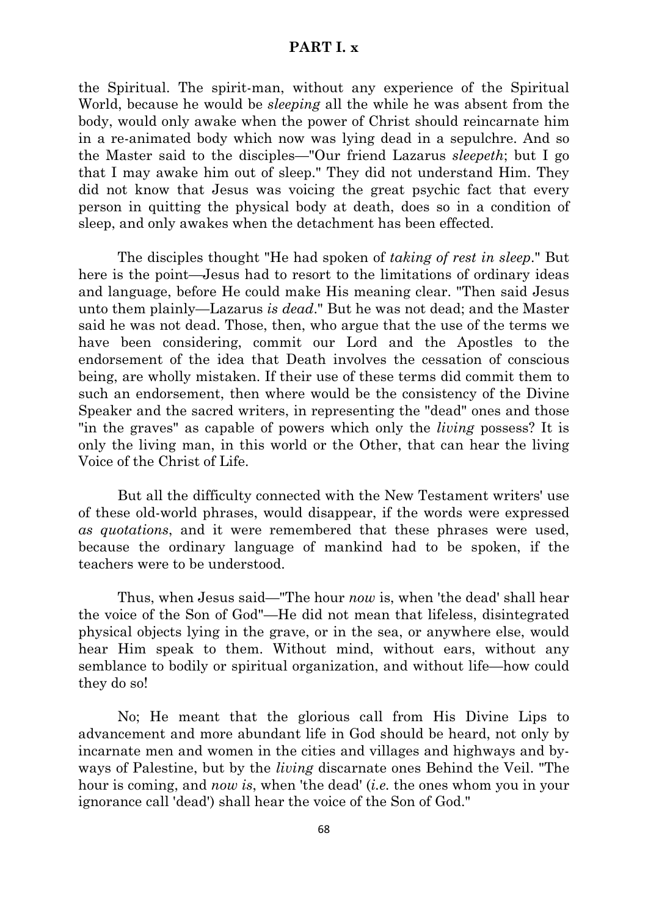# **PART I. x**

the Spiritual. The spirit-man, without any experience of the Spiritual World, because he would be *sleeping* all the while he was absent from the body, would only awake when the power of Christ should reincarnate him in a re-animated body which now was lying dead in a sepulchre. And so the Master said to the disciples—"Our friend Lazarus *sleepeth*; but I go that I may awake him out of sleep." They did not understand Him. They did not know that Jesus was voicing the great psychic fact that every person in quitting the physical body at death, does so in a condition of sleep, and only awakes when the detachment has been effected.

The disciples thought "He had spoken of *taking of rest in sleep*." But here is the point—Jesus had to resort to the limitations of ordinary ideas and language, before He could make His meaning clear. "Then said Jesus unto them plainly—Lazarus *is dead*." But he was not dead; and the Master said he was not dead. Those, then, who argue that the use of the terms we have been considering, commit our Lord and the Apostles to the endorsement of the idea that Death involves the cessation of conscious being, are wholly mistaken. If their use of these terms did commit them to such an endorsement, then where would be the consistency of the Divine Speaker and the sacred writers, in representing the "dead" ones and those "in the graves" as capable of powers which only the *living* possess? It is only the living man, in this world or the Other, that can hear the living Voice of the Christ of Life.

But all the difficulty connected with the New Testament writers' use of these old-world phrases, would disappear, if the words were expressed *as quotations*, and it were remembered that these phrases were used, because the ordinary language of mankind had to be spoken, if the teachers were to be understood.

Thus, when Jesus said—"The hour *now* is, when 'the dead' shall hear the voice of the Son of God"—He did not mean that lifeless, disintegrated physical objects lying in the grave, or in the sea, or anywhere else, would hear Him speak to them. Without mind, without ears, without any semblance to bodily or spiritual organization, and without life—how could they do so!

No; He meant that the glorious call from His Divine Lips to advancement and more abundant life in God should be heard, not only by incarnate men and women in the cities and villages and highways and byways of Palestine, but by the *living* discarnate ones Behind the Veil. "The hour is coming, and *now is*, when 'the dead' (*i.e.* the ones whom you in your ignorance call 'dead') shall hear the voice of the Son of God."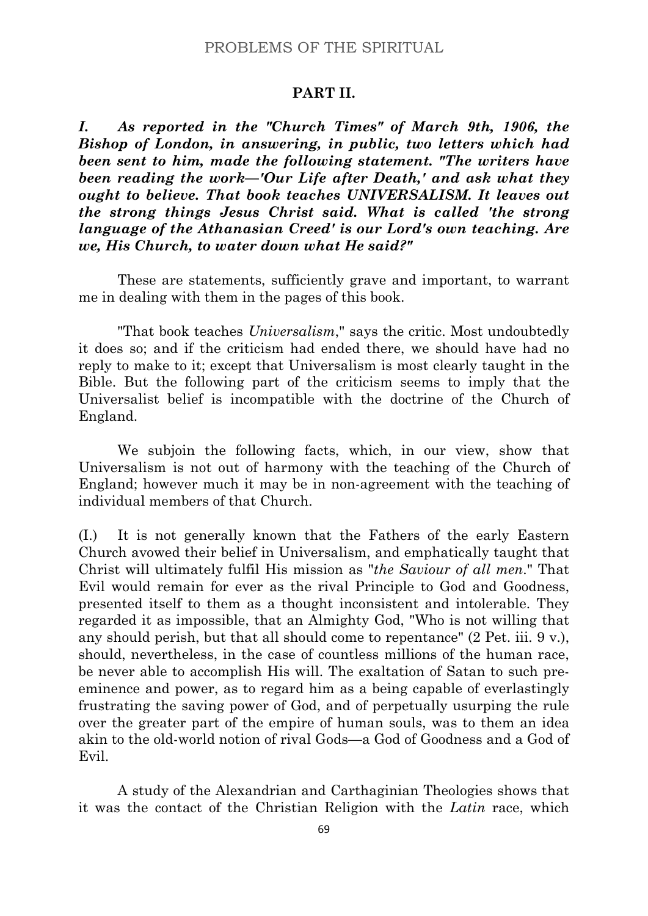#### **PART II.**

*I. As reported in the "Church Times" of March 9th, 1906, the Bishop of London, in answering, in public, two letters which had been sent to him, made the following statement. "The writers have been reading the work—'Our Life after Death,' and ask what they ought to believe. That book teaches UNIVERSALISM. It leaves out the strong things Jesus Christ said. What is called 'the strong language of the Athanasian Creed' is our Lord's own teaching. Are we, His Church, to water down what He said?"*

These are statements, sufficiently grave and important, to warrant me in dealing with them in the pages of this book.

"That book teaches *Universalism*," says the critic. Most undoubtedly it does so; and if the criticism had ended there, we should have had no reply to make to it; except that Universalism is most clearly taught in the Bible. But the following part of the criticism seems to imply that the Universalist belief is incompatible with the doctrine of the Church of England.

We subjoin the following facts, which, in our view, show that Universalism is not out of harmony with the teaching of the Church of England; however much it may be in non-agreement with the teaching of individual members of that Church.

(I.) It is not generally known that the Fathers of the early Eastern Church avowed their belief in Universalism, and emphatically taught that Christ will ultimately fulfil His mission as "*the Saviour of all men*." That Evil would remain for ever as the rival Principle to God and Goodness, presented itself to them as a thought inconsistent and intolerable. They regarded it as impossible, that an Almighty God, "Who is not willing that any should perish, but that all should come to repentance" (2 Pet. iii. 9 v.), should, nevertheless, in the case of countless millions of the human race, be never able to accomplish His will. The exaltation of Satan to such preeminence and power, as to regard him as a being capable of everlastingly frustrating the saving power of God, and of perpetually usurping the rule over the greater part of the empire of human souls, was to them an idea akin to the old-world notion of rival Gods—a God of Goodness and a God of Evil.

A study of the Alexandrian and Carthaginian Theologies shows that it was the contact of the Christian Religion with the *Latin* race, which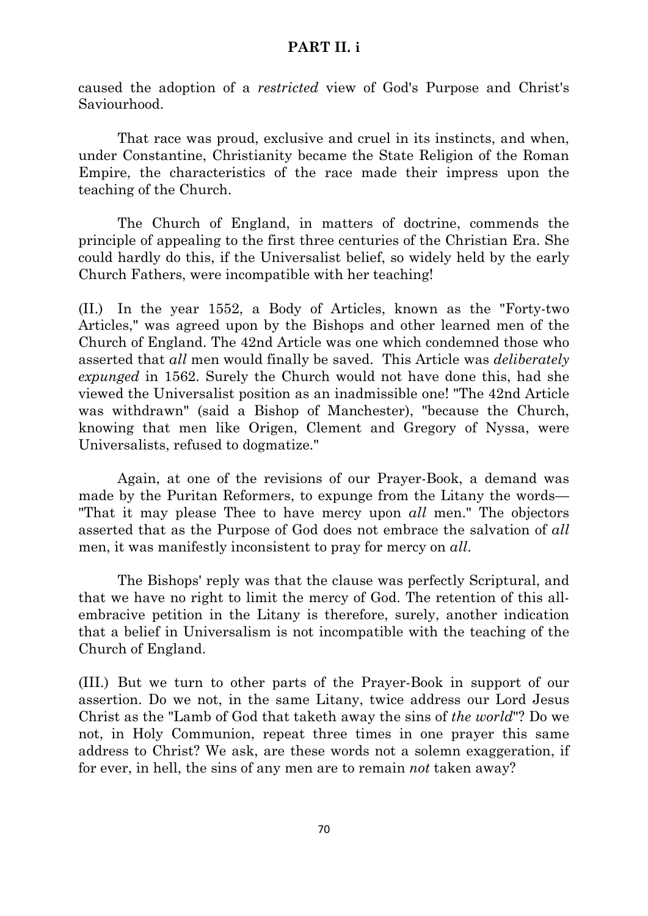### **PART II. i**

caused the adoption of a *restricted* view of God's Purpose and Christ's Saviourhood.

That race was proud, exclusive and cruel in its instincts, and when, under Constantine, Christianity became the State Religion of the Roman Empire, the characteristics of the race made their impress upon the teaching of the Church.

The Church of England, in matters of doctrine, commends the principle of appealing to the first three centuries of the Christian Era. She could hardly do this, if the Universalist belief, so widely held by the early Church Fathers, were incompatible with her teaching!

(II.) In the year 1552, a Body of Articles, known as the "Forty-two Articles," was agreed upon by the Bishops and other learned men of the Church of England. The 42nd Article was one which condemned those who asserted that *all* men would finally be saved. This Article was *deliberately expunged* in 1562. Surely the Church would not have done this, had she viewed the Universalist position as an inadmissible one! "The 42nd Article was withdrawn" (said a Bishop of Manchester), "because the Church, knowing that men like Origen, Clement and Gregory of Nyssa, were Universalists, refused to dogmatize."

Again, at one of the revisions of our Prayer-Book, a demand was made by the Puritan Reformers, to expunge from the Litany the words— "That it may please Thee to have mercy upon *all* men." The objectors asserted that as the Purpose of God does not embrace the salvation of *all* men, it was manifestly inconsistent to pray for mercy on *all*.

The Bishops' reply was that the clause was perfectly Scriptural, and that we have no right to limit the mercy of God. The retention of this allembracive petition in the Litany is therefore, surely, another indication that a belief in Universalism is not incompatible with the teaching of the Church of England.

(III.) But we turn to other parts of the Prayer-Book in support of our assertion. Do we not, in the same Litany, twice address our Lord Jesus Christ as the "Lamb of God that taketh away the sins of *the world*"? Do we not, in Holy Communion, repeat three times in one prayer this same address to Christ? We ask, are these words not a solemn exaggeration, if for ever, in hell, the sins of any men are to remain *not* taken away?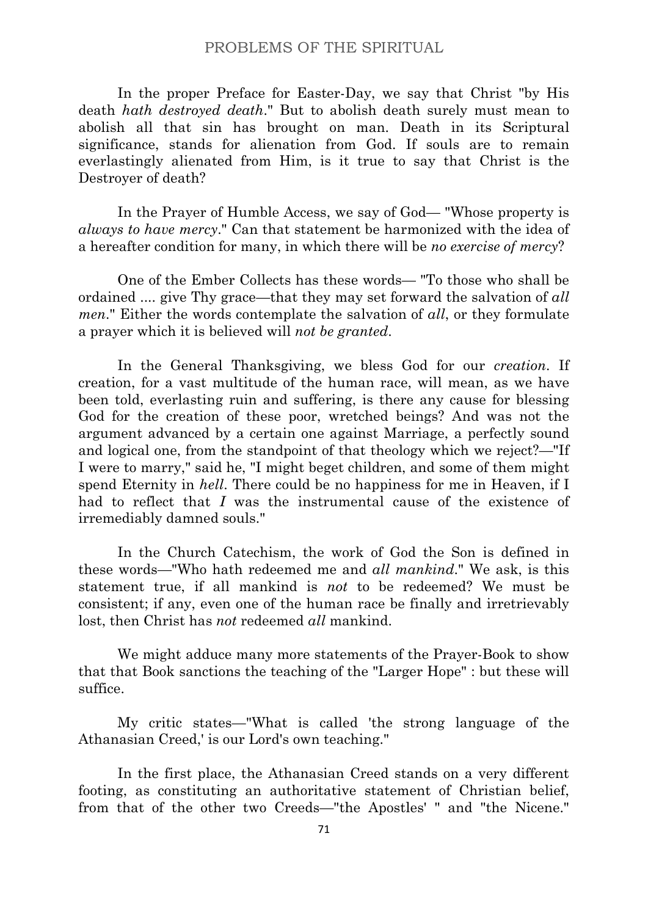In the proper Preface for Easter-Day, we say that Christ "by His death *hath destroyed death*." But to abolish death surely must mean to abolish all that sin has brought on man. Death in its Scriptural significance, stands for alienation from God. If souls are to remain everlastingly alienated from Him, is it true to say that Christ is the Destroyer of death?

In the Prayer of Humble Access, we say of God— "Whose property is *always to have mercy*." Can that statement be harmonized with the idea of a hereafter condition for many, in which there will be *no exercise of mercy*?

One of the Ember Collects has these words— "To those who shall be ordained .... give Thy grace—that they may set forward the salvation of *all men*." Either the words contemplate the salvation of *all*, or they formulate a prayer which it is believed will *not be granted*.

In the General Thanksgiving, we bless God for our *creation*. If creation, for a vast multitude of the human race, will mean, as we have been told, everlasting ruin and suffering, is there any cause for blessing God for the creation of these poor, wretched beings? And was not the argument advanced by a certain one against Marriage, a perfectly sound and logical one, from the standpoint of that theology which we reject?—"If I were to marry," said he, "I might beget children, and some of them might spend Eternity in *hell*. There could be no happiness for me in Heaven, if I had to reflect that *I* was the instrumental cause of the existence of irremediably damned souls."

In the Church Catechism, the work of God the Son is defined in these words—"Who hath redeemed me and *all mankind*." We ask, is this statement true, if all mankind is *not* to be redeemed? We must be consistent; if any, even one of the human race be finally and irretrievably lost, then Christ has *not* redeemed *all* mankind.

We might adduce many more statements of the Prayer-Book to show that that Book sanctions the teaching of the "Larger Hope" : but these will suffice.

My critic states—"What is called 'the strong language of the Athanasian Creed,' is our Lord's own teaching."

In the first place, the Athanasian Creed stands on a very different footing, as constituting an authoritative statement of Christian belief, from that of the other two Creeds—"the Apostles' " and "the Nicene."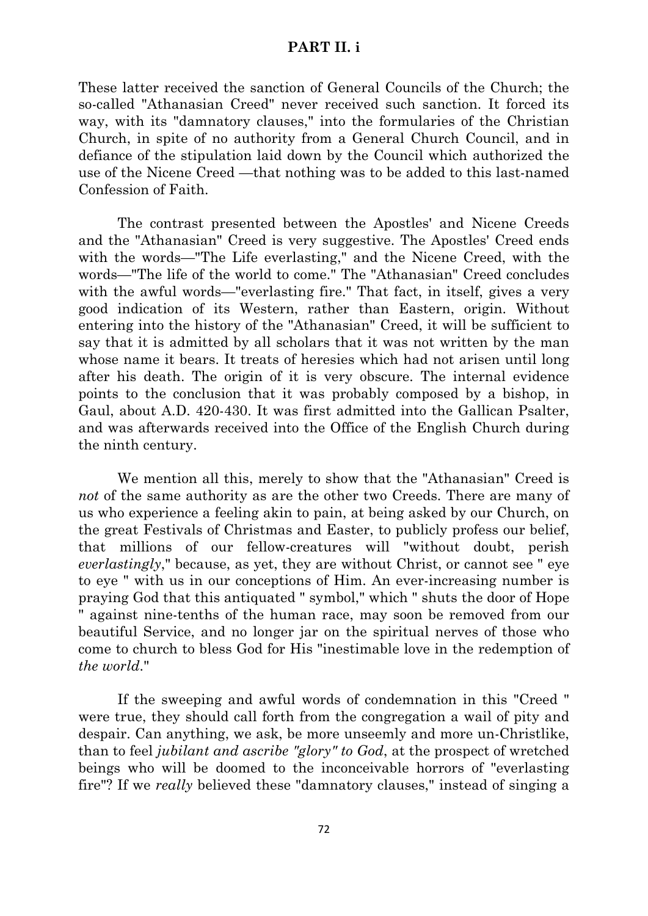### **PART II. i**

These latter received the sanction of General Councils of the Church; the so-called "Athanasian Creed" never received such sanction. It forced its way, with its "damnatory clauses," into the formularies of the Christian Church, in spite of no authority from a General Church Council, and in defiance of the stipulation laid down by the Council which authorized the use of the Nicene Creed —that nothing was to be added to this last-named Confession of Faith.

The contrast presented between the Apostles' and Nicene Creeds and the "Athanasian" Creed is very suggestive. The Apostles' Creed ends with the words—"The Life everlasting," and the Nicene Creed, with the words—"The life of the world to come." The "Athanasian" Creed concludes with the awful words—"everlasting fire." That fact, in itself, gives a very good indication of its Western, rather than Eastern, origin. Without entering into the history of the "Athanasian" Creed, it will be sufficient to say that it is admitted by all scholars that it was not written by the man whose name it bears. It treats of heresies which had not arisen until long after his death. The origin of it is very obscure. The internal evidence points to the conclusion that it was probably composed by a bishop, in Gaul, about A.D. 420-430. It was first admitted into the Gallican Psalter, and was afterwards received into the Office of the English Church during the ninth century.

We mention all this, merely to show that the "Athanasian" Creed is *not* of the same authority as are the other two Creeds. There are many of us who experience a feeling akin to pain, at being asked by our Church, on the great Festivals of Christmas and Easter, to publicly profess our belief, that millions of our fellow-creatures will "without doubt, perish *everlastingly*," because, as yet, they are without Christ, or cannot see " eye to eye " with us in our conceptions of Him. An ever-increasing number is praying God that this antiquated " symbol," which " shuts the door of Hope " against nine-tenths of the human race, may soon be removed from our beautiful Service, and no longer jar on the spiritual nerves of those who come to church to bless God for His "inestimable love in the redemption of *the world*."

If the sweeping and awful words of condemnation in this "Creed " were true, they should call forth from the congregation a wail of pity and despair. Can anything, we ask, be more unseemly and more un-Christlike, than to feel *jubilant and ascribe "glory" to God*, at the prospect of wretched beings who will be doomed to the inconceivable horrors of "everlasting fire"? If we *really* believed these "damnatory clauses," instead of singing a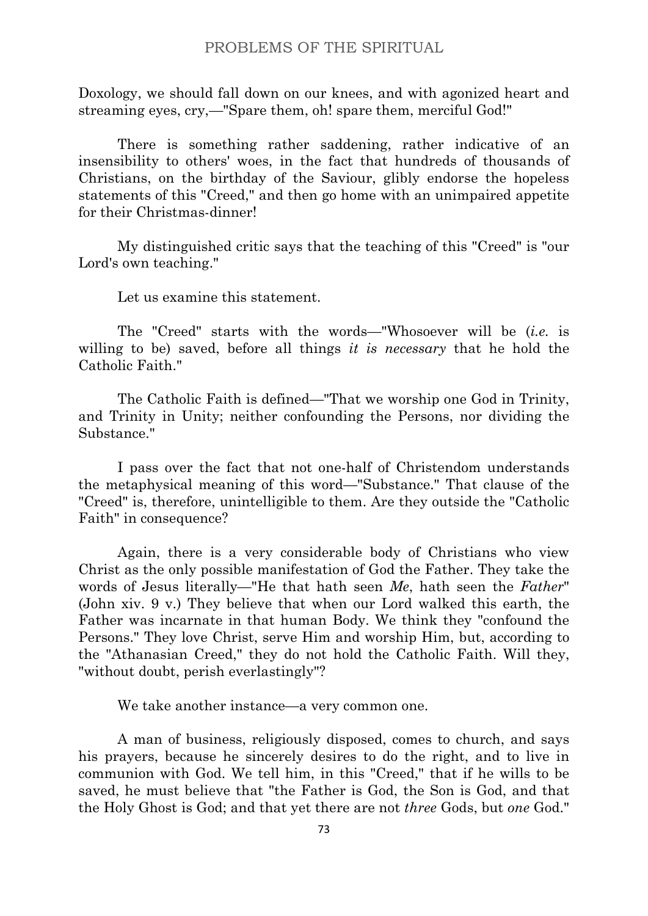Doxology, we should fall down on our knees, and with agonized heart and streaming eyes, cry,—"Spare them, oh! spare them, merciful God!"

There is something rather saddening, rather indicative of an insensibility to others' woes, in the fact that hundreds of thousands of Christians, on the birthday of the Saviour, glibly endorse the hopeless statements of this "Creed," and then go home with an unimpaired appetite for their Christmas-dinner!

My distinguished critic says that the teaching of this "Creed" is "our Lord's own teaching."

Let us examine this statement.

The "Creed" starts with the words—"Whosoever will be (*i.e.* is willing to be) saved, before all things *it is necessary* that he hold the Catholic Faith."

The Catholic Faith is defined—"That we worship one God in Trinity, and Trinity in Unity; neither confounding the Persons, nor dividing the Substance."

I pass over the fact that not one-half of Christendom understands the metaphysical meaning of this word—"Substance." That clause of the "Creed" is, therefore, unintelligible to them. Are they outside the "Catholic Faith" in consequence?

Again, there is a very considerable body of Christians who view Christ as the only possible manifestation of God the Father. They take the words of Jesus literally—"He that hath seen *Me*, hath seen the *Father*" (John xiv. 9 v.) They believe that when our Lord walked this earth, the Father was incarnate in that human Body. We think they "confound the Persons." They love Christ, serve Him and worship Him, but, according to the "Athanasian Creed," they do not hold the Catholic Faith. Will they, "without doubt, perish everlastingly"?

We take another instance—a very common one.

A man of business, religiously disposed, comes to church, and says his prayers, because he sincerely desires to do the right, and to live in communion with God. We tell him, in this "Creed," that if he wills to be saved, he must believe that "the Father is God, the Son is God, and that the Holy Ghost is God; and that yet there are not *three* Gods, but *one* God."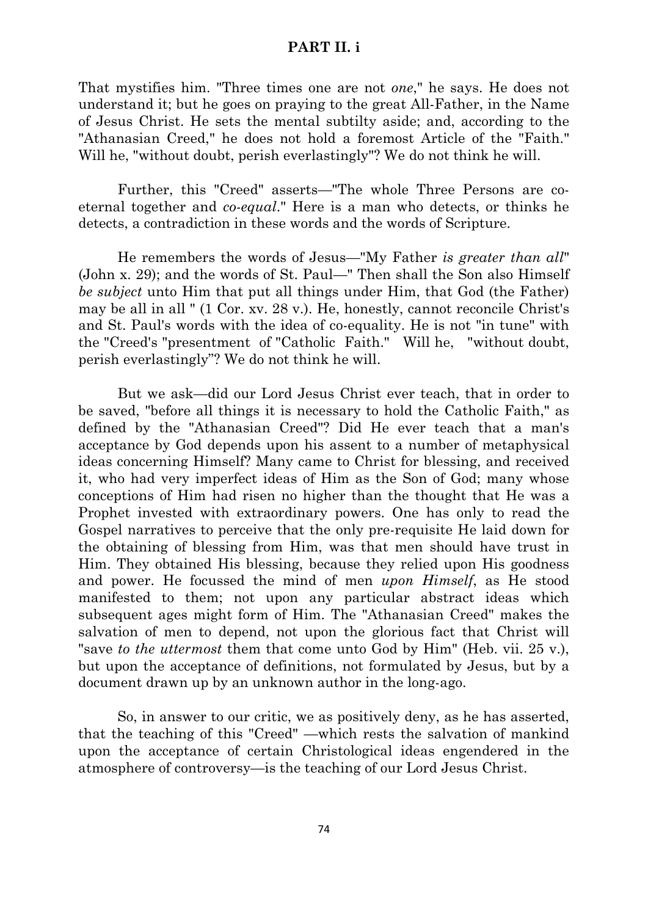### **PART II. i**

That mystifies him. "Three times one are not *one*," he says. He does not understand it; but he goes on praying to the great All-Father, in the Name of Jesus Christ. He sets the mental subtilty aside; and, according to the "Athanasian Creed," he does not hold a foremost Article of the "Faith." Will he, "without doubt, perish everlastingly"? We do not think he will.

Further, this "Creed" asserts—"The whole Three Persons are coeternal together and *co-equal*." Here is a man who detects, or thinks he detects, a contradiction in these words and the words of Scripture.

He remembers the words of Jesus—"My Father *is greater than all*" (John x. 29); and the words of St. Paul—" Then shall the Son also Himself *be subject* unto Him that put all things under Him, that God (the Father) may be all in all " (1 Cor. xv. 28 v.). He, honestly, cannot reconcile Christ's and St. Paul's words with the idea of co-equality. He is not "in tune" with the "Creed's "presentment of "Catholic Faith." Will he, "without doubt, perish everlastingly"? We do not think he will.

But we ask—did our Lord Jesus Christ ever teach, that in order to be saved, "before all things it is necessary to hold the Catholic Faith," as defined by the "Athanasian Creed"? Did He ever teach that a man's acceptance by God depends upon his assent to a number of metaphysical ideas concerning Himself? Many came to Christ for blessing, and received it, who had very imperfect ideas of Him as the Son of God; many whose conceptions of Him had risen no higher than the thought that He was a Prophet invested with extraordinary powers. One has only to read the Gospel narratives to perceive that the only pre-requisite He laid down for the obtaining of blessing from Him, was that men should have trust in Him. They obtained His blessing, because they relied upon His goodness and power. He focussed the mind of men *upon Himself*, as He stood manifested to them; not upon any particular abstract ideas which subsequent ages might form of Him. The "Athanasian Creed" makes the salvation of men to depend, not upon the glorious fact that Christ will "save *to the uttermost* them that come unto God by Him" (Heb. vii. 25 v.), but upon the acceptance of definitions, not formulated by Jesus, but by a document drawn up by an unknown author in the long-ago.

So, in answer to our critic, we as positively deny, as he has asserted, that the teaching of this "Creed" —which rests the salvation of mankind upon the acceptance of certain Christological ideas engendered in the atmosphere of controversy—is the teaching of our Lord Jesus Christ.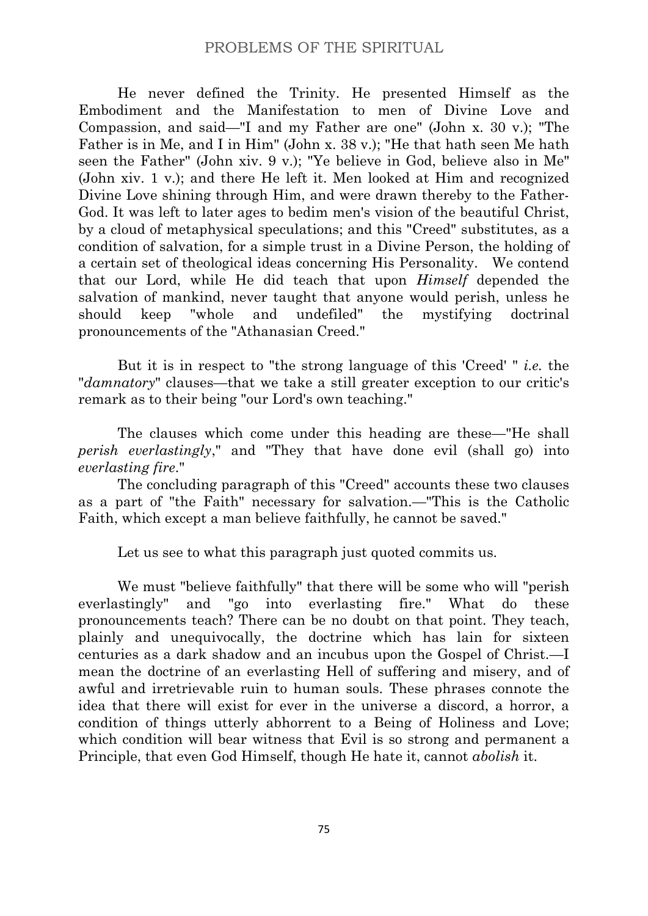He never defined the Trinity. He presented Himself as the Embodiment and the Manifestation to men of Divine Love and Compassion, and said—"I and my Father are one" (John x. 30 v.); "The Father is in Me, and I in Him" (John x. 38 v.); "He that hath seen Me hath seen the Father" (John xiv. 9 v.); "Ye believe in God, believe also in Me" (John xiv. 1 v.); and there He left it. Men looked at Him and recognized Divine Love shining through Him, and were drawn thereby to the Father-God. It was left to later ages to bedim men's vision of the beautiful Christ, by a cloud of metaphysical speculations; and this "Creed" substitutes, as a condition of salvation, for a simple trust in a Divine Person, the holding of a certain set of theological ideas concerning His Personality. We contend that our Lord, while He did teach that upon *Himself* depended the salvation of mankind, never taught that anyone would perish, unless he should keep "whole and undefiled" the mystifying doctrinal pronouncements of the "Athanasian Creed."

But it is in respect to "the strong language of this 'Creed' " *i.e.* the "*damnatory*" clauses—that we take a still greater exception to our critic's remark as to their being "our Lord's own teaching."

The clauses which come under this heading are these—"He shall *perish everlastingly*," and "They that have done evil (shall go) into *everlasting fire*."

The concluding paragraph of this "Creed" accounts these two clauses as a part of "the Faith" necessary for salvation.—"This is the Catholic Faith, which except a man believe faithfully, he cannot be saved."

Let us see to what this paragraph just quoted commits us.

We must "believe faithfully" that there will be some who will "perish everlastingly" and "go into everlasting fire." What do these pronouncements teach? There can be no doubt on that point. They teach, plainly and unequivocally, the doctrine which has lain for sixteen centuries as a dark shadow and an incubus upon the Gospel of Christ.—I mean the doctrine of an everlasting Hell of suffering and misery, and of awful and irretrievable ruin to human souls. These phrases connote the idea that there will exist for ever in the universe a discord, a horror, a condition of things utterly abhorrent to a Being of Holiness and Love; which condition will bear witness that Evil is so strong and permanent a Principle, that even God Himself, though He hate it, cannot *abolish* it.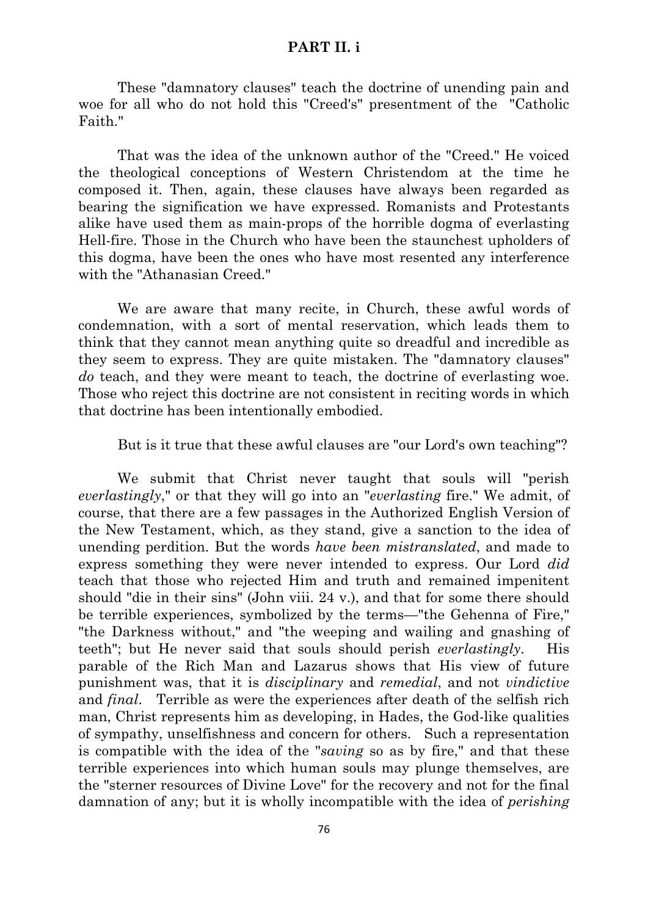### **PART II. i**

These "damnatory clauses" teach the doctrine of unending pain and woe for all who do not hold this "Creed's" presentment of the "Catholic Faith."

That was the idea of the unknown author of the "Creed." He voiced the theological conceptions of Western Christendom at the time he composed it. Then, again, these clauses have always been regarded as bearing the signification we have expressed. Romanists and Protestants alike have used them as main-props of the horrible dogma of everlasting Hell-fire. Those in the Church who have been the staunchest upholders of this dogma, have been the ones who have most resented any interference with the "Athanasian Creed."

We are aware that many recite, in Church, these awful words of condemnation, with a sort of mental reservation, which leads them to think that they cannot mean anything quite so dreadful and incredible as they seem to express. They are quite mistaken. The "damnatory clauses" *do* teach, and they were meant to teach, the doctrine of everlasting woe. Those who reject this doctrine are not consistent in reciting words in which that doctrine has been intentionally embodied.

But is it true that these awful clauses are "our Lord's own teaching"?

We submit that Christ never taught that souls will "perish *everlastingly*," or that they will go into an "*everlasting* fire." We admit, of course, that there are a few passages in the Authorized English Version of the New Testament, which, as they stand, give a sanction to the idea of unending perdition. But the words *have been mistranslated*, and made to express something they were never intended to express. Our Lord *did* teach that those who rejected Him and truth and remained impenitent should "die in their sins" (John viii. 24 v.), and that for some there should be terrible experiences, symbolized by the terms—"the Gehenna of Fire," "the Darkness without," and "the weeping and wailing and gnashing of teeth"; but He never said that souls should perish *everlastingly*. His parable of the Rich Man and Lazarus shows that His view of future punishment was, that it is *disciplinary* and *remedial*, and not *vindictive* and *final*. Terrible as were the experiences after death of the selfish rich man, Christ represents him as developing, in Hades, the God-like qualities of sympathy, unselfishness and concern for others. Such a representation is compatible with the idea of the "*saving* so as by fire," and that these terrible experiences into which human souls may plunge themselves, are the "sterner resources of Divine Love" for the recovery and not for the final damnation of any; but it is wholly incompatible with the idea of *perishing*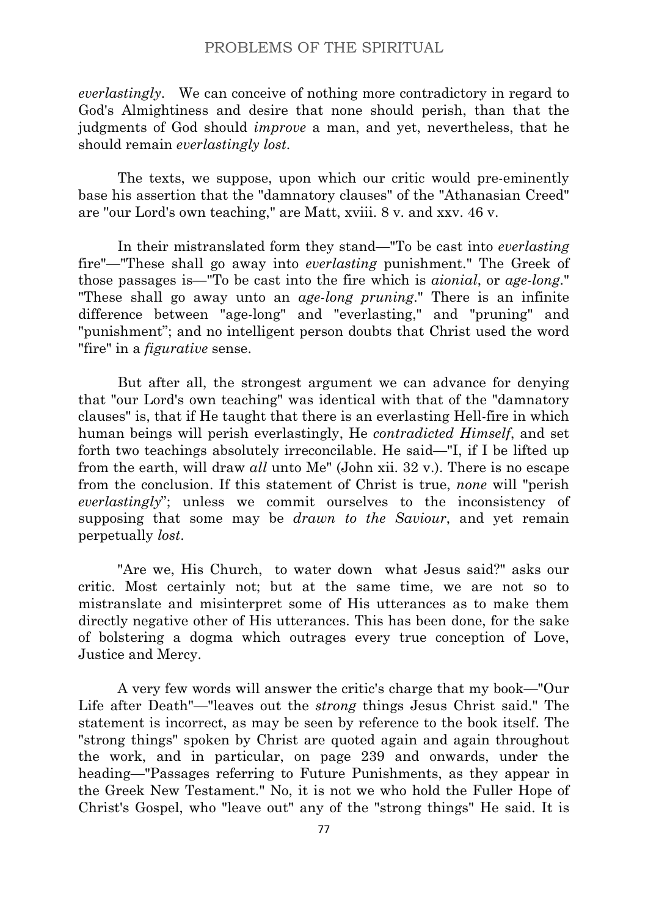*everlastingly*. We can conceive of nothing more contradictory in regard to God's Almightiness and desire that none should perish, than that the judgments of God should *improve* a man, and yet, nevertheless, that he should remain *everlastingly lost*.

The texts, we suppose, upon which our critic would pre-eminently base his assertion that the "damnatory clauses" of the "Athanasian Creed" are ''our Lord's own teaching," are Matt, xviii. 8 v. and xxv. 46 v.

In their mistranslated form they stand—"To be cast into *everlasting* fire"—"These shall go away into *everlasting* punishment." The Greek of those passages is—"To be cast into the fire which is *aionial*, or *age-long*." "These shall go away unto an *age-long pruning*." There is an infinite difference between "age-long" and "everlasting," and "pruning" and "punishment"; and no intelligent person doubts that Christ used the word "fire" in a *figurative* sense.

But after all, the strongest argument we can advance for denying that "our Lord's own teaching" was identical with that of the "damnatory clauses" is, that if He taught that there is an everlasting Hell-fire in which human beings will perish everlastingly, He *contradicted Himself*, and set forth two teachings absolutely irreconcilable. He said—"I, if I be lifted up from the earth, will draw *all* unto Me" (John xii. 32 v.). There is no escape from the conclusion. If this statement of Christ is true, *none* will "perish *everlastingly*"; unless we commit ourselves to the inconsistency of supposing that some may be *drawn to the Saviour*, and yet remain perpetually *lost*.

"Are we, His Church, to water down what Jesus said?" asks our critic. Most certainly not; but at the same time, we are not so to mistranslate and misinterpret some of His utterances as to make them directly negative other of His utterances. This has been done, for the sake of bolstering a dogma which outrages every true conception of Love, Justice and Mercy.

A very few words will answer the critic's charge that my book—"Our Life after Death"—"leaves out the *strong* things Jesus Christ said." The statement is incorrect, as may be seen by reference to the book itself. The "strong things" spoken by Christ are quoted again and again throughout the work, and in particular, on page 239 and onwards, under the heading—"Passages referring to Future Punishments, as they appear in the Greek New Testament." No, it is not we who hold the Fuller Hope of Christ's Gospel, who "leave out" any of the "strong things" He said. It is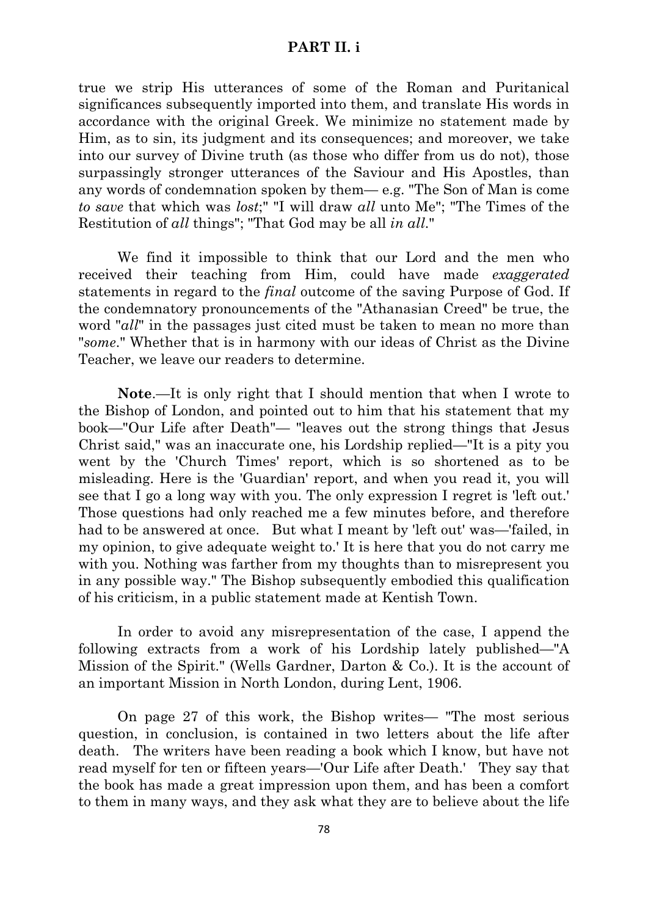### **PART II. i**

true we strip His utterances of some of the Roman and Puritanical significances subsequently imported into them, and translate His words in accordance with the original Greek. We minimize no statement made by Him, as to sin, its judgment and its consequences; and moreover, we take into our survey of Divine truth (as those who differ from us do not), those surpassingly stronger utterances of the Saviour and His Apostles, than any words of condemnation spoken by them— e.g. "The Son of Man is come *to save* that which was *lost*;" "I will draw *all* unto Me"; "The Times of the Restitution of *all* things"; "That God may be all *in all*."

We find it impossible to think that our Lord and the men who received their teaching from Him, could have made *exaggerated* statements in regard to the *final* outcome of the saving Purpose of God. If the condemnatory pronouncements of the "Athanasian Creed" be true, the word "*all*" in the passages just cited must be taken to mean no more than "*some*." Whether that is in harmony with our ideas of Christ as the Divine Teacher, we leave our readers to determine.

**Note**.—It is only right that I should mention that when I wrote to the Bishop of London, and pointed out to him that his statement that my book—"Our Life after Death"— "leaves out the strong things that Jesus Christ said," was an inaccurate one, his Lordship replied—"It is a pity you went by the 'Church Times' report, which is so shortened as to be misleading. Here is the 'Guardian' report, and when you read it, you will see that I go a long way with you. The only expression I regret is 'left out.' Those questions had only reached me a few minutes before, and therefore had to be answered at once. But what I meant by 'left out' was—'failed, in my opinion, to give adequate weight to.' It is here that you do not carry me with you. Nothing was farther from my thoughts than to misrepresent you in any possible way." The Bishop subsequently embodied this qualification of his criticism, in a public statement made at Kentish Town.

In order to avoid any misrepresentation of the case, I append the following extracts from a work of his Lordship lately published—"A Mission of the Spirit." (Wells Gardner, Darton & Co.). It is the account of an important Mission in North London, during Lent, 1906.

On page 27 of this work, the Bishop writes— "The most serious question, in conclusion, is contained in two letters about the life after death. The writers have been reading a book which I know, but have not read myself for ten or fifteen years—'Our Life after Death.' They say that the book has made a great impression upon them, and has been a comfort to them in many ways, and they ask what they are to believe about the life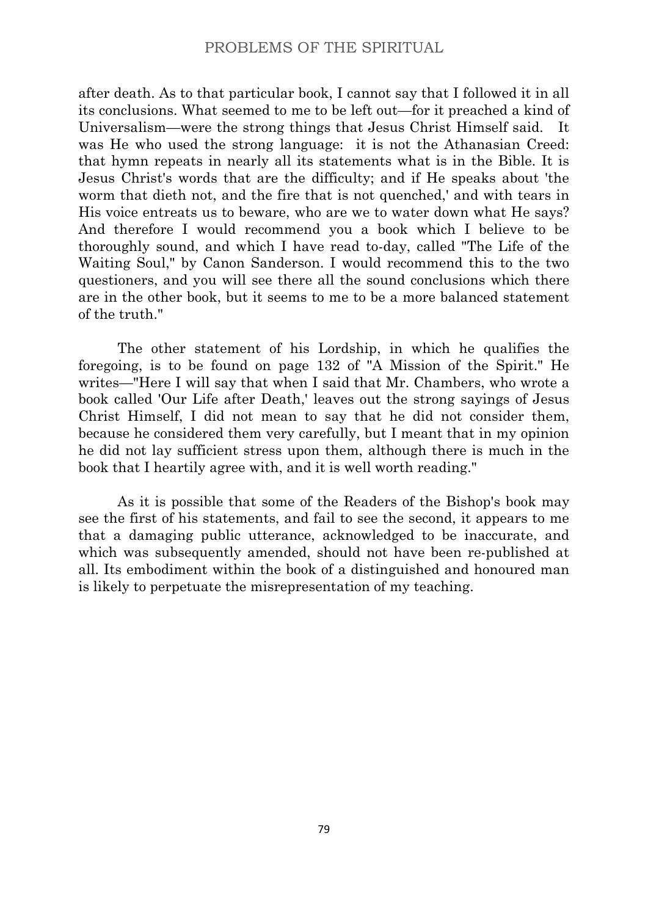after death. As to that particular book, I cannot say that I followed it in all its conclusions. What seemed to me to be left out—for it preached a kind of Universalism—were the strong things that Jesus Christ Himself said. It was He who used the strong language: it is not the Athanasian Creed: that hymn repeats in nearly all its statements what is in the Bible. It is Jesus Christ's words that are the difficulty; and if He speaks about 'the worm that dieth not, and the fire that is not quenched,' and with tears in His voice entreats us to beware, who are we to water down what He says? And therefore I would recommend you a book which I believe to be thoroughly sound, and which I have read to-day, called "The Life of the Waiting Soul," by Canon Sanderson. I would recommend this to the two questioners, and you will see there all the sound conclusions which there are in the other book, but it seems to me to be a more balanced statement of the truth."

The other statement of his Lordship, in which he qualifies the foregoing, is to be found on page 132 of "A Mission of the Spirit." He writes—"Here I will say that when I said that Mr. Chambers, who wrote a book called 'Our Life after Death,' leaves out the strong sayings of Jesus Christ Himself, I did not mean to say that he did not consider them, because he considered them very carefully, but I meant that in my opinion he did not lay sufficient stress upon them, although there is much in the book that I heartily agree with, and it is well worth reading."

As it is possible that some of the Readers of the Bishop's book may see the first of his statements, and fail to see the second, it appears to me that a damaging public utterance, acknowledged to be inaccurate, and which was subsequently amended, should not have been re-published at all. Its embodiment within the book of a distinguished and honoured man is likely to perpetuate the misrepresentation of my teaching.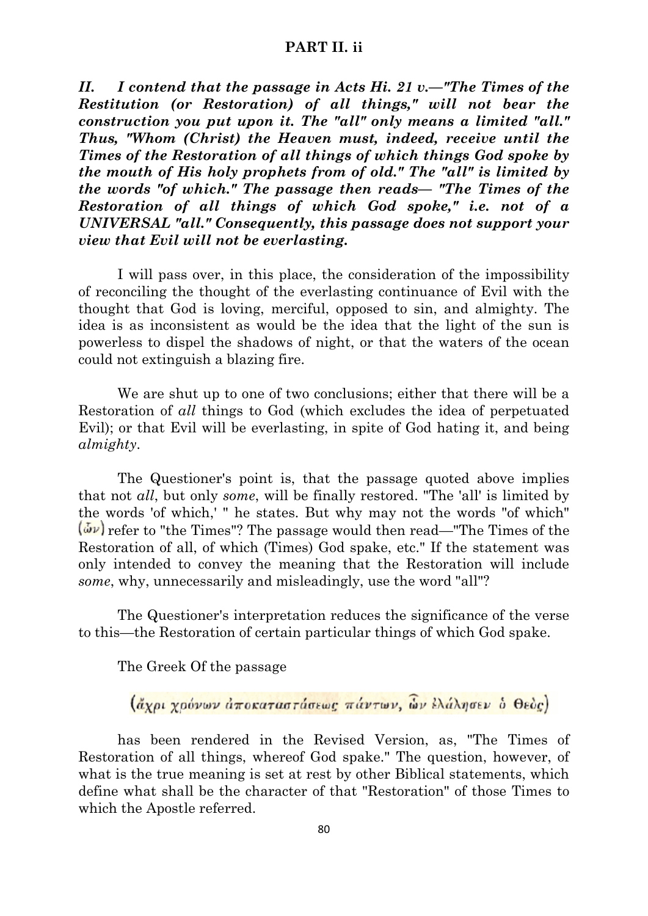## **PART II. ii**

*II. I contend that the passage in Acts Hi. 21 v.—"The Times of the Restitution (or Restoration) of all things," will not bear the construction you put upon it. The "all" only means a limited "all." Thus, "Whom (Christ) the Heaven must, indeed, receive until the Times of the Restoration of all things of which things God spoke by the mouth of His holy prophets from of old." The "all" is limited by the words "of which." The passage then reads— "The Times of the Restoration of all things of which God spoke," i.e. not of a UNIVERSAL "all." Consequently, this passage does not support your view that Evil will not be everlasting.*

I will pass over, in this place, the consideration of the impossibility of reconciling the thought of the everlasting continuance of Evil with the thought that God is loving, merciful, opposed to sin, and almighty. The idea is as inconsistent as would be the idea that the light of the sun is powerless to dispel the shadows of night, or that the waters of the ocean could not extinguish a blazing fire.

We are shut up to one of two conclusions; either that there will be a Restoration of *all* things to God (which excludes the idea of perpetuated Evil); or that Evil will be everlasting, in spite of God hating it, and being *almighty*.

The Questioner's point is, that the passage quoted above implies that not *all*, but only *some*, will be finally restored. "The 'all' is limited by the words 'of which,' " he states. But why may not the words "of which" refer to "the Times"? The passage would then read—"The Times of the Restoration of all, of which (Times) God spake, etc." If the statement was only intended to convey the meaning that the Restoration will include *some*, why, unnecessarily and misleadingly, use the word "all"?

The Questioner's interpretation reduces the significance of the verse to this—the Restoration of certain particular things of which God spake.

The Greek Of the passage

(άχρι χρόνων αποκαταστάσεως πάντων, ών ελάλησεν ο Θεός)

has been rendered in the Revised Version, as, "The Times of Restoration of all things, whereof God spake." The question, however, of what is the true meaning is set at rest by other Biblical statements, which define what shall be the character of that "Restoration" of those Times to which the Apostle referred.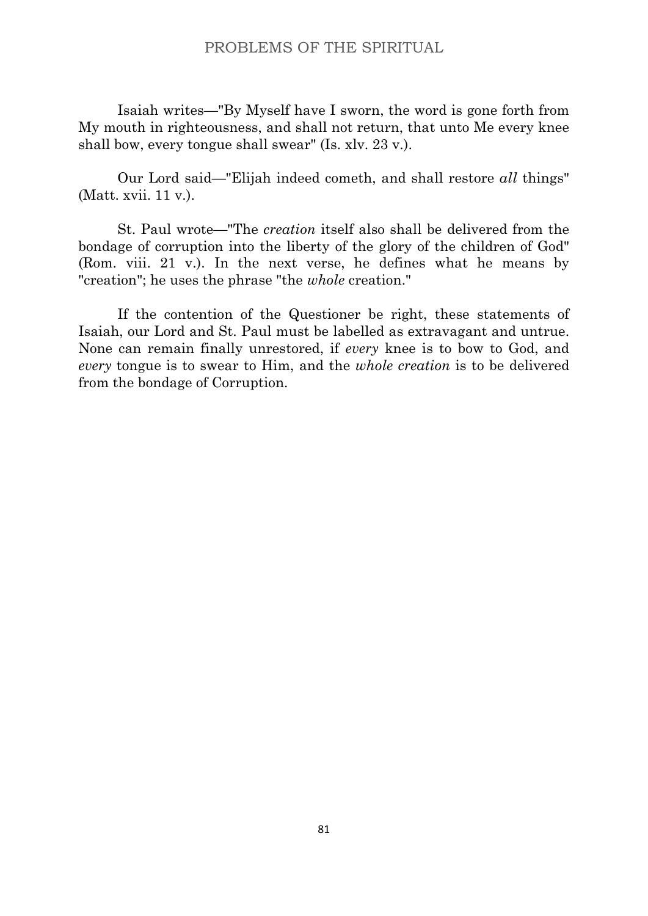Isaiah writes—"By Myself have I sworn, the word is gone forth from My mouth in righteousness, and shall not return, that unto Me every knee shall bow, every tongue shall swear" (Is. xlv. 23 v.).

Our Lord said—"Elijah indeed cometh, and shall restore *all* things" (Matt. xvii. 11 v.).

St. Paul wrote—"The *creation* itself also shall be delivered from the bondage of corruption into the liberty of the glory of the children of God" (Rom. viii. 21 v.). In the next verse, he defines what he means by "creation"; he uses the phrase "the *whole* creation."

If the contention of the Questioner be right, these statements of Isaiah, our Lord and St. Paul must be labelled as extravagant and untrue. None can remain finally unrestored, if *every* knee is to bow to God, and *every* tongue is to swear to Him, and the *whole creation* is to be delivered from the bondage of Corruption.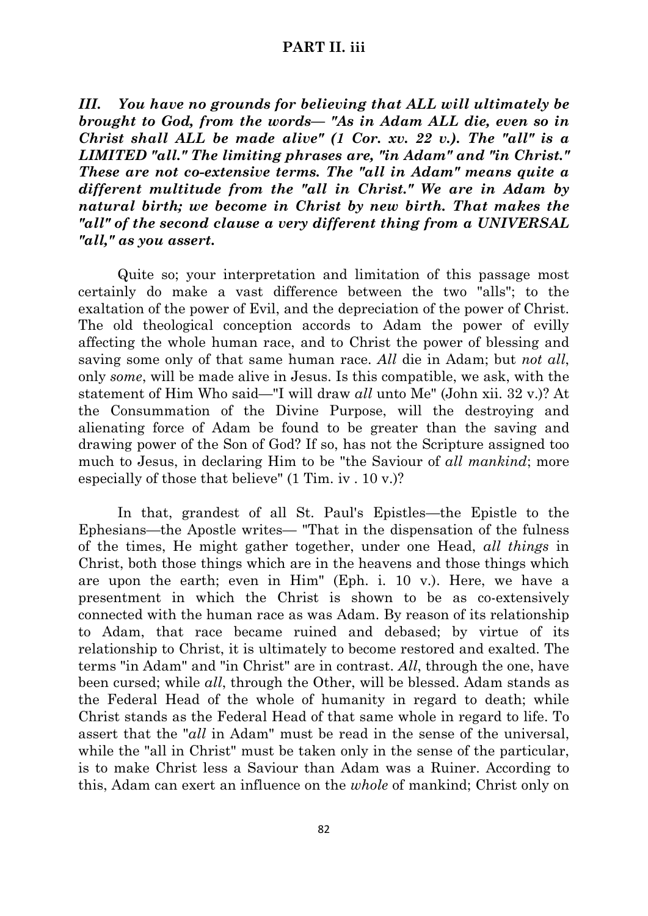# **PART II. iii**

*III. You have no grounds for believing that ALL will ultimately be brought to God, from the words— "As in Adam ALL die, even so in Christ shall ALL be made alive" (1 Cor. xv. 22 v.). The "all" is a LIMITED "all." The limiting phrases are, "in Adam" and "in Christ." These are not co-extensive terms. The "all in Adam" means quite a different multitude from the "all in Christ." We are in Adam by natural birth; we become in Christ by new birth. That makes the "all" of the second clause a very different thing from a UNIVERSAL "all," as you assert.*

Quite so; your interpretation and limitation of this passage most certainly do make a vast difference between the two "alls"; to the exaltation of the power of Evil, and the depreciation of the power of Christ. The old theological conception accords to Adam the power of evilly affecting the whole human race, and to Christ the power of blessing and saving some only of that same human race. *All* die in Adam; but *not all*, only *some*, will be made alive in Jesus. Is this compatible, we ask, with the statement of Him Who said—"I will draw *all* unto Me" (John xii. 32 v.)? At the Consummation of the Divine Purpose, will the destroying and alienating force of Adam be found to be greater than the saving and drawing power of the Son of God? If so, has not the Scripture assigned too much to Jesus, in declaring Him to be "the Saviour of *all mankind*; more especially of those that believe" (1 Tim. iv . 10 v.)?

In that, grandest of all St. Paul's Epistles—the Epistle to the Ephesians—the Apostle writes— "That in the dispensation of the fulness of the times, He might gather together, under one Head, *all things* in Christ, both those things which are in the heavens and those things which are upon the earth; even in Him" (Eph. i. 10 v.). Here, we have a presentment in which the Christ is shown to be as co-extensively connected with the human race as was Adam. By reason of its relationship to Adam, that race became ruined and debased; by virtue of its relationship to Christ, it is ultimately to become restored and exalted. The terms "in Adam" and "in Christ" are in contrast. *All*, through the one, have been cursed; while *all*, through the Other, will be blessed. Adam stands as the Federal Head of the whole of humanity in regard to death; while Christ stands as the Federal Head of that same whole in regard to life. To assert that the "*all* in Adam" must be read in the sense of the universal, while the "all in Christ" must be taken only in the sense of the particular, is to make Christ less a Saviour than Adam was a Ruiner. According to this, Adam can exert an influence on the *whole* of mankind; Christ only on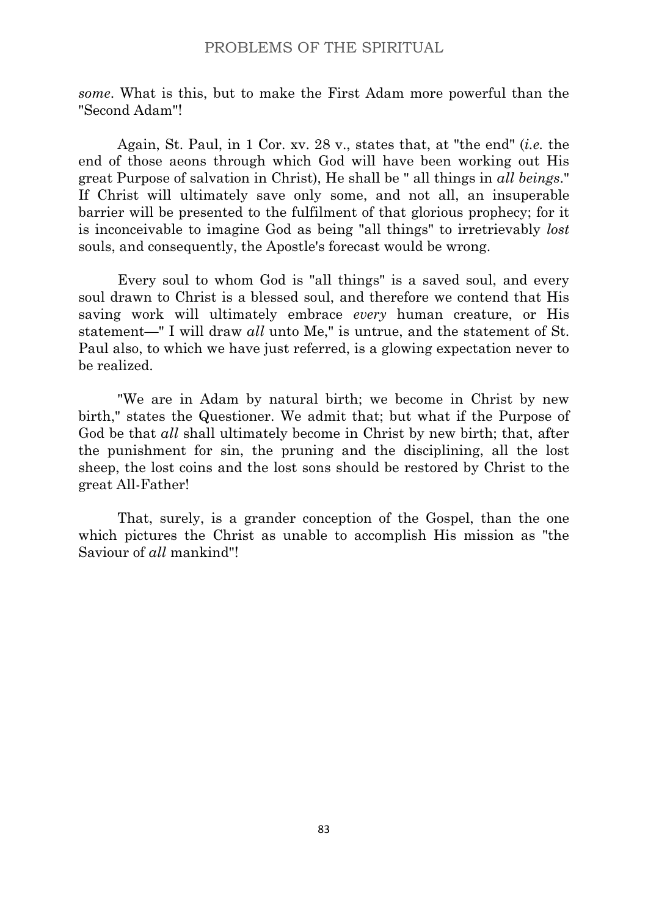*some*. What is this, but to make the First Adam more powerful than the "Second Adam"!

Again, St. Paul, in 1 Cor. xv. 28 v., states that, at "the end" (*i.e.* the end of those aeons through which God will have been working out His great Purpose of salvation in Christ), He shall be " all things in *all beings*." If Christ will ultimately save only some, and not all, an insuperable barrier will be presented to the fulfilment of that glorious prophecy; for it is inconceivable to imagine God as being "all things" to irretrievably *lost* souls, and consequently, the Apostle's forecast would be wrong.

Every soul to whom God is "all things" is a saved soul, and every soul drawn to Christ is a blessed soul, and therefore we contend that His saving work will ultimately embrace *every* human creature, or His statement—" I will draw *all* unto Me," is untrue, and the statement of St. Paul also, to which we have just referred, is a glowing expectation never to be realized.

"We are in Adam by natural birth; we become in Christ by new birth," states the Questioner. We admit that; but what if the Purpose of God be that *all* shall ultimately become in Christ by new birth; that, after the punishment for sin, the pruning and the disciplining, all the lost sheep, the lost coins and the lost sons should be restored by Christ to the great All-Father!

That, surely, is a grander conception of the Gospel, than the one which pictures the Christ as unable to accomplish His mission as "the Saviour of *all* mankind"!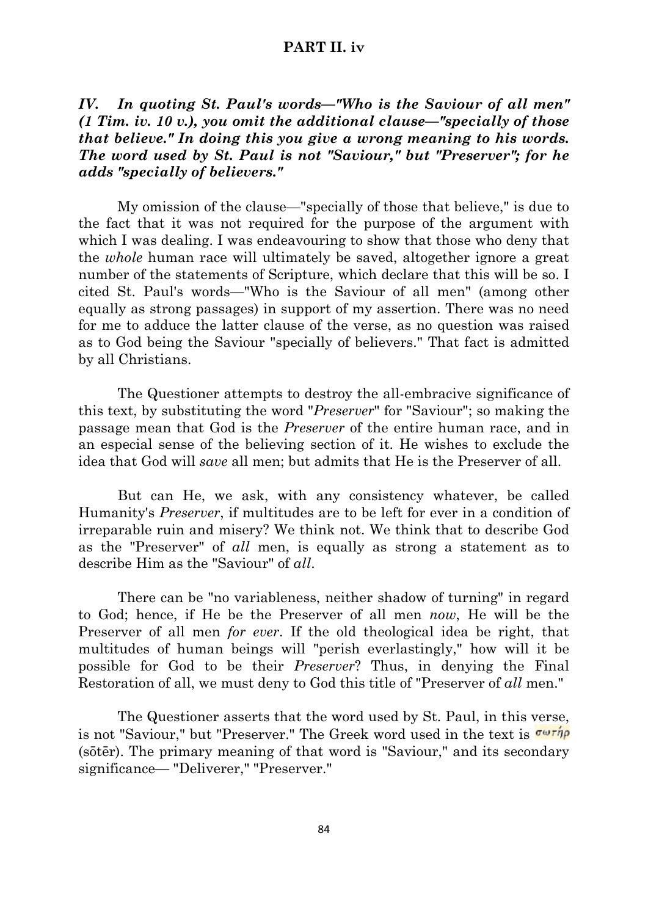## **PART II. iv**

# *IV. In quoting St. Paul's words—"Who is the Saviour of all men" (1 Tim. iv. 10 v.), you omit the additional clause—"specially of those that believe." In doing this you give a wrong meaning to his words. The word used by St. Paul is not "Saviour," but "Preserver"; for he adds "specially of believers."*

My omission of the clause—"specially of those that believe," is due to the fact that it was not required for the purpose of the argument with which I was dealing. I was endeavouring to show that those who deny that the *whole* human race will ultimately be saved, altogether ignore a great number of the statements of Scripture, which declare that this will be so. I cited St. Paul's words—"Who is the Saviour of all men" (among other equally as strong passages) in support of my assertion. There was no need for me to adduce the latter clause of the verse, as no question was raised as to God being the Saviour "specially of believers." That fact is admitted by all Christians.

The Questioner attempts to destroy the all-embracive significance of this text, by substituting the word "*Preserver*" for "Saviour"; so making the passage mean that God is the *Preserver* of the entire human race, and in an especial sense of the believing section of it. He wishes to exclude the idea that God will *save* all men; but admits that He is the Preserver of all.

But can He, we ask, with any consistency whatever, be called Humanity's *Preserver*, if multitudes are to be left for ever in a condition of irreparable ruin and misery? We think not. We think that to describe God as the "Preserver" of *all* men, is equally as strong a statement as to describe Him as the "Saviour" of *all*.

There can be "no variableness, neither shadow of turning" in regard to God; hence, if He be the Preserver of all men *now*, He will be the Preserver of all men *for ever*. If the old theological idea be right, that multitudes of human beings will "perish everlastingly," how will it be possible for God to be their *Preserver*? Thus, in denying the Final Restoration of all, we must deny to God this title of "Preserver of *all* men."

The Questioner asserts that the word used by St. Paul, in this verse, is not "Saviour," but "Preserver." The Greek word used in the text is  $\sigma \omega r \eta \rho$ (sōtēr). The primary meaning of that word is "Saviour," and its secondary significance— "Deliverer," "Preserver."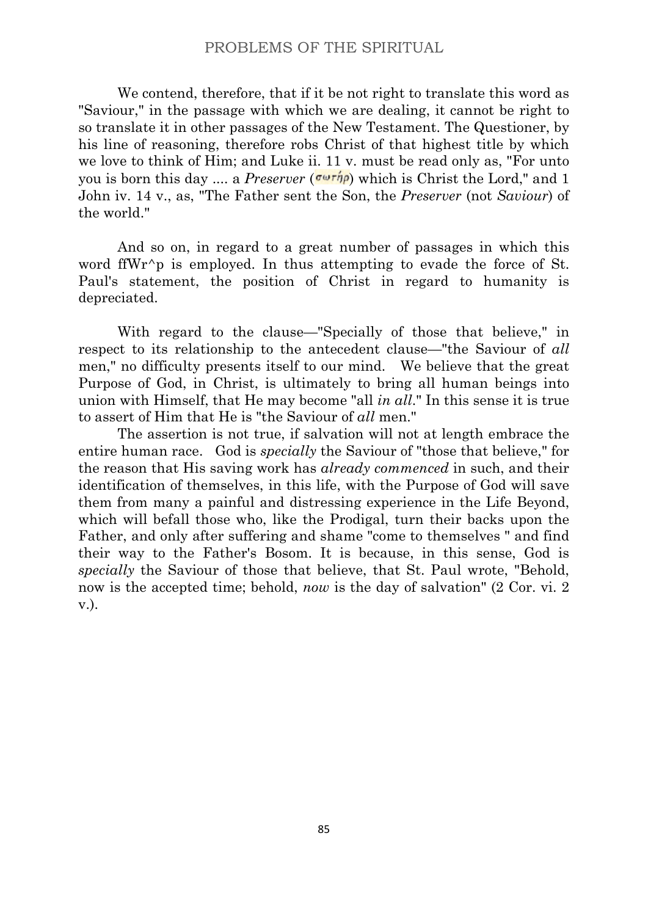We contend, therefore, that if it be not right to translate this word as "Saviour," in the passage with which we are dealing, it cannot be right to so translate it in other passages of the New Testament. The Questioner, by his line of reasoning, therefore robs Christ of that highest title by which we love to think of Him; and Luke ii. 11 v. must be read only as, "For unto you is born this day .... a *Preserver* ( $\sigma \omega \tau \eta \rho$ ) which is Christ the Lord," and 1 John iv. 14 v., as, "The Father sent the Son, the *Preserver* (not *Saviour*) of the world."

And so on, in regard to a great number of passages in which this word ffWr $\gamma$  is employed. In thus attempting to evade the force of St. Paul's statement, the position of Christ in regard to humanity is depreciated.

With regard to the clause—"Specially of those that believe," in respect to its relationship to the antecedent clause—"the Saviour of *all* men," no difficulty presents itself to our mind. We believe that the great Purpose of God, in Christ, is ultimately to bring all human beings into union with Himself, that He may become "all *in all*." In this sense it is true to assert of Him that He is "the Saviour of *all* men."

The assertion is not true, if salvation will not at length embrace the entire human race. God is *specially* the Saviour of "those that believe," for the reason that His saving work has *already commenced* in such, and their identification of themselves, in this life, with the Purpose of God will save them from many a painful and distressing experience in the Life Beyond, which will befall those who, like the Prodigal, turn their backs upon the Father, and only after suffering and shame "come to themselves " and find their way to the Father's Bosom. It is because, in this sense, God is *specially* the Saviour of those that believe, that St. Paul wrote, "Behold, now is the accepted time; behold, *now* is the day of salvation" (2 Cor. vi. 2 v.).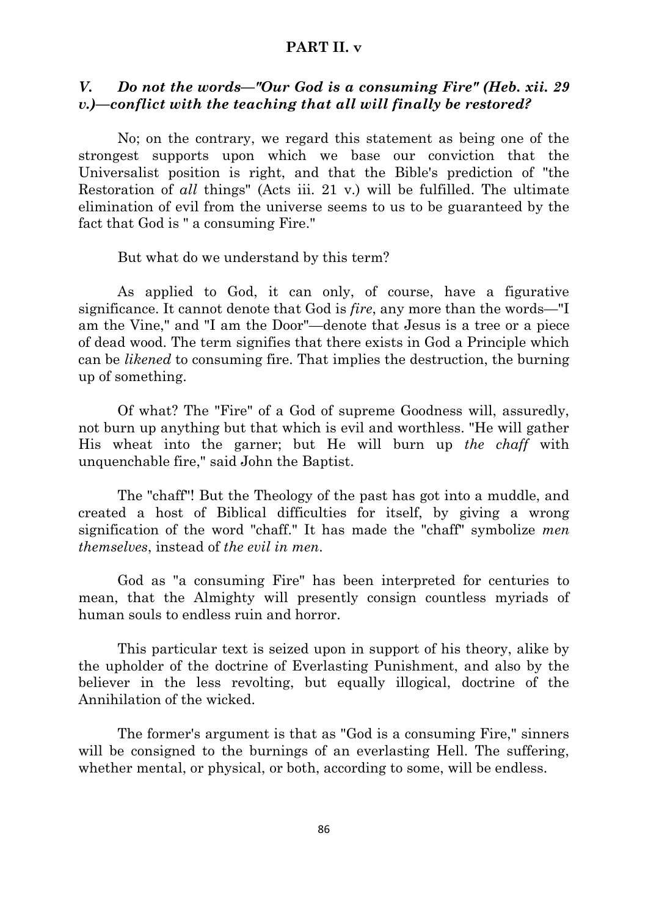### **PART II. v**

# *V. Do not the words—"Our God is a consuming Fire" (Heb. xii. 29 v.)—conflict with the teaching that all will finally be restored?*

No; on the contrary, we regard this statement as being one of the strongest supports upon which we base our conviction that the Universalist position is right, and that the Bible's prediction of "the Restoration of *all* things" (Acts iii. 21 v.) will be fulfilled. The ultimate elimination of evil from the universe seems to us to be guaranteed by the fact that God is " a consuming Fire."

But what do we understand by this term?

As applied to God, it can only, of course, have a figurative significance. It cannot denote that God is *fire*, any more than the words—"I am the Vine," and "I am the Door"—denote that Jesus is a tree or a piece of dead wood. The term signifies that there exists in God a Principle which can be *likened* to consuming fire. That implies the destruction, the burning up of something.

Of what? The "Fire" of a God of supreme Goodness will, assuredly, not burn up anything but that which is evil and worthless. "He will gather His wheat into the garner; but He will burn up *the chaff* with unquenchable fire," said John the Baptist.

The "chaff"! But the Theology of the past has got into a muddle, and created a host of Biblical difficulties for itself, by giving a wrong signification of the word "chaff." It has made the "chaff" symbolize *men themselves*, instead of *the evil in men*.

God as "a consuming Fire" has been interpreted for centuries to mean, that the Almighty will presently consign countless myriads of human souls to endless ruin and horror.

This particular text is seized upon in support of his theory, alike by the upholder of the doctrine of Everlasting Punishment, and also by the believer in the less revolting, but equally illogical, doctrine of the Annihilation of the wicked.

The former's argument is that as "God is a consuming Fire," sinners will be consigned to the burnings of an everlasting Hell. The suffering, whether mental, or physical, or both, according to some, will be endless.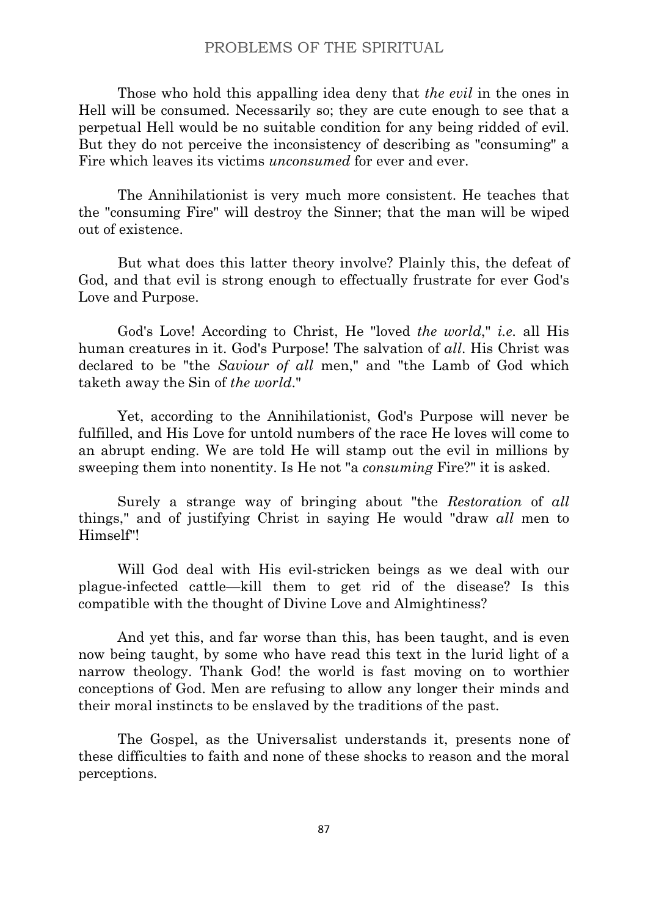Those who hold this appalling idea deny that *the evil* in the ones in Hell will be consumed. Necessarily so; they are cute enough to see that a perpetual Hell would be no suitable condition for any being ridded of evil. But they do not perceive the inconsistency of describing as "consuming" a Fire which leaves its victims *unconsumed* for ever and ever.

The Annihilationist is very much more consistent. He teaches that the "consuming Fire" will destroy the Sinner; that the man will be wiped out of existence.

But what does this latter theory involve? Plainly this, the defeat of God, and that evil is strong enough to effectually frustrate for ever God's Love and Purpose.

God's Love! According to Christ, He "loved *the world*," *i.e.* all His human creatures in it. God's Purpose! The salvation of *all*. His Christ was declared to be "the *Saviour of all* men," and "the Lamb of God which taketh away the Sin of *the world*."

Yet, according to the Annihilationist, God's Purpose will never be fulfilled, and His Love for untold numbers of the race He loves will come to an abrupt ending. We are told He will stamp out the evil in millions by sweeping them into nonentity. Is He not "a *consuming* Fire?" it is asked.

Surely a strange way of bringing about "the *Restoration* of *all* things," and of justifying Christ in saying He would "draw *all* men to Himself"!

Will God deal with His evil-stricken beings as we deal with our plague-infected cattle—kill them to get rid of the disease? Is this compatible with the thought of Divine Love and Almightiness?

And yet this, and far worse than this, has been taught, and is even now being taught, by some who have read this text in the lurid light of a narrow theology. Thank God! the world is fast moving on to worthier conceptions of God. Men are refusing to allow any longer their minds and their moral instincts to be enslaved by the traditions of the past.

The Gospel, as the Universalist understands it, presents none of these difficulties to faith and none of these shocks to reason and the moral perceptions.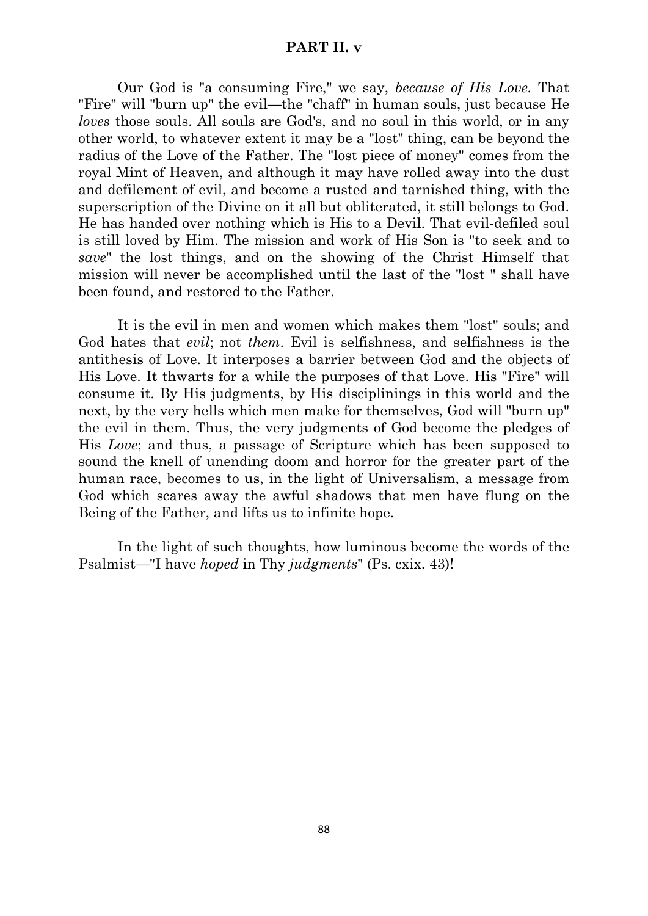### **PART II. v**

Our God is "a consuming Fire," we say, *because of His Love.* That "Fire" will "burn up" the evil—the "chaff" in human souls, just because He *loves* those souls. All souls are God's, and no soul in this world, or in any other world, to whatever extent it may be a "lost" thing, can be beyond the radius of the Love of the Father. The "lost piece of money" comes from the royal Mint of Heaven, and although it may have rolled away into the dust and defilement of evil, and become a rusted and tarnished thing, with the superscription of the Divine on it all but obliterated, it still belongs to God. He has handed over nothing which is His to a Devil. That evil-defiled soul is still loved by Him. The mission and work of His Son is "to seek and to *save*" the lost things, and on the showing of the Christ Himself that mission will never be accomplished until the last of the "lost " shall have been found, and restored to the Father.

It is the evil in men and women which makes them "lost" souls; and God hates that *evil*; not *them*. Evil is selfishness, and selfishness is the antithesis of Love. It interposes a barrier between God and the objects of His Love. It thwarts for a while the purposes of that Love. His "Fire" will consume it. By His judgments, by His disciplinings in this world and the next, by the very hells which men make for themselves, God will "burn up" the evil in them. Thus, the very judgments of God become the pledges of His *Love*; and thus, a passage of Scripture which has been supposed to sound the knell of unending doom and horror for the greater part of the human race, becomes to us, in the light of Universalism, a message from God which scares away the awful shadows that men have flung on the Being of the Father, and lifts us to infinite hope.

In the light of such thoughts, how luminous become the words of the Psalmist—"I have *hoped* in Thy *judgments*" (Ps. cxix. 43)!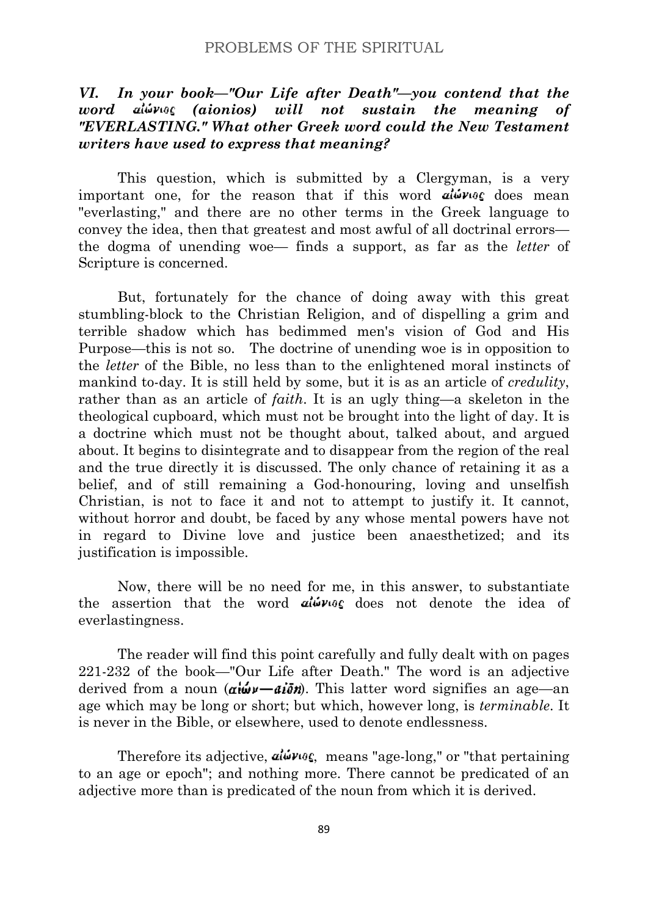# *VI. In your book—"Our Life after Death"—you contend that the word (aionios) will not sustain the meaning of "EVERLASTING." What other Greek word could the New Testament writers have used to express that meaning?*

This question, which is submitted by a Clergyman, is a very important one, for the reason that if this word  $a\omega v_0$  does mean "everlasting," and there are no other terms in the Greek language to convey the idea, then that greatest and most awful of all doctrinal errors the dogma of unending woe— finds a support, as far as the *letter* of Scripture is concerned.

But, fortunately for the chance of doing away with this great stumbling-block to the Christian Religion, and of dispelling a grim and terrible shadow which has bedimmed men's vision of God and His Purpose—this is not so. The doctrine of unending woe is in opposition to the *letter* of the Bible, no less than to the enlightened moral instincts of mankind to-day. It is still held by some, but it is as an article of *credulity*, rather than as an article of *faith*. It is an ugly thing—a skeleton in the theological cupboard, which must not be brought into the light of day. It is a doctrine which must not be thought about, talked about, and argued about. It begins to disintegrate and to disappear from the region of the real and the true directly it is discussed. The only chance of retaining it as a belief, and of still remaining a God-honouring, loving and unselfish Christian, is not to face it and not to attempt to justify it. It cannot, without horror and doubt, be faced by any whose mental powers have not in regard to Divine love and justice been anaesthetized; and its justification is impossible.

Now, there will be no need for me, in this answer, to substantiate the assertion that the word  $a\omega v_0$  does not denote the idea of everlastingness.

The reader will find this point carefully and fully dealt with on pages 221-232 of the book—"Our Life after Death." The word is an adjective derived from a noun  $(\alpha \mathbf{u} \mathbf{v} - \alpha \mathbf{v})$ . This latter word signifies an age—an age which may be long or short; but which, however long, is *terminable*. It is never in the Bible, or elsewhere, used to denote endlessness.

Therefore its adjective,  $a\psi v_0 \zeta$ , means "age-long," or "that pertaining to an age or epoch"; and nothing more. There cannot be predicated of an adjective more than is predicated of the noun from which it is derived.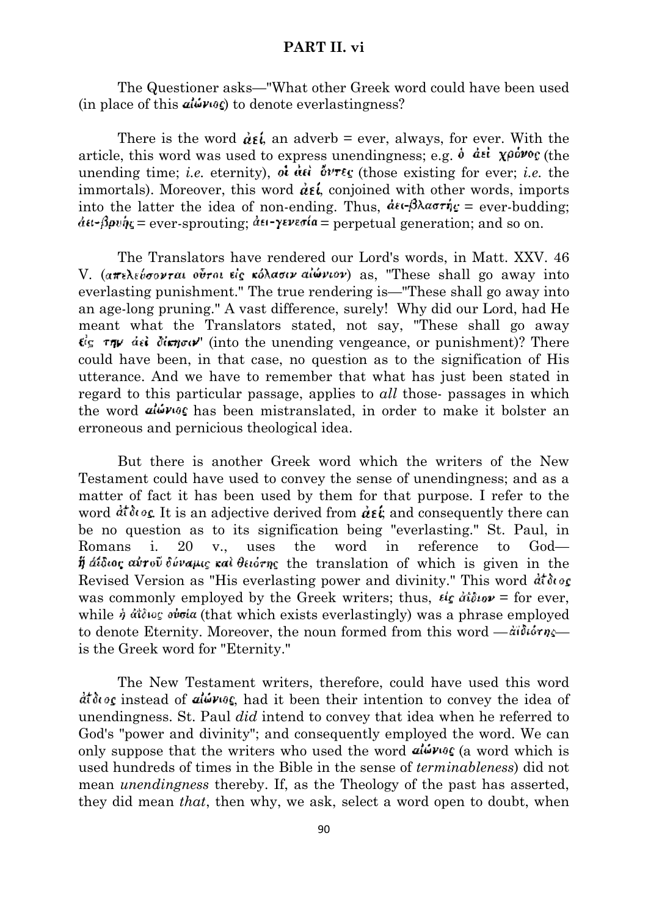## **PART II. vi**

The Questioner asks—"What other Greek word could have been used (in place of this  $a\psi\psi\psi\psi$ ) to denote everlastingness?

There is the word  $\dot{\alpha} \epsilon \dot{\beta}$ , an adverb = ever, always, for ever. With the article, this word was used to express unendingness; e.g.  $\dot{\theta}$  det  $\chi \rho \dot{\phi} \nu o \rho$  (the unending time; *i.e.* eternity),  $\partial \overrightarrow{u}$   $\partial \overrightarrow{v}$   $\overrightarrow{v}$  (those existing for ever; *i.e.* the immortals). Moreover, this word  $\dot{\alpha} \epsilon \dot{\iota}$  conjoined with other words, imports into the latter the idea of non-ending. Thus,  $d\epsilon \epsilon - \beta \lambda \alpha \sigma \tau \eta_{\epsilon} =$  ever-budding;  $d\mathbf{u}$ - $\beta$ pv $\dot{\eta}$ <sub>5</sub> = ever-sprouting;  $d\mathbf{u}$ - $\gamma$ everia = perpetual generation; and so on.

The Translators have rendered our Lord's words, in Matt. XXV. 46 V. (απελεύσονται ούτοι είς κόλασιν αίώνιον) as, "These shall go away into everlasting punishment." The true rendering is—"These shall go away into an age-long pruning." A vast difference, surely! Why did our Lord, had He meant what the Translators stated, not say, "These shall go away  $\epsilon$  is  $\tau$  $\eta$  if  $d\epsilon$  derection of the unending vengeance, or punishment)? There could have been, in that case, no question as to the signification of His utterance. And we have to remember that what has just been stated in regard to this particular passage, applies to *all* those- passages in which the word  $a\psi$  we has been mistranslated, in order to make it bolster an erroneous and pernicious theological idea.

But there is another Greek word which the writers of the New Testament could have used to convey the sense of unendingness; and as a matter of fact it has been used by them for that purpose. I refer to the word  $\frac{d}{dt} \delta \omega \epsilon$ . It is an adjective derived from  $\frac{d}{dt} \epsilon$ ; and consequently there can be no question as to its signification being "everlasting." St. Paul, in Romans i. 20 v., uses the word in reference to God—  $\ddot{\eta}$  *áthor* air  $\ddot{\theta}$  *the translation* of which is given in the Revised Version as "His everlasting power and divinity." This word  $d\tau \delta \omega_{\mathcal{L}}$ was commonly employed by the Greek writers; thus,  $\epsilon \xi \hat{a} \hat{i} \hat{\epsilon} \omega = \epsilon$  for ever, while  $\dot{\eta}$  at  $\delta u\zeta$  which exists everlastingly) was a phrase employed to denote Eternity. Moreover, the noun formed from this word  $-\ddot{a}\dot{b}\dot{b}\dot{\alpha}\eta$ is the Greek word for "Eternity."

The New Testament writers, therefore, could have used this word diding instead of  $\mathbf{a}$  is  $\mathbf{v}$  and it been their intention to convey the idea of unendingness. St. Paul *did* intend to convey that idea when he referred to God's "power and divinity"; and consequently employed the word. We can only suppose that the writers who used the word  $\mathbf{a}$   $\mathbf{b}$   $\mathbf{v}$  as (a word which is used hundreds of times in the Bible in the sense of *terminableness*) did not mean *unendingness* thereby. If, as the Theology of the past has asserted, they did mean *that*, then why, we ask, select a word open to doubt, when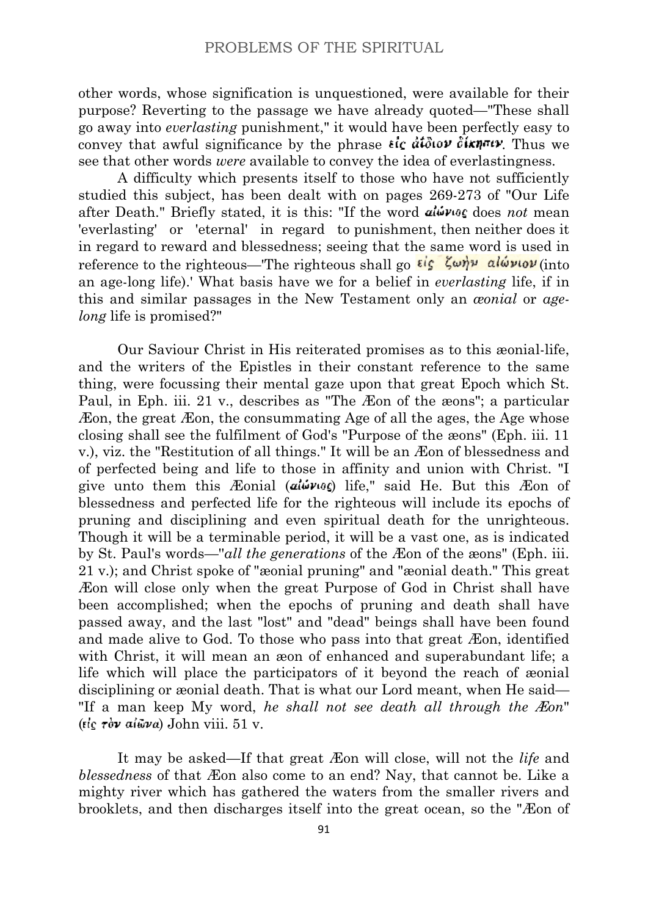other words, whose signification is unquestioned, were available for their purpose? Reverting to the passage we have already quoted—"These shall go away into *everlasting* punishment," it would have been perfectly easy to convey that awful significance by the phrase  $\epsilon \in d\mathcal{L}$   $d\mathcal{L}$   $d\mathcal{L}$   $d\mathcal{L}$   $d\mathcal{L}$   $d\mathcal{L}$   $d\mathcal{L}$   $d\mathcal{L}$   $d\mathcal{L}$   $d\mathcal{L}$   $d\mathcal{L}$   $d\mathcal{L}$   $d\mathcal{L}$   $d\mathcal{L}$   $d\mathcal{L}$   $d\mathcal{L}$   $d\mathcal{L}$   $d$ see that other words *were* available to convey the idea of everlastingness.

A difficulty which presents itself to those who have not sufficiently studied this subject, has been dealt with on pages 269-273 of "Our Life after Death." Briefly stated, it is this: "If the word  $\mathbf{a} \mathbf{b} \mathbf{v}$  also not mean 'everlasting' or 'eternal' in regard to punishment, then neither does it in regard to reward and blessedness; seeing that the same word is used in reference to the righteous—The righteous shall go  $\epsilon \zeta$   $\zeta \omega \eta \nu$  alw $\nu \omega \nu$  (into an age-long life).' What basis have we for a belief in *everlasting* life, if in this and similar passages in the New Testament only an *æonial* or *agelong* life is promised?"

Our Saviour Christ in His reiterated promises as to this æonial-life, and the writers of the Epistles in their constant reference to the same thing, were focussing their mental gaze upon that great Epoch which St. Paul, in Eph. iii. 21 v., describes as "The Æon of the æons"; a particular Æon, the great Æon, the consummating Age of all the ages, the Age whose closing shall see the fulfilment of God's "Purpose of the æons" (Eph. iii. 11 v.), viz. the "Restitution of all things." It will be an Æon of blessedness and of perfected being and life to those in affinity and union with Christ. "I give unto them this Æonial ( $a\omega \omega_0$ ) life," said He. But this Æon of blessedness and perfected life for the righteous will include its epochs of pruning and disciplining and even spiritual death for the unrighteous. Though it will be a terminable period, it will be a vast one, as is indicated by St. Paul's words—''*all the generations* of the Æon of the æons" (Eph. iii. 21 v.); and Christ spoke of "æonial pruning" and "æonial death." This great Æon will close only when the great Purpose of God in Christ shall have been accomplished; when the epochs of pruning and death shall have passed away, and the last "lost" and "dead" beings shall have been found and made alive to God. To those who pass into that great Æon, identified with Christ, it will mean an æon of enhanced and superabundant life; a life which will place the participators of it beyond the reach of æonial disciplining or æonial death. That is what our Lord meant, when He said— "If a man keep My word, *he shall not see death all through the Æon*" ( $\epsilon$ ic  $\tau$ òv ai $\omega$ va) John viii. 51 v.

It may be asked—If that great Æon will close, will not the *life* and *blessedness* of that Æon also come to an end? Nay, that cannot be. Like a mighty river which has gathered the waters from the smaller rivers and brooklets, and then discharges itself into the great ocean, so the "Æon of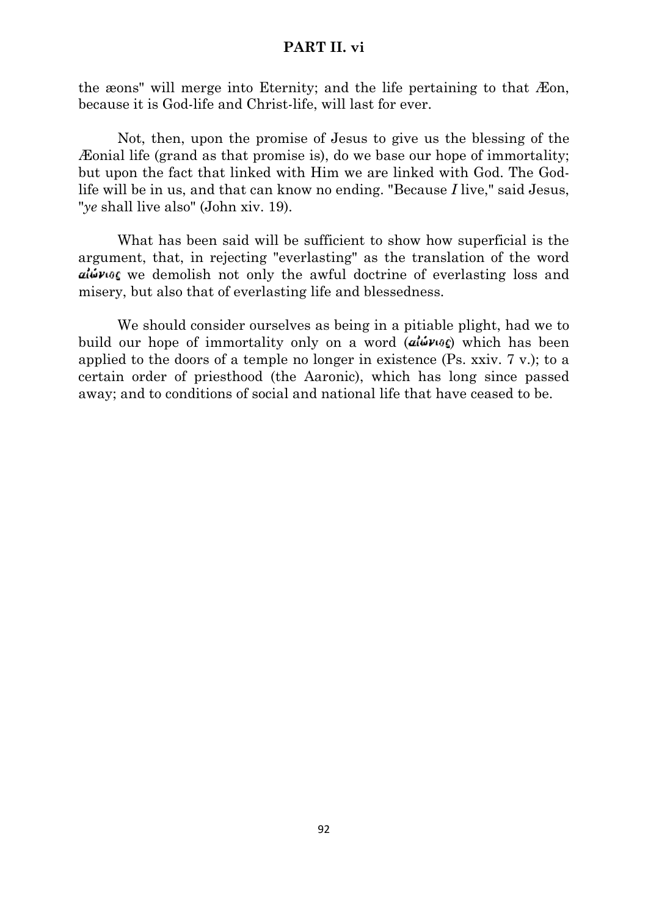## **PART II. vi**

the æons" will merge into Eternity; and the life pertaining to that Æon, because it is God-life and Christ-life, will last for ever.

Not, then, upon the promise of Jesus to give us the blessing of the Æonial life (grand as that promise is), do we base our hope of immortality; but upon the fact that linked with Him we are linked with God. The Godlife will be in us, and that can know no ending. "Because *I* live," said Jesus, "*ye* shall live also" (John xiv. 19).

What has been said will be sufficient to show how superficial is the argument, that, in rejecting "everlasting" as the translation of the word ally we demolish not only the awful doctrine of everlasting loss and misery, but also that of everlasting life and blessedness.

We should consider ourselves as being in a pitiable plight, had we to build our hope of immortality only on a word  $(a \ddot{\omega} \nu \omega \zeta)$  which has been applied to the doors of a temple no longer in existence (Ps. xxiv. 7 v.); to a certain order of priesthood (the Aaronic), which has long since passed away; and to conditions of social and national life that have ceased to be.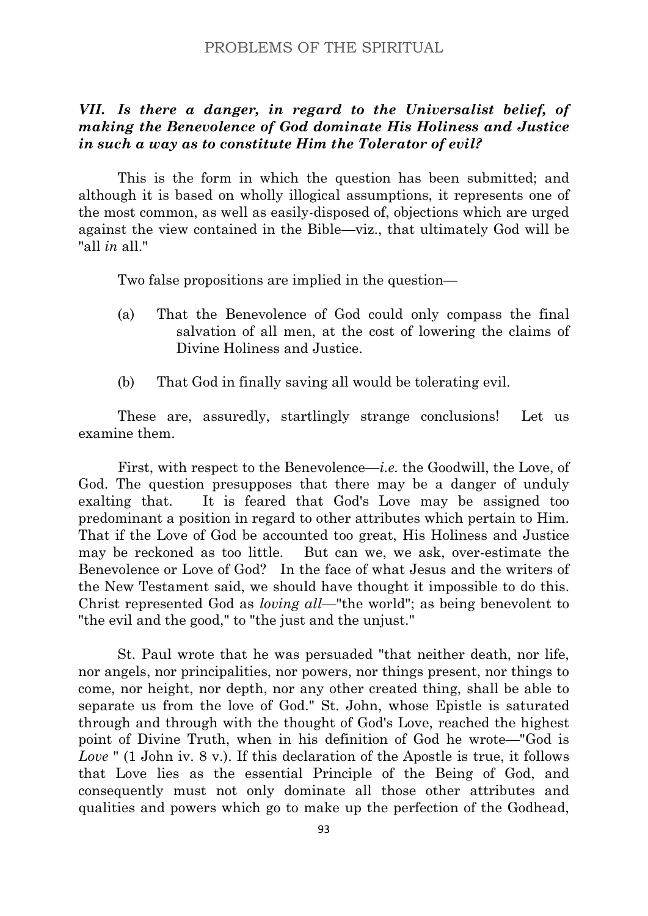# *VII. Is there a danger, in regard to the Universalist belief, of making the Benevolence of God dominate His Holiness and Justice in such a way as to constitute Him the Tolerator of evil?*

This is the form in which the question has been submitted; and although it is based on wholly illogical assumptions, it represents one of the most common, as well as easily-disposed of, objections which are urged against the view contained in the Bible—viz., that ultimately God will be "all *in* all."

Two false propositions are implied in the question—

- (a) That the Benevolence of God could only compass the final salvation of all men, at the cost of lowering the claims of Divine Holiness and Justice.
- (b) That God in finally saving all would be tolerating evil.

These are, assuredly, startlingly strange conclusions! Let us examine them.

First, with respect to the Benevolence—*i.e.* the Goodwill, the Love, of God. The question presupposes that there may be a danger of unduly exalting that. It is feared that God's Love may be assigned too predominant a position in regard to other attributes which pertain to Him. That if the Love of God be accounted too great, His Holiness and Justice may be reckoned as too little. But can we, we ask, over-estimate the Benevolence or Love of God? In the face of what Jesus and the writers of the New Testament said, we should have thought it impossible to do this. Christ represented God as *loving all*—"the world"; as being benevolent to "the evil and the good," to "the just and the unjust."

St. Paul wrote that he was persuaded "that neither death, nor life, nor angels, nor principalities, nor powers, nor things present, nor things to come, nor height, nor depth, nor any other created thing, shall be able to separate us from the love of God." St. John, whose Epistle is saturated through and through with the thought of God's Love, reached the highest point of Divine Truth, when in his definition of God he wrote—"God is *Love* " (1 John iv. 8 v.). If this declaration of the Apostle is true, it follows that Love lies as the essential Principle of the Being of God, and consequently must not only dominate all those other attributes and qualities and powers which go to make up the perfection of the Godhead,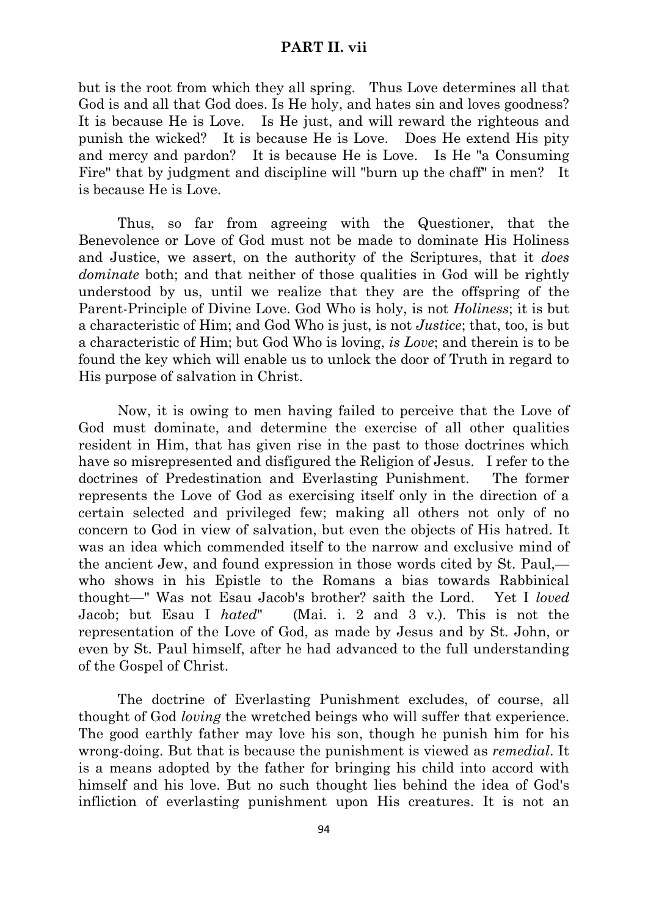### **PART II. vii**

but is the root from which they all spring. Thus Love determines all that God is and all that God does. Is He holy, and hates sin and loves goodness? It is because He is Love. Is He just, and will reward the righteous and punish the wicked? It is because He is Love. Does He extend His pity and mercy and pardon? It is because He is Love. Is He "a Consuming Fire" that by judgment and discipline will "burn up the chaff" in men? It is because He is Love.

Thus, so far from agreeing with the Questioner, that the Benevolence or Love of God must not be made to dominate His Holiness and Justice, we assert, on the authority of the Scriptures, that it *does dominate* both; and that neither of those qualities in God will be rightly understood by us, until we realize that they are the offspring of the Parent-Principle of Divine Love. God Who is holy, is not *Holiness*; it is but a characteristic of Him; and God Who is just, is not *Justice*; that, too, is but a characteristic of Him; but God Who is loving, *is Love*; and therein is to be found the key which will enable us to unlock the door of Truth in regard to His purpose of salvation in Christ.

Now, it is owing to men having failed to perceive that the Love of God must dominate, and determine the exercise of all other qualities resident in Him, that has given rise in the past to those doctrines which have so misrepresented and disfigured the Religion of Jesus. I refer to the doctrines of Predestination and Everlasting Punishment. The former represents the Love of God as exercising itself only in the direction of a certain selected and privileged few; making all others not only of no concern to God in view of salvation, but even the objects of His hatred. It was an idea which commended itself to the narrow and exclusive mind of the ancient Jew, and found expression in those words cited by St. Paul, who shows in his Epistle to the Romans a bias towards Rabbinical thought—" Was not Esau Jacob's brother? saith the Lord. Yet I *loved* Jacob; but Esau I *hated*" (Mai. i. 2 and 3 v.). This is not the representation of the Love of God, as made by Jesus and by St. John, or even by St. Paul himself, after he had advanced to the full understanding of the Gospel of Christ.

The doctrine of Everlasting Punishment excludes, of course, all thought of God *loving* the wretched beings who will suffer that experience. The good earthly father may love his son, though he punish him for his wrong-doing. But that is because the punishment is viewed as *remedial*. It is a means adopted by the father for bringing his child into accord with himself and his love. But no such thought lies behind the idea of God's infliction of everlasting punishment upon His creatures. It is not an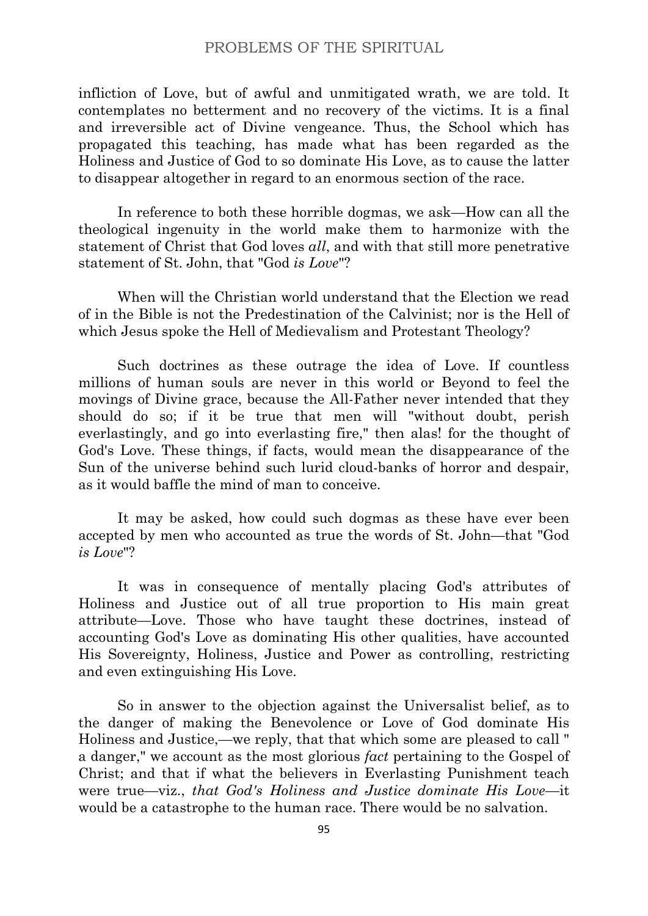infliction of Love, but of awful and unmitigated wrath, we are told. It contemplates no betterment and no recovery of the victims. It is a final and irreversible act of Divine vengeance. Thus, the School which has propagated this teaching, has made what has been regarded as the Holiness and Justice of God to so dominate His Love, as to cause the latter to disappear altogether in regard to an enormous section of the race.

In reference to both these horrible dogmas, we ask—How can all the theological ingenuity in the world make them to harmonize with the statement of Christ that God loves *all*, and with that still more penetrative statement of St. John, that "God *is Love*"?

When will the Christian world understand that the Election we read of in the Bible is not the Predestination of the Calvinist; nor is the Hell of which Jesus spoke the Hell of Medievalism and Protestant Theology?

Such doctrines as these outrage the idea of Love. If countless millions of human souls are never in this world or Beyond to feel the movings of Divine grace, because the All-Father never intended that they should do so; if it be true that men will "without doubt, perish everlastingly, and go into everlasting fire," then alas! for the thought of God's Love. These things, if facts, would mean the disappearance of the Sun of the universe behind such lurid cloud-banks of horror and despair, as it would baffle the mind of man to conceive.

It may be asked, how could such dogmas as these have ever been accepted by men who accounted as true the words of St. John—that "God *is Love*"?

It was in consequence of mentally placing God's attributes of Holiness and Justice out of all true proportion to His main great attribute—Love. Those who have taught these doctrines, instead of accounting God's Love as dominating His other qualities, have accounted His Sovereignty, Holiness, Justice and Power as controlling, restricting and even extinguishing His Love.

So in answer to the objection against the Universalist belief, as to the danger of making the Benevolence or Love of God dominate His Holiness and Justice,—we reply, that that which some are pleased to call " a danger," we account as the most glorious *fact* pertaining to the Gospel of Christ; and that if what the believers in Everlasting Punishment teach were true—viz., *that God's Holiness and Justice dominate His Love*—it would be a catastrophe to the human race. There would be no salvation.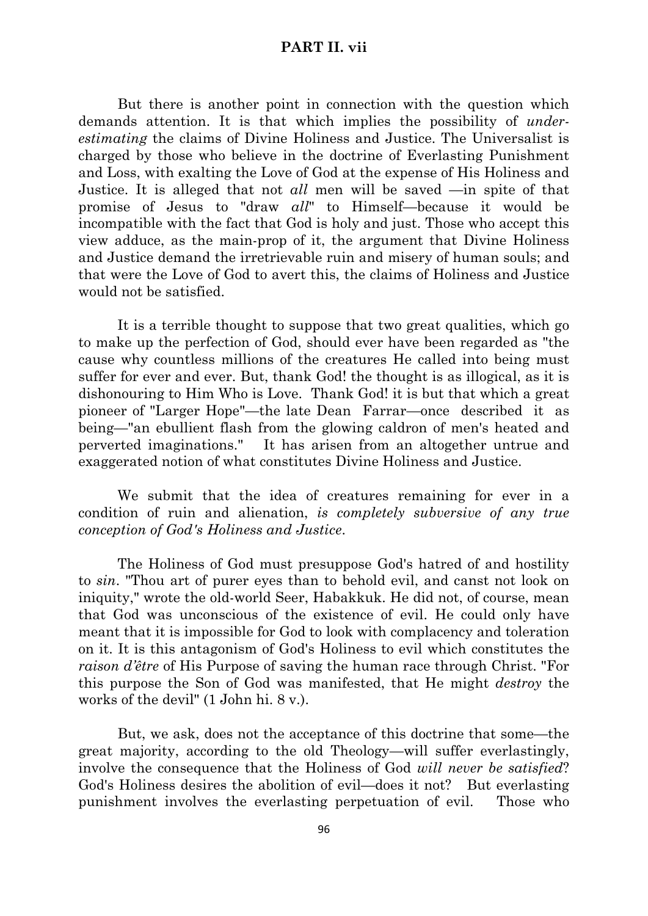## **PART II. vii**

But there is another point in connection with the question which demands attention. It is that which implies the possibility of *underestimating* the claims of Divine Holiness and Justice. The Universalist is charged by those who believe in the doctrine of Everlasting Punishment and Loss, with exalting the Love of God at the expense of His Holiness and Justice. It is alleged that not *all* men will be saved —in spite of that promise of Jesus to "draw *all*" to Himself—because it would be incompatible with the fact that God is holy and just. Those who accept this view adduce, as the main-prop of it, the argument that Divine Holiness and Justice demand the irretrievable ruin and misery of human souls; and that were the Love of God to avert this, the claims of Holiness and Justice would not be satisfied.

It is a terrible thought to suppose that two great qualities, which go to make up the perfection of God, should ever have been regarded as "the cause why countless millions of the creatures He called into being must suffer for ever and ever. But, thank God! the thought is as illogical, as it is dishonouring to Him Who is Love. Thank God! it is but that which a great pioneer of "Larger Hope"—the late Dean Farrar—once described it as being—"an ebullient flash from the glowing caldron of men's heated and perverted imaginations." It has arisen from an altogether untrue and exaggerated notion of what constitutes Divine Holiness and Justice.

We submit that the idea of creatures remaining for ever in a condition of ruin and alienation, *is completely subversive of any true conception of God's Holiness and Justice*.

The Holiness of God must presuppose God's hatred of and hostility to *sin*. "Thou art of purer eyes than to behold evil, and canst not look on iniquity," wrote the old-world Seer, Habakkuk. He did not, of course, mean that God was unconscious of the existence of evil. He could only have meant that it is impossible for God to look with complacency and toleration on it. It is this antagonism of God's Holiness to evil which constitutes the *raison d'être* of His Purpose of saving the human race through Christ. "For this purpose the Son of God was manifested, that He might *destroy* the works of the devil" (1 John hi. 8 v.).

But, we ask, does not the acceptance of this doctrine that some—the great majority, according to the old Theology—will suffer everlastingly, involve the consequence that the Holiness of God *will never be satisfied*? God's Holiness desires the abolition of evil—does it not? But everlasting punishment involves the everlasting perpetuation of evil. Those who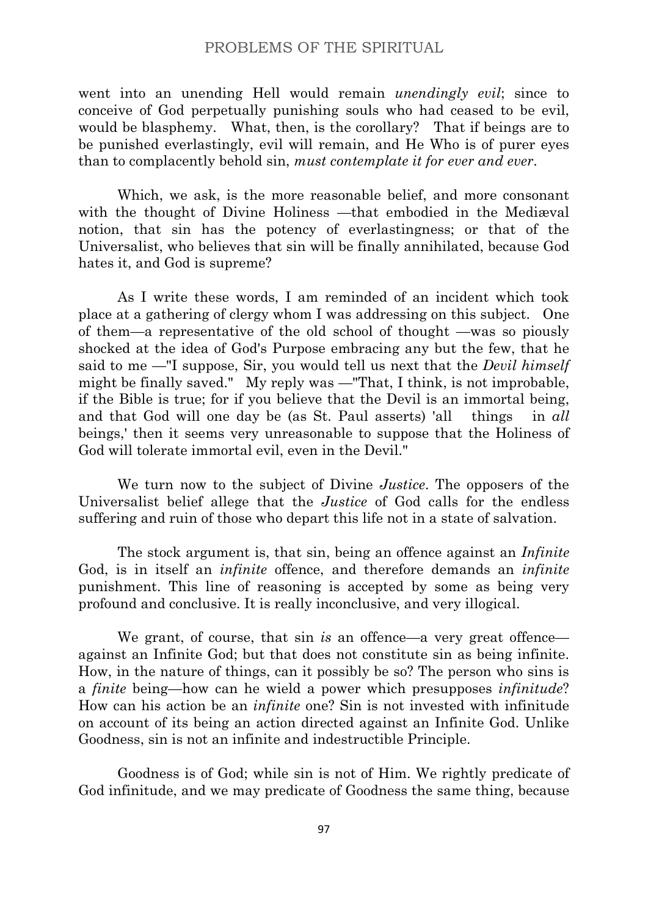went into an unending Hell would remain *unendingly evil*; since to conceive of God perpetually punishing souls who had ceased to be evil, would be blasphemy. What, then, is the corollary? That if beings are to be punished everlastingly, evil will remain, and He Who is of purer eyes than to complacently behold sin, *must contemplate it for ever and ever*.

Which, we ask, is the more reasonable belief, and more consonant with the thought of Divine Holiness —that embodied in the Mediæval notion, that sin has the potency of everlastingness; or that of the Universalist, who believes that sin will be finally annihilated, because God hates it, and God is supreme?

As I write these words, I am reminded of an incident which took place at a gathering of clergy whom I was addressing on this subject. One of them—a representative of the old school of thought —was so piously shocked at the idea of God's Purpose embracing any but the few, that he said to me —"I suppose, Sir, you would tell us next that the *Devil himself* might be finally saved." My reply was —"That, I think, is not improbable, if the Bible is true; for if you believe that the Devil is an immortal being, and that God will one day be (as St. Paul asserts) 'all things in *all* beings,' then it seems very unreasonable to suppose that the Holiness of God will tolerate immortal evil, even in the Devil."

We turn now to the subject of Divine *Justice*. The opposers of the Universalist belief allege that the *Justice* of God calls for the endless suffering and ruin of those who depart this life not in a state of salvation.

The stock argument is, that sin, being an offence against an *Infinite* God, is in itself an *infinite* offence, and therefore demands an *infinite* punishment. This line of reasoning is accepted by some as being very profound and conclusive. It is really inconclusive, and very illogical.

We grant, of course, that sin *is* an offence—a very great offence against an Infinite God; but that does not constitute sin as being infinite. How, in the nature of things, can it possibly be so? The person who sins is a *finite* being—how can he wield a power which presupposes *infinitude*? How can his action be an *infinite* one? Sin is not invested with infinitude on account of its being an action directed against an Infinite God. Unlike Goodness, sin is not an infinite and indestructible Principle.

Goodness is of God; while sin is not of Him. We rightly predicate of God infinitude, and we may predicate of Goodness the same thing, because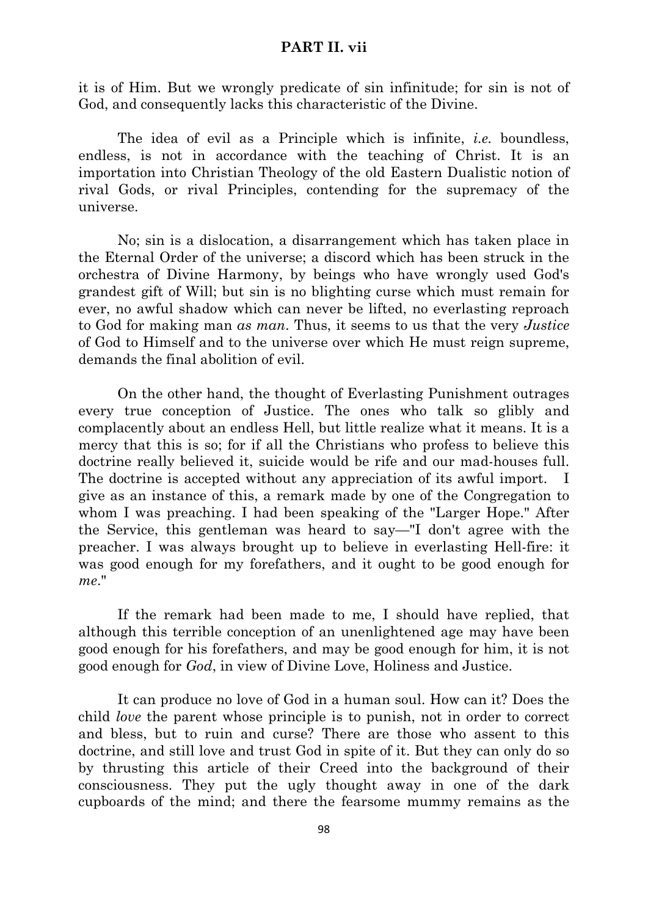### **PART II. vii**

it is of Him. But we wrongly predicate of sin infinitude; for sin is not of God, and consequently lacks this characteristic of the Divine.

The idea of evil as a Principle which is infinite, *i.e.* boundless, endless, is not in accordance with the teaching of Christ. It is an importation into Christian Theology of the old Eastern Dualistic notion of rival Gods, or rival Principles, contending for the supremacy of the universe.

No; sin is a dislocation, a disarrangement which has taken place in the Eternal Order of the universe; a discord which has been struck in the orchestra of Divine Harmony, by beings who have wrongly used God's grandest gift of Will; but sin is no blighting curse which must remain for ever, no awful shadow which can never be lifted, no everlasting reproach to God for making man *as man*. Thus, it seems to us that the very *Justice* of God to Himself and to the universe over which He must reign supreme, demands the final abolition of evil.

On the other hand, the thought of Everlasting Punishment outrages every true conception of Justice. The ones who talk so glibly and complacently about an endless Hell, but little realize what it means. It is a mercy that this is so; for if all the Christians who profess to believe this doctrine really believed it, suicide would be rife and our mad-houses full. The doctrine is accepted without any appreciation of its awful import. I give as an instance of this, a remark made by one of the Congregation to whom I was preaching. I had been speaking of the "Larger Hope." After the Service, this gentleman was heard to say—"I don't agree with the preacher. I was always brought up to believe in everlasting Hell-fire: it was good enough for my forefathers, and it ought to be good enough for *me*."

If the remark had been made to me, I should have replied, that although this terrible conception of an unenlightened age may have been good enough for his forefathers, and may be good enough for him, it is not good enough for *God*, in view of Divine Love, Holiness and Justice.

It can produce no love of God in a human soul. How can it? Does the child *love* the parent whose principle is to punish, not in order to correct and bless, but to ruin and curse? There are those who assent to this doctrine, and still love and trust God in spite of it. But they can only do so by thrusting this article of their Creed into the background of their consciousness. They put the ugly thought away in one of the dark cupboards of the mind; and there the fearsome mummy remains as the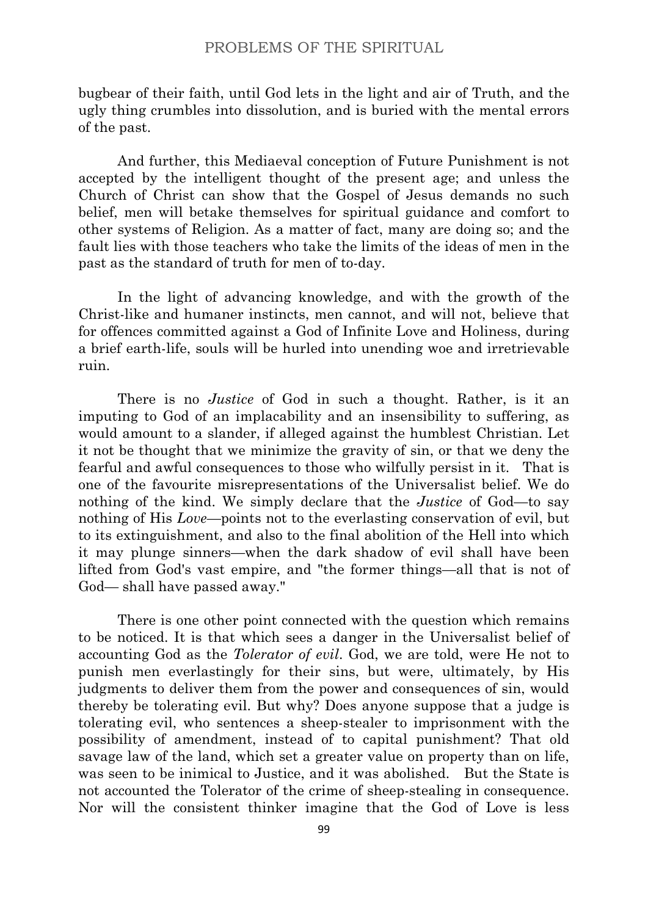bugbear of their faith, until God lets in the light and air of Truth, and the ugly thing crumbles into dissolution, and is buried with the mental errors of the past.

And further, this Mediaeval conception of Future Punishment is not accepted by the intelligent thought of the present age; and unless the Church of Christ can show that the Gospel of Jesus demands no such belief, men will betake themselves for spiritual guidance and comfort to other systems of Religion. As a matter of fact, many are doing so; and the fault lies with those teachers who take the limits of the ideas of men in the past as the standard of truth for men of to-day.

In the light of advancing knowledge, and with the growth of the Christ-like and humaner instincts, men cannot, and will not, believe that for offences committed against a God of Infinite Love and Holiness, during a brief earth-life, souls will be hurled into unending woe and irretrievable ruin.

There is no *Justice* of God in such a thought. Rather, is it an imputing to God of an implacability and an insensibility to suffering, as would amount to a slander, if alleged against the humblest Christian. Let it not be thought that we minimize the gravity of sin, or that we deny the fearful and awful consequences to those who wilfully persist in it. That is one of the favourite misrepresentations of the Universalist belief. We do nothing of the kind. We simply declare that the *Justice* of God—to say nothing of His *Love*—points not to the everlasting conservation of evil, but to its extinguishment, and also to the final abolition of the Hell into which it may plunge sinners—when the dark shadow of evil shall have been lifted from God's vast empire, and "the former things—all that is not of God— shall have passed away."

There is one other point connected with the question which remains to be noticed. It is that which sees a danger in the Universalist belief of accounting God as the *Tolerator of evil*. God, we are told, were He not to punish men everlastingly for their sins, but were, ultimately, by His judgments to deliver them from the power and consequences of sin, would thereby be tolerating evil. But why? Does anyone suppose that a judge is tolerating evil, who sentences a sheep-stealer to imprisonment with the possibility of amendment, instead of to capital punishment? That old savage law of the land, which set a greater value on property than on life, was seen to be inimical to Justice, and it was abolished. But the State is not accounted the Tolerator of the crime of sheep-stealing in consequence. Nor will the consistent thinker imagine that the God of Love is less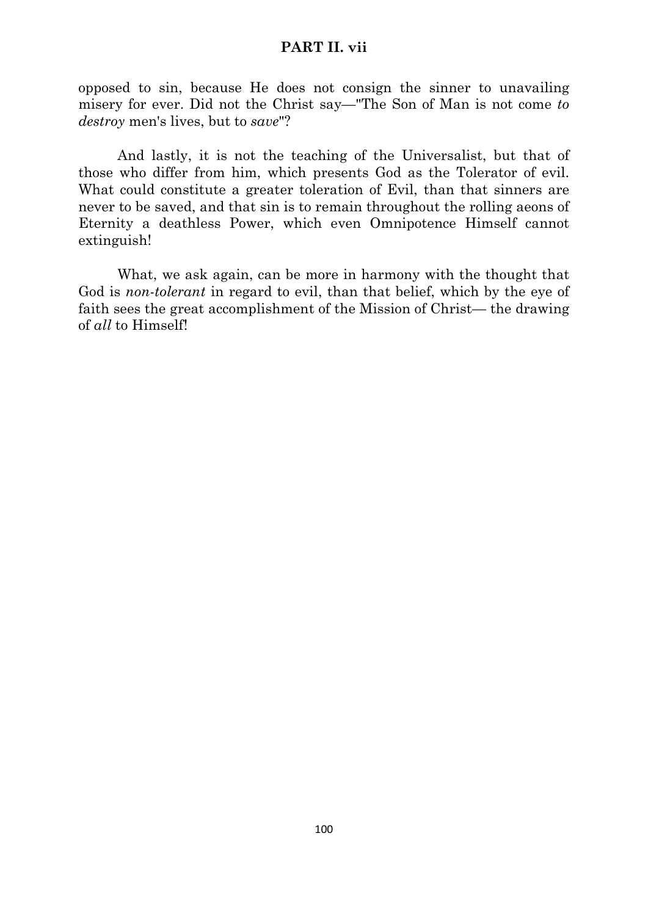## **PART II. vii**

opposed to sin, because He does not consign the sinner to unavailing misery for ever. Did not the Christ say—"The Son of Man is not come *to destroy* men's lives, but to *save*"?

And lastly, it is not the teaching of the Universalist, but that of those who differ from him, which presents God as the Tolerator of evil. What could constitute a greater toleration of Evil, than that sinners are never to be saved, and that sin is to remain throughout the rolling aeons of Eternity a deathless Power, which even Omnipotence Himself cannot extinguish!

What, we ask again, can be more in harmony with the thought that God is *non-tolerant* in regard to evil, than that belief, which by the eye of faith sees the great accomplishment of the Mission of Christ— the drawing of *all* to Himself!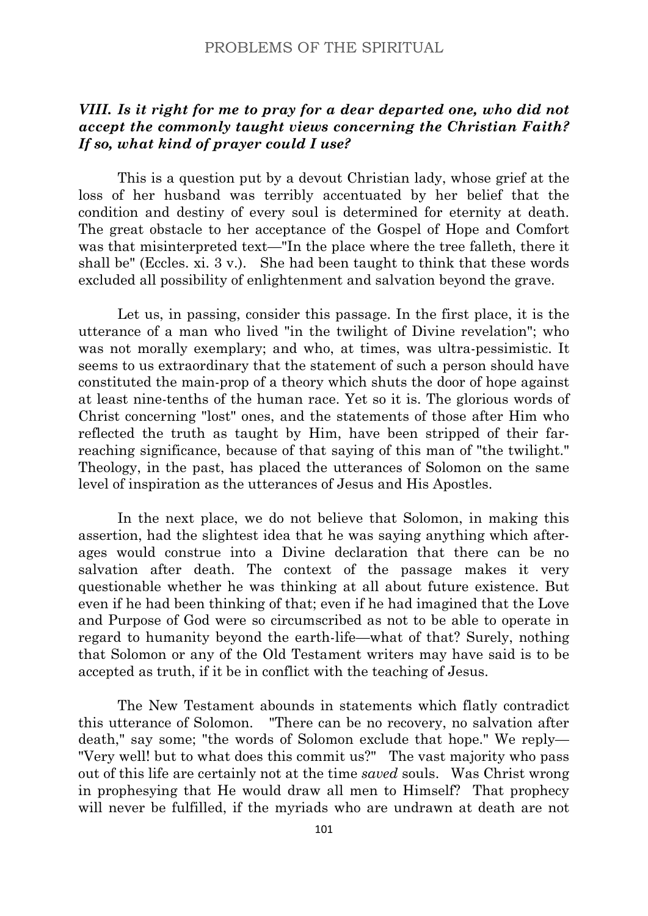# *VIII. Is it right for me to pray for a dear departed one, who did not accept the commonly taught views concerning the Christian Faith? If so, what kind of prayer could I use?*

This is a question put by a devout Christian lady, whose grief at the loss of her husband was terribly accentuated by her belief that the condition and destiny of every soul is determined for eternity at death. The great obstacle to her acceptance of the Gospel of Hope and Comfort was that misinterpreted text—"In the place where the tree falleth, there it shall be" (Eccles. xi. 3 v.). She had been taught to think that these words excluded all possibility of enlightenment and salvation beyond the grave.

Let us, in passing, consider this passage. In the first place, it is the utterance of a man who lived "in the twilight of Divine revelation"; who was not morally exemplary; and who, at times, was ultra-pessimistic. It seems to us extraordinary that the statement of such a person should have constituted the main-prop of a theory which shuts the door of hope against at least nine-tenths of the human race. Yet so it is. The glorious words of Christ concerning "lost" ones, and the statements of those after Him who reflected the truth as taught by Him, have been stripped of their farreaching significance, because of that saying of this man of "the twilight." Theology, in the past, has placed the utterances of Solomon on the same level of inspiration as the utterances of Jesus and His Apostles.

In the next place, we do not believe that Solomon, in making this assertion, had the slightest idea that he was saying anything which afterages would construe into a Divine declaration that there can be no salvation after death. The context of the passage makes it very questionable whether he was thinking at all about future existence. But even if he had been thinking of that; even if he had imagined that the Love and Purpose of God were so circumscribed as not to be able to operate in regard to humanity beyond the earth-life—what of that? Surely, nothing that Solomon or any of the Old Testament writers may have said is to be accepted as truth, if it be in conflict with the teaching of Jesus.

The New Testament abounds in statements which flatly contradict this utterance of Solomon. "There can be no recovery, no salvation after death," say some; "the words of Solomon exclude that hope." We reply— "Very well! but to what does this commit us?" The vast majority who pass out of this life are certainly not at the time *saved* souls. Was Christ wrong in prophesying that He would draw all men to Himself? That prophecy will never be fulfilled, if the myriads who are undrawn at death are not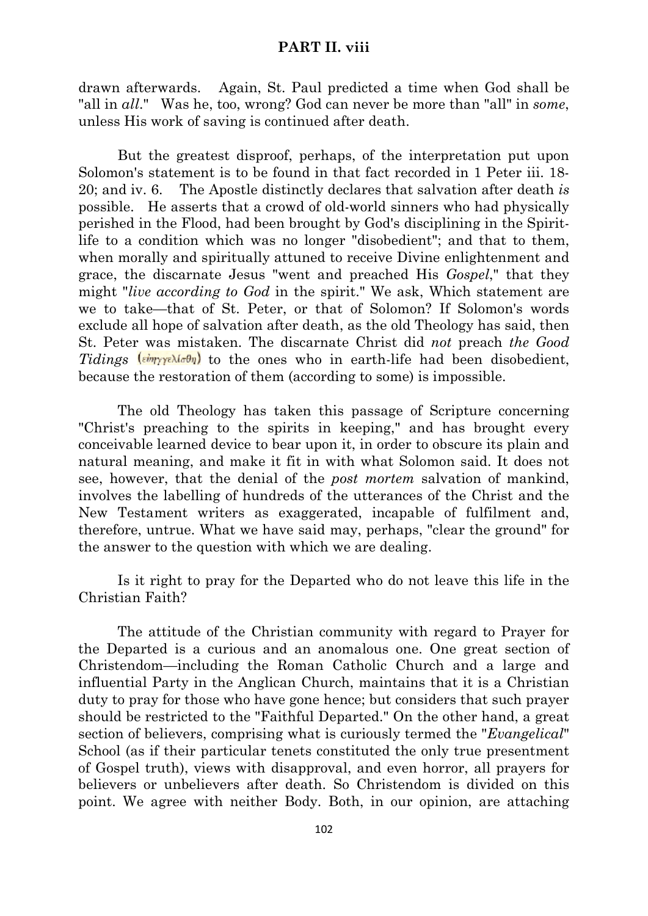### **PART II. viii**

drawn afterwards. Again, St. Paul predicted a time when God shall be "all in *all*." Was he, too, wrong? God can never be more than "all" in *some*, unless His work of saving is continued after death.

But the greatest disproof, perhaps, of the interpretation put upon Solomon's statement is to be found in that fact recorded in 1 Peter iii. 18- 20; and iv. 6. The Apostle distinctly declares that salvation after death *is* possible. He asserts that a crowd of old-world sinners who had physically perished in the Flood, had been brought by God's disciplining in the Spiritlife to a condition which was no longer "disobedient"; and that to them, when morally and spiritually attuned to receive Divine enlightenment and grace, the discarnate Jesus "went and preached His *Gospel*," that they might "*live according to God* in the spirit." We ask, Which statement are we to take—that of St. Peter, or that of Solomon? If Solomon's words exclude all hope of salvation after death, as the old Theology has said, then St. Peter was mistaken. The discarnate Christ did *not* preach *the Good Tidings*  $(\frac{\epsilon m}{\gamma \gamma \epsilon} \lambda \frac{\epsilon m}{\sigma})$  to the ones who in earth-life had been disobedient, because the restoration of them (according to some) is impossible.

The old Theology has taken this passage of Scripture concerning "Christ's preaching to the spirits in keeping," and has brought every conceivable learned device to bear upon it, in order to obscure its plain and natural meaning, and make it fit in with what Solomon said. It does not see, however, that the denial of the *post mortem* salvation of mankind, involves the labelling of hundreds of the utterances of the Christ and the New Testament writers as exaggerated, incapable of fulfilment and, therefore, untrue. What we have said may, perhaps, "clear the ground" for the answer to the question with which we are dealing.

Is it right to pray for the Departed who do not leave this life in the Christian Faith?

The attitude of the Christian community with regard to Prayer for the Departed is a curious and an anomalous one. One great section of Christendom—including the Roman Catholic Church and a large and influential Party in the Anglican Church, maintains that it is a Christian duty to pray for those who have gone hence; but considers that such prayer should be restricted to the "Faithful Departed." On the other hand, a great section of believers, comprising what is curiously termed the "*Evangelical*" School (as if their particular tenets constituted the only true presentment of Gospel truth), views with disapproval, and even horror, all prayers for believers or unbelievers after death. So Christendom is divided on this point. We agree with neither Body. Both, in our opinion, are attaching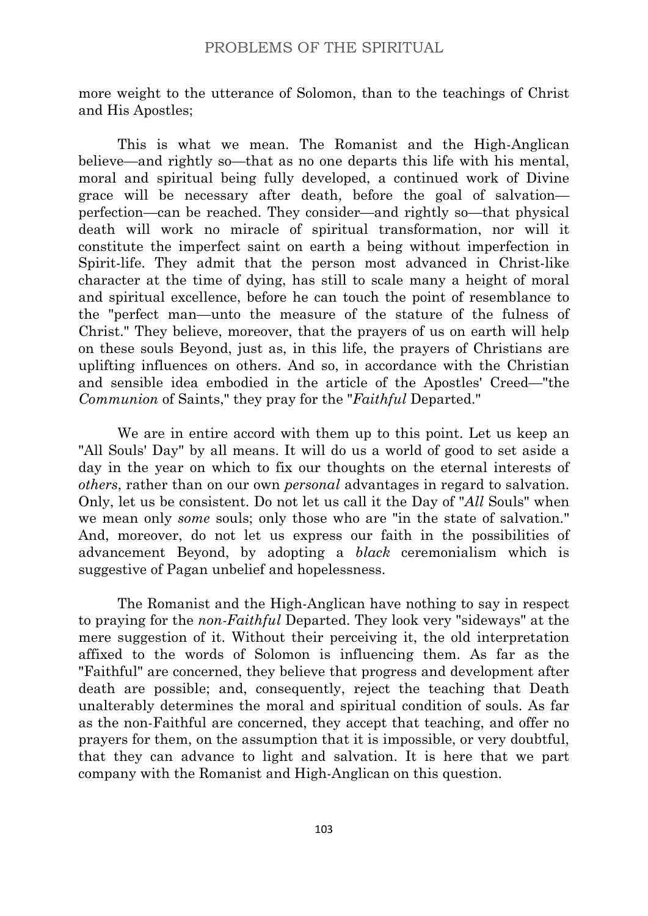more weight to the utterance of Solomon, than to the teachings of Christ and His Apostles;

This is what we mean. The Romanist and the High-Anglican believe—and rightly so—that as no one departs this life with his mental, moral and spiritual being fully developed, a continued work of Divine grace will be necessary after death, before the goal of salvation perfection—can be reached. They consider—and rightly so—that physical death will work no miracle of spiritual transformation, nor will it constitute the imperfect saint on earth a being without imperfection in Spirit-life. They admit that the person most advanced in Christ-like character at the time of dying, has still to scale many a height of moral and spiritual excellence, before he can touch the point of resemblance to the "perfect man—unto the measure of the stature of the fulness of Christ." They believe, moreover, that the prayers of us on earth will help on these souls Beyond, just as, in this life, the prayers of Christians are uplifting influences on others. And so, in accordance with the Christian and sensible idea embodied in the article of the Apostles' Creed—"the *Communion* of Saints," they pray for the "*Faithful* Departed."

We are in entire accord with them up to this point. Let us keep an "All Souls' Day" by all means. It will do us a world of good to set aside a day in the year on which to fix our thoughts on the eternal interests of *others*, rather than on our own *personal* advantages in regard to salvation. Only, let us be consistent. Do not let us call it the Day of "*All* Souls" when we mean only *some* souls; only those who are "in the state of salvation." And, moreover, do not let us express our faith in the possibilities of advancement Beyond, by adopting a *black* ceremonialism which is suggestive of Pagan unbelief and hopelessness.

The Romanist and the High-Anglican have nothing to say in respect to praying for the *non-Faithful* Departed. They look very "sideways" at the mere suggestion of it. Without their perceiving it, the old interpretation affixed to the words of Solomon is influencing them. As far as the "Faithful" are concerned, they believe that progress and development after death are possible; and, consequently, reject the teaching that Death unalterably determines the moral and spiritual condition of souls. As far as the non-Faithful are concerned, they accept that teaching, and offer no prayers for them, on the assumption that it is impossible, or very doubtful, that they can advance to light and salvation. It is here that we part company with the Romanist and High-Anglican on this question.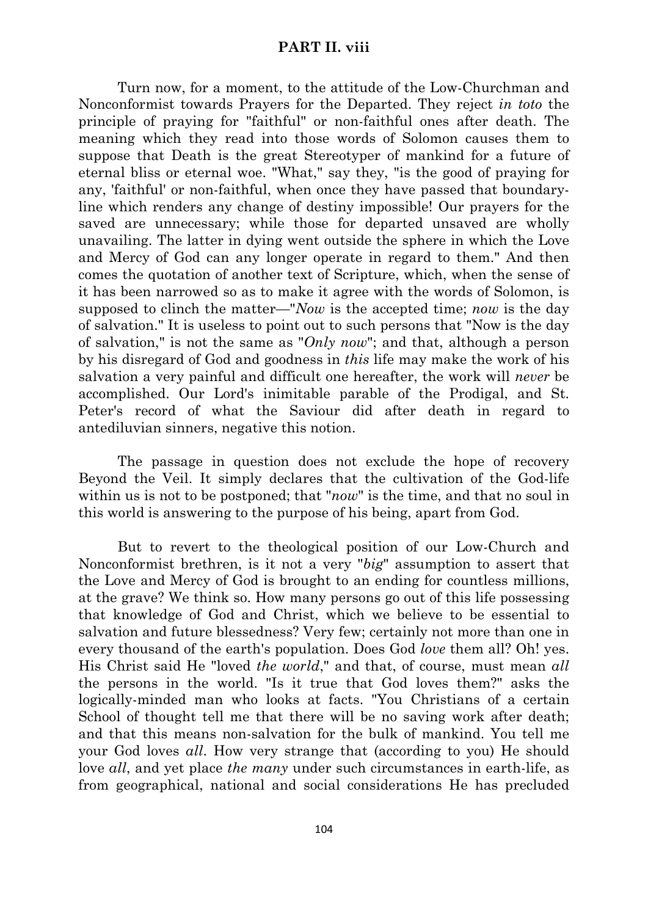Turn now, for a moment, to the attitude of the Low-Churchman and Nonconformist towards Prayers for the Departed. They reject *in toto* the principle of praying for "faithful" or non-faithful ones after death. The meaning which they read into those words of Solomon causes them to suppose that Death is the great Stereotyper of mankind for a future of eternal bliss or eternal woe. "What," say they, "is the good of praying for any, 'faithful' or non-faithful, when once they have passed that boundaryline which renders any change of destiny impossible! Our prayers for the saved are unnecessary; while those for departed unsaved are wholly unavailing. The latter in dying went outside the sphere in which the Love and Mercy of God can any longer operate in regard to them." And then comes the quotation of another text of Scripture, which, when the sense of it has been narrowed so as to make it agree with the words of Solomon, is supposed to clinch the matter—"*Now* is the accepted time; *now* is the day of salvation." It is useless to point out to such persons that "Now is the day of salvation," is not the same as "*Only now*"; and that, although a person by his disregard of God and goodness in *this* life may make the work of his salvation a very painful and difficult one hereafter, the work will *never* be accomplished. Our Lord's inimitable parable of the Prodigal, and St. Peter's record of what the Saviour did after death in regard to antediluvian sinners, negative this notion.

The passage in question does not exclude the hope of recovery Beyond the Veil. It simply declares that the cultivation of the God-life within us is not to be postponed; that "*now*" is the time, and that no soul in this world is answering to the purpose of his being, apart from God.

But to revert to the theological position of our Low-Church and Nonconformist brethren, is it not a very "*big*" assumption to assert that the Love and Mercy of God is brought to an ending for countless millions, at the grave? We think so. How many persons go out of this life possessing that knowledge of God and Christ, which we believe to be essential to salvation and future blessedness? Very few; certainly not more than one in every thousand of the earth's population. Does God *love* them all? Oh! yes. His Christ said He "loved *the world*," and that, of course, must mean *all* the persons in the world. "Is it true that God loves them?" asks the logically-minded man who looks at facts. "You Christians of a certain School of thought tell me that there will be no saving work after death; and that this means non-salvation for the bulk of mankind. You tell me your God loves *all*. How very strange that (according to you) He should love *all*, and yet place *the many* under such circumstances in earth-life, as from geographical, national and social considerations He has precluded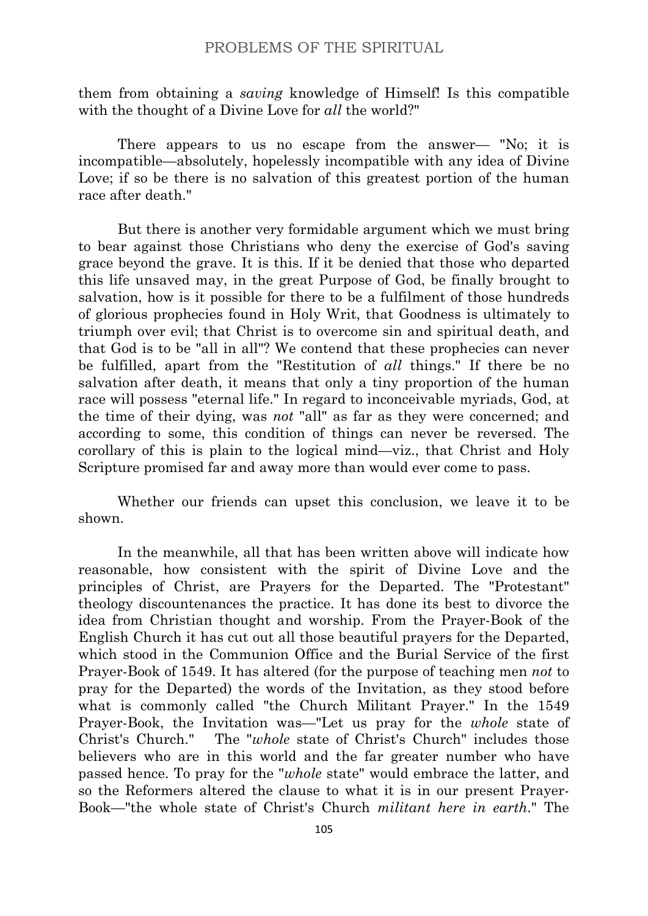them from obtaining a *saving* knowledge of Himself! Is this compatible with the thought of a Divine Love for *all* the world?"

There appears to us no escape from the answer— "No; it is incompatible—absolutely, hopelessly incompatible with any idea of Divine Love; if so be there is no salvation of this greatest portion of the human race after death."

But there is another very formidable argument which we must bring to bear against those Christians who deny the exercise of God's saving grace beyond the grave. It is this. If it be denied that those who departed this life unsaved may, in the great Purpose of God, be finally brought to salvation, how is it possible for there to be a fulfilment of those hundreds of glorious prophecies found in Holy Writ, that Goodness is ultimately to triumph over evil; that Christ is to overcome sin and spiritual death, and that God is to be "all in all"? We contend that these prophecies can never be fulfilled, apart from the "Restitution of *all* things." If there be no salvation after death, it means that only a tiny proportion of the human race will possess "eternal life." In regard to inconceivable myriads, God, at the time of their dying, was *not* "all" as far as they were concerned; and according to some, this condition of things can never be reversed. The corollary of this is plain to the logical mind—viz., that Christ and Holy Scripture promised far and away more than would ever come to pass.

Whether our friends can upset this conclusion, we leave it to be shown.

In the meanwhile, all that has been written above will indicate how reasonable, how consistent with the spirit of Divine Love and the principles of Christ, are Prayers for the Departed. The "Protestant" theology discountenances the practice. It has done its best to divorce the idea from Christian thought and worship. From the Prayer-Book of the English Church it has cut out all those beautiful prayers for the Departed, which stood in the Communion Office and the Burial Service of the first Prayer-Book of 1549. It has altered (for the purpose of teaching men *not* to pray for the Departed) the words of the Invitation, as they stood before what is commonly called "the Church Militant Prayer." In the 1549 Prayer-Book, the Invitation was—"Let us pray for the *whole* state of Christ's Church." The "*whole* state of Christ's Church" includes those believers who are in this world and the far greater number who have passed hence. To pray for the "*whole* state" would embrace the latter, and so the Reformers altered the clause to what it is in our present Prayer-Book—"the whole state of Christ's Church *militant here in earth*." The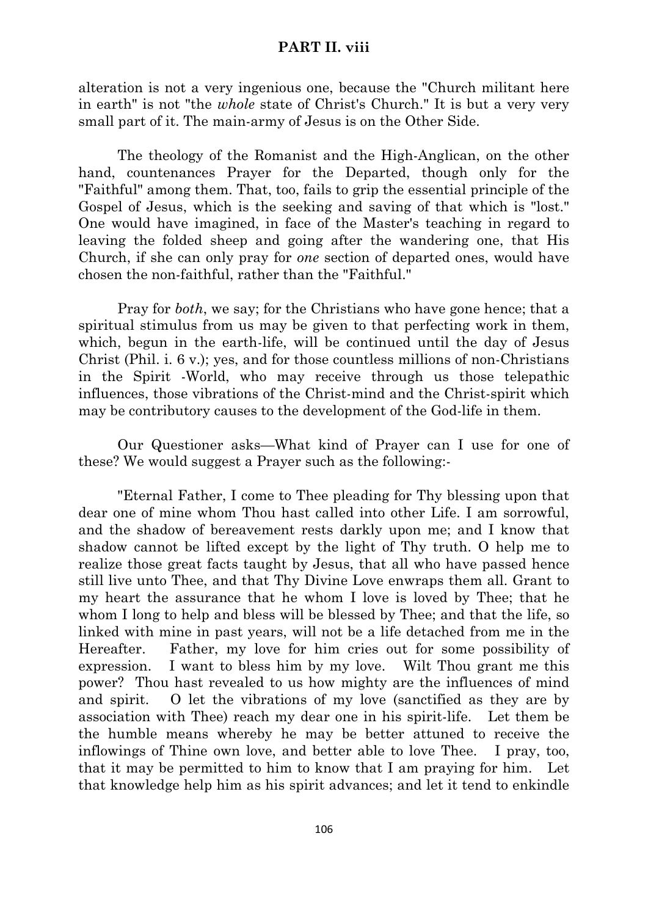### **PART II. viii**

alteration is not a very ingenious one, because the "Church militant here in earth" is not "the *whole* state of Christ's Church." It is but a very very small part of it. The main-army of Jesus is on the Other Side.

The theology of the Romanist and the High-Anglican, on the other hand, countenances Prayer for the Departed, though only for the "Faithful" among them. That, too, fails to grip the essential principle of the Gospel of Jesus, which is the seeking and saving of that which is "lost." One would have imagined, in face of the Master's teaching in regard to leaving the folded sheep and going after the wandering one, that His Church, if she can only pray for *one* section of departed ones, would have chosen the non-faithful, rather than the "Faithful."

Pray for *both*, we say; for the Christians who have gone hence; that a spiritual stimulus from us may be given to that perfecting work in them, which, begun in the earth-life, will be continued until the day of Jesus Christ (Phil. i. 6 v.); yes, and for those countless millions of non-Christians in the Spirit -World, who may receive through us those telepathic influences, those vibrations of the Christ-mind and the Christ-spirit which may be contributory causes to the development of the God-life in them.

Our Questioner asks—What kind of Prayer can I use for one of these? We would suggest a Prayer such as the following:-

"Eternal Father, I come to Thee pleading for Thy blessing upon that dear one of mine whom Thou hast called into other Life. I am sorrowful, and the shadow of bereavement rests darkly upon me; and I know that shadow cannot be lifted except by the light of Thy truth. O help me to realize those great facts taught by Jesus, that all who have passed hence still live unto Thee, and that Thy Divine Love enwraps them all. Grant to my heart the assurance that he whom I love is loved by Thee; that he whom I long to help and bless will be blessed by Thee; and that the life, so linked with mine in past years, will not be a life detached from me in the Hereafter. Father, my love for him cries out for some possibility of expression. I want to bless him by my love. Wilt Thou grant me this power? Thou hast revealed to us how mighty are the influences of mind and spirit. O let the vibrations of my love (sanctified as they are by association with Thee) reach my dear one in his spirit-life. Let them be the humble means whereby he may be better attuned to receive the inflowings of Thine own love, and better able to love Thee. I pray, too, that it may be permitted to him to know that I am praying for him. Let that knowledge help him as his spirit advances; and let it tend to enkindle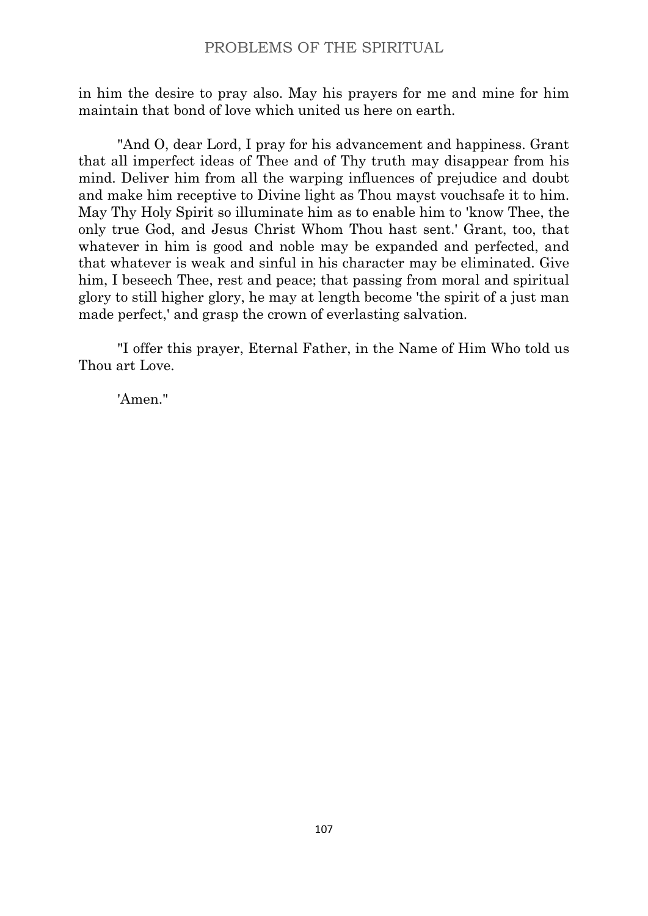in him the desire to pray also. May his prayers for me and mine for him maintain that bond of love which united us here on earth.

"And O, dear Lord, I pray for his advancement and happiness. Grant that all imperfect ideas of Thee and of Thy truth may disappear from his mind. Deliver him from all the warping influences of prejudice and doubt and make him receptive to Divine light as Thou mayst vouchsafe it to him. May Thy Holy Spirit so illuminate him as to enable him to 'know Thee, the only true God, and Jesus Christ Whom Thou hast sent.' Grant, too, that whatever in him is good and noble may be expanded and perfected, and that whatever is weak and sinful in his character may be eliminated. Give him, I beseech Thee, rest and peace; that passing from moral and spiritual glory to still higher glory, he may at length become 'the spirit of a just man made perfect,' and grasp the crown of everlasting salvation.

"I offer this prayer, Eternal Father, in the Name of Him Who told us Thou art Love.

'Amen."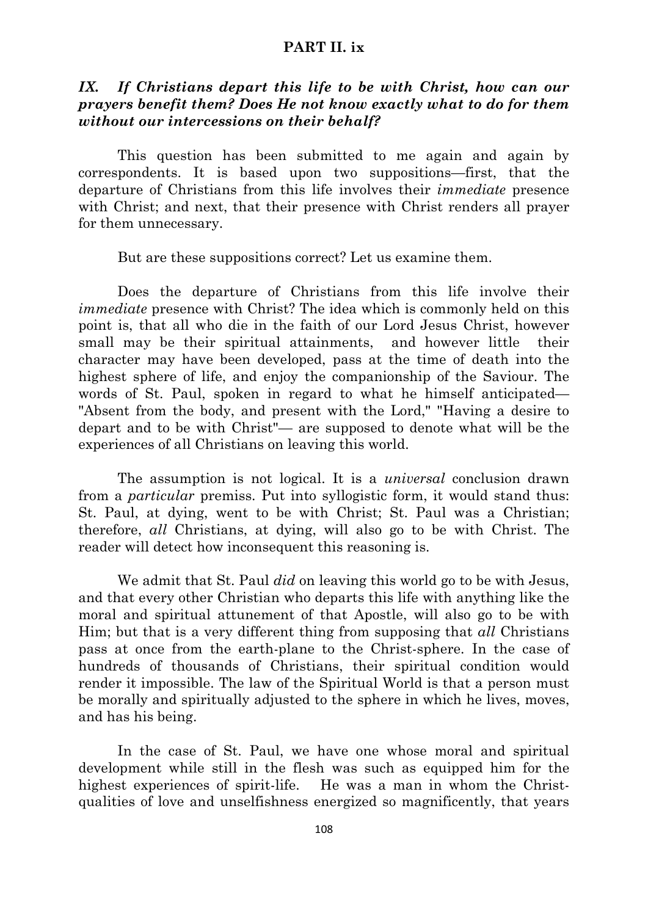# *IX. If Christians depart this life to be with Christ, how can our prayers benefit them? Does He not know exactly what to do for them without our intercessions on their behalf?*

This question has been submitted to me again and again by correspondents. It is based upon two suppositions—first, that the departure of Christians from this life involves their *immediate* presence with Christ; and next, that their presence with Christ renders all prayer for them unnecessary.

But are these suppositions correct? Let us examine them.

Does the departure of Christians from this life involve their *immediate* presence with Christ? The idea which is commonly held on this point is, that all who die in the faith of our Lord Jesus Christ, however small may be their spiritual attainments, and however little their character may have been developed, pass at the time of death into the highest sphere of life, and enjoy the companionship of the Saviour. The words of St. Paul, spoken in regard to what he himself anticipated— "Absent from the body, and present with the Lord," "Having a desire to depart and to be with Christ"— are supposed to denote what will be the experiences of all Christians on leaving this world.

The assumption is not logical. It is a *universal* conclusion drawn from a *particular* premiss. Put into syllogistic form, it would stand thus: St. Paul, at dying, went to be with Christ; St. Paul was a Christian; therefore, *all* Christians, at dying, will also go to be with Christ. The reader will detect how inconsequent this reasoning is.

We admit that St. Paul *did* on leaving this world go to be with Jesus, and that every other Christian who departs this life with anything like the moral and spiritual attunement of that Apostle, will also go to be with Him; but that is a very different thing from supposing that *all* Christians pass at once from the earth-plane to the Christ-sphere. In the case of hundreds of thousands of Christians, their spiritual condition would render it impossible. The law of the Spiritual World is that a person must be morally and spiritually adjusted to the sphere in which he lives, moves, and has his being.

In the case of St. Paul, we have one whose moral and spiritual development while still in the flesh was such as equipped him for the highest experiences of spirit-life. He was a man in whom the Christqualities of love and unselfishness energized so magnificently, that years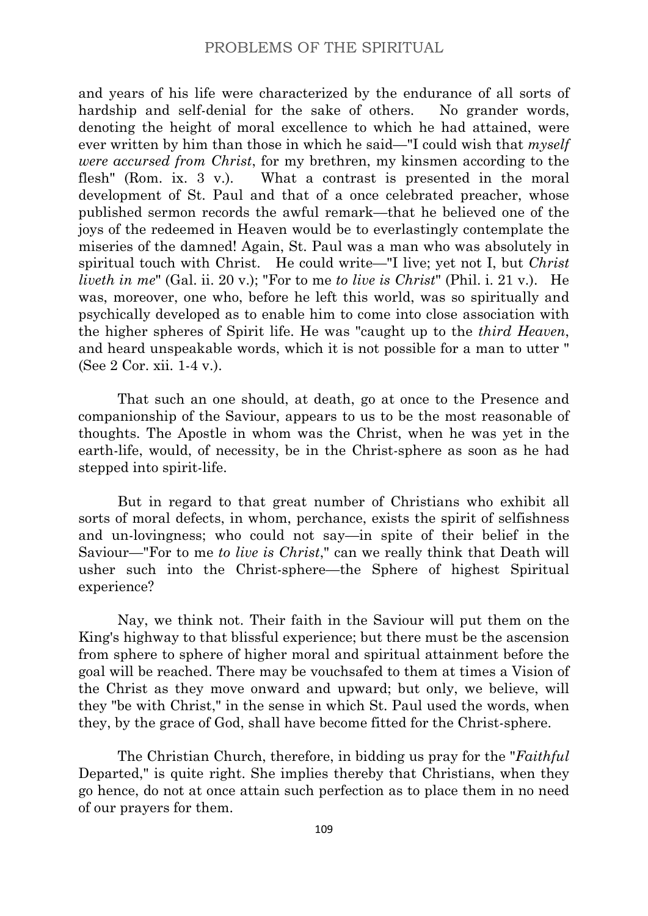and years of his life were characterized by the endurance of all sorts of hardship and self-denial for the sake of others. No grander words, denoting the height of moral excellence to which he had attained, were ever written by him than those in which he said—"I could wish that *myself were accursed from Christ*, for my brethren, my kinsmen according to the flesh" (Rom. ix. 3 v.). What a contrast is presented in the moral development of St. Paul and that of a once celebrated preacher, whose published sermon records the awful remark—that he believed one of the joys of the redeemed in Heaven would be to everlastingly contemplate the miseries of the damned! Again, St. Paul was a man who was absolutely in spiritual touch with Christ. He could write—"I live; yet not I, but *Christ liveth in me*" (Gal. ii. 20 v.); "For to me *to live is Christ*" (Phil. i. 21 v.). He was, moreover, one who, before he left this world, was so spiritually and psychically developed as to enable him to come into close association with the higher spheres of Spirit life. He was "caught up to the *third Heaven*, and heard unspeakable words, which it is not possible for a man to utter " (See 2 Cor. xii. 1-4 v.).

That such an one should, at death, go at once to the Presence and companionship of the Saviour, appears to us to be the most reasonable of thoughts. The Apostle in whom was the Christ, when he was yet in the earth-life, would, of necessity, be in the Christ-sphere as soon as he had stepped into spirit-life.

But in regard to that great number of Christians who exhibit all sorts of moral defects, in whom, perchance, exists the spirit of selfishness and un-lovingness; who could not say—in spite of their belief in the Saviour—"For to me *to live is Christ*," can we really think that Death will usher such into the Christ-sphere—the Sphere of highest Spiritual experience?

Nay, we think not. Their faith in the Saviour will put them on the King's highway to that blissful experience; but there must be the ascension from sphere to sphere of higher moral and spiritual attainment before the goal will be reached. There may be vouchsafed to them at times a Vision of the Christ as they move onward and upward; but only, we believe, will they "be with Christ," in the sense in which St. Paul used the words, when they, by the grace of God, shall have become fitted for the Christ-sphere.

The Christian Church, therefore, in bidding us pray for the "*Faithful* Departed," is quite right. She implies thereby that Christians, when they go hence, do not at once attain such perfection as to place them in no need of our prayers for them.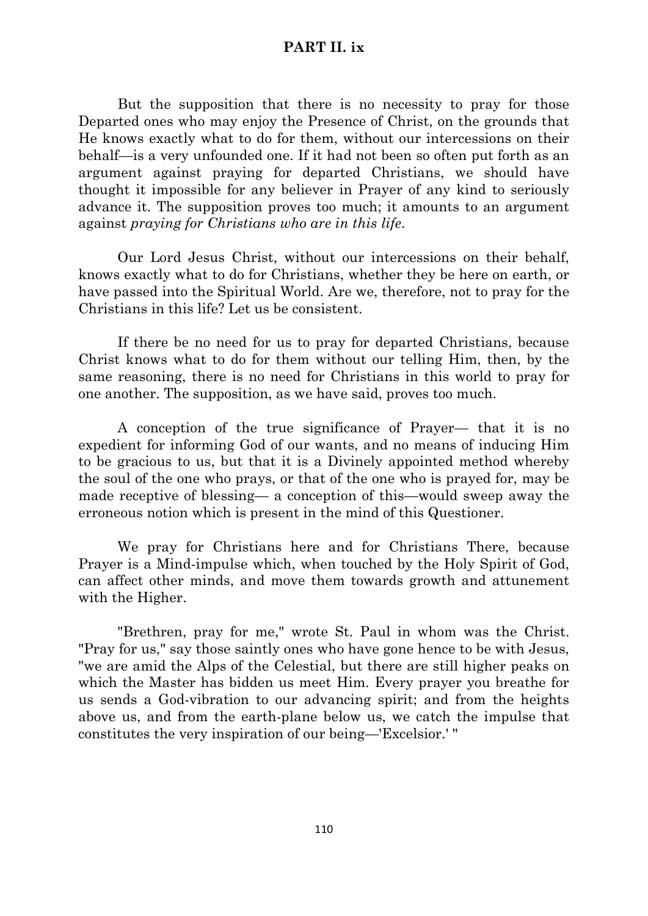But the supposition that there is no necessity to pray for those Departed ones who may enjoy the Presence of Christ, on the grounds that He knows exactly what to do for them, without our intercessions on their behalf—is a very unfounded one. If it had not been so often put forth as an argument against praying for departed Christians, we should have thought it impossible for any believer in Prayer of any kind to seriously advance it. The supposition proves too much; it amounts to an argument against *praying for Christians who are in this life*.

Our Lord Jesus Christ, without our intercessions on their behalf, knows exactly what to do for Christians, whether they be here on earth, or have passed into the Spiritual World. Are we, therefore, not to pray for the Christians in this life? Let us be consistent.

If there be no need for us to pray for departed Christians, because Christ knows what to do for them without our telling Him, then, by the same reasoning, there is no need for Christians in this world to pray for one another. The supposition, as we have said, proves too much.

A conception of the true significance of Prayer— that it is no expedient for informing God of our wants, and no means of inducing Him to be gracious to us, but that it is a Divinely appointed method whereby the soul of the one who prays, or that of the one who is prayed for, may be made receptive of blessing— a conception of this—would sweep away the erroneous notion which is present in the mind of this Questioner.

We pray for Christians here and for Christians There, because Prayer is a Mind-impulse which, when touched by the Holy Spirit of God, can affect other minds, and move them towards growth and attunement with the Higher.

"Brethren, pray for me," wrote St. Paul in whom was the Christ. "Pray for us," say those saintly ones who have gone hence to be with Jesus, "we are amid the Alps of the Celestial, but there are still higher peaks on which the Master has bidden us meet Him. Every prayer you breathe for us sends a God-vibration to our advancing spirit; and from the heights above us, and from the earth-plane below us, we catch the impulse that constitutes the very inspiration of our being—'Excelsior.' "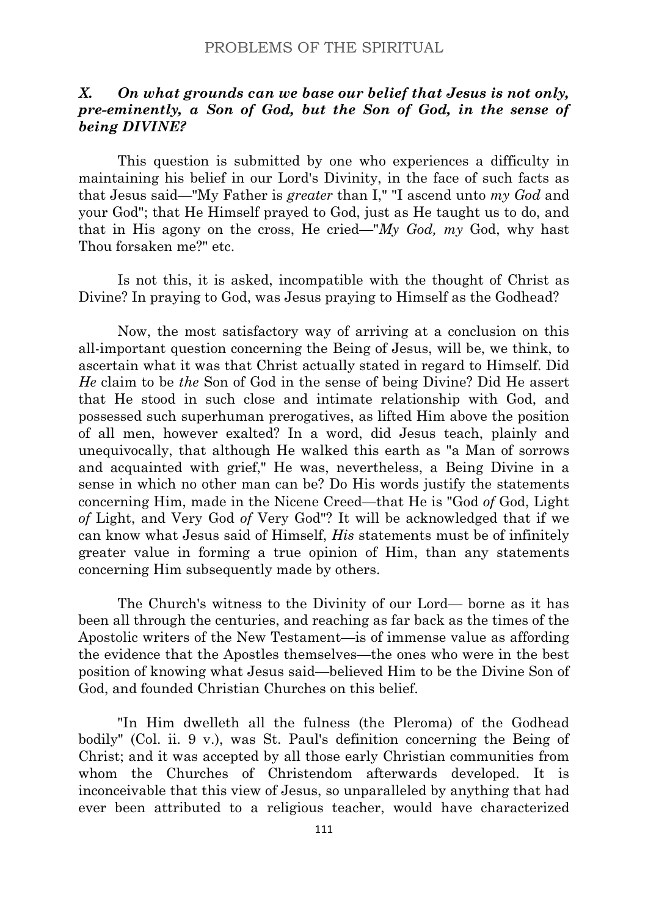# *X. On what grounds can we base our belief that Jesus is not only, pre-eminently, a Son of God, but the Son of God, in the sense of being DIVINE?*

This question is submitted by one who experiences a difficulty in maintaining his belief in our Lord's Divinity, in the face of such facts as that Jesus said—"My Father is *greater* than I," "I ascend unto *my God* and your God"; that He Himself prayed to God, just as He taught us to do, and that in His agony on the cross, He cried—"*My God, my* God, why hast Thou forsaken me?" etc.

Is not this, it is asked, incompatible with the thought of Christ as Divine? In praying to God, was Jesus praying to Himself as the Godhead?

Now, the most satisfactory way of arriving at a conclusion on this all-important question concerning the Being of Jesus, will be, we think, to ascertain what it was that Christ actually stated in regard to Himself. Did *He* claim to be *the* Son of God in the sense of being Divine? Did He assert that He stood in such close and intimate relationship with God, and possessed such superhuman prerogatives, as lifted Him above the position of all men, however exalted? In a word, did Jesus teach, plainly and unequivocally, that although He walked this earth as "a Man of sorrows and acquainted with grief," He was, nevertheless, a Being Divine in a sense in which no other man can be? Do His words justify the statements concerning Him, made in the Nicene Creed—that He is "God *of* God, Light *of* Light, and Very God *of* Very God"? It will be acknowledged that if we can know what Jesus said of Himself, *His* statements must be of infinitely greater value in forming a true opinion of Him, than any statements concerning Him subsequently made by others.

The Church's witness to the Divinity of our Lord— borne as it has been all through the centuries, and reaching as far back as the times of the Apostolic writers of the New Testament—is of immense value as affording the evidence that the Apostles themselves—the ones who were in the best position of knowing what Jesus said—believed Him to be the Divine Son of God, and founded Christian Churches on this belief.

"In Him dwelleth all the fulness (the Pleroma) of the Godhead bodily" (Col. ii. 9 v.), was St. Paul's definition concerning the Being of Christ; and it was accepted by all those early Christian communities from whom the Churches of Christendom afterwards developed. It is inconceivable that this view of Jesus, so unparalleled by anything that had ever been attributed to a religious teacher, would have characterized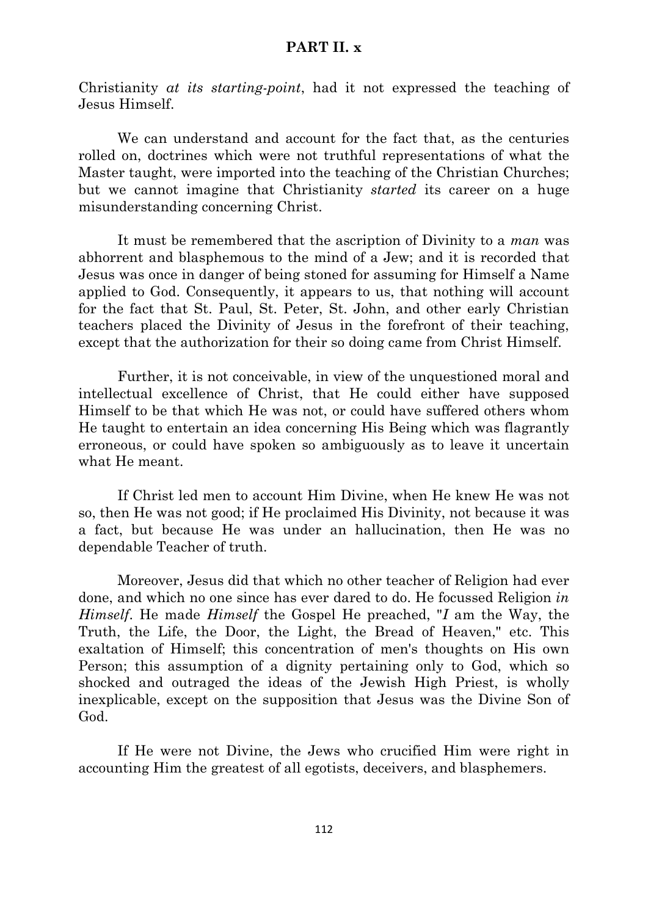Christianity *at its starting-point*, had it not expressed the teaching of Jesus Himself.

We can understand and account for the fact that, as the centuries rolled on, doctrines which were not truthful representations of what the Master taught, were imported into the teaching of the Christian Churches; but we cannot imagine that Christianity *started* its career on a huge misunderstanding concerning Christ.

It must be remembered that the ascription of Divinity to a *man* was abhorrent and blasphemous to the mind of a Jew; and it is recorded that Jesus was once in danger of being stoned for assuming for Himself a Name applied to God. Consequently, it appears to us, that nothing will account for the fact that St. Paul, St. Peter, St. John, and other early Christian teachers placed the Divinity of Jesus in the forefront of their teaching, except that the authorization for their so doing came from Christ Himself.

Further, it is not conceivable, in view of the unquestioned moral and intellectual excellence of Christ, that He could either have supposed Himself to be that which He was not, or could have suffered others whom He taught to entertain an idea concerning His Being which was flagrantly erroneous, or could have spoken so ambiguously as to leave it uncertain what He meant.

If Christ led men to account Him Divine, when He knew He was not so, then He was not good; if He proclaimed His Divinity, not because it was a fact, but because He was under an hallucination, then He was no dependable Teacher of truth.

Moreover, Jesus did that which no other teacher of Religion had ever done, and which no one since has ever dared to do. He focussed Religion *in Himself*. He made *Himself* the Gospel He preached, "*I* am the Way, the Truth, the Life, the Door, the Light, the Bread of Heaven," etc. This exaltation of Himself; this concentration of men's thoughts on His own Person; this assumption of a dignity pertaining only to God, which so shocked and outraged the ideas of the Jewish High Priest, is wholly inexplicable, except on the supposition that Jesus was the Divine Son of God.

If He were not Divine, the Jews who crucified Him were right in accounting Him the greatest of all egotists, deceivers, and blasphemers.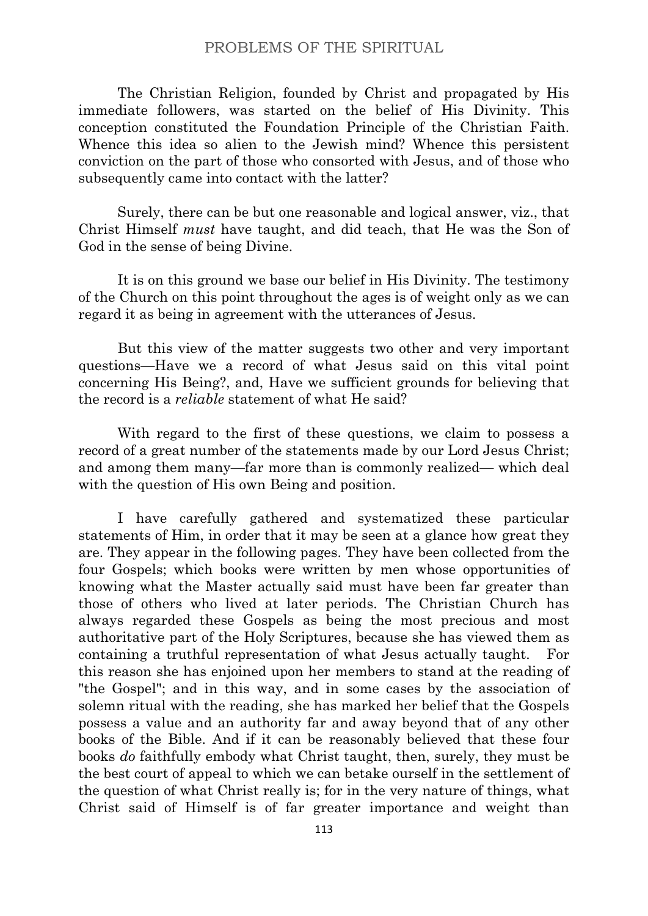The Christian Religion, founded by Christ and propagated by His immediate followers, was started on the belief of His Divinity. This conception constituted the Foundation Principle of the Christian Faith. Whence this idea so alien to the Jewish mind? Whence this persistent conviction on the part of those who consorted with Jesus, and of those who subsequently came into contact with the latter?

Surely, there can be but one reasonable and logical answer, viz., that Christ Himself *must* have taught, and did teach, that He was the Son of God in the sense of being Divine.

It is on this ground we base our belief in His Divinity. The testimony of the Church on this point throughout the ages is of weight only as we can regard it as being in agreement with the utterances of Jesus.

But this view of the matter suggests two other and very important questions—Have we a record of what Jesus said on this vital point concerning His Being?, and, Have we sufficient grounds for believing that the record is a *reliable* statement of what He said?

With regard to the first of these questions, we claim to possess a record of a great number of the statements made by our Lord Jesus Christ; and among them many—far more than is commonly realized— which deal with the question of His own Being and position.

I have carefully gathered and systematized these particular statements of Him, in order that it may be seen at a glance how great they are. They appear in the following pages. They have been collected from the four Gospels; which books were written by men whose opportunities of knowing what the Master actually said must have been far greater than those of others who lived at later periods. The Christian Church has always regarded these Gospels as being the most precious and most authoritative part of the Holy Scriptures, because she has viewed them as containing a truthful representation of what Jesus actually taught. For this reason she has enjoined upon her members to stand at the reading of "the Gospel"; and in this way, and in some cases by the association of solemn ritual with the reading, she has marked her belief that the Gospels possess a value and an authority far and away beyond that of any other books of the Bible. And if it can be reasonably believed that these four books *do* faithfully embody what Christ taught, then, surely, they must be the best court of appeal to which we can betake ourself in the settlement of the question of what Christ really is; for in the very nature of things, what Christ said of Himself is of far greater importance and weight than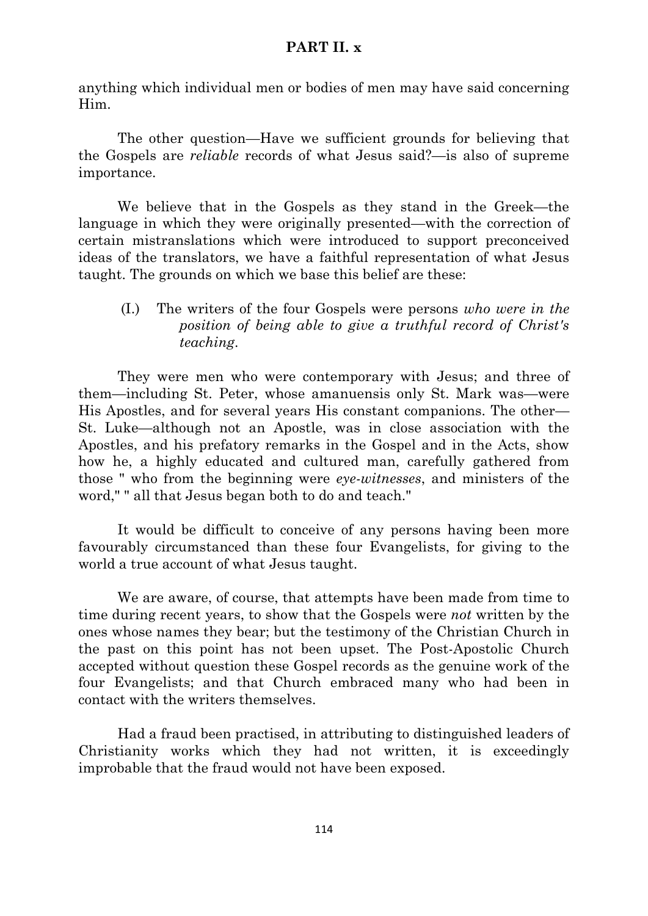anything which individual men or bodies of men may have said concerning Him.

The other question—Have we sufficient grounds for believing that the Gospels are *reliable* records of what Jesus said?—is also of supreme importance.

We believe that in the Gospels as they stand in the Greek—the language in which they were originally presented—with the correction of certain mistranslations which were introduced to support preconceived ideas of the translators, we have a faithful representation of what Jesus taught. The grounds on which we base this belief are these:

(I.) The writers of the four Gospels were persons *who were in the position of being able to give a truthful record of Christ's teaching*.

They were men who were contemporary with Jesus; and three of them—including St. Peter, whose amanuensis only St. Mark was—were His Apostles, and for several years His constant companions. The other— St. Luke—although not an Apostle, was in close association with the Apostles, and his prefatory remarks in the Gospel and in the Acts, show how he, a highly educated and cultured man, carefully gathered from those " who from the beginning were *eye-witnesses*, and ministers of the word," " all that Jesus began both to do and teach."

It would be difficult to conceive of any persons having been more favourably circumstanced than these four Evangelists, for giving to the world a true account of what Jesus taught.

We are aware, of course, that attempts have been made from time to time during recent years, to show that the Gospels were *not* written by the ones whose names they bear; but the testimony of the Christian Church in the past on this point has not been upset. The Post-Apostolic Church accepted without question these Gospel records as the genuine work of the four Evangelists; and that Church embraced many who had been in contact with the writers themselves.

Had a fraud been practised, in attributing to distinguished leaders of Christianity works which they had not written, it is exceedingly improbable that the fraud would not have been exposed.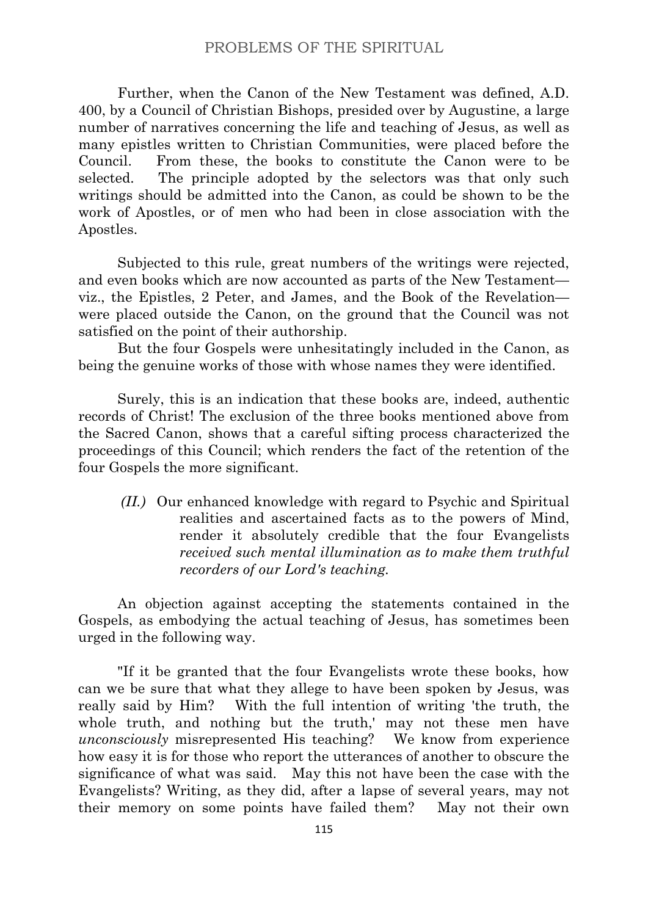Further, when the Canon of the New Testament was defined, A.D. 400, by a Council of Christian Bishops, presided over by Augustine, a large number of narratives concerning the life and teaching of Jesus, as well as many epistles written to Christian Communities, were placed before the Council. From these, the books to constitute the Canon were to be selected. The principle adopted by the selectors was that only such writings should be admitted into the Canon, as could be shown to be the work of Apostles, or of men who had been in close association with the Apostles.

Subjected to this rule, great numbers of the writings were rejected, and even books which are now accounted as parts of the New Testament viz., the Epistles, 2 Peter, and James, and the Book of the Revelation were placed outside the Canon, on the ground that the Council was not satisfied on the point of their authorship.

But the four Gospels were unhesitatingly included in the Canon, as being the genuine works of those with whose names they were identified.

Surely, this is an indication that these books are, indeed, authentic records of Christ! The exclusion of the three books mentioned above from the Sacred Canon, shows that a careful sifting process characterized the proceedings of this Council; which renders the fact of the retention of the four Gospels the more significant.

*(II.)* Our enhanced knowledge with regard to Psychic and Spiritual realities and ascertained facts as to the powers of Mind, render it absolutely credible that the four Evangelists *received such mental illumination as to make them truthful recorders of our Lord's teaching.*

An objection against accepting the statements contained in the Gospels, as embodying the actual teaching of Jesus, has sometimes been urged in the following way.

"If it be granted that the four Evangelists wrote these books, how can we be sure that what they allege to have been spoken by Jesus, was really said by Him? With the full intention of writing 'the truth, the whole truth, and nothing but the truth,' may not these men have *unconsciously* misrepresented His teaching? We know from experience how easy it is for those who report the utterances of another to obscure the significance of what was said. May this not have been the case with the Evangelists? Writing, as they did, after a lapse of several years, may not their memory on some points have failed them? May not their own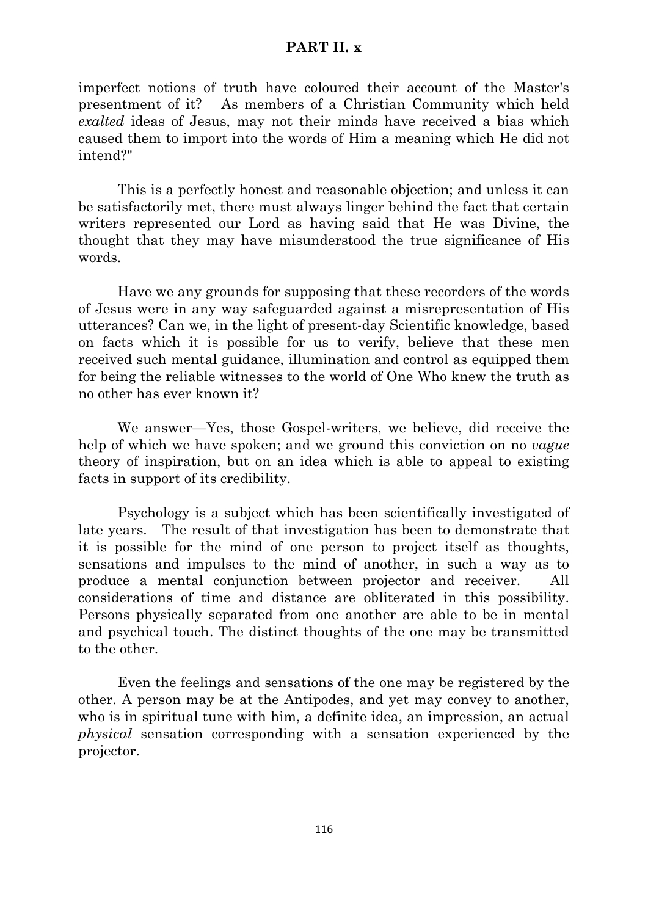imperfect notions of truth have coloured their account of the Master's presentment of it? As members of a Christian Community which held *exalted* ideas of Jesus, may not their minds have received a bias which caused them to import into the words of Him a meaning which He did not intend?"

This is a perfectly honest and reasonable objection; and unless it can be satisfactorily met, there must always linger behind the fact that certain writers represented our Lord as having said that He was Divine, the thought that they may have misunderstood the true significance of His words.

Have we any grounds for supposing that these recorders of the words of Jesus were in any way safeguarded against a misrepresentation of His utterances? Can we, in the light of present-day Scientific knowledge, based on facts which it is possible for us to verify, believe that these men received such mental guidance, illumination and control as equipped them for being the reliable witnesses to the world of One Who knew the truth as no other has ever known it?

We answer—Yes, those Gospel-writers, we believe, did receive the help of which we have spoken; and we ground this conviction on no *vague* theory of inspiration, but on an idea which is able to appeal to existing facts in support of its credibility.

Psychology is a subject which has been scientifically investigated of late years. The result of that investigation has been to demonstrate that it is possible for the mind of one person to project itself as thoughts, sensations and impulses to the mind of another, in such a way as to produce a mental conjunction between projector and receiver. All considerations of time and distance are obliterated in this possibility. Persons physically separated from one another are able to be in mental and psychical touch. The distinct thoughts of the one may be transmitted to the other.

Even the feelings and sensations of the one may be registered by the other. A person may be at the Antipodes, and yet may convey to another, who is in spiritual tune with him, a definite idea, an impression, an actual *physical* sensation corresponding with a sensation experienced by the projector.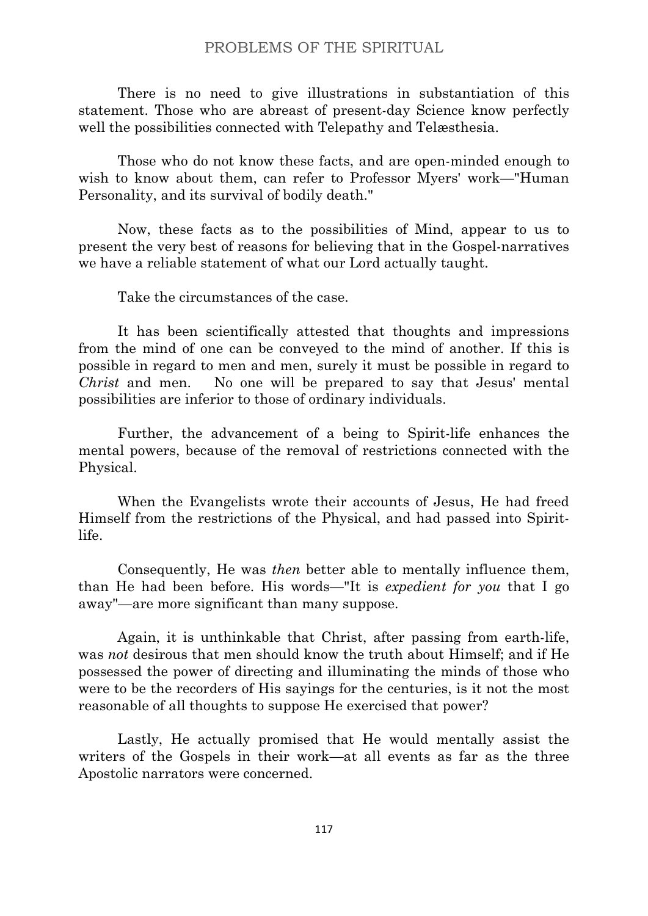There is no need to give illustrations in substantiation of this statement. Those who are abreast of present-day Science know perfectly well the possibilities connected with Telepathy and Telæsthesia.

Those who do not know these facts, and are open-minded enough to wish to know about them, can refer to Professor Myers' work—"Human Personality, and its survival of bodily death."

Now, these facts as to the possibilities of Mind, appear to us to present the very best of reasons for believing that in the Gospel-narratives we have a reliable statement of what our Lord actually taught.

Take the circumstances of the case.

It has been scientifically attested that thoughts and impressions from the mind of one can be conveyed to the mind of another. If this is possible in regard to men and men, surely it must be possible in regard to *Christ* and men. No one will be prepared to say that Jesus' mental possibilities are inferior to those of ordinary individuals.

Further, the advancement of a being to Spirit-life enhances the mental powers, because of the removal of restrictions connected with the Physical.

When the Evangelists wrote their accounts of Jesus, He had freed Himself from the restrictions of the Physical, and had passed into Spiritlife.

Consequently, He was *then* better able to mentally influence them, than He had been before. His words—"It is *expedient for you* that I go away"—are more significant than many suppose.

Again, it is unthinkable that Christ, after passing from earth-life, was *not* desirous that men should know the truth about Himself; and if He possessed the power of directing and illuminating the minds of those who were to be the recorders of His sayings for the centuries, is it not the most reasonable of all thoughts to suppose He exercised that power?

Lastly, He actually promised that He would mentally assist the writers of the Gospels in their work—at all events as far as the three Apostolic narrators were concerned.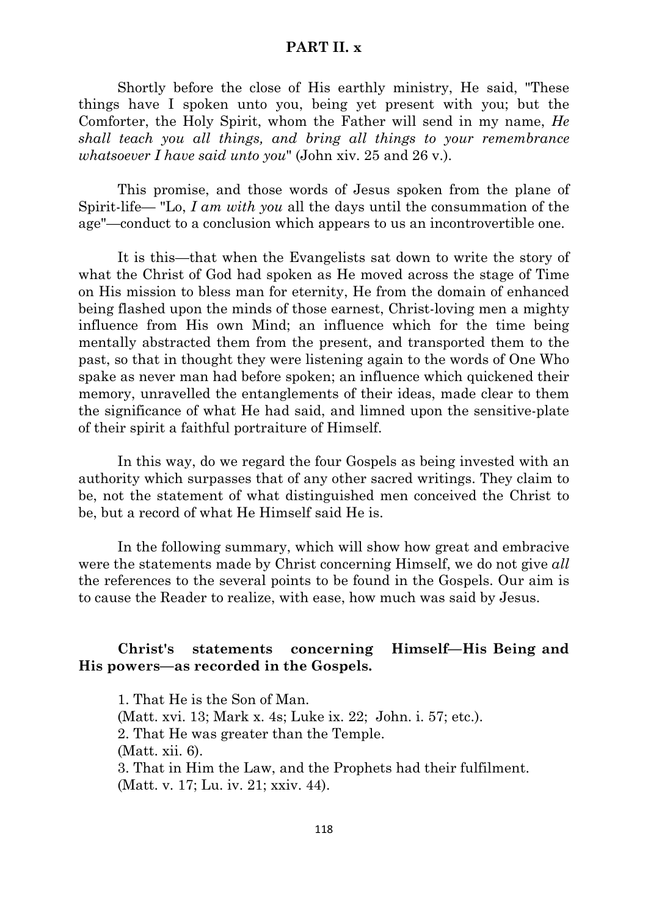Shortly before the close of His earthly ministry, He said, "These things have I spoken unto you, being yet present with you; but the Comforter, the Holy Spirit, whom the Father will send in my name, *He shall teach you all things, and bring all things to your remembrance whatsoever I have said unto you*" (John xiv. 25 and 26 v.).

This promise, and those words of Jesus spoken from the plane of Spirit-life— "Lo, *I am with you* all the days until the consummation of the age"—conduct to a conclusion which appears to us an incontrovertible one.

It is this—that when the Evangelists sat down to write the story of what the Christ of God had spoken as He moved across the stage of Time on His mission to bless man for eternity, He from the domain of enhanced being flashed upon the minds of those earnest, Christ-loving men a mighty influence from His own Mind; an influence which for the time being mentally abstracted them from the present, and transported them to the past, so that in thought they were listening again to the words of One Who spake as never man had before spoken; an influence which quickened their memory, unravelled the entanglements of their ideas, made clear to them the significance of what He had said, and limned upon the sensitive-plate of their spirit a faithful portraiture of Himself.

In this way, do we regard the four Gospels as being invested with an authority which surpasses that of any other sacred writings. They claim to be, not the statement of what distinguished men conceived the Christ to be, but a record of what He Himself said He is.

In the following summary, which will show how great and embracive were the statements made by Christ concerning Himself, we do not give *all* the references to the several points to be found in the Gospels. Our aim is to cause the Reader to realize, with ease, how much was said by Jesus.

## **Christ's statements concerning Himself—His Being and His powers—as recorded in the Gospels.**

1. That He is the Son of Man. (Matt. xvi. 13; Mark x. 4s; Luke ix. 22; John. i. 57; etc.). 2. That He was greater than the Temple. (Matt. xii. 6). 3. That in Him the Law, and the Prophets had their fulfilment. (Matt. v. 17; Lu. iv. 21; xxiv. 44).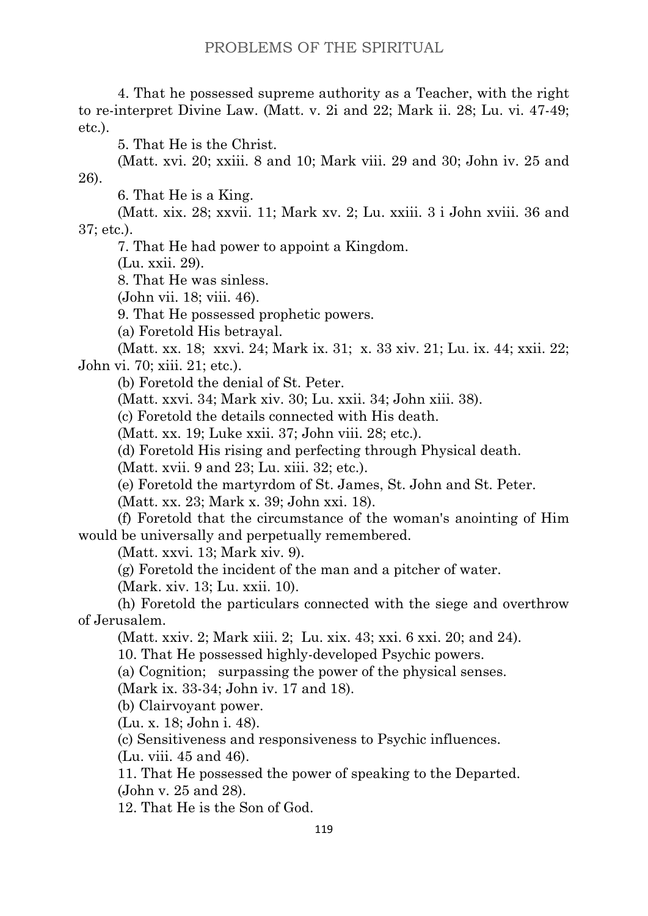4. That he possessed supreme authority as a Teacher, with the right to re-interpret Divine Law. (Matt. v. 2i and 22; Mark ii. 28; Lu. vi. 47-49; etc.).

5. That He is the Christ.

(Matt. xvi. 20; xxiii. 8 and 10; Mark viii. 29 and 30; John iv. 25 and 26).

6. That He is a King.

(Matt. xix. 28; xxvii. 11; Mark xv. 2; Lu. xxiii. 3 i John xviii. 36 and 37; etc.).

7. That He had power to appoint a Kingdom.

(Lu. xxii. 29).

8. That He was sinless.

(John vii. 18; viii. 46).

9. That He possessed prophetic powers.

(a) Foretold His betrayal.

(Matt. xx. 18; xxvi. 24; Mark ix. 31; x. 33 xiv. 21; Lu. ix. 44; xxii. 22; John vi. 70; xiii. 21; etc.).

(b) Foretold the denial of St. Peter.

(Matt. xxvi. 34; Mark xiv. 30; Lu. xxii. 34; John xiii. 38).

(c) Foretold the details connected with His death.

(Matt. xx. 19; Luke xxii. 37; John viii. 28; etc.).

(d) Foretold His rising and perfecting through Physical death.

(Matt. xvii. 9 and 23; Lu. xiii. 32; etc.).

(e) Foretold the martyrdom of St. James, St. John and St. Peter.

(Matt. xx. 23; Mark x. 39; John xxi. 18).

(f) Foretold that the circumstance of the woman's anointing of Him would be universally and perpetually remembered.

(Matt. xxvi. 13; Mark xiv. 9).

(g) Foretold the incident of the man and a pitcher of water.

(Mark. xiv. 13; Lu. xxii. 10).

(h) Foretold the particulars connected with the siege and overthrow of Jerusalem.

(Matt. xxiv. 2; Mark xiii. 2; Lu. xix. 43; xxi. 6 xxi. 20; and 24).

10. That He possessed highly-developed Psychic powers.

(a) Cognition; surpassing the power of the physical senses.

(Mark ix. 33-34; John iv. 17 and 18).

(b) Clairvoyant power.

(Lu. x. 18; John i. 48).

(c) Sensitiveness and responsiveness to Psychic influences.

(Lu. viii. 45 and 46).

11. That He possessed the power of speaking to the Departed. (John v. 25 and 28).

12. That He is the Son of God.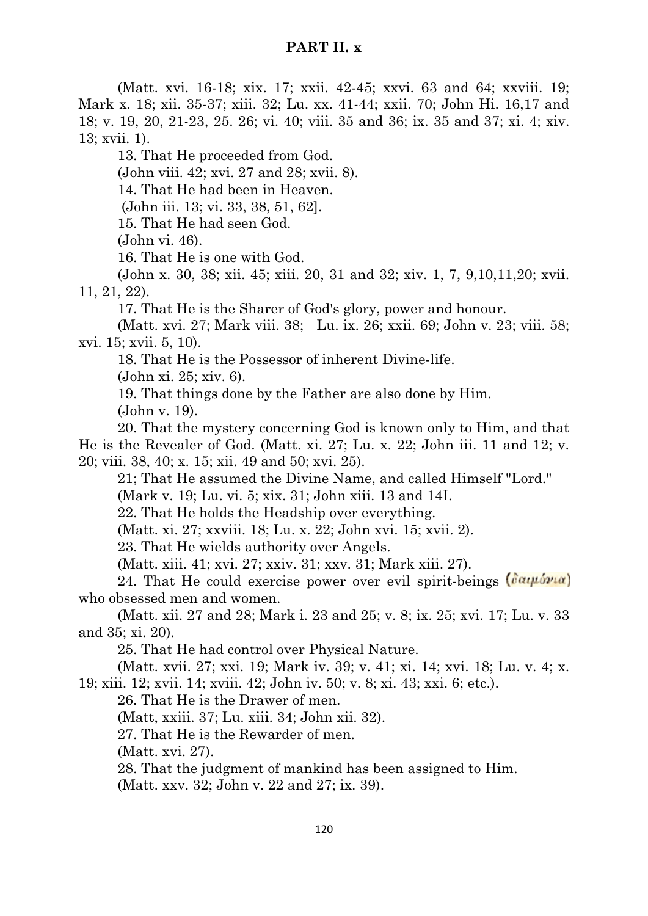(Matt. xvi. 16-18; xix. 17; xxii. 42-45; xxvi. 63 and 64; xxviii. 19; Mark x. 18; xii. 35-37; xiii. 32; Lu. xx. 41-44; xxii. 70; John Hi. 16,17 and 18; v. 19, 20, 21-23, 25. 26; vi. 40; viii. 35 and 36; ix. 35 and 37; xi. 4; xiv. 13; xvii. 1).

13. That He proceeded from God.

(John viii. 42; xvi. 27 and 28; xvii. 8).

14. That He had been in Heaven.

(John iii. 13; vi. 33, 38, 51, 62].

15. That He had seen God.

(John vi. 46).

16. That He is one with God.

(John x. 30, 38; xii. 45; xiii. 20, 31 and 32; xiv. 1, 7, 9,10,11,20; xvii. 11, 21, 22).

17. That He is the Sharer of God's glory, power and honour.

(Matt. xvi. 27; Mark viii. 38; Lu. ix. 26; xxii. 69; John v. 23; viii. 58; xvi. 15; xvii. 5, 10).

18. That He is the Possessor of inherent Divine-life.

(John xi. 25; xiv. 6).

19. That things done by the Father are also done by Him.

(John v. 19).

20. That the mystery concerning God is known only to Him, and that He is the Revealer of God. (Matt. xi. 27; Lu. x. 22; John iii. 11 and 12; v. 20; viii. 38, 40; x. 15; xii. 49 and 50; xvi. 25).

21; That He assumed the Divine Name, and called Himself "Lord."

(Mark v. 19; Lu. vi. 5; xix. 31; John xiii. 13 and 14I.

22. That He holds the Headship over everything.

(Matt. xi. 27; xxviii. 18; Lu. x. 22; John xvi. 15; xvii. 2).

23. That He wields authority over Angels.

(Matt. xiii. 41; xvi. 27; xxiv. 31; xxv. 31; Mark xiii. 27).

24. That He could exercise power over evil spirit-beings  $(\partial \alpha \mu \partial \nu \alpha)$ who obsessed men and women.

(Matt. xii. 27 and 28; Mark i. 23 and 25; v. 8; ix. 25; xvi. 17; Lu. v. 33 and 35; xi. 20).

25. That He had control over Physical Nature.

(Matt. xvii. 27; xxi. 19; Mark iv. 39; v. 41; xi. 14; xvi. 18; Lu. v. 4; x. 19; xiii. 12; xvii. 14; xviii. 42; John iv. 50; v. 8; xi. 43; xxi. 6; etc.).

26. That He is the Drawer of men.

(Matt, xxiii. 37; Lu. xiii. 34; John xii. 32).

27. That He is the Rewarder of men.

(Matt. xvi. 27).

28. That the judgment of mankind has been assigned to Him.

(Matt. xxv. 32; John v. 22 and 27; ix. 39).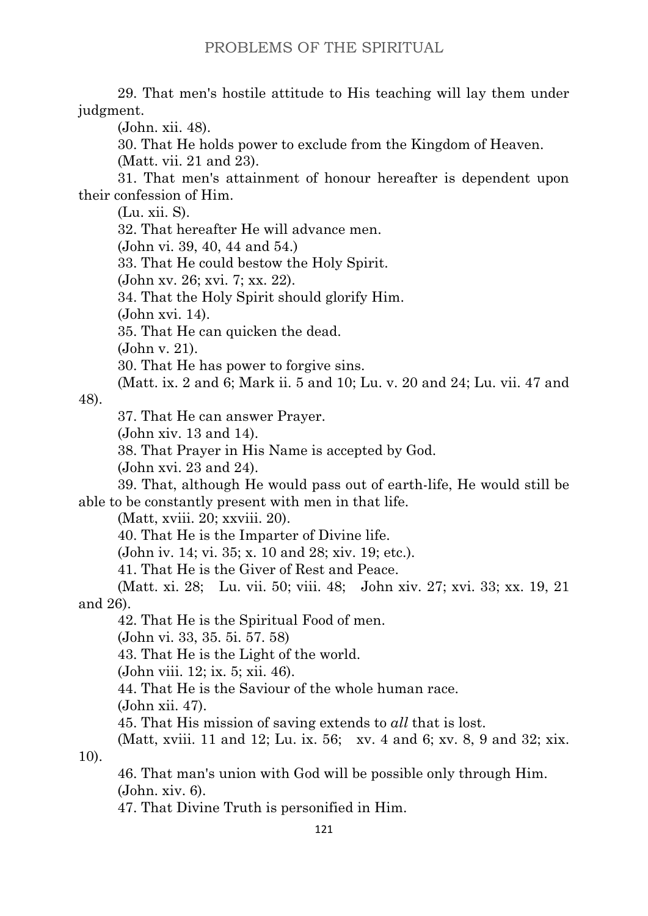29. That men's hostile attitude to His teaching will lay them under judgment.

(John. xii. 48).

30. That He holds power to exclude from the Kingdom of Heaven.

(Matt. vii. 21 and 23).

31. That men's attainment of honour hereafter is dependent upon their confession of Him.

(Lu. xii. S).

32. That hereafter He will advance men.

(John vi. 39, 40, 44 and 54.)

33. That He could bestow the Holy Spirit.

(John xv. 26; xvi. 7; xx. 22).

34. That the Holy Spirit should glorify Him.

(John xvi. 14).

35. That He can quicken the dead.

(John v. 21).

30. That He has power to forgive sins.

(Matt. ix. 2 and 6; Mark ii. 5 and 10; Lu. v. 20 and 24; Lu. vii. 47 and

48).

37. That He can answer Prayer.

(John xiv. 13 and 14).

38. That Prayer in His Name is accepted by God.

(John xvi. 23 and 24).

39. That, although He would pass out of earth-life, He would still be able to be constantly present with men in that life.

(Matt, xviii. 20; xxviii. 20).

40. That He is the Imparter of Divine life.

(John iv. 14; vi. 35; x. 10 and 28; xiv. 19; etc.).

41. That He is the Giver of Rest and Peace.

(Matt. xi. 28; Lu. vii. 50; viii. 48; John xiv. 27; xvi. 33; xx. 19, 21 and 26).

42. That He is the Spiritual Food of men.

(John vi. 33, 35. 5i. 57. 58)

43. That He is the Light of the world.

(John viii. 12; ix. 5; xii. 46).

44. That He is the Saviour of the whole human race.

(John xii. 47).

45. That His mission of saving extends to *all* that is lost.

(Matt, xviii. 11 and 12; Lu. ix. 56; xv. 4 and 6; xv. 8, 9 and 32; xix.  $10$ ).

46. That man's union with God will be possible only through Him. (John. xiv. 6).

47. That Divine Truth is personified in Him.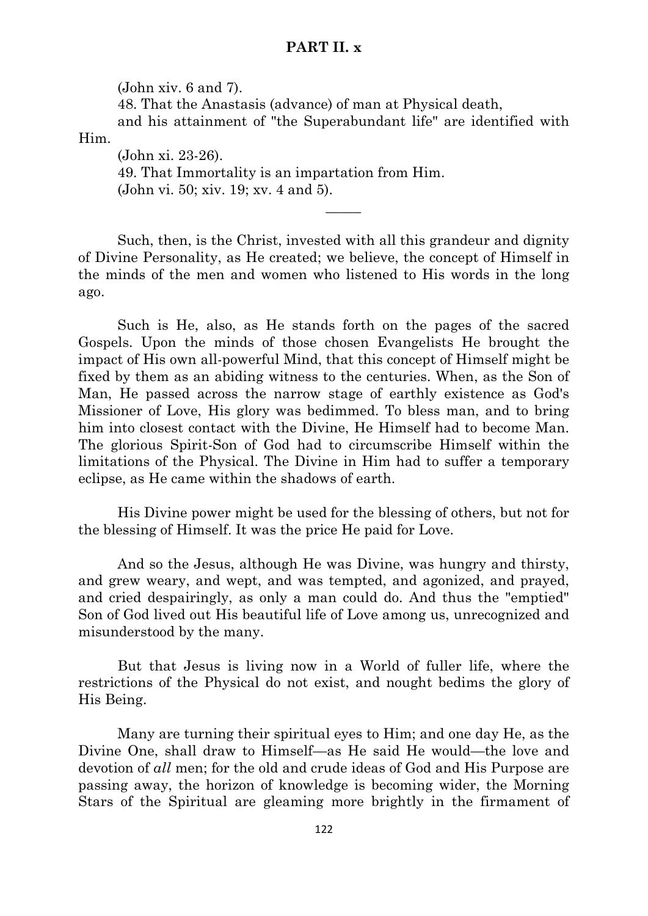(John xiv. 6 and 7).

48. That the Anastasis (advance) of man at Physical death,

and his attainment of "the Superabundant life" are identified with Him.

 $\overline{\phantom{a}}$ 

(John xi. 23-26). 49. That Immortality is an impartation from Him. (John vi. 50; xiv. 19; xv. 4 and 5).

Such, then, is the Christ, invested with all this grandeur and dignity of Divine Personality, as He created; we believe, the concept of Himself in the minds of the men and women who listened to His words in the long ago.

Such is He, also, as He stands forth on the pages of the sacred Gospels. Upon the minds of those chosen Evangelists He brought the impact of His own all-powerful Mind, that this concept of Himself might be fixed by them as an abiding witness to the centuries. When, as the Son of Man, He passed across the narrow stage of earthly existence as God's Missioner of Love, His glory was bedimmed. To bless man, and to bring him into closest contact with the Divine, He Himself had to become Man. The glorious Spirit-Son of God had to circumscribe Himself within the limitations of the Physical. The Divine in Him had to suffer a temporary eclipse, as He came within the shadows of earth.

His Divine power might be used for the blessing of others, but not for the blessing of Himself. It was the price He paid for Love.

And so the Jesus, although He was Divine, was hungry and thirsty, and grew weary, and wept, and was tempted, and agonized, and prayed, and cried despairingly, as only a man could do. And thus the "emptied" Son of God lived out His beautiful life of Love among us, unrecognized and misunderstood by the many.

But that Jesus is living now in a World of fuller life, where the restrictions of the Physical do not exist, and nought bedims the glory of His Being.

Many are turning their spiritual eyes to Him; and one day He, as the Divine One, shall draw to Himself—as He said He would—the love and devotion of *all* men; for the old and crude ideas of God and His Purpose are passing away, the horizon of knowledge is becoming wider, the Morning Stars of the Spiritual are gleaming more brightly in the firmament of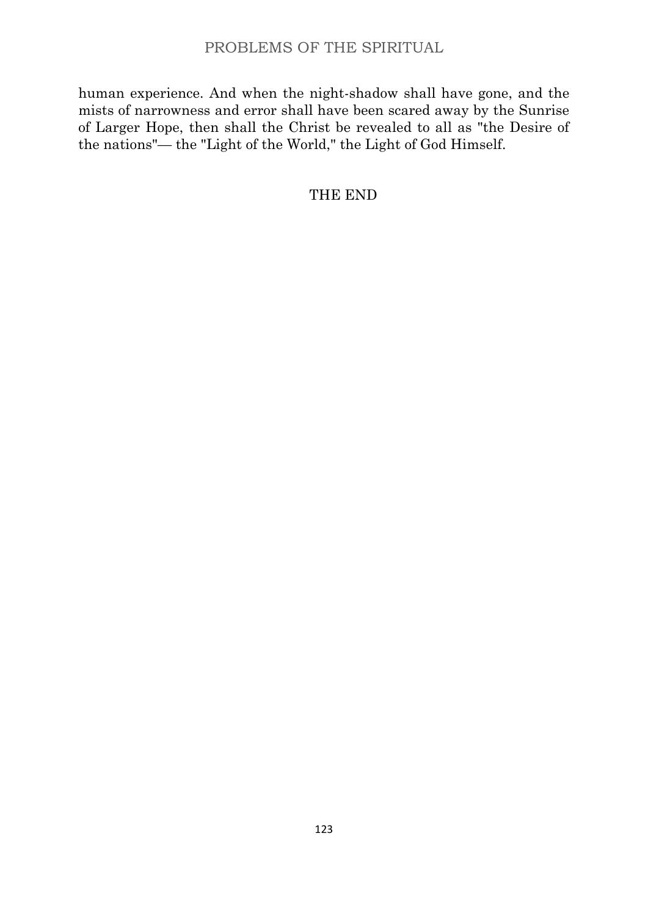human experience. And when the night-shadow shall have gone, and the mists of narrowness and error shall have been scared away by the Sunrise of Larger Hope, then shall the Christ be revealed to all as "the Desire of the nations"— the "Light of the World," the Light of God Himself.

THE END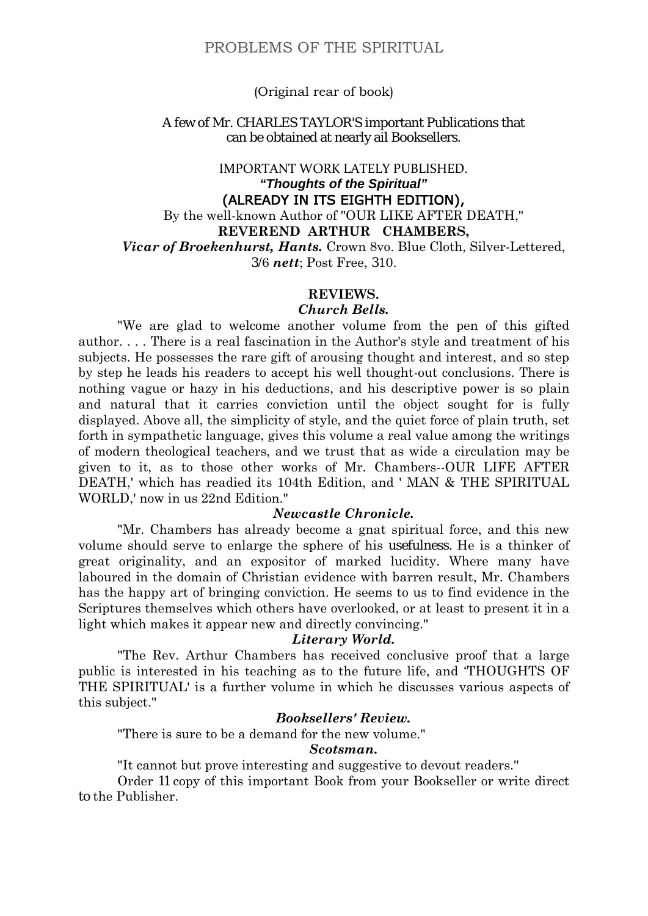### (Original rear of book)

#### A few of Mr. CHARLES TAYLOR'S important Publications that can be obtained at nearly ail Booksellers.

# IMPORTANT WORK LATELY PUBLISHED. *"Thoughts of the Spiritual"* (ALREADY IN ITS EIGHTH EDITION), By the well-known Author of "OUR LIKE AFTER DEATH," **REVEREND ARTHUR CHAMBERS,**

*Vicar of Broekenhurst, Hants.* Crown 8vo. Blue Cloth, Silver-Lettered, 3/6 *nett*; Post Free, 310.

### **REVIEWS.**

### *Church Bells.*

"We are glad to welcome another volume from the pen of this gifted author. . . . There is a real fascination in the Author's style and treatment of his subjects. He possesses the rare gift of arousing thought and interest, and so step by step he leads his readers to accept his well thought-out conclusions. There is nothing vague or hazy in his deductions, and his descriptive power is so plain and natural that it carries conviction until the object sought for is fully displayed. Above all, the simplicity of style, and the quiet force of plain truth, set forth in sympathetic language, gives this volume a real value among the writings of modern theological teachers, and we trust that as wide a circulation may be given to it, as to those other works of Mr. Chambers--OUR LIFE AFTER DEATH,' which has readied its 104th Edition, and ' MAN & THE SPIRITUAL WORLD,' now in us 22nd Edition."

### *Newcastle Chronicle.*

"Mr. Chambers has already become a gnat spiritual force, and this new volume should serve to enlarge the sphere of his usefulness. He is a thinker of great originality, and an expositor of marked lucidity. Where many have laboured in the domain of Christian evidence with barren result, Mr. Chambers has the happy art of bringing conviction. He seems to us to find evidence in the Scriptures themselves which others have overlooked, or at least to present it in a light which makes it appear new and directly convincing."

#### *Literary World.*

"The Rev. Arthur Chambers has received conclusive proof that a large public is interested in his teaching as to the future life, and 'THOUGHTS OF THE SPIRITUAL' is a further volume in which he discusses various aspects of this subject."

#### *Booksellers' Review.*

"There is sure to be a demand for the new volume."

#### *Scotsman.*

"It cannot but prove interesting and suggestive to devout readers.''

Order 11 copy of this important Book from your Bookseller or write direct to the Publisher.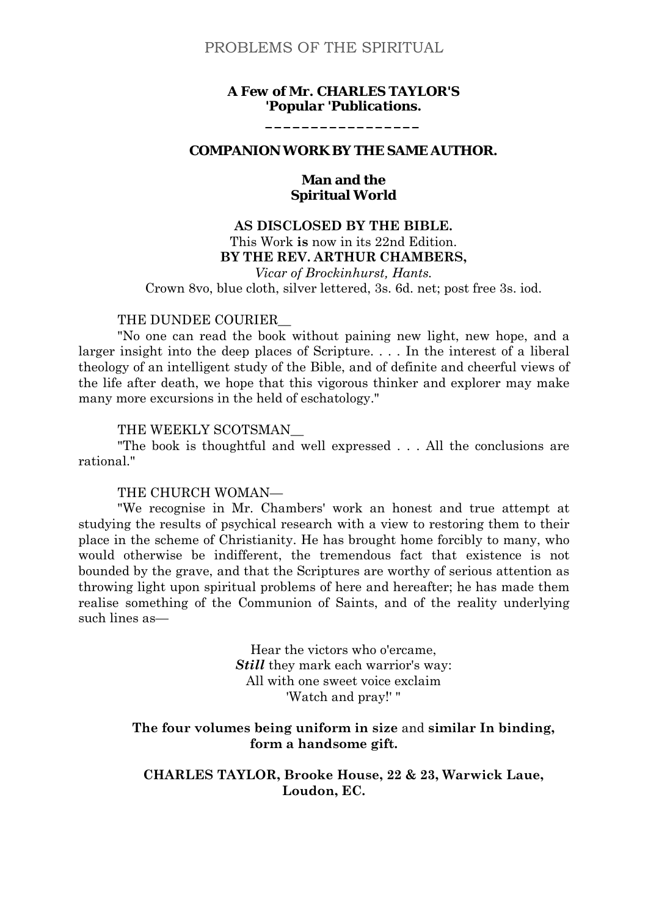### *A Few of Mr. CHARLES TAYLOR'S 'Popular 'Publications.*

**\_\_\_\_\_\_\_\_\_\_\_\_\_\_\_\_\_**

### **COMPANION WORK BY THE SAME AUTHOR.**

### **Man and the Spiritual World**

# **AS DISCLOSED BY THE BIBLE.** This Work **is** now in its 22nd Edition. **BY THE REV. ARTHUR CHAMBERS,**

*Vicar of Brockinhurst, Hants.* Crown 8vo, blue cloth, silver lettered, 3s. 6d. net; post free 3s. iod.

#### THE DUNDEE COURIER

"No one can read the book without paining new light, new hope, and a larger insight into the deep places of Scripture. . . . In the interest of a liberal theology of an intelligent study of the Bible, and of definite and cheerful views of the life after death, we hope that this vigorous thinker and explorer may make many more excursions in the held of eschatology."

#### THE WEEKLY SCOTSMAN\_\_

"The book is thoughtful and well expressed . . . All the conclusions are rational."

#### THE CHURCH WOMAN—

"We recognise in Mr. Chambers' work an honest and true attempt at studying the results of psychical research with a view to restoring them to their place in the scheme of Christianity. He has brought home forcibly to many, who would otherwise be indifferent, the tremendous fact that existence is not bounded by the grave, and that the Scriptures are worthy of serious attention as throwing light upon spiritual problems of here and hereafter; he has made them realise something of the Communion of Saints, and of the reality underlying such lines as—

> Hear the victors who o'ercame, *Still* they mark each warrior's way: All with one sweet voice exclaim 'Watch and pray!' "

### **The four volumes being uniform in size** and **similar In binding, form a handsome gift.**

**CHARLES TAYLOR, Brooke House, 22 & 23, Warwick Laue, Loudon, EC.**